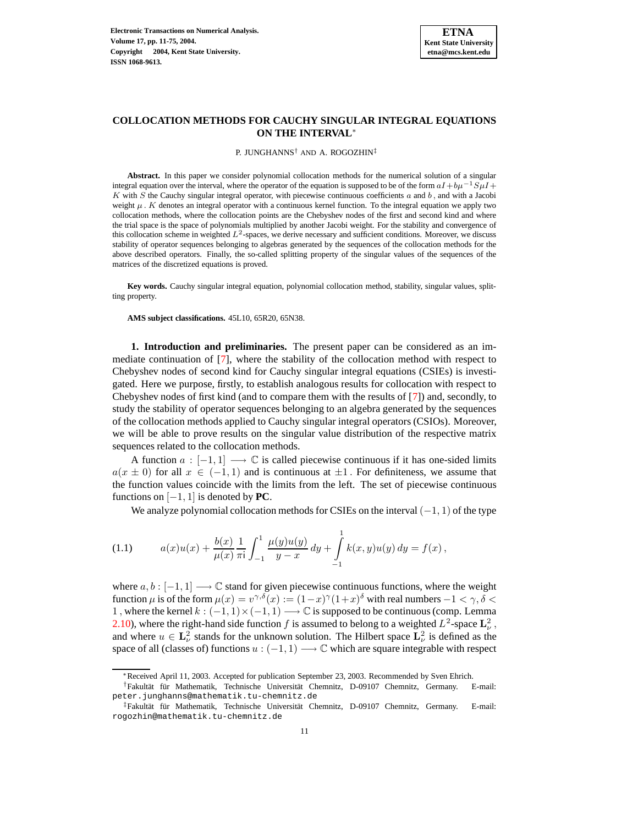# **COLLOCATION METHODS FOR CAUCHY SINGULAR INTEGRAL EQUATIONS ON THE INTERVAL**<sup>∗</sup>

P. JUNGHANNS† AND A. ROGOZHIN‡

**Abstract.** In this paper we consider polynomial collocation methods for the numerical solution of a singular integral equation over the interval, where the operator of the equation is supposed to be of the form  $aI + b\mu^{-1}S\mu I +$  $K$  with  $S$  the Cauchy singular integral operator, with piecewise continuous coefficients  $a$  and  $b$ , and with a Jacobi weight  $\mu$ . K denotes an integral operator with a continuous kernel function. To the integral equation we apply two collocation methods, where the collocation points are the Chebyshev nodes of the first and second kind and where the trial space is the space of polynomials multiplied by another Jacobi weight. For the stability and convergence of this collocation scheme in weighted  $L^2$ -spaces, we derive necessary and sufficient conditions. Moreover, we discuss stability of operator sequences belonging to algebras generated by the sequences of the collocation methods for the above described operators. Finally, the so-called splitting property of the singular values of the sequences of the matrices of the discretized equations is proved.

**Key words.** Cauchy singular integral equation, polynomial collocation method, stability, singular values, splitting property.

**AMS subject classifications.** 45L10, 65R20, 65N38.

**1. Introduction and preliminaries.** The present paper can be considered as an immediate continuation of [\[7\]](#page-64-0), where the stability of the collocation method with respect to Chebyshev nodes of second kind for Cauchy singular integral equations (CSIEs) is investigated. Here we purpose, firstly, to establish analogous results for collocation with respect to Chebyshev nodes of first kind (and to compare them with the results of [\[7\]](#page-64-0)) and, secondly, to study the stability of operator sequences belonging to an algebra generated by the sequences of the collocation methods applied to Cauchy singular integral operators (CSIOs). Moreover, we will be able to prove results on the singular value distribution of the respective matrix sequences related to the collocation methods.

A function  $a: [-1, 1] \longrightarrow \mathbb{C}$  is called piecewise continuous if it has one-sided limits  $a(x \pm 0)$  for all  $x \in (-1,1)$  and is continuous at  $\pm 1$ . For definiteness, we assume that the function values coincide with the limits from the left. The set of piecewise continuous functions on  $[-1, 1]$  is denoted by **PC**.

We analyze polynomial collocation methods for CSIEs on the interval  $(-1, 1)$  of the type

<span id="page-0-0"></span>(1.1) 
$$
a(x)u(x) + \frac{b(x)}{\mu(x)} \frac{1}{\pi i} \int_{-1}^{1} \frac{\mu(y)u(y)}{y-x} dy + \int_{-1}^{1} k(x, y)u(y) dy = f(x),
$$

where  $a, b : [-1, 1] \longrightarrow \mathbb{C}$  stand for given piecewise continuous functions, where the weight function  $\mu$  is of the form  $\mu(x) = v^{\gamma,\delta}(x) := (1-x)^{\gamma}(1+x)^{\delta}$  with real numbers  $-1 < \gamma, \delta <$ 1, where the kernel  $k: (-1, 1) \times (-1, 1) \longrightarrow \mathbb{C}$  is supposed to be continuous (comp. Lemma [2.10\)](#page-8-0), where the right-hand side function f is assumed to belong to a weighted  $L^2$ -space  $\mathbf{L}^2_{\nu}$ , and where  $u \in \mathbf{L}^2_{\nu}$  stands for the unknown solution. The Hilbert space  $\mathbf{L}^2_{\nu}$  is defined as the space of all (classes of) functions  $u : (-1, 1) \longrightarrow \mathbb{C}$  which are square integrable with respect

<sup>∗</sup>Received April 11, 2003. Accepted for publication September 23, 2003. Recommended by Sven Ehrich.

<sup>†</sup>Fakultat¨ fur¨ Mathematik, Technische Universitat¨ Chemnitz, D-09107 Chemnitz, Germany. E-mail: peter.junghanns@mathematik.tu-chemnitz.de

<sup>‡</sup>Fakultät für Mathematik, Technische Universität Chemnitz, D-09107 Chemnitz, Germany. E-mail: rogozhin@mathematik.tu-chemnitz.de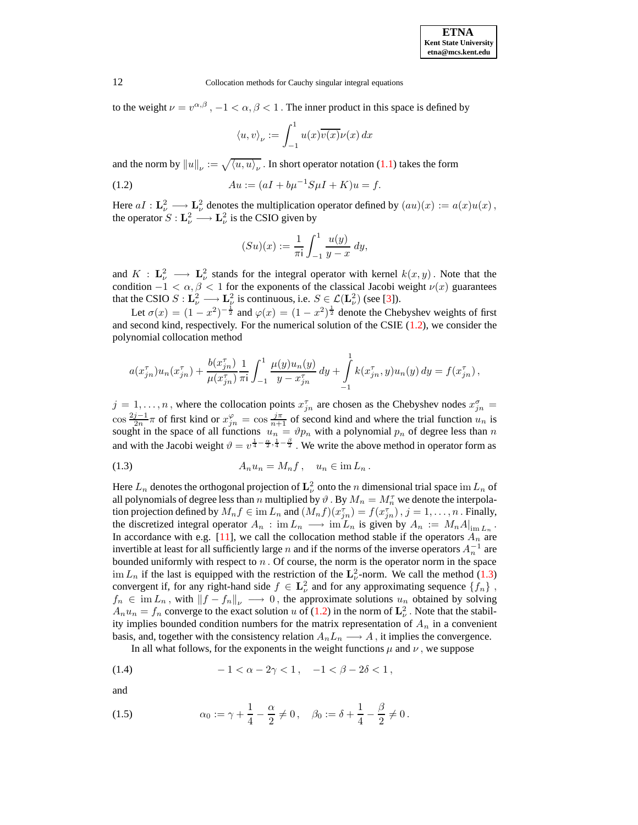to the weight  $\nu = v^{\alpha,\beta}$ ,  $-1 < \alpha, \beta < 1$ . The inner product in this space is defined by

$$
\langle u, v \rangle_{\nu} := \int_{-1}^{1} u(x) \overline{v(x)} \nu(x) \, dx
$$

<span id="page-1-0"></span>and the norm by  $||u||_{\nu} := \sqrt{\langle u, u \rangle_{\nu}}$ . In short operator notation [\(1.1\)](#page-0-0) takes the form

(1.2) 
$$
Au := (aI + b\mu^{-1}S\mu I + K)u = f.
$$

Here  $aI : \mathbf{L}^2_{\nu} \longrightarrow \mathbf{L}^2_{\nu}$  denotes the multiplication operator defined by  $(au)(x) := a(x)u(x)$ , the operator  $S: \mathbf{L}_{\nu}^2 \longrightarrow \mathbf{L}_{\nu}^2$  is the CSIO given by

$$
(Su)(x) := \frac{1}{\pi i} \int_{-1}^{1} \frac{u(y)}{y - x} \, dy,
$$

and  $K : \mathbf{L}_{\nu}^2 \longrightarrow \mathbf{L}_{\nu}^2$  stands for the integral operator with kernel  $k(x, y)$ . Note that the condition  $-1 < \alpha, \beta < 1$  for the exponents of the classical Jacobi weight  $\nu(x)$  guarantees that the CSIO  $S: \mathbf{L}_{\nu}^2 \longrightarrow \mathbf{L}_{\nu}^2$  is continuous, i.e.  $S \in \mathcal{L}(\mathbf{L}_{\nu}^2)$  (see [\[3\]](#page-64-1)).

Let  $\sigma(x) = (1 - x^2)^{-\frac{1}{2}}$  and  $\varphi(x) = (1 - x^2)^{\frac{1}{2}}$  denote the Chebyshev weights of first and second kind, respectively. For the numerical solution of the CSIE [\(1.2\)](#page-1-0), we consider the polynomial collocation method

$$
a(x_{jn}^{\tau})u_n(x_{jn}^{\tau}) + \frac{b(x_{jn}^{\tau})}{\mu(x_{jn}^{\tau})}\frac{1}{\pi i}\int_{-1}^{1}\frac{\mu(y)u_n(y)}{y-x_{jn}^{\tau}}dy + \int_{-1}^{1}k(x_{jn}^{\tau},y)u_n(y) dy = f(x_{jn}^{\tau}),
$$

 $j = 1, \ldots, n$ , where the collocation points  $x_{jn}^{\tau}$  are chosen as the Chebyshev nodes  $x_{jn}^{\sigma}$ cos  $\frac{2j-1}{2n}\pi$  of first kind or  $x_{jn}^{\varphi} = \cos\frac{j\pi}{n+1}$  of second kind and where the trial function  $u_n$  is sought in the space of all functions  $u_n = \vartheta p_n$  with a polynomial  $p_n$  of degree less than n and with the Jacobi weight  $\vartheta = v^{\frac{1}{4} - \frac{\alpha}{2}, \frac{1}{4} - \frac{\beta}{2}}$ . We write the above method in operator form as

<span id="page-1-1"></span>
$$
(1.3) \t\t A_n u_n = M_n f, \quad u_n \in \text{im } L_n.
$$

Here  $L_n$  denotes the orthogonal projection of  $\mathbf{L}^2_\nu$  onto the n dimensional trial space im  $L_n$  of all polynomials of degree less than  $n$  multiplied by  $\vartheta$  . By  $M_n = M_n^\tau$  we denote the interpolation projection defined by  $M_n f \in \text{im } L_n$  and  $(M_n f)(x_{jn}^{\tau}) = f(x_{jn}^{\tau})$ ,  $j = 1, \ldots, n$ . Finally, the discretized integral operator  $A_n$ : im  $L_n \longrightarrow \text{im } L_n$  is given by  $A_n := M_n A|_{\text{im } L_n}$ . In accordance with e.g. [\[11\]](#page-64-2), we call the collocation method stable if the operators  $A_n$  are invertible at least for all sufficiently large n and if the norms of the inverse operators  $A_n^{-1}$  are bounded uniformly with respect to  $n$ . Of course, the norm is the operator norm in the space im  $L_n$  if the last is equipped with the restriction of the  $\mathbf{L}_{\nu}^2$ -norm. We call the method [\(1.3\)](#page-1-1) convergent if, for any right-hand side  $f \in \mathbf{L}^2_{\nu}$  and for any approximating sequence  $\{f_n\}$ ,  $f_n \in \text{im } L_n$ , with  $||f - f_n||_{\nu} \longrightarrow 0$ , the approximate solutions  $u_n$  obtained by solving  $A_n u_n = f_n$  converge to the exact solution u of [\(1.2\)](#page-1-0) in the norm of  $\mathbf{L}^2_{\nu}$ . Note that the stability implies bounded condition numbers for the matrix representation of  $A_n$  in a convenient basis, and, together with the consistency relation  $A_nL_n \longrightarrow A$ , it implies the convergence.

<span id="page-1-2"></span>In all what follows, for the exponents in the weight functions  $\mu$  and  $\nu$ , we suppose

(1.4) 
$$
-1 < \alpha - 2\gamma < 1, \quad -1 < \beta - 2\delta < 1,
$$

and

<span id="page-1-3"></span>(1.5) 
$$
\alpha_0 := \gamma + \frac{1}{4} - \frac{\alpha}{2} \neq 0, \quad \beta_0 := \delta + \frac{1}{4} - \frac{\beta}{2} \neq 0.
$$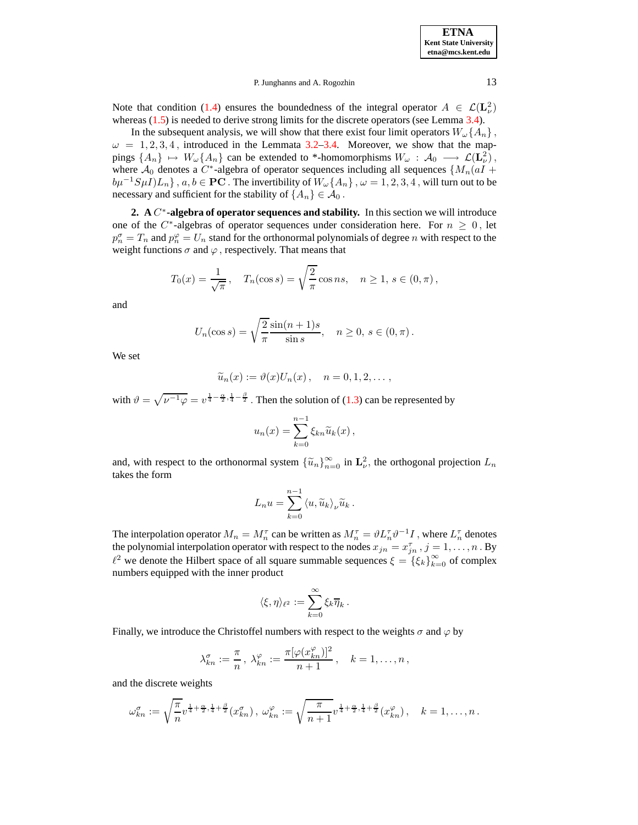Note that condition [\(1.4\)](#page-1-2) ensures the boundedness of the integral operator  $A \in \mathcal{L}(\mathbf{L}^2_\nu)$ whereas [\(1.5\)](#page-1-3) is needed to derive strong limits for the discrete operators (see Lemma [3.4\)](#page-16-0).

In the subsequent analysis, we will show that there exist four limit operators  $W_{\omega} \{A_n\}$ ,  $\omega = 1, 2, 3, 4$ , introduced in the Lemmata [3.2–](#page-10-0)[3.4.](#page-16-0) Moreover, we show that the mappings  $\{A_n\} \mapsto W_\omega\{A_n\}$  can be extended to \*-homomorphisms  $W_\omega$  :  $\mathcal{A}_0 \longrightarrow \mathcal{L}(\mathbf{L}_\nu^2)$ , where  $A_0$  denotes a  $C^*$ -algebra of operator sequences including all sequences { $M_n(aI +$  $b\mu^{-1}S\mu I)L_n$ ,  $a, b \in \mathbf{PC}$ . The invertibility of  $W_\omega\{A_n\}$ ,  $\omega = 1, 2, 3, 4$ , will turn out to be necessary and sufficient for the stability of  $\{A_n\} \in \mathcal{A}_0$ .

<span id="page-2-0"></span>**2. A** C ∗ **-algebra of operator sequences and stability.** In this section we will introduce one of the  $C^*$ -algebras of operator sequences under consideration here. For  $n \geq 0$ , let  $p_n^{\sigma} = T_n$  and  $p_n^{\varphi} = U_n$  stand for the orthonormal polynomials of degree n with respect to the weight functions  $\sigma$  and  $\varphi$ , respectively. That means that

$$
T_0(x) = \frac{1}{\sqrt{\pi}}, \quad T_n(\cos s) = \sqrt{\frac{2}{\pi}} \cos ns, \quad n \ge 1, s \in (0, \pi),
$$

and

$$
U_n(\cos s) = \sqrt{\frac{2}{\pi}} \frac{\sin(n+1)s}{\sin s}, \quad n \ge 0, s \in (0, \pi).
$$

We set

$$
\widetilde{u}_n(x) := \vartheta(x)U_n(x), \quad n = 0, 1, 2, \dots,
$$

with  $\vartheta = \sqrt{\nu^{-1}\varphi} = \nu^{\frac{1}{4} - \frac{\alpha}{2}, \frac{1}{4} - \frac{\beta}{2}}$ . Then the solution of [\(1.3\)](#page-1-1) can be represented by

$$
u_n(x) = \sum_{k=0}^{n-1} \xi_{kn} \widetilde{u}_k(x),
$$

and, with respect to the orthonormal system  $\{\tilde{u}_n\}_{n=0}^{\infty}$  in  $\mathbf{L}^2_{\nu}$ , the orthogonal projection  $L_n$ takes the form

$$
L_n u = \sum_{k=0}^{n-1} \langle u, \widetilde{u}_k \rangle_{\nu} \widetilde{u}_k .
$$

The interpolation operator  $M_n = M_n^{\tau}$  can be written as  $M_n^{\tau} = \vartheta L_n^{\tau} \vartheta^{-1} I$  , where  $L_n^{\tau}$  denotes the polynomial interpolation operator with respect to the nodes  $x_{jn} = x_{jn}^{\tau}$  ,  $j = 1, \ldots, n$  . By  $\ell^2$  we denote the Hilbert space of all square summable sequences  $\xi = {\xi_k}_{k=0}^{\infty}$  of complex numbers equipped with the inner product

$$
\langle \xi, \eta \rangle_{\ell^2} := \sum_{k=0}^{\infty} \xi_k \overline{\eta}_k.
$$

Finally, we introduce the Christoffel numbers with respect to the weights  $\sigma$  and  $\varphi$  by

$$
\lambda_{kn}^{\sigma} := \frac{\pi}{n}, \ \lambda_{kn}^{\varphi} := \frac{\pi[\varphi(x_{kn}^{\varphi})]^2}{n+1}, \quad k = 1, \ldots, n,
$$

and the discrete weights

λ

$$
\omega_{kn}^{\sigma} := \sqrt{\frac{\pi}{n}} v^{\frac{1}{4} + \frac{\alpha}{2}, \frac{1}{4} + \frac{\beta}{2}}(x_{kn}^{\sigma}), \ \omega_{kn}^{\varphi} := \sqrt{\frac{\pi}{n+1}} v^{\frac{1}{4} + \frac{\alpha}{2}, \frac{1}{4} + \frac{\beta}{2}}(x_{kn}^{\varphi}), \quad k = 1, \ldots, n.
$$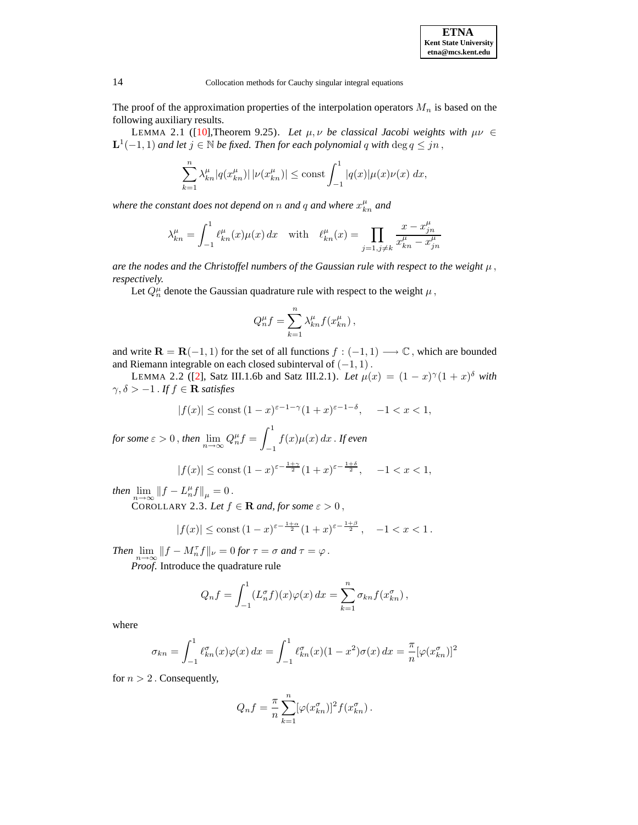**ETNA Kent State University etna@mcs.kent.edu**

14 Collocation methods for Cauchy singular integral equations

<span id="page-3-1"></span>The proof of the approximation properties of the interpolation operators  $M_n$  is based on the following auxiliary results.

LEMMA 2.1 ([\[10\]](#page-64-3),Theorem 9.25). Let  $\mu$ ,  $\nu$  be classical *Jacobi* weights with  $\mu \nu \in$  $\mathbf{L}^1(-1,1)$  and let  $j \in \mathbb{N}$  be fixed. Then for each polynomial q with  $\deg q \leq jn$  ,

$$
\sum_{k=1}^{n} \lambda_{kn}^{\mu} |q(x_{kn}^{\mu})| |\nu(x_{kn}^{\mu})| \le \text{const} \int_{-1}^{1} |q(x)| \mu(x) \nu(x) dx,
$$

where the constant does not depend on  $n$  and  $q$  and where  $x_{kn}^\mu$  and

$$
\lambda_{kn}^\mu=\int_{-1}^1\ell_{kn}^\mu(x)\mu(x)\,dx\quad\text{with}\quad \ell_{kn}^\mu(x)=\prod_{j=1,j\neq k}\frac{x-x_{jn}^\mu}{x_{kn}^\mu-x_{jn}^\mu}
$$

*are* the nodes and the Christoffel numbers of the Gaussian rule with respect to the weight  $\mu$ , *respectively.*

Let  $Q_n^{\mu}$  denote the Gaussian quadrature rule with respect to the weight  $\mu$ ,

<span id="page-3-0"></span>
$$
Q_n^{\mu} f = \sum_{k=1}^n \lambda_{kn}^{\mu} f(x_{kn}^{\mu}),
$$

and write  $\mathbf{R} = \mathbf{R}(-1, 1)$  for the set of all functions  $f : (-1, 1) \longrightarrow \mathbb{C}$ , which are bounded and Riemann integrable on each closed subinterval of  $(-1, 1)$ .

LEMMA 2.2 ([\[2\]](#page-64-4), Satz III.1.6b and Satz III.2.1). *Let*  $\mu(x) = (1 - x)^{\gamma}(1 + x)^{\delta}$  with  $\gamma, \delta > -1$ . *If*  $f \in \mathbf{R}$  *satisfies* 

$$
|f(x)|\le\operatorname{const}\,(1-x)^{\varepsilon-1-\gamma}(1+x)^{\varepsilon-1-\delta},\quad\, -1
$$

*for some*  $\varepsilon > 0$ , *then*  $\lim_{n \to \infty} Q_n^{\mu} f =$  $\int_0^1$ −1  $f(x)\mu(x) dx$  . If even

$$
|f(x)| \le \text{const } (1-x)^{\varepsilon - \frac{1+\gamma}{2}} (1+x)^{\varepsilon - \frac{1+\delta}{2}}, \quad -1 < x < 1,
$$

<span id="page-3-2"></span>*then*  $\lim_{n\to\infty}$   $||f - L_n^{\mu}f||_{\mu} = 0$ .

COROLLARY 2.3. Let  $f \in \mathbf{R}$  and, for some  $\varepsilon > 0$ ,

$$
|f(x)| \le \text{const } (1-x)^{\varepsilon - \frac{1+\alpha}{2}} (1+x)^{\varepsilon - \frac{1+\beta}{2}}, \quad -1 < x < 1.
$$

*Then*  $\lim_{n \to \infty} ||f - M_n^{\tau}f||_{\nu} = 0$  *for*  $\tau = \sigma$  *and*  $\tau = \varphi$ .

*Proof*. Introduce the quadrature rule

$$
Q_n f = \int_{-1}^1 (L_n^{\sigma} f)(x) \varphi(x) dx = \sum_{k=1}^n \sigma_{kn} f(x_{kn}^{\sigma}),
$$

where

$$
\sigma_{kn} = \int_{-1}^{1} \ell_{kn}^{\sigma}(x)\varphi(x) dx = \int_{-1}^{1} \ell_{kn}^{\sigma}(x)(1-x^2)\sigma(x) dx = \frac{\pi}{n}[\varphi(x_{kn}^{\sigma})]^2
$$

for  $n > 2$ . Consequently,

$$
Q_n f = \frac{\pi}{n} \sum_{k=1}^n [\varphi(x_{kn}^{\sigma})]^2 f(x_{kn}^{\sigma}).
$$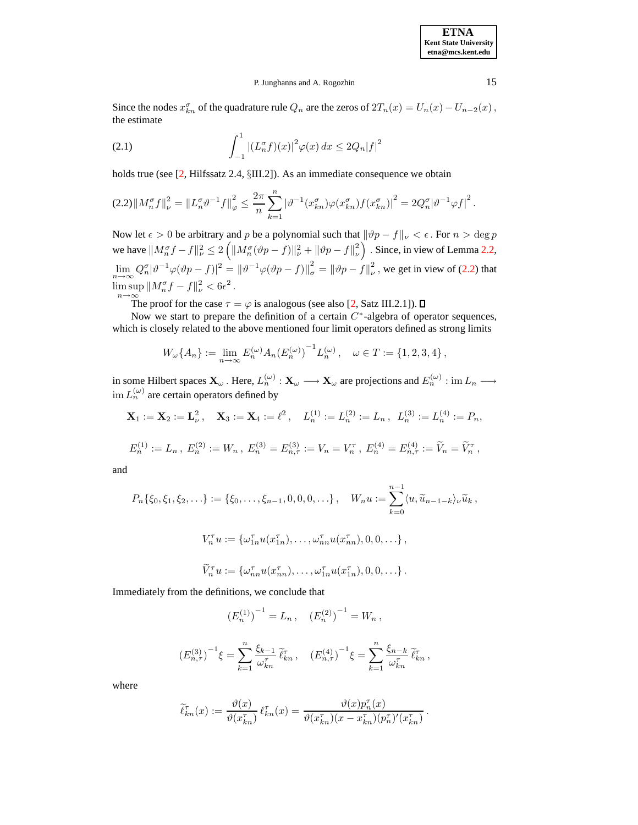**ETNA Kent State University etna@mcs.kent.edu**

### P. Junghanns and A. Rogozhin 15

Since the nodes  $x_{kn}^{\sigma}$  of the quadrature rule  $Q_n$  are the zeros of  $2T_n(x) = U_n(x) - U_{n-2}(x)$ , the estimate

<span id="page-4-1"></span>(2.1) 
$$
\int_{-1}^{1} |(L_n^{\sigma} f)(x)|^2 \varphi(x) dx \le 2Q_n|f|^2
$$

holds true (see [\[2,](#page-64-4) Hilfssatz 2.4, §III.2]). As an immediate consequence we obtain

<span id="page-4-0"></span>
$$
(2.2)\|M_n^{\sigma}f\|_{\nu}^2 = \|L_n^{\sigma}\vartheta^{-1}f\|_{\varphi}^2 \le \frac{2\pi}{n}\sum_{k=1}^n |\vartheta^{-1}(x_{kn}^{\sigma})\varphi(x_{kn}^{\sigma})f(x_{kn}^{\sigma})|^2 = 2Q_n^{\sigma}|\vartheta^{-1}\varphi f|^2.
$$

Now let  $\epsilon > 0$  be arbitrary and p be a polynomial such that  $\|\vartheta p - f\|_{\nu} < \epsilon$ . For  $n > \deg p$ we have  $\|M_n^{\sigma}f - f\|_{\nu}^2 \le 2 \left( \|M_n^{\sigma}(\vartheta p - f)\|_{\nu}^2 + \|\vartheta p - f\|_{\nu}^2 \right)$  $\left(\begin{matrix}2\\ \nu\end{matrix}\right)$ . Since, in view of Lemma [2.2,](#page-3-0)  $\lim_{n \to \infty} Q_n^{\sigma} |\vartheta^{-1} \varphi (\vartheta p - f)|^2 = {\Vert \vartheta^{-1} \varphi (\vartheta p - f) \Vert}^2_{\sigma} = {\Vert \vartheta p - f \Vert}^2_{\nu}$  $\frac{2}{v}$ , we get in view of [\(2.2\)](#page-4-0) that  $\limsup_{n \to \infty} \|M_n^{\sigma} f - f\|_{\nu}^2 < 6\epsilon^2.$ 

 $n \rightarrow \infty$ <br>The proof for the case  $\tau = \varphi$  is analogous (see also [\[2,](#page-64-4) Satz III.2.1]).

Now we start to prepare the definition of a certain  $C^*$ -algebra of operator sequences, which is closely related to the above mentioned four limit operators defined as strong limits

$$
W_{\omega}\lbrace A_n \rbrace := \lim_{n \to \infty} E_n^{(\omega)} A_n (E_n^{(\omega)})^{-1} L_n^{(\omega)}, \quad \omega \in T := \{1, 2, 3, 4\},
$$

in some Hilbert spaces  $\mathbf{X}_{\omega}$ . Here,  $L_n^{(\omega)} : \mathbf{X}_{\omega} \longrightarrow \mathbf{X}_{\omega}$  are projections and  $E_n^{(\omega)} : \text{im } L_n \longrightarrow$  $\lim L_n^{(\omega)}$  are certain operators defined by

$$
\mathbf{X}_1 := \mathbf{X}_2 := \mathbf{L}_{\nu}^2
$$
,  $\mathbf{X}_3 := \mathbf{X}_4 := \ell^2$ ,  $L_n^{(1)} := L_n^{(2)} := L_n$ ,  $L_n^{(3)} := L_n^{(4)} := P_n$ ,

$$
E_n^{(1)} := L_n, E_n^{(2)} := W_n, E_n^{(3)} = E_{n,\tau}^{(3)} := V_n = V_n^{\tau}, E_n^{(4)} = E_{n,\tau}^{(4)} := \widetilde{V}_n = \widetilde{V}_n^{\tau},
$$

and

$$
P_n\{\xi_0, \xi_1, \xi_2, \ldots\} := \{\xi_0, \ldots, \xi_{n-1}, 0, 0, 0, \ldots\}, \quad W_n u := \sum_{k=0}^{n-1} \langle u, \widetilde{u}_{n-1-k} \rangle_{\nu} \widetilde{u}_k,
$$
  

$$
V_n^{\tau} u := \{\omega_{1n}^{\tau} u(x_{1n}^{\tau}), \ldots, \omega_{nn}^{\tau} u(x_{nn}^{\tau}), 0, 0, \ldots\},
$$
  

$$
\widetilde{V}_n^{\tau} u := \{\omega_{nn}^{\tau} u(x_{nn}^{\tau}), \ldots, \omega_{1n}^{\tau} u(x_{1n}^{\tau}), 0, 0, \ldots\}.
$$

Immediately from the definitions, we conclude that

$$
(E_n^{(1)})^{-1} = L_n
$$
,  $(E_n^{(2)})^{-1} = W_n$ ,

$$
\left(E_{n,\tau}^{(3)}\right)^{-1}\xi = \sum_{k=1}^{n} \frac{\xi_{k-1}}{\omega_{kn}^{\tau}} \tilde{\ell}_{kn}^{\tau} , \quad \left(E_{n,\tau}^{(4)}\right)^{-1}\xi = \sum_{k=1}^{n} \frac{\xi_{n-k}}{\omega_{kn}^{\tau}} \tilde{\ell}_{kn}^{\tau} ,
$$

where

$$
\widetilde{\ell}_{kn}^{\tau}(x) := \frac{\vartheta(x)}{\vartheta(x_{kn}^{\tau})} \ell_{kn}^{\tau}(x) = \frac{\vartheta(x) p_n^{\tau}(x)}{\vartheta(x_{kn}^{\tau})(x - x_{kn}^{\tau})(p_n^{\tau})'(x_{kn}^{\tau})}.
$$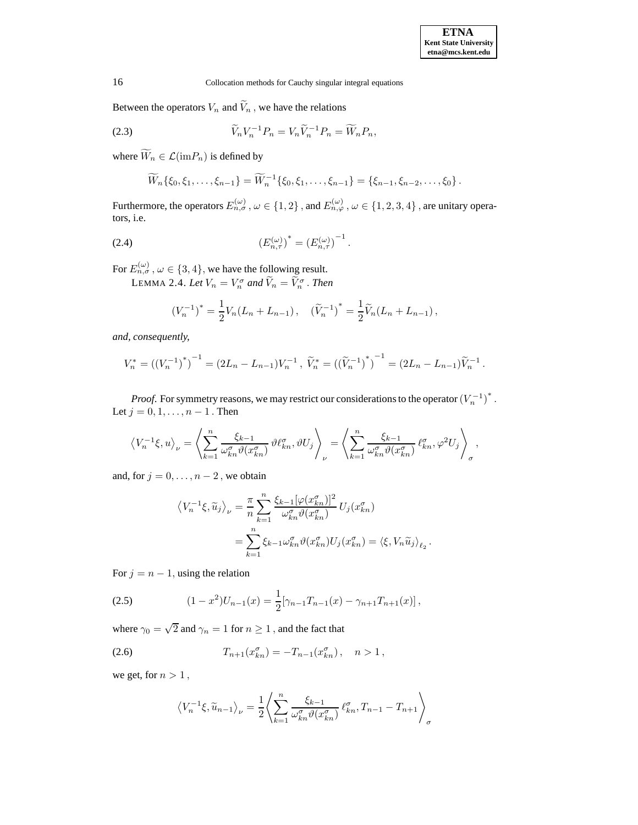Between the operators  $V_n$  and  $\widetilde{V}_n$ , we have the relations

<span id="page-5-4"></span>(2.3) 
$$
\widetilde{V}_n V_n^{-1} P_n = V_n \widetilde{V}_n^{-1} P_n = \widetilde{W}_n P_n,
$$

where  $\widetilde{W}_n \in \mathcal{L}(\mathrm{im}P_n)$  is defined by

<span id="page-5-0"></span>
$$
\widetilde{W}_n\{\xi_0,\xi_1,\ldots,\xi_{n-1}\}=\widetilde{W}_n^{-1}\{\xi_0,\xi_1,\ldots,\xi_{n-1}\}=\{\xi_{n-1},\xi_{n-2},\ldots,\xi_0\}.
$$

Furthermore, the operators  $E_{n,\sigma}^{(\omega)}$ ,  $\omega \in \{1,2\}$ , and  $E_{n,\varphi}^{(\omega)}$ ,  $\omega \in \{1,2,3,4\}$ , are unitary operators, i.e.

(2.4) 
$$
(E_{n,\tau}^{(\omega)})^* = (E_{n,\tau}^{(\omega)})^{-1}.
$$

For  $E_{n,\sigma}^{(\omega)}$ ,  $\omega \in \{3,4\}$ , we have the following result.

LEMMA 2.4. Let  $V_n = V_n^{\sigma}$  and  $\widetilde{V}_n = \widetilde{V}_n^{\sigma}$  . Then

<span id="page-5-1"></span>
$$
(V_n^{-1})^* = \frac{1}{2} V_n (L_n + L_{n-1}), \quad (\widetilde{V}_n^{-1})^* = \frac{1}{2} \widetilde{V}_n (L_n + L_{n-1}),
$$

*and, consequently,*

$$
V_n^* = ((V_n^{-1})^*)^{-1} = (2L_n - L_{n-1})V_n^{-1}, \ \widetilde{V}_n^* = ((\widetilde{V}_n^{-1})^*)^{-1} = (2L_n - L_{n-1})\widetilde{V}_n^{-1}.
$$

*Proof.* For symmetry reasons, we may restrict our considerations to the operator  $(V_n^{-1})^*$ . Let  $j = 0, 1, ..., n - 1$ . Then

$$
\left\langle V_n^{-1}\xi, u \right\rangle_{\nu} = \left\langle \sum_{k=1}^n \frac{\xi_{k-1}}{\omega_{kn}^{\sigma} \vartheta(x_{kn}^{\sigma})} \vartheta \ell_{kn}^{\sigma}, \vartheta U_j \right\rangle_{\nu} = \left\langle \sum_{k=1}^n \frac{\xi_{k-1}}{\omega_{kn}^{\sigma} \vartheta(x_{kn}^{\sigma})} \ell_{kn}^{\sigma}, \varphi^2 U_j \right\rangle_{\sigma},
$$

and, for  $j = 0, \ldots, n - 2$ , we obtain

$$
\langle V_n^{-1}\xi, \widetilde{u}_j \rangle_{\nu} = \frac{\pi}{n} \sum_{k=1}^n \frac{\xi_{k-1}[\varphi(x_{kn}^{\sigma})]^2}{\omega_{kn}^{\sigma} \vartheta(x_{kn}^{\sigma})} U_j(x_{kn}^{\sigma})
$$
  

$$
= \sum_{k=1}^n \xi_{k-1} \omega_{kn}^{\sigma} \vartheta(x_{kn}^{\sigma}) U_j(x_{kn}^{\sigma}) = \langle \xi, V_n \widetilde{u}_j \rangle_{\ell_2}.
$$

For  $j = n - 1$ , using the relation

<span id="page-5-2"></span>(2.5) 
$$
(1-x^2)U_{n-1}(x) = \frac{1}{2} [\gamma_{n-1}T_{n-1}(x) - \gamma_{n+1}T_{n+1}(x)],
$$

where  $\gamma_0=\sqrt{2}$  and  $\gamma_n=1$  for  $n\geq 1$  , and the fact that

<span id="page-5-3"></span>(2.6) 
$$
T_{n+1}(x_{kn}^{\sigma}) = -T_{n-1}(x_{kn}^{\sigma}), \quad n > 1,
$$

we get, for  $n > 1$ ,

$$
\left\langle V_n^{-1}\xi, \widetilde{u}_{n-1} \right\rangle_{\nu} = \frac{1}{2} \left\langle \sum_{k=1}^n \frac{\xi_{k-1}}{\omega_{kn}^{\sigma} \vartheta(x_{kn}^{\sigma})} \ell_{kn}^{\sigma}, T_{n-1} - T_{n+1} \right\rangle_{\sigma}
$$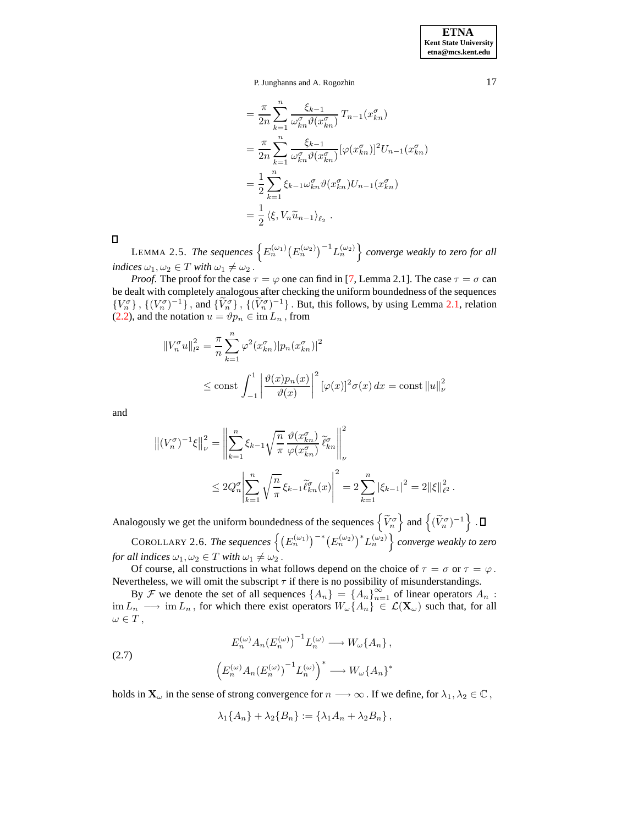$$
= \frac{\pi}{2n} \sum_{k=1}^{n} \frac{\xi_{k-1}}{\omega_{kn}^{\sigma} \vartheta(x_{kn}^{\sigma})} T_{n-1}(x_{kn}^{\sigma})
$$
  
\n
$$
= \frac{\pi}{2n} \sum_{k=1}^{n} \frac{\xi_{k-1}}{\omega_{kn}^{\sigma} \vartheta(x_{kn}^{\sigma})} [\varphi(x_{kn}^{\sigma})]^2 U_{n-1}(x_{kn}^{\sigma})
$$
  
\n
$$
= \frac{1}{2} \sum_{k=1}^{n} \xi_{k-1} \omega_{kn}^{\sigma} \vartheta(x_{kn}^{\sigma}) U_{n-1}(x_{kn}^{\sigma})
$$
  
\n
$$
= \frac{1}{2} \langle \xi, V_n \widetilde{u}_{n-1} \rangle_{\ell_2} .
$$

<span id="page-6-0"></span> $\Box$ 

LEMMA 2.5. The sequences  $\left\{ E_n^{(\omega_1)} (E_n^{(\omega_2)})^{-1} L_n^{(\omega_2)} \right\}$  converge weakly to zero for all *indices*  $\omega_1, \omega_2 \in T$  *with*  $\omega_1 \neq \omega_2$ .

*Proof.* The proof for the case  $\tau = \varphi$  one can find in [\[7,](#page-64-0) Lemma 2.1]. The case  $\tau = \sigma$  can be dealt with completely analogous after checking the uniform boundedness of the sequences  $\{V_n^{\sigma}\}\$ ,  $\{(V_n^{\sigma})^{-1}\}\$ , and  $\{\tilde{V}_n^{\sigma}\}\$ ,  $\{(\tilde{V}_n^{\sigma})^{-1}\}\$ . But, this follows, by using Lemma [2.1,](#page-3-1) relation [\(2.2\)](#page-4-0), and the notation  $u = \vartheta p_n \in \text{im } L_n$ , from

$$
||V_n^{\sigma}u||_{l^2}^2 = \frac{\pi}{n} \sum_{k=1}^n \varphi^2(x_{kn}^{\sigma})|p_n(x_{kn}^{\sigma})|^2
$$
  

$$
\leq \text{const} \int_{-1}^1 \left| \frac{\vartheta(x)p_n(x)}{\vartheta(x)} \right|^2 [\varphi(x)]^2 \sigma(x) dx = \text{const} ||u||_{\nu}^2
$$

and

$$
\left\| (V_n^{\sigma})^{-1} \xi \right\|_{\nu}^2 = \left\| \sum_{k=1}^n \xi_{k-1} \sqrt{\frac{n}{\pi}} \frac{\vartheta(x_{kn}^{\sigma})}{\varphi(x_{kn}^{\sigma})} \widetilde{\ell}_{kn}^{\sigma} \right\|_{\nu}^2
$$
  

$$
\leq 2Q_n^{\sigma} \left| \sum_{k=1}^n \sqrt{\frac{n}{\pi}} \xi_{k-1} \widetilde{\ell}_{kn}^{\sigma}(x) \right|^2 = 2 \sum_{k=1}^n \left| \xi_{k-1} \right|^2 = 2 \left\| \xi \right\|_{\ell^2}^2.
$$

<span id="page-6-1"></span>Analogously we get the uniform boundedness of the sequences  $\{ \widetilde{V}_n^{\sigma} \}$  and  $\{ (\widetilde{V}_n^{\sigma})^{-1} \}$ .  $\text{COROLLARY 2.6.}$  The sequences  $\left\{ (E_n^{(\omega_1)})^{-*} (E_n^{(\omega_2)})^* L_n^{(\omega_2)} \right\}$  converge weakly to zero

*for all indices*  $\omega_1, \omega_2 \in T$  *with*  $\omega_1 \neq \omega_2$ .

Of course, all constructions in what follows depend on the choice of  $\tau = \sigma$  or  $\tau = \varphi$ . Nevertheless, we will omit the subscript  $\tau$  if there is no possibility of misunderstandings.

By F we denote the set of all sequences  $\{A_n\} = \{A_n\}_{n=1}^{\infty}$  of linear operators  $A_n$ :  $\lim L_n \longrightarrow \lim L_n$ , for which there exist operators  $W_\omega\{A_n\} \in \mathcal{L}(\mathbf{X}_\omega)$  such that, for all  $\omega \in T$ ,

<span id="page-6-2"></span>(2.7)  

$$
E_n^{(\omega)} A_n (E_n^{(\omega)})^{-1} L_n^{(\omega)} \longrightarrow W_{\omega} \{A_n\},
$$

$$
\left(E_n^{(\omega)} A_n (E_n^{(\omega)})^{-1} L_n^{(\omega)}\right)^* \longrightarrow W_{\omega} \{A_n\}^*
$$

holds in  $\mathbf{X}_{\omega}$  in the sense of strong convergence for  $n \longrightarrow \infty$ . If we define, for  $\lambda_1, \lambda_2 \in \mathbb{C}$ ,

$$
\lambda_1\{A_n\}+\lambda_2\{B_n\}:=\{\lambda_1A_n+\lambda_2B_n\}\,
$$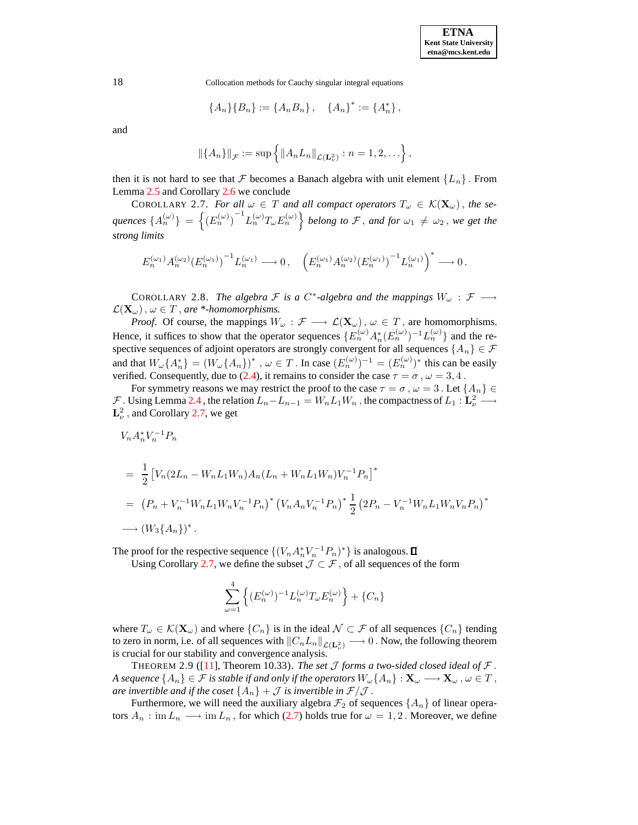$$
\{A_n\}\{B_n\} := \{A_nB_n\}, \quad \{A_n\}^* := \{A_n^*\},
$$

and

<span id="page-7-0"></span>
$$
||\{A_n\}||_{\mathcal{F}} := \sup \{||A_n L_n||_{\mathcal{L}(\mathbf{L}^2_{\nu})} : n = 1, 2, \ldots \},\
$$

then it is not hard to see that F becomes a Banach algebra with unit element  ${L_n}$ . From Lemma [2.5](#page-6-0) and Corollary [2.6](#page-6-1) we conclude

COROLLARY 2.7. *For all*  $\omega \in T$  *and all compact operators*  $T_{\omega} \in K(\mathbf{X}_{\omega})$ , *the se-* $\{A_n^{(\omega)}\} = \left\{(E_n^{(\omega)})^{-1} L_n^{(\omega)} T_{\omega} E_n^{(\omega)}\right\}$  belong to  $\mathcal F$ , and for  $\omega_1 \neq \omega_2$ , we get the *strong limits*

$$
E_n^{(\omega_1)} A_n^{(\omega_2)} {(E_n^{(\omega_1)})}^{-1} L_n^{(\omega_1)} \longrightarrow 0\,, \quad \left(E_n^{(\omega_1)} A_n^{(\omega_2)} {(E_n^{(\omega_1)})}^{-1} L_n^{(\omega_1)}\right)^* \longrightarrow 0\,.
$$

<span id="page-7-2"></span>COROLLARY 2.8. *The algebra*  $\mathcal F$  *is a*  $C^*$ -*algebra and the mappings*  $W_\omega$  :  $\mathcal F \longrightarrow$  $\mathcal{L}(\mathbf{X}_{\omega})$ ,  $\omega \in T$ , are \*-homomorphisms.

*Proof.* Of course, the mappings  $W_{\omega} : \mathcal{F} \longrightarrow \mathcal{L}(\mathbf{X}_{\omega})$ ,  $\omega \in T$ , are homomorphisms. Hence, it suffices to show that the operator sequences  $\{E_n^{(\omega)} A_n^*(E_n^{(\omega)})^{-1} L_n^{(\omega)}\}$  and the respective sequences of adjoint operators are strongly convergent for all sequences  $\{A_n\} \in \mathcal{F}$ and that  $W_\omega\{A_n^*\} = (W_\omega\{A_n\})^*$ ,  $\omega \in T$ . In case  $(E_n^{(\omega)})^{-1} = (E_n^{(\omega)})^*$  this can be easily verified. Consequently, due to [\(2.4\)](#page-5-0), it remains to consider the case  $\tau = \sigma$ ,  $\omega = 3, 4$ .

For symmetry reasons we may restrict the proof to the case  $\tau = \sigma$ ,  $\omega = 3$ . Let  $\{A_n\} \in$  $\mathcal F$ . Using Lemma [2.4](#page-5-1), the relation  $L_n - L_{n-1} = W_n L_1 W_n$ , the compactness of  $L_1 : \mathbf{L}^2_\nu \longrightarrow$  $L^2_{\nu}$ , and Corollary [2.7,](#page-7-0) we get

$$
V_n A_n^* V_n^{-1} P_n
$$

$$
= \frac{1}{2} \left[ V_n (2L_n - W_n L_1 W_n) A_n (L_n + W_n L_1 W_n) V_n^{-1} P_n \right]^*
$$
  

$$
= (P_n + V_n^{-1} W_n L_1 W_n V_n^{-1} P_n) \left( V_n A_n V_n^{-1} P_n \right)^* \frac{1}{2} (2P_n - V_n^{-1} W_n L_1 W_n V_n P_n)^*
$$
  

$$
\longrightarrow (W_3 \{ A_n \})^*.
$$

The proof for the respective sequence  $\{(V_n A_n^* V_n^{-1} P_n)^* \}$  is analogous.

Using Corollary [2.7,](#page-7-0) we define the subset  $\mathcal{J} \subset \mathcal{F}$ , of all sequences of the form

<span id="page-7-1"></span>
$$
\sum_{\omega=1}^4 \left\{ (E_n^{(\omega)})^{-1} L_n^{(\omega)} T_\omega E_n^{(\omega)} \right\} + \{C_n\}
$$

where  $T_{\omega} \in \mathcal{K}(\mathbf{X}_{\omega})$  and where  $\{C_n\}$  is in the ideal  $\mathcal{N} \subset \mathcal{F}$  of all sequences  $\{C_n\}$  tending to zero in norm, i.e. of all sequences with  $||C_nL_n||_{\mathcal{L}(\mathbf{L}^2_\nu)} \longrightarrow 0$ . Now, the following theorem is crucial for our stability and convergence analysis.

THEOREM 2.9 ([\[11\]](#page-64-2), Theorem 10.33). *The set J forms a two-sided closed ideal of*  $\mathcal{F}$ . *A* sequence  $\{A_n\} \in \mathcal{F}$  *is stable if and only if the operators*  $W_\omega\{A_n\} : \mathbf{X}_\omega \longrightarrow \mathbf{X}_\omega$ ,  $\omega \in T$ , *are invertible and if the coset*  $\{A_n\} + \mathcal{J}$  *is invertible in*  $\mathcal{F}/\mathcal{J}$ .

Furthermore, we will need the auxiliary algebra  $\mathcal{F}_2$  of sequences  $\{A_n\}$  of linear operators  $A_n : \text{im } L_n \longrightarrow \text{im } L_n$ , for which [\(2.7\)](#page-6-2) holds true for  $\omega = 1, 2$ . Moreover, we define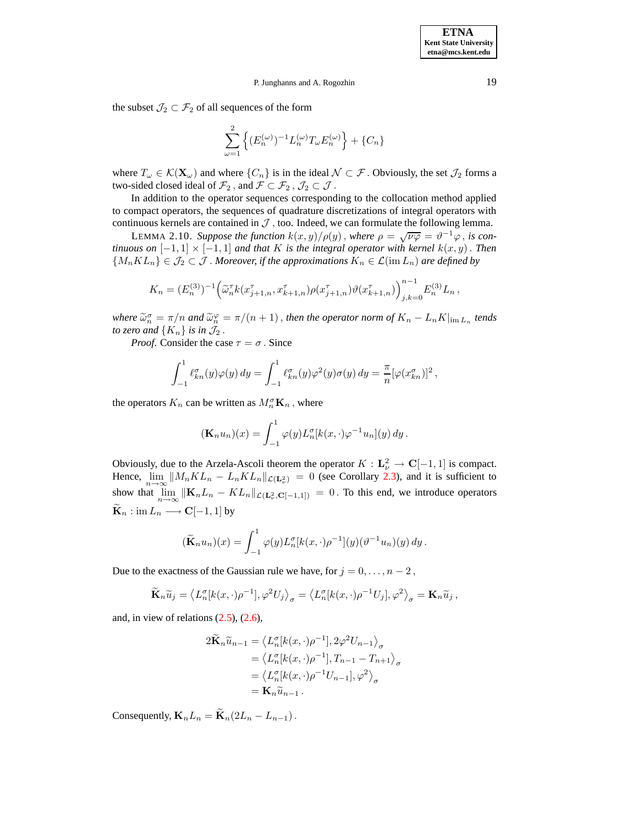the subset  $\mathcal{J}_2 \subset \mathcal{F}_2$  of all sequences of the form

$$
\sum_{\omega=1}^2\left\{(E_n^{(\omega)})^{-1}L_n^{(\omega)}T_{\omega}E_n^{(\omega)}\right\}+\{C_n\}
$$

where  $T_{\omega} \in \mathcal{K}(\mathbf{X}_{\omega})$  and where  $\{C_n\}$  is in the ideal  $\mathcal{N} \subset \mathcal{F}$ . Obviously, the set  $\mathcal{J}_2$  forms a two-sided closed ideal of  $\mathcal{F}_2$  , and  $\mathcal{F} \subset \mathcal{F}_2$  ,  $\mathcal{J}_2 \subset \mathcal{J}$  .

In addition to the operator sequences corresponding to the collocation method applied to compact operators, the sequences of quadrature discretizations of integral operators with continuous kernels are contained in  $J$ , too. Indeed, we can formulate the following lemma.

LEMMA 2.10. Suppose the function  $k(x, y)/\rho(y)$ , where  $\rho = \sqrt{\nu \varphi} = \vartheta^{-1} \varphi$ , is con*tinuous on*  $[-1, 1] \times [-1, 1]$  *and that* K *is the integral operator with kernel*  $k(x, y)$ . *Then*  ${M_nKL_n} \in \mathcal{J}_2 \subset \mathcal{J}$ . Moreover, if the approximations  $K_n \in \mathcal{L}(\text{im } L_n)$  are defined by

$$
K_n = (E_n^{(3)})^{-1} \left( \tilde{\omega}_n^{\tau} k(x_{j+1,n}^{\tau}, x_{k+1,n}^{\tau}) \rho(x_{j+1,n}^{\tau}) \vartheta(x_{k+1,n}^{\tau}) \right)_{j,k=0}^{n-1} E_n^{(3)} L_n,
$$

where  $\widetilde{\omega}_n^{\sigma} = \pi/n$  and  $\widetilde{\omega}_n^{\varphi} = \pi/(n+1)$ , *then the operator norm of*  $K_n - L_n K|_{\text{im } L_n}$  *tends to zero and*  $\{K_n\}$  *is in*  $\mathcal{J}_2$ .

*Proof.* Consider the case  $\tau = \sigma$ . Since

$$
\int_{-1}^1 \ell_{kn}^\sigma(y)\varphi(y)\,dy = \int_{-1}^1 \ell_{kn}^\sigma(y)\varphi^2(y)\sigma(y)\,dy = \frac{\pi}{n}[\varphi(x_{kn}^\sigma)]^2,
$$

the operators  $K_n$  can be written as  $M_n^{\sigma} \mathbf{K}_n$ , where

$$
(\mathbf{K}_n u_n)(x) = \int_{-1}^1 \varphi(y) L_n^{\sigma}[k(x,\cdot)\varphi^{-1} u_n](y) dy.
$$

Obviously, due to the Arzela-Ascoli theorem the operator  $K : L^2_{\nu} \to \mathbb{C}[-1,1]$  is compact. Hence,  $\lim_{n\to\infty}||M_nKL_n - L_nKL_n||_{\mathcal{L}(\mathbf{L}^2_\nu)} = 0$  (see Corollary [2.3\)](#page-3-2), and it is sufficient to show that  $\lim_{n\to\infty} ||\mathbf{K}_n L_n - KL_n||_{\mathcal{L}(\mathbf{L}^2_\nu, \mathbf{C}[-1,1])} = 0$ . To this end, we introduce operators  $\widetilde{\mathbf{K}}_n : \text{im } L_n \longrightarrow \mathbf{C}[-1,1]$  by

$$
(\widetilde{\mathbf{K}}_n u_n)(x) = \int_{-1}^1 \varphi(y) L_n^{\sigma}[k(x,\cdot)\rho^{-1}](y) (\vartheta^{-1} u_n)(y) dy.
$$

Due to the exactness of the Gaussian rule we have, for  $j = 0, \ldots, n - 2$ ,

$$
\widetilde{\mathbf{K}}_n \widetilde{u}_j = \left\langle L_n^{\sigma}[k(x,\cdot)\rho^{-1}], \varphi^2 U_j \right\rangle_{\sigma} = \left\langle L_n^{\sigma}[k(x,\cdot)\rho^{-1} U_j], \varphi^2 \right\rangle_{\sigma} = \mathbf{K}_n \widetilde{u}_j,
$$

and, in view of relations  $(2.5)$ ,  $(2.6)$ ,

$$
2\widetilde{\mathbf{K}}_n \widetilde{u}_{n-1} = \left\langle L_n^{\sigma}[k(x,\cdot)\rho^{-1}], 2\varphi^2 U_{n-1} \right\rangle_{\sigma}
$$
  
=  $\left\langle L_n^{\sigma}[k(x,\cdot)\rho^{-1}], T_{n-1} - T_{n+1} \right\rangle_{\sigma}$   
=  $\left\langle L_n^{\sigma}[k(x,\cdot)\rho^{-1}U_{n-1}], \varphi^2 \right\rangle_{\sigma}$   
=  $\mathbf{K}_n \widetilde{u}_{n-1}.$ 

Consequently,  $\mathbf{K}_n L_n = \widetilde{\mathbf{K}}_n (2L_n - L_{n-1}).$ 

<span id="page-8-0"></span>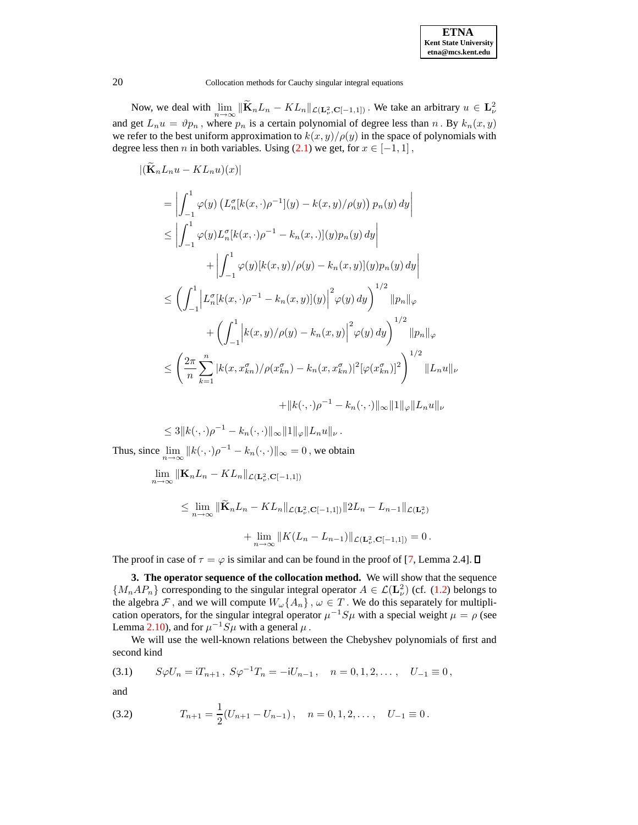| <b>ETNA</b>                  |
|------------------------------|
| <b>Kent State University</b> |
| etna@mcs.kent.edu            |

Now, we deal with  $\lim_{n\to\infty} \|\widetilde{\mathbf{K}}_n L_n - KL_n\|_{\mathcal{L}(\mathbf{L}^2_\nu, \mathbf{C}[-1,1])}$ . We take an arbitrary  $u \in \mathbf{L}^2_\nu$ and get  $L_n u = \vartheta p_n$ , where  $p_n$  is a certain polynomial of degree less than n. By  $k_n(x, y)$ we refer to the best uniform approximation to  $k(x, y) / \rho(y)$  in the space of polynomials with degree less then *n* in both variables. Using  $(2.1)$  we get, for  $x \in [-1, 1]$ ,

$$
\begin{split}\n&|\left(\widetilde{\mathbf{K}}_{n}L_{n}u - KL_{n}u\right)(x)| \\
&= \left| \int_{-1}^{1} \varphi(y) \left( L_{n}^{\sigma}[k(x,\cdot)\rho^{-1}](y) - k(x,y)/\rho(y) \right) p_{n}(y) \, dy \right| \\
&\leq \left| \int_{-1}^{1} \varphi(y) L_{n}^{\sigma}[k(x,\cdot)\rho^{-1} - k_{n}(x,\cdot)](y) p_{n}(y) \, dy \right| \\
&+ \left| \int_{-1}^{1} \varphi(y)[k(x,y)/\rho(y) - k_{n}(x,y)](y) p_{n}(y) \, dy \right| \\
&\leq \left( \int_{-1}^{1} \left| L_{n}^{\sigma}[k(x,\cdot)\rho^{-1} - k_{n}(x,y)](y) \right|^{2} \varphi(y) \, dy \right)^{1/2} \|p_{n}\|_{\varphi} \\
&+ \left( \int_{-1}^{1} \left| k(x,y)/\rho(y) - k_{n}(x,y) \right|^{2} \varphi(y) \, dy \right)^{1/2} \|p_{n}\|_{\varphi} \\
&\leq \left( \frac{2\pi}{n} \sum_{k=1}^{n} |k(x,x_{kn}^{\sigma})/\rho(x_{kn}^{\sigma}) - k_{n}(x,x_{kn}^{\sigma})|^{2} [\varphi(x_{kn}^{\sigma})]^{2} \right)^{1/2} \|L_{n}u\|_{\nu} \\
&+ \|k(\cdot,\cdot)\rho^{-1} - k_{n}(\cdot,\cdot) \|_{\infty} \|1\|_{\varphi} \|L_{n}u\|_{\nu}\n\end{split}
$$

$$
\leq 3||k(\cdot,\cdot)\rho^{-1} - k_n(\cdot,\cdot)||_{\infty} ||1||_{\varphi} ||L_n u||_{\nu}.
$$
  
Thus, since  $\lim_{n\to\infty} ||k(\cdot,\cdot)\rho^{-1} - k_n(\cdot,\cdot)||_{\infty} = 0$ , we obtain

$$
\lim_{n \to \infty} \|\mathbf{K}_n L_n - KL_n\|_{\mathcal{L}(\mathbf{L}^2_\nu, \mathbf{C}[-1,1])}
$$
\n
$$
\leq \lim_{n \to \infty} \|\widetilde{\mathbf{K}}_n L_n - KL_n\|_{\mathcal{L}(\mathbf{L}^2_\nu, \mathbf{C}[-1,1])} \|2L_n - L_{n-1}\|_{\mathcal{L}(\mathbf{L}^2_\nu)}
$$
\n
$$
+ \lim_{n \to \infty} \|K(L_n - L_{n-1})\|_{\mathcal{L}(\mathbf{L}^2_\nu, \mathbf{C}[-1,1])} = 0.
$$

The proof in case of  $\tau = \varphi$  is similar and can be found in the proof of [\[7,](#page-64-0) Lemma 2.4].  $\Box$ 

**3. The operator sequence of the collocation method.** We will show that the sequence  $\{M_nAP_n\}$  corresponding to the singular integral operator  $A \in \mathcal{L}(\mathbf{L}^2)$  (cf. [\(1.2\)](#page-1-0) belongs to the algebra F, and we will compute  $W_{\omega}\lbrace A_n \rbrace$ ,  $\omega \in T$ . We do this separately for multiplication operators, for the singular integral operator  $\mu^{-1}S\mu$  with a special weight  $\mu = \rho$  (see Lemma [2.10\)](#page-8-0), and for  $\mu^{-1}S\mu$  with a general  $\mu$ .

We will use the well-known relations between the Chebyshev polynomials of first and second kind

<span id="page-9-0"></span>(3.1) 
$$
S\varphi U_n = iT_{n+1}, \ S\varphi^{-1}T_n = -iU_{n-1}, \quad n = 0, 1, 2, \ldots, \quad U_{-1} \equiv 0,
$$

and

<span id="page-9-1"></span>(3.2) 
$$
T_{n+1} = \frac{1}{2}(U_{n+1} - U_{n-1}), \quad n = 0, 1, 2, \dots, \quad U_{-1} \equiv 0.
$$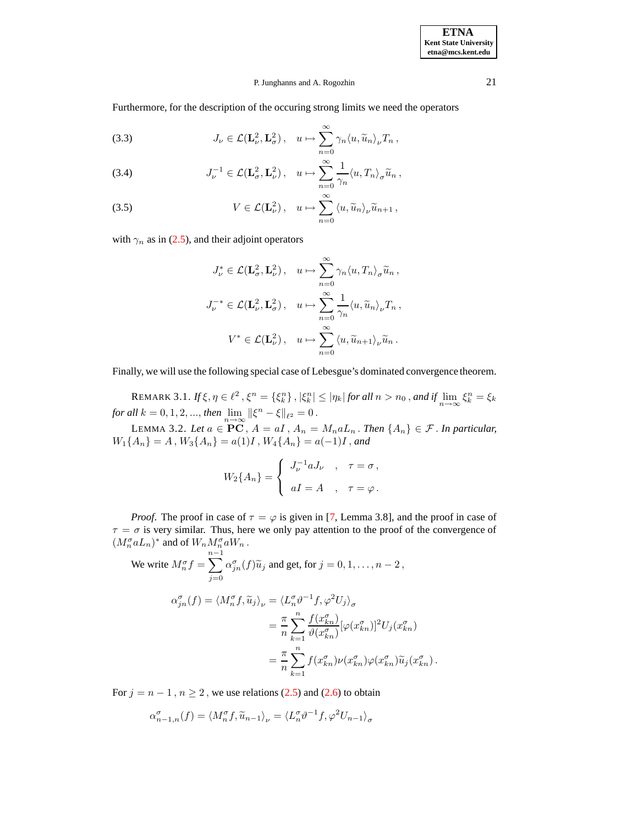Furthermore, for the description of the occuring strong limits we need the operators

<span id="page-10-1"></span>(3.3) 
$$
J_{\nu} \in \mathcal{L}(\mathbf{L}_{\nu}^{2}, \mathbf{L}_{\sigma}^{2}), \quad u \mapsto \sum_{n=0}^{\infty} \gamma_{n} \langle u, \widetilde{u}_{n} \rangle_{\nu} T_{n},
$$

(3.4) 
$$
J_{\nu}^{-1} \in \mathcal{L}(\mathbf{L}_{\sigma}^2, \mathbf{L}_{\nu}^2), \quad u \mapsto \sum_{n=0}^{\infty} \frac{1}{\gamma_n} \langle u, T_n \rangle_{\sigma} \widetilde{u}_n,
$$

(3.5) 
$$
V \in \mathcal{L}(\mathbf{L}_{\nu}^{2}), \quad u \mapsto \sum_{n=0}^{\infty} \langle u, \widetilde{u}_{n} \rangle_{\nu} \widetilde{u}_{n+1},
$$

with  $\gamma_n$  as in [\(2.5\)](#page-5-2), and their adjoint operators

$$
J_{\nu}^{*} \in \mathcal{L}(\mathbf{L}_{\sigma}^{2}, \mathbf{L}_{\nu}^{2}), \quad u \mapsto \sum_{n=0}^{\infty} \gamma_{n} \langle u, T_{n} \rangle_{\sigma} \widetilde{u}_{n},
$$

$$
J_{\nu}^{-*} \in \mathcal{L}(\mathbf{L}_{\nu}^{2}, \mathbf{L}_{\sigma}^{2}), \quad u \mapsto \sum_{n=0}^{\infty} \frac{1}{\gamma_{n}} \langle u, \widetilde{u}_{n} \rangle_{\nu} T_{n},
$$

$$
V^{*} \in \mathcal{L}(\mathbf{L}_{\nu}^{2}), \quad u \mapsto \sum_{n=0}^{\infty} \langle u, \widetilde{u}_{n+1} \rangle_{\nu} \widetilde{u}_{n}.
$$

<span id="page-10-2"></span>Finally, we will use the following special case of Lebesgue's dominated convergence theorem.

REMARK 3.1.  $If \xi, \eta \in \ell^2$ ,  $\xi^n = \{\xi^n_k\}, |\xi^n_k| \le |\eta_k|$  for all  $n > n_0$ , and if  $\lim_{n \to \infty} \xi^n_k = \xi_k$ *for all*  $k = 0, 1, 2, ...,$  *then*  $\lim_{n \to \infty} ||\xi^n - \xi||_{\ell^2} = 0$ .

<span id="page-10-0"></span>LEMMA 3.2. Let  $a \in \overline{PC}$ ,  $A = aI$ ,  $A_n = M_n aL_n$ . Then  $\{A_n\} \in \mathcal{F}$ . In particular,  $W_1\{A_n\} = A$ ,  $W_3\{A_n\} = a(1)I$ ,  $W_4\{A_n\} = a(-1)I$ , and

$$
W_2\{A_n\} = \begin{cases} J_{\nu}^{-1} a J_{\nu} & , \quad \tau = \sigma \,, \\ aI = A & , \quad \tau = \varphi \,. \end{cases}
$$

*Proof.* The proof in case of  $\tau = \varphi$  is given in [\[7,](#page-64-0) Lemma 3.8], and the proof in case of  $\tau = \sigma$  is very similar. Thus, here we only pay attention to the proof of the convergence of  $(M_n^{\sigma} a L_n)^*$  and of  $W_n M_n^{\sigma} a W_n$  .

We write 
$$
M_n^{\sigma} f = \sum_{j=0}^{n-1} \alpha_{jn}^{\sigma}(f) \tilde{u}_j
$$
 and get, for  $j = 0, 1, ..., n - 2$ ,  
\n
$$
\alpha_{jn}^{\sigma}(f) = \langle M_n^{\sigma} f, \tilde{u}_j \rangle_{\nu} = \langle L_n^{\sigma} \vartheta^{-1} f, \varphi^2 U_j \rangle_{\sigma}
$$
\n
$$
= \frac{\pi}{n} \sum_{k=1}^{n} \frac{f(x_{kn}^{\sigma})}{\vartheta(x_{kn}^{\sigma})} [\varphi(x_{kn}^{\sigma})]^2 U_j(x_{kn}^{\sigma})
$$
\n
$$
= \frac{\pi}{n} \sum_{k=1}^{n} f(x_{kn}^{\sigma}) \nu(x_{kn}^{\sigma}) \varphi(x_{kn}^{\sigma}) \tilde{u}_j(x_{kn}^{\sigma}).
$$

For  $j = n - 1$ ,  $n \ge 2$ , we use relations [\(2.5\)](#page-5-2) and [\(2.6\)](#page-5-3) to obtain

$$
\alpha_{n-1,n}^{\sigma}(f) = \langle M_n^{\sigma} f, \widetilde{u}_{n-1} \rangle_{\nu} = \langle L_n^{\sigma} \vartheta^{-1} f, \varphi^2 U_{n-1} \rangle_{\sigma}
$$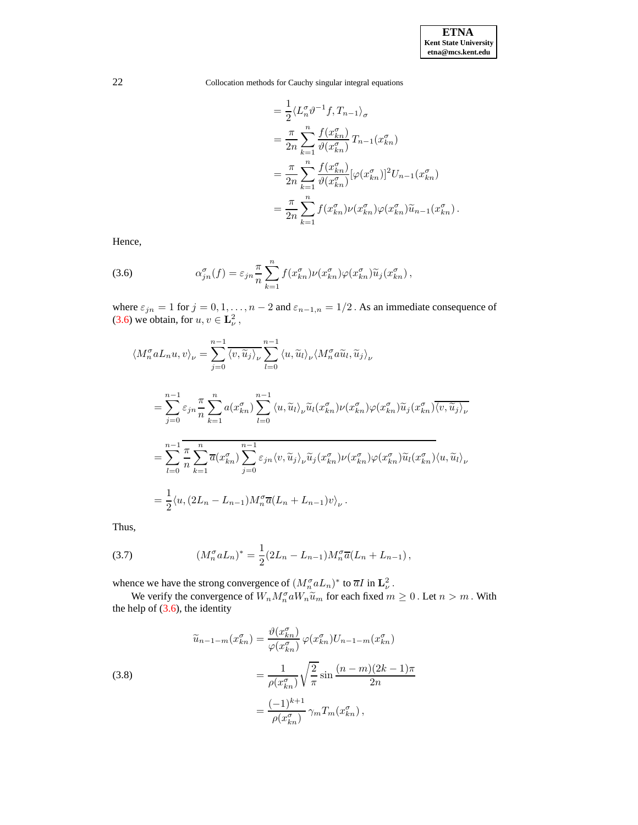$$
= \frac{1}{2} \langle L_n^{\sigma} \vartheta^{-1} f, T_{n-1} \rangle_{\sigma}
$$
  
\n
$$
= \frac{\pi}{2n} \sum_{k=1}^{n} \frac{f(x_{kn}^{\sigma})}{\vartheta(x_{kn}^{\sigma})} T_{n-1}(x_{kn}^{\sigma})
$$
  
\n
$$
= \frac{\pi}{2n} \sum_{k=1}^{n} \frac{f(x_{kn}^{\sigma})}{\vartheta(x_{kn}^{\sigma})} [\varphi(x_{kn}^{\sigma})]^2 U_{n-1}(x_{kn}^{\sigma})
$$
  
\n
$$
= \frac{\pi}{2n} \sum_{k=1}^{n} f(x_{kn}^{\sigma}) \nu(x_{kn}^{\sigma}) \varphi(x_{kn}^{\sigma}) \widetilde{u}_{n-1}(x_{kn}^{\sigma}).
$$

Hence,

<span id="page-11-0"></span>(3.6) 
$$
\alpha_{jn}^{\sigma}(f) = \varepsilon_{jn} \frac{\pi}{n} \sum_{k=1}^{n} f(x_{kn}^{\sigma}) \nu(x_{kn}^{\sigma}) \varphi(x_{kn}^{\sigma}) \widetilde{u}_{j}(x_{kn}^{\sigma}),
$$

where  $\varepsilon_{jn} = 1$  for  $j = 0, 1, ..., n-2$  and  $\varepsilon_{n-1,n} = 1/2$ . As an immediate consequence of [\(3.6\)](#page-11-0) we obtain, for  $u, v \in L^2_{\nu}$ ,

$$
\langle M_n^{\sigma} a L_n u, v \rangle_{\nu} = \sum_{j=0}^{n-1} \overline{\langle v, \widetilde{u}_j \rangle_{\nu}} \sum_{l=0}^{n-1} \langle u, \widetilde{u}_l \rangle_{\nu} \langle M_n^{\sigma} a \widetilde{u}_l, \widetilde{u}_j \rangle_{\nu}
$$
  
\n
$$
= \sum_{j=0}^{n-1} \varepsilon_{jn} \frac{\pi}{n} \sum_{k=1}^{n} a(x_{kn}^{\sigma}) \sum_{l=0}^{n-1} \langle u, \widetilde{u}_l \rangle_{\nu} \widetilde{u}_l(x_{kn}^{\sigma}) \nu(x_{kn}^{\sigma}) \varphi(x_{kn}^{\sigma}) \widetilde{u}_j(x_{kn}^{\sigma}) \overline{\langle v, \widetilde{u}_j \rangle_{\nu}}
$$
  
\n
$$
= \sum_{l=0}^{n-1} \overline{\frac{\pi}{n}} \sum_{k=1}^{n} \overline{a}(x_{kn}^{\sigma}) \sum_{j=0}^{n-1} \varepsilon_{jn} \langle v, \widetilde{u}_j \rangle_{\nu} \widetilde{u}_j(x_{kn}^{\sigma}) \nu(x_{kn}^{\sigma}) \varphi(x_{kn}^{\sigma}) \widetilde{u}_l(x_{kn}^{\sigma}) \langle u, \widetilde{u}_l \rangle_{\nu}
$$
  
\n
$$
= \frac{1}{2} \langle u, (2L_n - L_{n-1}) M_n^{\sigma} \overline{a}(L_n + L_{n-1}) v \rangle_{\nu}.
$$

Thus,

<span id="page-11-2"></span>(3.7) 
$$
(M_n^{\sigma} a L_n)^* = \frac{1}{2} (2L_n - L_{n-1}) M_n^{\sigma} \overline{a} (L_n + L_{n-1}),
$$

whence we have the strong convergence of  $(M_n^{\sigma} a L_n)^*$  to  $\overline{a} I$  in  $\mathbf{L}_{\nu}^2$ .

We verify the convergence of  $W_n M_n^{\sigma} a W_n \tilde{u}_m$  for each fixed  $m \ge 0$ . Let  $n > m$ . With the help of [\(3.6\)](#page-11-0), the identity

<span id="page-11-1"></span>(3.8)  

$$
\widetilde{u}_{n-1-m}(x_{kn}^{\sigma}) = \frac{\vartheta(x_{kn}^{\sigma})}{\varphi(x_{kn}^{\sigma})} \varphi(x_{kn}^{\sigma}) U_{n-1-m}(x_{kn}^{\sigma})
$$

$$
= \frac{1}{\rho(x_{kn}^{\sigma})} \sqrt{\frac{2}{\pi}} \sin \frac{(n-m)(2k-1)\pi}{2n}
$$

$$
= \frac{(-1)^{k+1}}{\rho(x_{kn}^{\sigma})} \gamma_m T_m(x_{kn}^{\sigma}),
$$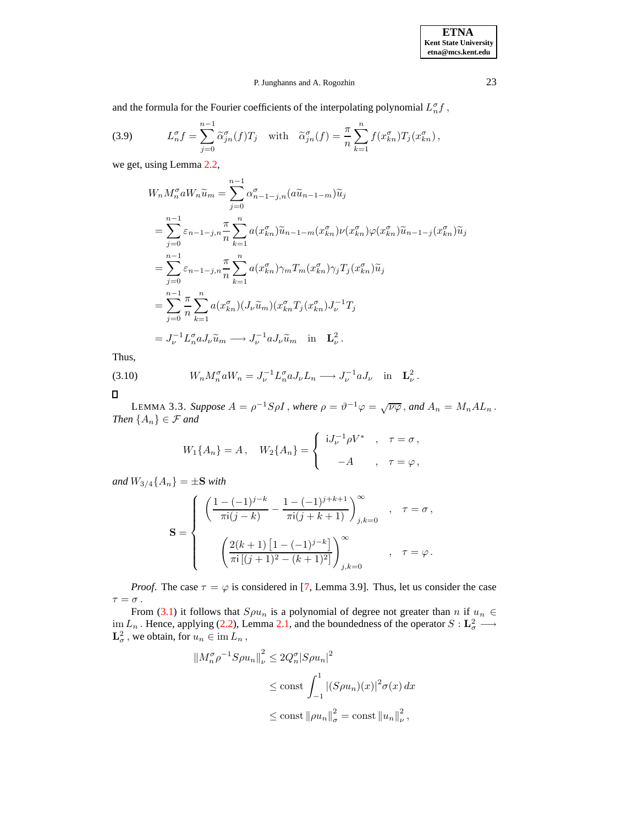and the formula for the Fourier coefficients of the interpolating polynomial  $L_n^{\sigma}f$ ,

<span id="page-12-2"></span>(3.9) 
$$
L_n^{\sigma} f = \sum_{j=0}^{n-1} \widetilde{\alpha}_{jn}^{\sigma}(f) T_j \quad \text{with} \quad \widetilde{\alpha}_{jn}^{\sigma}(f) = \frac{\pi}{n} \sum_{k=1}^{n} f(x_{kn}^{\sigma}) T_j(x_{kn}^{\sigma}),
$$

we get, using Lemma [2.2,](#page-3-0)

$$
W_n M_n^{\sigma} a W_n \widetilde{u}_m = \sum_{j=0}^{n-1} \alpha_{n-1-j,n}^{\sigma} (a \widetilde{u}_{n-1-m}) \widetilde{u}_j
$$
  
\n
$$
= \sum_{j=0}^{n-1} \varepsilon_{n-1-j,n} \frac{\pi}{n} \sum_{k=1}^n a(x_{kn}^{\sigma}) \widetilde{u}_{n-1-m}(x_{kn}^{\sigma}) \nu(x_{kn}^{\sigma}) \varphi(x_{kn}^{\sigma}) \widetilde{u}_{n-1-j}(x_{kn}^{\sigma}) \widetilde{u}_j
$$
  
\n
$$
= \sum_{j=0}^{n-1} \varepsilon_{n-1-j,n} \frac{\pi}{n} \sum_{k=1}^n a(x_{kn}^{\sigma}) \gamma_m T_m(x_{kn}^{\sigma}) \gamma_j T_j(x_{kn}^{\sigma}) \widetilde{u}_j
$$
  
\n
$$
= \sum_{j=0}^{n-1} \frac{\pi}{n} \sum_{k=1}^n a(x_{kn}^{\sigma}) (J_{\nu} \widetilde{u}_m) (x_{kn}^{\sigma} T_j(x_{kn}^{\sigma}) J_{\nu}^{-1} T_j
$$
  
\n
$$
= J_{\nu}^{-1} L_n^{\sigma} a J_{\nu} \widetilde{u}_m \longrightarrow J_{\nu}^{-1} a J_{\nu} \widetilde{u}_m \quad \text{in} \quad \mathbf{L}_{\nu}^2.
$$

<span id="page-12-0"></span>Thus,

(3.10) 
$$
W_n M_n^{\sigma} a W_n = J_{\nu}^{-1} L_n^{\sigma} a J_{\nu} L_n \longrightarrow J_{\nu}^{-1} a J_{\nu} \text{ in } \mathbf{L}_{\nu}^2.
$$

<span id="page-12-1"></span> $\blacksquare$ 

LEMMA 3.3. *Suppose*  $A = \rho^{-1}S\rho I$ , *where*  $\rho = \vartheta^{-1}\varphi = \sqrt{\nu\varphi}$ , and  $A_n = M_n A L_n$ . *Then*  ${A_n} \in \mathcal{F}$  *and* 

$$
W_1\{A_n\} = A, \quad W_2\{A_n\} = \begin{cases} iJ_{\nu}^{-1}\rho V^* , & \tau = \sigma , \\ -A , & \tau = \varphi , \end{cases}
$$

*and*  $W_{3/4}{A_n} = \pm S$  *with* 

$$
\mathbf{S} = \begin{cases} \left( \frac{1 - (-1)^{j-k}}{\pi i (j-k)} - \frac{1 - (-1)^{j+k+1}}{\pi i (j+k+1)} \right)_{j,k=0}^{\infty} , & \tau = \sigma , \\ \left( \frac{2(k+1) [1 - (-1)^{j-k}]}{\pi i [(j+1)^{2} - (k+1)^{2}]} \right)_{j,k=0}^{\infty} , & \tau = \varphi . \end{cases}
$$

*Proof.* The case  $\tau = \varphi$  is considered in [\[7,](#page-64-0) Lemma 3.9]. Thus, let us consider the case  $\tau = \sigma$ .

From [\(3.1\)](#page-9-0) it follows that  $S\rho u_n$  is a polynomial of degree not greater than n if  $u_n \in$ im  $L_n$ . Hence, applying [\(2.2\)](#page-4-0), Lemma [2.1,](#page-3-1) and the boundedness of the operator  $S: L^2_\sigma \longrightarrow L^2_\sigma$ , we obtain, for  $u_n \in \text{im } L_n$ ,

$$
\|M_n^{\sigma}\rho^{-1}S\rho u_n\|_{\nu}^2 \le 2Q_n^{\sigma}|S\rho u_n|^2
$$
  
\n
$$
\le \text{const} \int_{-1}^1 |(S\rho u_n)(x)|^2 \sigma(x) dx
$$
  
\n
$$
\le \text{const} \|\rho u_n\|_{\sigma}^2 = \text{const} \, \|u_n\|_{\nu}^2,
$$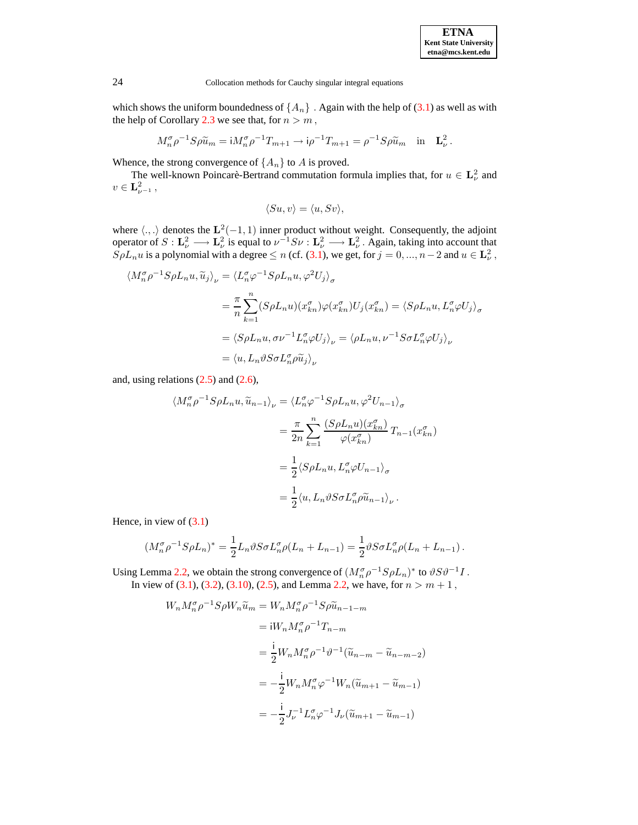| <b>ETNA</b>                  |
|------------------------------|
| <b>Kent State University</b> |
| etna@mcs.kent.edu            |

which shows the uniform boundedness of  $\{A_n\}$ . Again with the help of [\(3.1\)](#page-9-0) as well as with the help of Corollary [2.3](#page-3-2) we see that, for  $n > m$ ,

$$
M_n^{\sigma} \rho^{-1} S \rho \widetilde{u}_m = i M_n^{\sigma} \rho^{-1} T_{m+1} \to i \rho^{-1} T_{m+1} = \rho^{-1} S \rho \widetilde{u}_m \quad \text{in} \quad \mathbf{L}^2_{\nu} \, .
$$

Whence, the strong convergence of  $\{A_n\}$  to A is proved.

The well-known Poincarè-Bertrand commutation formula implies that, for  $u \in L^2_{\nu}$  and  $v \in {\bf L}_{\nu^{-1}}^2$ ,

$$
\langle Su,v\rangle=\langle u,Sv\rangle,
$$

where  $\langle .,.\rangle$  denotes the  $\mathbf{L}^2(-1,1)$  inner product without weight. Consequently, the adjoint operator of  $S: L^2_{\nu} \longrightarrow L^2_{\nu}$  is equal to  $\nu^{-1}S\nu: L^2_{\nu} \longrightarrow L^2_{\nu}$ . Again, taking into account that  $\overline{S}\rho L_n u$  is a polynomial with a degree  $\leq n$  (cf. [\(3.1\)](#page-9-0), we get, for  $j = 0, ..., n-2$  and  $u \in \mathbf{L}^2_\nu$ ,

$$
\langle M_n^{\sigma} \rho^{-1} S \rho L_n u, \widetilde{u}_j \rangle_{\nu} = \langle L_n^{\sigma} \varphi^{-1} S \rho L_n u, \varphi^2 U_j \rangle_{\sigma}
$$
  

$$
= \frac{\pi}{n} \sum_{k=1}^n (S \rho L_n u)(x_{kn}^{\sigma}) \varphi(x_{kn}^{\sigma}) U_j (x_{kn}^{\sigma}) = \langle S \rho L_n u, L_n^{\sigma} \varphi U_j \rangle_{\sigma}
$$
  

$$
= \langle S \rho L_n u, \sigma \nu^{-1} L_n^{\sigma} \varphi U_j \rangle_{\nu} = \langle \rho L_n u, \nu^{-1} S \sigma L_n^{\sigma} \varphi U_j \rangle_{\nu}
$$
  

$$
= \langle u, L_n \vartheta S \sigma L_n^{\sigma} \rho \widetilde{u}_j \rangle_{\nu}
$$

and, using relations  $(2.5)$  and  $(2.6)$ ,

$$
\langle M_n^{\sigma} \rho^{-1} S \rho L_n u, \widetilde{u}_{n-1} \rangle_{\nu} = \langle L_n^{\sigma} \varphi^{-1} S \rho L_n u, \varphi^2 U_{n-1} \rangle_{\sigma}
$$
  

$$
= \frac{\pi}{2n} \sum_{k=1}^n \frac{(S \rho L_n u)(x_{kn}^{\sigma})}{\varphi(x_{kn}^{\sigma})} T_{n-1}(x_{kn}^{\sigma})
$$
  

$$
= \frac{1}{2} \langle S \rho L_n u, L_n^{\sigma} \varphi U_{n-1} \rangle_{\sigma}
$$
  

$$
= \frac{1}{2} \langle u, L_n \vartheta S \sigma L_n^{\sigma} \rho \widetilde{u}_{n-1} \rangle_{\nu} .
$$

Hence, in view of [\(3.1\)](#page-9-0)

$$
(M_n^{\sigma} \rho^{-1} S \rho L_n)^* = \frac{1}{2} L_n \vartheta S \sigma L_n^{\sigma} \rho (L_n + L_{n-1}) = \frac{1}{2} \vartheta S \sigma L_n^{\sigma} \rho (L_n + L_{n-1}).
$$

Using Lemma [2.2,](#page-3-0) we obtain the strong convergence of  $(M_n^{\sigma}\rho^{-1}S\rho L_n)^*$  to  $\vartheta S\vartheta^{-1}I$ . In view of [\(3.1\)](#page-9-0), [\(3.2\)](#page-9-1), [\(3.10\)](#page-12-0), [\(2.5\)](#page-5-2), and Lemma [2.2,](#page-3-0) we have, for  $n > m + 1$ ,

$$
W_n M_n^{\sigma} \rho^{-1} S \rho W_n \tilde{u}_m = W_n M_n^{\sigma} \rho^{-1} S \rho \tilde{u}_{n-1-m}
$$
  
\n
$$
= iW_n M_n^{\sigma} \rho^{-1} T_{n-m}
$$
  
\n
$$
= \frac{i}{2} W_n M_n^{\sigma} \rho^{-1} \vartheta^{-1} (\tilde{u}_{n-m} - \tilde{u}_{n-m-2})
$$
  
\n
$$
= -\frac{i}{2} W_n M_n^{\sigma} \varphi^{-1} W_n (\tilde{u}_{m+1} - \tilde{u}_{m-1})
$$
  
\n
$$
= -\frac{i}{2} J_{\nu}^{-1} L_n^{\sigma} \varphi^{-1} J_{\nu} (\tilde{u}_{m+1} - \tilde{u}_{m-1})
$$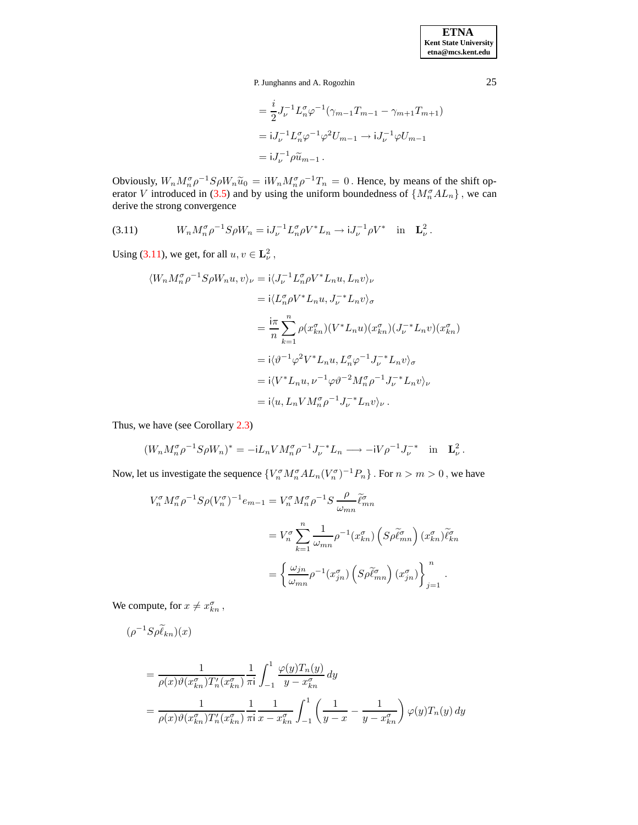**ETNA Kent State University etna@mcs.kent.edu**

P. Junghanns and A. Rogozhin 25

$$
= \frac{i}{2} J_{\nu}^{-1} L_n^{\sigma} \varphi^{-1} (\gamma_{m-1} T_{m-1} - \gamma_{m+1} T_{m+1})
$$
  
=  $i J_{\nu}^{-1} L_n^{\sigma} \varphi^{-1} \varphi^2 U_{m-1} \to i J_{\nu}^{-1} \varphi U_{m-1}$   
=  $i J_{\nu}^{-1} \rho \widetilde{u}_{m-1}$ .

Obviously,  $W_n M_n^{\sigma} \rho^{-1} S \rho W_n \tilde{u}_0 = iW_n M_n^{\sigma} \rho^{-1} T_n = 0$ . Hence, by means of the shift op-erator V introduced in [\(3.5\)](#page-10-1) and by using the uniform boundedness of  $\{M_n^{\sigma}AL_n\}$ , we can derive the strong convergence

<span id="page-14-0"></span>(3.11) 
$$
W_n M_n^{\sigma} \rho^{-1} S \rho W_n = iJ_{\nu}^{-1} L_n^{\sigma} \rho V^* L_n \to iJ_{\nu}^{-1} \rho V^* \text{ in } \mathbf{L}_{\nu}^2.
$$

Using [\(3.11\)](#page-14-0), we get, for all  $u, v \in L^2_{\nu}$ ,

$$
\langle W_n M_n^{\sigma} \rho^{-1} S \rho W_n u, v \rangle_{\nu} = i \langle J_{\nu}^{-1} L_n^{\sigma} \rho V^* L_n u, L_n v \rangle_{\nu}
$$
  
\n
$$
= i \langle L_n^{\sigma} \rho V^* L_n u, J_{\nu}^{-*} L_n v \rangle_{\sigma}
$$
  
\n
$$
= \frac{i\pi}{n} \sum_{k=1}^n \rho(x_{kn}^{\sigma})(V^* L_n u)(x_{kn}^{\sigma})(J_{\nu}^{-*} L_n v)(x_{kn}^{\sigma})
$$
  
\n
$$
= i \langle \vartheta^{-1} \varphi^2 V^* L_n u, L_n^{\sigma} \varphi^{-1} J_{\nu}^{-*} L_n v \rangle_{\sigma}
$$
  
\n
$$
= i \langle V^* L_n u, \nu^{-1} \varphi \vartheta^{-2} M_n^{\sigma} \rho^{-1} J_{\nu}^{-*} L_n v \rangle_{\nu}
$$
  
\n
$$
= i \langle u, L_n V M_n^{\sigma} \rho^{-1} J_{\nu}^{-*} L_n v \rangle_{\nu} .
$$

Thus, we have (see Corollary [2.3\)](#page-3-2)

$$
(W_n M_n^{\sigma} \rho^{-1} S \rho W_n)^* = -iL_n V M_n^{\sigma} \rho^{-1} J_{\nu}^{-*} L_n \longrightarrow -iV \rho^{-1} J_{\nu}^{-*} \text{ in } \mathbf{L}_{\nu}^2.
$$

Now, let us investigate the sequence  ${V_n^{\sigma} M_n^{\sigma} A L_n (V_n^{\sigma})^{-1} P_n}$ . For  $n > m > 0$ , we have

$$
V_n^{\sigma} M_n^{\sigma} \rho^{-1} S \rho (V_n^{\sigma})^{-1} e_{m-1} = V_n^{\sigma} M_n^{\sigma} \rho^{-1} S \frac{\rho}{\omega_{mn}} \tilde{\ell}_{mn}^{\sigma}
$$
  

$$
= V_n^{\sigma} \sum_{k=1}^n \frac{1}{\omega_{mn}} \rho^{-1} (x_{kn}^{\sigma}) \left( S \rho \tilde{\ell}_{mn}^{\sigma} \right) (x_{kn}^{\sigma}) \tilde{\ell}_{kn}^{\sigma}
$$
  

$$
= \left\{ \frac{\omega_{jn}}{\omega_{mn}} \rho^{-1} (x_{jn}^{\sigma}) \left( S \rho \tilde{\ell}_{mn}^{\sigma} \right) (x_{jn}^{\sigma}) \right\}_{j=1}^n.
$$

We compute, for  $x \neq x_{kn}^{\sigma}$ ,

$$
\begin{aligned} (\rho^{-1} S \rho \widetilde{\ell}_{kn})(x) \\ &= \frac{1}{\rho(x)\vartheta(x_{kn}^{\sigma})T_n'(x_{kn}^{\sigma})} \frac{1}{\pi i} \int_{-1}^1 \frac{\varphi(y)T_n(y)}{y - x_{kn}^{\sigma}} \, dy \\ &= \frac{1}{\rho(x)\vartheta(x_{kn}^{\sigma})T_n'(x_{kn}^{\sigma})} \frac{1}{\pi i} \frac{1}{x - x_{kn}^{\sigma}} \int_{-1}^1 \left( \frac{1}{y - x} - \frac{1}{y - x_{kn}^{\sigma}} \right) \varphi(y)T_n(y) \, dy \end{aligned}
$$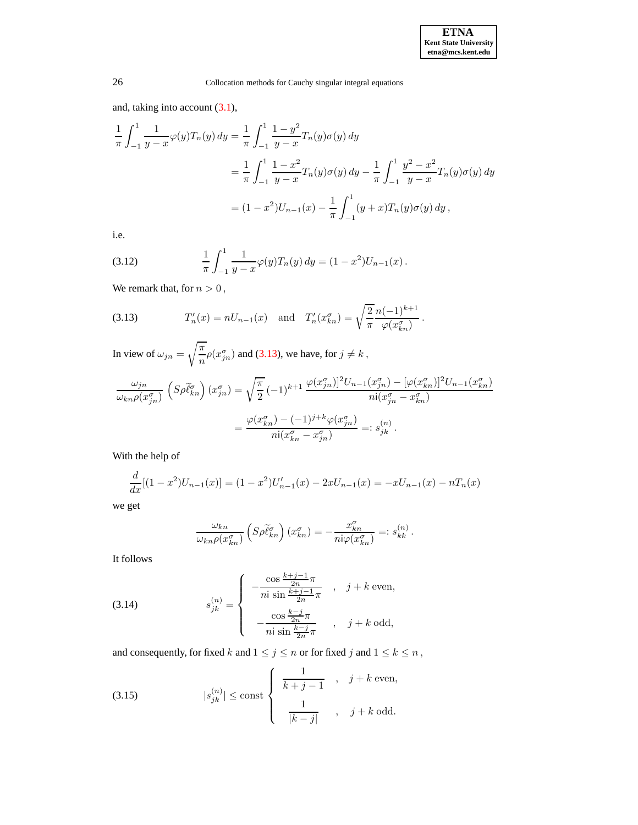and, taking into account [\(3.1\)](#page-9-0),

$$
\frac{1}{\pi} \int_{-1}^{1} \frac{1}{y - x} \varphi(y) T_n(y) \, dy = \frac{1}{\pi} \int_{-1}^{1} \frac{1 - y^2}{y - x} T_n(y) \sigma(y) \, dy
$$
\n
$$
= \frac{1}{\pi} \int_{-1}^{1} \frac{1 - x^2}{y - x} T_n(y) \sigma(y) \, dy - \frac{1}{\pi} \int_{-1}^{1} \frac{y^2 - x^2}{y - x} T_n(y) \sigma(y) \, dy
$$
\n
$$
= (1 - x^2) U_{n-1}(x) - \frac{1}{\pi} \int_{-1}^{1} (y + x) T_n(y) \sigma(y) \, dy,
$$

i.e.

<span id="page-15-2"></span>(3.12) 
$$
\frac{1}{\pi} \int_{-1}^{1} \frac{1}{y - x} \varphi(y) T_n(y) dy = (1 - x^2) U_{n-1}(x).
$$

We remark that, for  $n > 0$ ,

<span id="page-15-0"></span>(3.13) 
$$
T'_n(x) = nU_{n-1}(x) \text{ and } T'_n(x_{kn}^{\sigma}) = \sqrt{\frac{2}{\pi}} \frac{n(-1)^{k+1}}{\varphi(x_{kn}^{\sigma})}.
$$

In view of  $\omega_{jn} =$  $\sqrt{\pi}$  $\frac{\pi}{n} \rho(x_{jn}^{\sigma})$  and [\(3.13\)](#page-15-0), we have, for  $j \neq k$ ,

$$
\frac{\omega_{jn}}{\omega_{kn}\rho(x_{jn}^{\sigma})}\left(S\rho\widetilde{\ell}_{kn}^{\sigma}\right)(x_{jn}^{\sigma}) = \sqrt{\frac{\pi}{2}}\left(-1\right)^{k+1}\frac{\varphi(x_{jn}^{\sigma})]^2U_{n-1}(x_{jn}^{\sigma}) - [\varphi(x_{kn}^{\sigma})]^2U_{n-1}(x_{kn}^{\sigma})}{ni(x_{jn}^{\sigma}-x_{kn}^{\sigma})}
$$

$$
= \frac{\varphi(x_{kn}^{\sigma}) - (-1)^{j+k}\varphi(x_{jn}^{\sigma})}{ni(x_{kn}^{\sigma}-x_{jn}^{\sigma})} =: s_{jk}^{(n)}.
$$

With the help of

$$
\frac{d}{dx}[(1-x^2)U_{n-1}(x)] = (1-x^2)U'_{n-1}(x) - 2xU_{n-1}(x) = -xU_{n-1}(x) - nT_n(x)
$$

we get

$$
\frac{\omega_{kn}}{\omega_{kn}\rho(x_{kn}^{\sigma})}\left(S\rho\tilde{\ell}_{kn}^{\sigma}\right)(x_{kn}^{\sigma})=-\frac{x_{kn}^{\sigma}}{n\nu\varphi(x_{kn}^{\sigma})}=:s_{kk}^{(n)}.
$$

It follows

<span id="page-15-1"></span>(3.14) 
$$
s_{jk}^{(n)} = \begin{cases} -\frac{\cos \frac{k+j-1}{2n}\pi}{n i \sin \frac{k+j-1}{2n}\pi} , & j+k \text{ even,} \\ -\frac{\cos \frac{k-j}{2n}\pi}{n i \sin \frac{k-j}{2n}\pi} , & j+k \text{ odd,} \end{cases}
$$

and consequently, for fixed  $k$  and  $1\leq j\leq n$  or for fixed  $j$  and  $1\leq k\leq n$  ,

(3.15) 
$$
|s_{jk}^{(n)}| \le \text{const} \begin{cases} \frac{1}{k+j-1} , & j+k \text{ even,} \\ \frac{1}{|k-j|} , & j+k \text{ odd.} \end{cases}
$$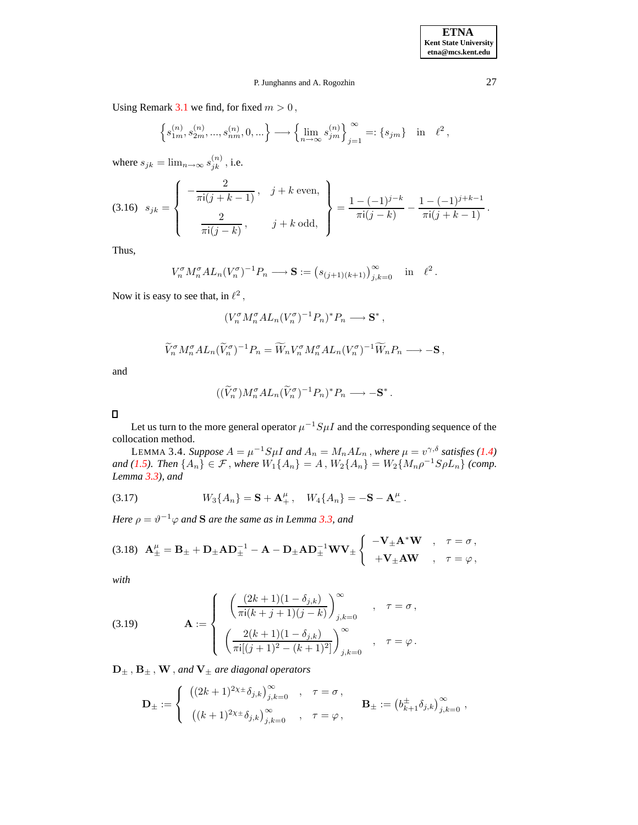Using Remark [3.1](#page-10-2) we find, for fixed  $m > 0$ ,

$$
\left\{s_{1m}^{(n)},s_{2m}^{(n)},...,s_{nm}^{(n)},0,...\right\}\longrightarrow \left\{\lim_{n\to\infty}s_{jm}^{(n)}\right\}_{j=1}^{\infty}=: \left\{s_{jm}\right\}\quad\text{in}\quad \ell^2\,,
$$

where  $s_{jk} = \lim_{n \to \infty} s_{jk}^{(n)}$  $j_k^{(n)}$ , i.e.

$$
(3.16) \quad s_{jk} = \left\{ \begin{array}{c} -\frac{2}{\pi i (j+k-1)}, & j+k \text{ even}, \\ \frac{2}{\pi i (j-k)}, & j+k \text{ odd}, \end{array} \right\} = \frac{1 - (-1)^{j-k}}{\pi i (j-k)} - \frac{1 - (-1)^{j+k-1}}{\pi i (j+k-1)}.
$$

Thus,

$$
V_n^{\sigma} M_n^{\sigma} A L_n (V_n^{\sigma})^{-1} P_n \longrightarrow \mathbf{S} := (s_{(j+1)(k+1)})_{j,k=0}^{\infty} \text{ in } \ell^2.
$$

Now it is easy to see that, in  $\ell^2$ ,

$$
(V_n^{\sigma} M_n^{\sigma} A L_n (V_n^{\sigma})^{-1} P_n)^* P_n \longrightarrow \mathbf{S}^*,
$$

$$
\widetilde{V}_n^{\sigma} M_n^{\sigma} A L_n (\widetilde{V}_n^{\sigma})^{-1} P_n = \widetilde{W}_n V_n^{\sigma} M_n^{\sigma} A L_n (V_n^{\sigma})^{-1} \widetilde{W}_n P_n \longrightarrow -\mathbf{S} \,,
$$

and

$$
((\widetilde{V}_n^{\sigma})M_n^{\sigma}AL_n(\widetilde{V}_n^{\sigma})^{-1}P_n)^*P_n \longrightarrow -\mathbf{S}^*.
$$

 $\Box$ 

<span id="page-16-0"></span>Let us turn to the more general operator  $\mu^{-1}S\mu I$  and the corresponding sequence of the collocation method.

LEMMA 3.4. *Suppose*  $A = \mu^{-1} S \mu I$  and  $A_n = M_n A L_n$  , where  $\mu = v^{\gamma, \delta}$  satisfies [\(1.4\)](#page-1-2) *and* [\(1.5\)](#page-1-3)*. Then*  $\{A_n\} \in \mathcal{F}$ , *where*  $W_1\{A_n\} = A$ ,  $W_2\{A_n\} = W_2\{M_n\rho^{-1}S\rho L_n\}$  (comp. *Lemma [3.3\)](#page-12-1), and*

<span id="page-16-1"></span>(3.17) 
$$
W_3\{A_n\} = \mathbf{S} + \mathbf{A}^{\mu}_+, \quad W_4\{A_n\} = -\mathbf{S} - \mathbf{A}^{\mu}_-.
$$

*Here*  $\rho = \vartheta^{-1} \varphi$  *and* **S** are the same as in Lemma [3.3,](#page-12-1) and

<span id="page-16-2"></span>
$$
(3.18)\quad \mathbf{A}^{\mu}_{\pm} = \mathbf{B}_{\pm} + \mathbf{D}_{\pm} \mathbf{A} \mathbf{D}_{\pm}^{-1} - \mathbf{A} - \mathbf{D}_{\pm} \mathbf{A} \mathbf{D}_{\pm}^{-1} \mathbf{W} \mathbf{V}_{\pm} \begin{cases} \begin{array}{c} -\mathbf{V}_{\pm} \mathbf{A}^* \mathbf{W} \\ +\mathbf{V}_{\pm} \mathbf{A} \mathbf{W} \end{array} , \begin{array}{c} \tau = \sigma \end{array}, \\ \tau = \varphi \end{cases}
$$

*with*

<span id="page-16-3"></span>(3.19) 
$$
\mathbf{A} := \begin{cases} \left( \frac{(2k+1)(1-\delta_{j,k})}{\pi i(k+j+1)(j-k)} \right)_{j,k=0}^{\infty} , & \tau = \sigma , \\ \left( \frac{2(k+1)(1-\delta_{j,k})}{\pi i[(j+1)^2 - (k+1)^2]} \right)_{j,k=0}^{\infty} , & \tau = \varphi . \end{cases}
$$

 $D_{\pm}$ ,  $B_{\pm}$ ,  $W$ , and  $V_{\pm}$  are diagonal operators

$$
\mathbf{D}_{\pm}:=\left\{\begin{array}{ll} \left((2k+1)^{2\chi_{\pm}}\delta_{j,k}\right)_{j,k=0}^{\infty} & , & \tau=\sigma\,, \\[1em] \left((k+1)^{2\chi_{\pm}}\delta_{j,k}\right)_{j,k=0}^{\infty} & , & \tau=\varphi\,, \end{array}\right. \qquad \mathbf{B}_{\pm}:=\left(b_{k+1}^{\pm}\delta_{j,k}\right)_{j,k=0}^{\infty}\,,
$$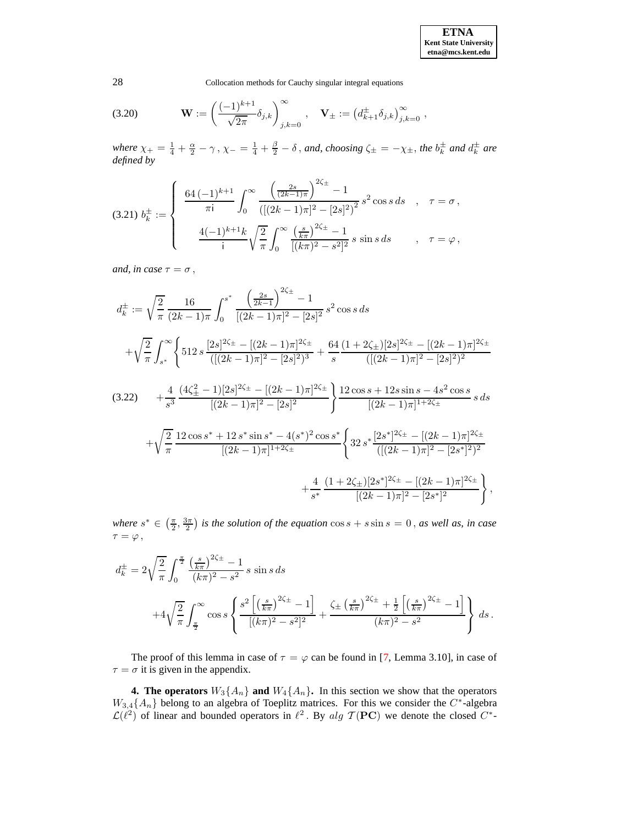<span id="page-17-2"></span>(3.20) 
$$
\mathbf{W} := \left(\frac{(-1)^{k+1}}{\sqrt{2\pi}} \delta_{j,k}\right)_{j,k=0}^{\infty}, \quad \mathbf{V}_{\pm} := \left(d^{\pm}_{k+1} \delta_{j,k}\right)_{j,k=0}^{\infty},
$$

*where*  $\chi_+ = \frac{1}{4} + \frac{\alpha}{2} - \gamma$ ,  $\chi_- = \frac{1}{4} + \frac{\beta}{2} - \delta$ , and, *choosing*  $\zeta_{\pm} = -\chi_{\pm}$ , *the*  $b_k^{\pm}$  and  $d_k^{\pm}$  are *defined by*

<span id="page-17-0"></span>
$$
(3.21) b_{k}^{\pm} := \begin{cases} \frac{64 (-1)^{k+1}}{\pi i} \int_{0}^{\infty} \frac{\left(\frac{2s}{(2k-1)\pi}\right)^{2\zeta_{\pm}} - 1}{\left(\left[(2k-1)\pi\right]^{2} - \left[2s\right]^{2}\right)^{2}} s^{2} \cos s \, ds & , \quad \tau = \sigma ,\\ \frac{4(-1)^{k+1}k}{i} \sqrt{\frac{2}{\pi}} \int_{0}^{\infty} \frac{\left(\frac{s}{k\pi}\right)^{2\zeta_{\pm}} - 1}{\left[(k\pi)^{2} - s^{2}\right]^{2}} s \sin s \, ds & , \quad \tau = \varphi , \end{cases}
$$

*and, in case*  $\tau = \sigma$ ,

<span id="page-17-1"></span>
$$
d_{k}^{\pm} := \sqrt{\frac{2}{\pi}} \frac{16}{(2k-1)\pi} \int_{0}^{s^{*}} \frac{\left(\frac{2s}{2k-1}\right)^{2\zeta_{\pm}} - 1}{[(2k-1)\pi]^{2} - [2s]^{2}} s^{2} \cos s \, ds
$$
  
+ 
$$
\sqrt{\frac{2}{\pi}} \int_{s^{*}}^{\infty} \left\{ 512 s \frac{[2s]^{2\zeta_{\pm}} - [(2k-1)\pi]^{2\zeta_{\pm}}}{([(2k-1)\pi]^{2} - [2s]^{2})^{3}} + \frac{64}{s} \frac{(1+2\zeta_{\pm})[2s]^{2\zeta_{\pm}} - [(2k-1)\pi]^{2\zeta_{\pm}}}{([(2k-1)\pi]^{2} - [2s]^{2})^{2}} \right\}
$$
  
(3.22) + 
$$
\frac{4}{s^{3}} \frac{(4\zeta_{\pm}^{2} - 1)[2s]^{2\zeta_{\pm}} - [(2k-1)\pi]^{2\zeta_{\pm}}}{[(2k-1)\pi]^{2} - [2s]^{2}} \right\} \frac{12 \cos s + 12s \sin s - 4s^{2} \cos s}{[(2k-1)\pi]^{1+2\zeta_{\pm}}} s \, ds
$$
  
+ 
$$
\sqrt{\frac{2}{\pi}} \frac{12 \cos s^{*} + 12 s^{*} \sin s^{*} - 4(s^{*})^{2} \cos s^{*}}{[(2k-1)\pi]^{1+2\zeta_{\pm}}} \left\{ 32 s^{*} \frac{[2s^{*}]^{2\zeta_{\pm}} - [(2k-1)\pi]^{2\zeta_{\pm}}}{([(2k-1)\pi]^{2} - [2s^{*}]^{2})^{2}} + \frac{4}{s^{*}} \frac{(1+2\zeta_{\pm})[2s^{*}]^{2\zeta_{\pm}} - [(2k-1)\pi]^{2\zeta_{\pm}}}{[(2k-1)\pi]^{2} - [2s^{*}]^{2}} \right\},
$$

*where*  $s^* \in \left(\frac{\pi}{2}, \frac{3\pi}{2}\right)$  *is the solution of the equation*  $\cos s + s \sin s = 0$ , *as well as, in case*  $\tau = \varphi$ ,

$$
d_k^{\pm} = 2\sqrt{\frac{2}{\pi}} \int_0^{\frac{\pi}{2}} \frac{\left(\frac{s}{k\pi}\right)^{2\zeta_{\pm}} - 1}{(k\pi)^2 - s^2} s \sin s \, ds
$$
  
+4\sqrt{\frac{2}{\pi}} \int\_{\frac{\pi}{2}}^{\infty} \cos s \left\{ \frac{s^2 \left[ \left(\frac{s}{k\pi}\right)^{2\zeta\_{\pm}} - 1 \right]}{[(k\pi)^2 - s^2]^2} + \frac{\zeta\_{\pm} \left(\frac{s}{k\pi}\right)^{2\zeta\_{\pm}} + \frac{1}{2} \left[ \left(\frac{s}{k\pi}\right)^{2\zeta\_{\pm}} - 1 \right]}{(k\pi)^2 - s^2} \right\} ds.

The proof of this lemma in case of  $\tau = \varphi$  can be found in [\[7,](#page-64-0) Lemma 3.10], in case of  $\tau = \sigma$  it is given in the appendix.

**4.** The operators  $W_3\{A_n\}$  and  $W_4\{A_n\}$ . In this section we show that the operators  $W_{3,4}{A_n}$  belong to an algebra of Toeplitz matrices. For this we consider the  $C^*$ -algebra  $\mathcal{L}(\ell^2)$  of linear and bounded operators in  $\ell^2$ . By alg  $\mathcal{T}(\mathbf{PC})$  we denote the closed  $C^*$ -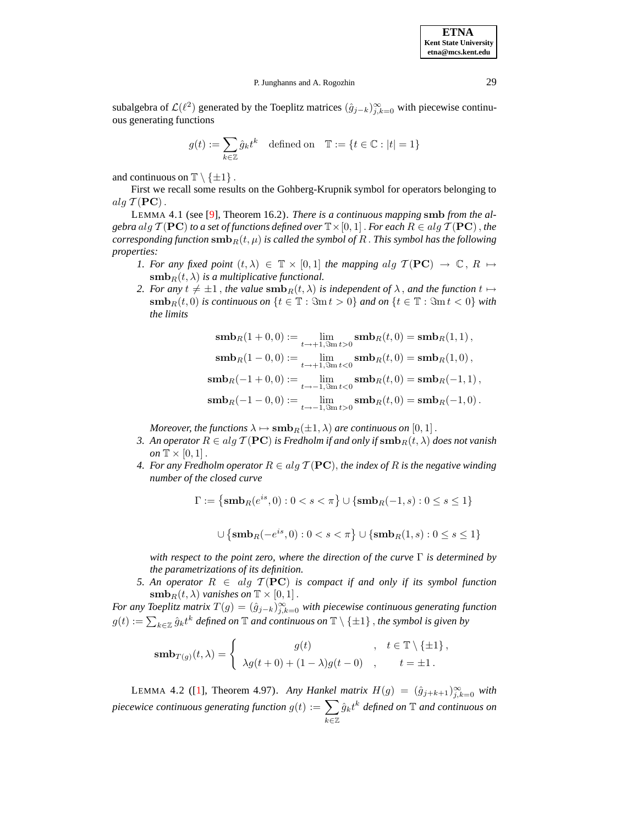subalgebra of  $\mathcal{L}(\ell^2)$  generated by the Toeplitz matrices  $(\hat{g}_{j-k})_{j,k=0}^{\infty}$  with piecewise continuous generating functions

$$
g(t):=\sum_{k\in\mathbb{Z}}\hat{g}_{k}t^{k}\quad\text{defined on}\quad\mathbb{T}:=\{t\in\mathbb{C}:|t|=1\}
$$

and continuous on  $\mathbb{T} \setminus \{\pm 1\}$ .

<span id="page-18-2"></span>First we recall some results on the Gohberg-Krupnik symbol for operators belonging to  $alg \mathcal{T}(\mathbf{PC})$ .

LEMMA 4.1 (see [\[9\]](#page-64-5), Theorem 16.2). *There is a continuous mapping* smb *from the algebra*  $alg \, \mathcal{T}(\mathbf{PC})$  *to a set of functions defined over*  $\mathbb{T} \times [0, 1]$  . *For each*  $R \in alg \, \mathcal{T}(\mathbf{PC})$ , *the corresponding function*  $\textbf{smb}_R(t, \mu)$  *is called the symbol of* R. *This symbol has the following properties:*

- *1. For any fixed point*  $(t, \lambda) \in \mathbb{T} \times [0, 1]$  *the mapping alg*  $\mathcal{T}(\mathbf{PC}) \to \mathbb{C}$ ,  $R \mapsto$  $\mathbf{smb}_{R}(t, \lambda)$  *is a multiplicative functional.*
- *2. For any*  $t \neq \pm 1$ , *the value*  $\text{smb}_R(t, \lambda)$  *is independent of*  $\lambda$ , *and the function*  $t \mapsto$  $\textbf{smb}_R(t,0)$  *is continuous on*  $\{t \in \mathbb{T} : \Im \text{m} t > 0\}$  *and on*  $\{t \in \mathbb{T} : \Im \text{m} t < 0\}$  *with the limits*

$$
\begin{aligned}\n\textbf{smb}_{R}(1+0,0) &:= \lim_{t \to +1, \Im \mathbf{m}t > 0} \textbf{smb}_{R}(t,0) = \textbf{smb}_{R}(1,1)\,, \\
\textbf{smb}_{R}(1-0,0) &:= \lim_{t \to +1, \Im \mathbf{m}t < 0} \textbf{smb}_{R}(t,0) = \textbf{smb}_{R}(1,0)\,, \\
\textbf{smb}_{R}(-1+0,0) &:= \lim_{t \to -1, \Im \mathbf{m}t < 0} \textbf{smb}_{R}(t,0) = \textbf{smb}_{R}(-1,1)\,, \\
\textbf{smb}_{R}(-1-0,0) &:= \lim_{t \to -1, \Im \mathbf{m}t > 0} \textbf{smb}_{R}(t,0) = \textbf{smb}_{R}(-1,0)\,. \n\end{aligned}
$$

*Moreover, the functions*  $\lambda \mapsto \textbf{smb}_R(\pm 1, \lambda)$  *are continuous on* [0, 1].

- *3. An operator*  $R \in alg \mathcal{T}(\mathbf{PC})$  *is Fredholm if and only if*  $\text{smb}_R(t, \lambda)$  *does not vanish on*  $\mathbb{T} \times [0, 1]$ .
- *4.* For any Fredholm operator  $R \in alg \mathcal{T}(\mathbf{PC})$ , the index of R is the negative winding *number of the closed curve*

$$
\Gamma := \left\{ \mathbf{smb}_R(e^{is}, 0) : 0 < s < \pi \right\} \cup \left\{ \mathbf{smb}_R(-1, s) : 0 \leq s \leq 1 \right\}
$$

$$
\cup \left\{ \mathbf{smb}_R(-e^{is}, 0): 0 < s < \pi \right\} \cup \left\{ \mathbf{smb}_R(1,s): 0 \leq s \leq 1 \right\}
$$

*with respect to the point zero, where the direction of the curve* Γ *is determined by the parametrizations of its definition.*

*5. An operator*  $R$  ∈ *alg*  $T$ (**PC**) *is compact if and only if its symbol function*  $\mathbf{smb}_R(t, \lambda)$  *vanishes on*  $\mathbb{T} \times [0, 1]$ .

<span id="page-18-0"></span>*For any Toeplitz matrix*  $T(g) = (\hat{g}_{j-k})_{j,k=0}^{\infty}$  *with piecewise continuous generating function*  $g(t) := \sum_{k \in \mathbb{Z}} \hat{g}_k t^k$  defined on  $\mathbb{T}$  and continuous on  $\mathbb{T} \setminus \{\pm 1\}$ , the symbol is given by

$$
\mathbf{smb}_{T(g)}(t,\lambda) = \begin{cases} g(t) & , \quad t \in \mathbb{T} \setminus \{ \pm 1 \}, \\ \lambda g(t+0) + (1-\lambda)g(t-0) & , \quad t = \pm 1. \end{cases}
$$

<span id="page-18-1"></span>LEMMA 4.2 ([\[1\]](#page-64-6), Theorem 4.97). *Any Hankel matrix*  $H(g) = (\hat{g}_{j+k+1})_{j,k=0}^{\infty}$  *with piecewice continuous generating function*  $g(t) := \sum$ k∈Z  $\hat{g}_k t^k$  defined on  $\mathbb T$  and continuous on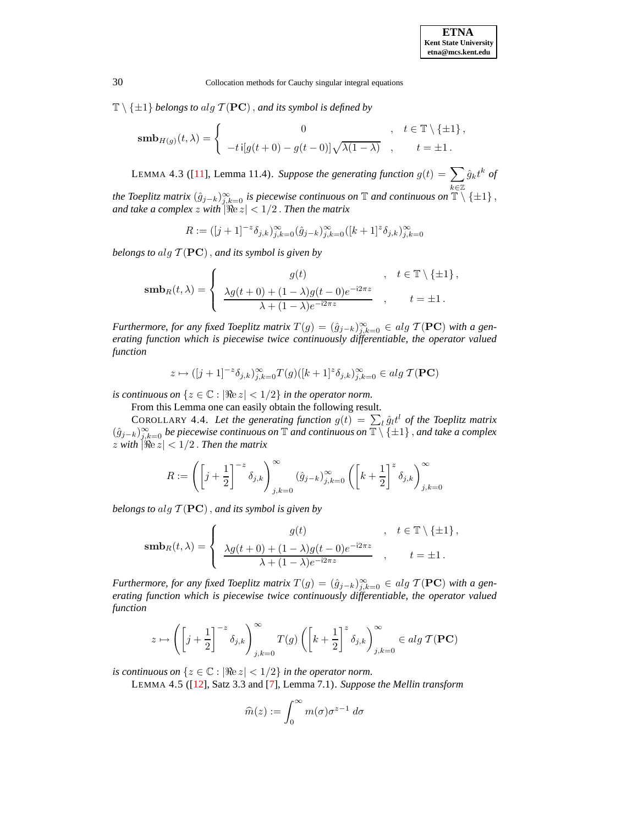$\mathbb{T} \setminus \{\pm 1\}$  *belongs to alg*  $\mathcal{T}(\mathbf{PC})$ , *and its symbol is defined by* 

$$
\mathbf{smb}_{H(g)}(t,\lambda) = \begin{cases} 0 & , t \in \mathbb{T} \setminus \{ \pm 1 \}, \\ -t \, \mathrm{i} [g(t+0) - g(t-0)] \sqrt{\lambda(1-\lambda)} & , t = \pm 1. \end{cases}
$$

LEMMA 4.3 ([\[11\]](#page-64-2), Lemma 11.4). Suppose the generating function  $g(t) = \sum$ k∈Z  $\hat{g}_k t^k$  of

*the Toeplitz matrix*  $(\hat{g}_{j-k})_{j,k=0}^{\infty}$  *is piecewise continuous on*  $\mathbb{T}$  *and continuous on*  $\mathbb{T} \setminus \{\pm 1\}$ , *and take a complex z with*  $|\Re(z)| < 1/2$  *. Then the matrix* 

 $R := ([j+1]^{-z} \delta_{j,k})_{j,k=0}^{\infty} (\hat{g}_{j-k})_{j,k=0}^{\infty} ([k+1]^{z} \delta_{j,k})_{j,k=0}^{\infty}$ 

*belongs to* alg  $\mathcal{T}(\mathbf{PC})$ , *and its symbol is given by* 

$$
\operatorname{\mathbf{smb}}_R(t,\lambda)=\left\{\begin{array}{cl}g(t)&,&t\in\mathbb{T}\setminus\{\pm 1\}\,,\\ \frac{\lambda g(t+0)+(1-\lambda)g(t-0)e^{-\mathrm{i}2\pi z}}{\lambda+(1-\lambda)e^{-\mathrm{i}2\pi z}}&,&t=\pm 1\,.\end{array}\right.
$$

*Furthermore, for any fixed Toeplitz matrix*  $T(g) = (\hat{g}_{j-k})_{j,k=0}^{\infty} \in alg \mathcal{T}(\mathbf{PC})$  *with a generating function which is piecewise twice continuously differentiable, the operator valued function*

<span id="page-19-1"></span>
$$
z\mapsto ([j+1]^{-z}\delta_{j,k})_{j,k=0}^\infty T(g)([k+1]^z\delta_{j,k})_{j,k=0}^\infty\in alg\ \mathcal{T}(\mathbf{PC})
$$

*is continuous on*  $\{z \in \mathbb{C} : |\Re(z)| < 1/2\}$  *in the operator norm.* 

From this Lemma one can easily obtain the following result.

COROLLARY 4.4. Let the generating function  $g(t) = \sum_l \hat{g}_l t^l$  of the Toeplitz matrix (gˆj−k)<sup>∞</sup> j,k=0 *be piecewise continuous on* <sup>T</sup> *and continuous on* <sup>T</sup> \ {±1} , *and take <sup>a</sup> complex*  $\sum_{z}$  with  $|\Re z| < 1/2$ . Then the matrix

$$
R:=\left(\left[j+\frac{1}{2}\right]^{-z}\delta_{j,k}\right)_{j,k=0}^\infty (\hat{g}_{j-k})_{j,k=0}^\infty \left(\left[k+\frac{1}{2}\right]^z\delta_{j,k}\right)_{j,k=0}^\infty
$$

*belongs to* alg  $T$ ( $PC$ ), *and its symbol is given by* 

$$
\operatorname{\mathbf{smb}}_R(t,\lambda)=\left\{\begin{array}{cl}g(t)&,&t\in\mathbb{T}\setminus\{\pm 1\}\,,\\ \frac{\lambda g(t+0)+(1-\lambda)g(t-0)e^{-\mathrm{i}2\pi z}}{\lambda+(1-\lambda)e^{-\mathrm{i}2\pi z}}&,&t=\pm 1\,.\end{array}\right.
$$

*Furthermore, for any fixed Toeplitz matrix*  $T(g) = (\hat{g}_{j-k})_{j,k=0}^{\infty} \in alg \mathcal{T}(\mathbf{PC})$  *with a generating function which is piecewise twice continuously differentiable, the operator valued function*

$$
z \mapsto \left( \left[j + \frac{1}{2}\right]^{-z} \delta_{j,k} \right)_{j,k=0}^{\infty} T(g) \left( \left[k + \frac{1}{2}\right]^{z} \delta_{j,k} \right)_{j,k=0}^{\infty} \in alg \; \mathcal{T}(\mathbf{PC})
$$

<span id="page-19-0"></span>*is continuous on*  $\{z \in \mathbb{C} : |\Re(z)| < 1/2\}$  *in the operator norm.* 

LEMMA 4.5 ([\[12\]](#page-64-7), Satz 3.3 and [\[7\]](#page-64-0), Lemma 7.1). *Suppose the Mellin transform*

$$
\widehat{m}(z):=\int_0^\infty m(\sigma)\sigma^{z-1}\;d\sigma
$$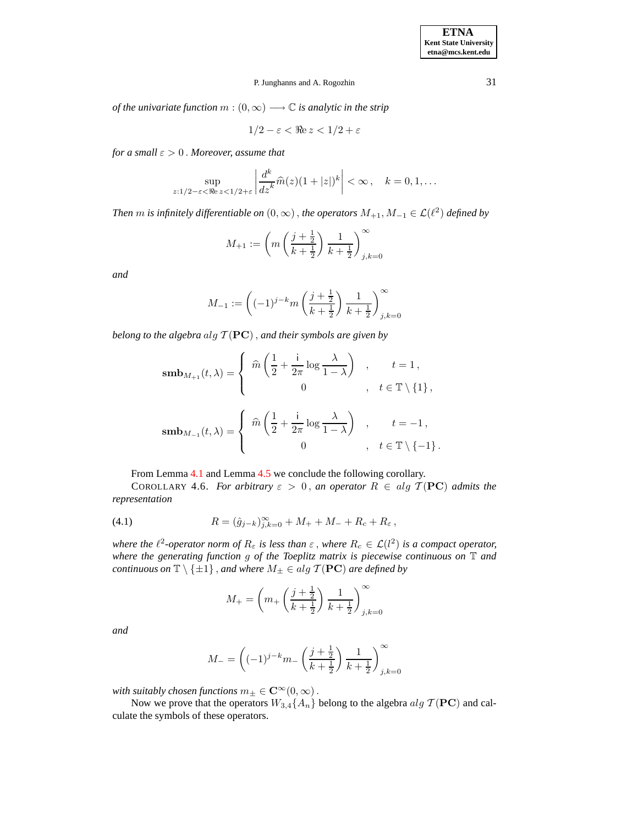*of the univariate function*  $m : (0, \infty) \longrightarrow \mathbb{C}$  *is analytic in the strip* 

$$
1/2 - \varepsilon < \Re{\mathrm{e}}\, z < 1/2 + \varepsilon
$$

*for a small*  $\varepsilon > 0$ . *Moreover, assume that* 

$$
\sup_{z:1/2-\varepsilon<\Re e\,z<1/2+\varepsilon}\left|\frac{d^k}{dz^k}\widehat{m}(z)(1+|z|)^k\right|<\infty\,,\quad k=0,1,\ldots
$$

*Then*  $m$  *is infinitely differentiable*  $on (0, \infty)$  *, the operators*  $M_{+1}, M_{-1} \in \mathcal{L}(\ell^2)$  *defined by* 

$$
M_{+1}:=\left(m\left(\frac{j+\frac{1}{2}}{k+\frac{1}{2}}\right)\frac{1}{k+\frac{1}{2}}\right)_{j,k=0}^{\infty}
$$

*and*

$$
M_{-1} := \left( (-1)^{j-k} m \left( \frac{j+\frac{1}{2}}{k+\frac{1}{2}} \right) \frac{1}{k+\frac{1}{2}} \right)_{j,k=0}^{\infty}
$$

*belong to the algebra*  $alg$   $T$ ( $PC$ ), *and their symbols are given by* 

$$
\mathbf{smb}_{M_{+1}}(t,\lambda) = \begin{cases} \n\widehat{m}\left(\frac{1}{2} + \frac{\mathsf{i}}{2\pi}\log\frac{\lambda}{1-\lambda}\right) & , \quad t = 1 \,, \\ \n0 & , \quad t \in \mathbb{T} \setminus \{1\} \,, \\ \n\mathbf{smb}_{M_{-1}}(t,\lambda) = \begin{cases} \n\widehat{m}\left(\frac{1}{2} + \frac{\mathsf{i}}{2\pi}\log\frac{\lambda}{1-\lambda}\right) & , \quad t = -1 \,, \\ \n0 & , \quad t \in \mathbb{T} \setminus \{-1\} \,. \n\end{cases} \n\end{cases}
$$

From Lemma [4.1](#page-18-0) and Lemma [4.5](#page-19-0) we conclude the following corollary.

COROLLARY 4.6. *For arbitrary*  $\varepsilon > 0$ , *an operator*  $R \in alg \mathcal{T}(PC)$  *admits the representation*

(4.1) 
$$
R = (\hat{g}_{j-k})_{j,k=0}^{\infty} + M_{+} + M_{-} + R_{c} + R_{\varepsilon},
$$

*where the*  $\ell^2$ -operator norm of  $R_{\varepsilon}$  is less than  $\varepsilon$  , where  $R_c \in \mathcal{L}(l^2)$  is a compact operator, *where the generating function* g *of the Toeplitz matrix is piecewise continuous on* T *and continuous on*  $\mathbb{T} \setminus \{\pm 1\}$ , *and where*  $M_{\pm} \in alg \mathcal{T}(\mathbf{PC})$  *are defined by* 

$$
M_{+} = \left(m_{+} \left(\frac{j + \frac{1}{2}}{k + \frac{1}{2}}\right) \frac{1}{k + \frac{1}{2}}\right)_{j,k=0}^{\infty}
$$

*and*

<span id="page-20-0"></span>
$$
M_{-} = \left( (-1)^{j-k} m_{-} \left( \frac{j+\frac{1}{2}}{k+\frac{1}{2}} \right) \frac{1}{k+\frac{1}{2}} \right)_{j,k=0}^{\infty}
$$

*with suitably chosen functions*  $m_{\pm} \in \mathbb{C}^{\infty}(0, \infty)$ .

Now we prove that the operators  $W_{3,4}{A_n}$  belong to the algebra  $alg \mathcal{T}(\mathbf{PC})$  and calculate the symbols of these operators.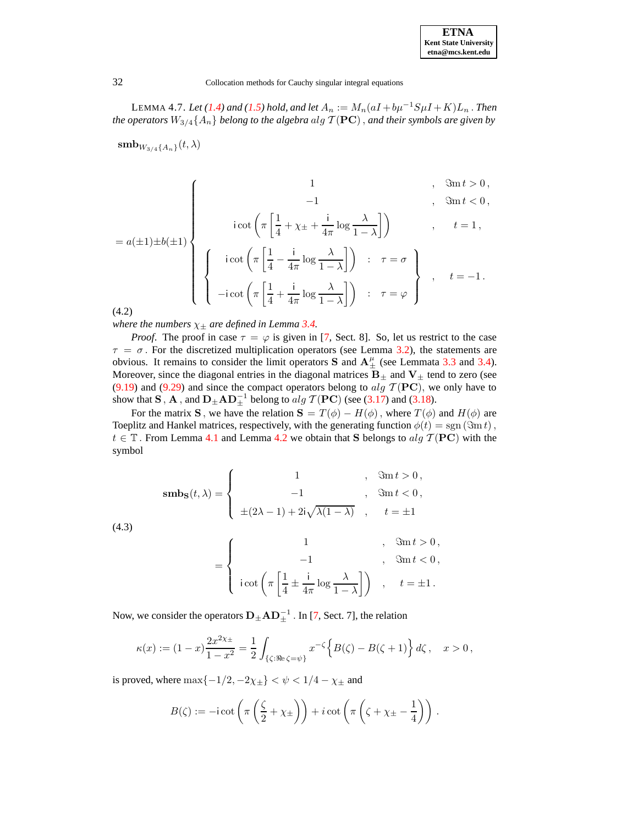| <b>ETNA</b>                  |
|------------------------------|
| <b>Kent State University</b> |
| etna@mcs.kent.edu            |

LEMMA 4.7. *Let* [\(1.4\)](#page-1-2) and [\(1.5\)](#page-1-3) hold, and let  $A_n := M_n(aI + b\mu^{-1}S\mu I + K)L_n$ . *Then the operators*  $W_{3/4}{A_n}$  *belong to the algebra alg*  $\mathcal{T}(\mathbf{PC})$ *, and their symbols are given by* 

 $\textbf{smb}_{W_{3/4}\{A_n\}}(t,\lambda)$ 

<span id="page-21-0"></span>
$$
= a(\pm 1) \pm b(\pm 1)
$$
\n
$$
\begin{cases}\n1 & , \Im \text{m } t > 0, \\
\text{icot}\left(\pi \left[ \frac{1}{4} + \chi_{\pm} + \frac{\mathrm{i}}{4\pi} \log \frac{\lambda}{1 - \lambda} \right] \right) & , \quad t = 1, \\
\text{icot}\left(\pi \left[ \frac{1}{4} - \frac{\mathrm{i}}{4\pi} \log \frac{\lambda}{1 - \lambda} \right] \right) & ; \quad \tau = \sigma \right\} & , \quad t = -1.\n\end{cases}
$$

$$
\begin{bmatrix}\n\left\{\n\begin{array}{c}\n\text{icot}\left(\pi\left[\frac{1}{4} - \frac{1}{4\pi}\log\frac{\lambda}{1-\lambda}\right]\right) & \text{: } \quad \tau = \sigma \\
\text{-i cot}\left(\pi\left[\frac{1}{4} + \frac{1}{4\pi}\log\frac{\lambda}{1-\lambda}\right]\right) & \text{: } \quad \tau = \varphi\n\end{array}\n\right\}, \quad t = -1.
$$

(4.2)

*where the numbers*  $\chi_{\pm}$  *are defined in Lemma [3.4.](#page-16-0)* 

*Proof.* The proof in case  $\tau = \varphi$  is given in [\[7,](#page-64-0) Sect. 8]. So, let us restrict to the case  $\tau = \sigma$ . For the discretized multiplication operators (see Lemma [3.2\)](#page-10-0), the statements are obvious. It remains to consider the limit operators S and  $A^{\mu}_{\pm}$  (see Lemmata [3.3](#page-12-1) and [3.4\)](#page-16-0). Moreover, since the diagonal entries in the diagonal matrices  $B_{\pm}$  and  $V_{\pm}$  tend to zero (see [\(9.19\)](#page-51-0) and [\(9.29\)](#page-54-0) and since the compact operators belong to alg  $\mathcal{T}(\mathbf{PC})$ , we only have to show that **S**, **A**, and  $D_{\pm}AD_{\pm}^{-1}$  belong to alg  $\mathcal{T}(PC)$  (see [\(3.17\)](#page-16-1) and [\(3.18\)](#page-16-2).

For the matrix S, we have the relation  $S = T(\phi) - H(\phi)$ , where  $T(\phi)$  and  $H(\phi)$  are Toeplitz and Hankel matrices, respectively, with the generating function  $\phi(t) = sgn(\Im m t)$ ,  $t \in \mathbb{T}$ . From Lemma [4.1](#page-18-0) and Lemma [4.2](#page-18-1) we obtain that S belongs to alg  $\mathcal{T}(\mathbf{PC})$  with the symbol

$$
\operatorname{smbs}(t,\lambda) = \begin{cases} 1 & , \Im \operatorname{m} t > 0, \\ -1 & , \Im \operatorname{m} t < 0, \\ \pm (2\lambda - 1) + 2i\sqrt{\lambda(1 - \lambda)} & , t = \pm 1 \end{cases}
$$

<span id="page-21-1"></span>(4.3)

$$
= \left\{ \begin{array}{ccc} 1 & , & \Im \mathrm{m}\,t > 0\,, \\[1.5mm] -1 & , & \Im \mathrm{m}\,t < 0\,, \\[1.5mm] \mathrm{i}\cot \left(\pi \left[ \frac{1}{4} \pm \frac{\mathrm{i}}{4\pi} \log \frac{\lambda}{1-\lambda} \right] \right) & , & t = \pm 1\,. \end{array} \right.
$$

Now, we consider the operators  $D_{\pm}AD_{\pm}^{-1}$  . In [\[7,](#page-64-0) Sect. 7], the relation

$$
\kappa(x) := (1-x)\frac{2x^{2\chi_{\pm}}}{1-x^2} = \frac{1}{2} \int_{\{\zeta : \Re e \, \zeta = \psi\}} x^{-\zeta} \Big\{ B(\zeta) - B(\zeta + 1) \Big\} d\zeta \,, \quad x > 0 \,,
$$

is proved, where  $\max\{-1/2, -2\chi_{\pm}\} < \psi < 1/4 - \chi_{\pm}$  and

$$
B(\zeta) := -\mathrm{i} \cot\left(\pi\left(\frac{\zeta}{2} + \chi_{\pm}\right)\right) + i \cot\left(\pi\left(\zeta + \chi_{\pm} - \frac{1}{4}\right)\right).
$$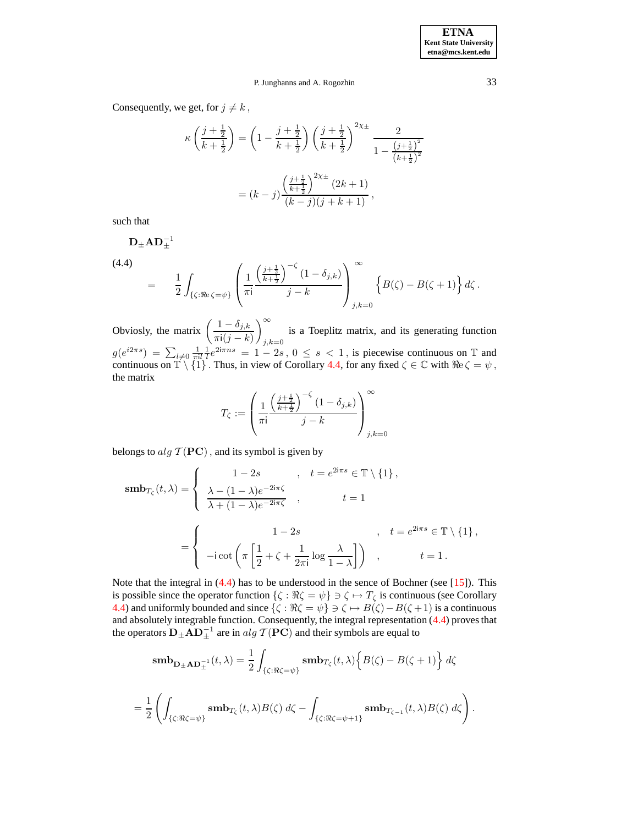Consequently, we get, for  $j \neq k$ ,

$$
\kappa \left( \frac{j + \frac{1}{2}}{k + \frac{1}{2}} \right) = \left( 1 - \frac{j + \frac{1}{2}}{k + \frac{1}{2}} \right) \left( \frac{j + \frac{1}{2}}{k + \frac{1}{2}} \right)^{2\chi_{\pm}} \frac{2}{1 - \frac{\left(j + \frac{1}{2}\right)^2}{\left(k + \frac{1}{2}\right)^2}}
$$

$$
= (k - j) \frac{\left(\frac{j + \frac{1}{2}}{k + \frac{1}{2}}\right)^{2\chi_{\pm}} (2k + 1)}{(k - j)(j + k + 1)},
$$

such that

<span id="page-22-0"></span>
$$
\mathbf{D}_{\pm} \mathbf{A} \mathbf{D}_{\pm}^{-1} = \frac{1}{2} \int_{\{\zeta : \Re e \, \zeta = \psi\}} \left( \frac{1}{\pi i} \frac{\left(\frac{j + \frac{1}{2}}{k + \frac{1}{2}}\right)^{-\zeta} (1 - \delta_{j,k})}{j - k} \right)_{j,k=0}^{\infty} \left\{ B(\zeta) - B(\zeta + 1) \right\} d\zeta.
$$

Obviosly, the matrix  $\left( \frac{1 - \delta_{j,k}}{\sqrt{1 - \delta_{j,k}}} \right)$  $\pi i(j-k)$ <sup>∞</sup>  $j,k=0$ is a Toeplitz matrix, and its generating function  $g(e^{i2\pi s}) = \sum_{l\neq 0} \frac{1}{\pi il} \frac{1}{l} e^{2i\pi ns} = 1-2s$ ,  $0 \le s < 1$ , is piecewise continuous on T and continuous on  $\mathbb{T} \setminus \{1\}$ . Thus, in view of Corollary [4.4,](#page-19-1) for any fixed  $\zeta \in \mathbb{C}$  with  $\Re \zeta = \psi$ , the matrix

$$
T_{\zeta}:=\left(\frac{1}{\pi\mathrm{i}}\frac{\left(\frac{j+\frac{1}{2}}{k+\frac{1}{2}}\right)^{-\zeta}\left(1-\delta_{j,k}\right)}{j-k}\right)_{j,k=0}^{\infty}
$$

belongs to  $alg \mathcal{T}(\mathbf{PC})$ , and its symbol is given by

$$
\mathbf{smb}_{T_{\zeta}}(t,\lambda) = \begin{cases} 1-2s, & t = e^{2i\pi s} \in \mathbb{T} \setminus \{1\}, \\ \frac{\lambda - (1-\lambda)e^{-2i\pi\zeta}}{\lambda + (1-\lambda)e^{-2i\pi\zeta}}, & t = 1 \end{cases}
$$

$$
= \begin{cases} 1-2s, & t = e^{2i\pi s} \in \mathbb{T} \setminus \{1\}, \\ -i\cot\left(\pi\left[\frac{1}{2} + \zeta + \frac{1}{2\pi i}\log\frac{\lambda}{1-\lambda}\right]\right), & t = 1. \end{cases}
$$

Note that the integral in  $(4.4)$  has to be understood in the sence of Bochner (see [\[15\]](#page-64-8)). This is possible since the operator function  $\{\zeta : \Re \zeta = \psi\} \ni \zeta \mapsto T_{\zeta}$  is continuous (see Corollary [4.4\)](#page-19-1) and uniformly bounded and since  $\{\zeta : \Re \zeta = \psi\} \ni \zeta \mapsto B(\zeta) - B(\zeta + 1)$  is a continuous and absolutely integrable function. Consequently, the integral representation  $(4.4)$  proves that the operators  $D_{\pm}AD_{\pm}^{-1}$  are in  $alg\ \mathcal{T}(\mathbf{PC})$  and their symbols are equal to

$$
\begin{split} \textbf{smb}_{\textbf{D}_{\pm}\textbf{AD}_{\pm}^{-1}}(t,\lambda) & = \frac{1}{2}\int_{\{\zeta:\Re\zeta=\psi\}}\textbf{smb}_{T_{\zeta}}(t,\lambda)\Big\{B(\zeta)-B(\zeta+1)\Big\} \ d\zeta \\ & = \frac{1}{2}\left(\int_{\{\zeta:\Re\zeta=\psi\}}\textbf{smb}_{T_{\zeta}}(t,\lambda)B(\zeta) \ d\zeta - \int_{\{\zeta:\Re\zeta=\psi+1\}}\textbf{smb}_{T_{\zeta-1}}(t,\lambda)B(\zeta) \ d\zeta\right). \end{split}
$$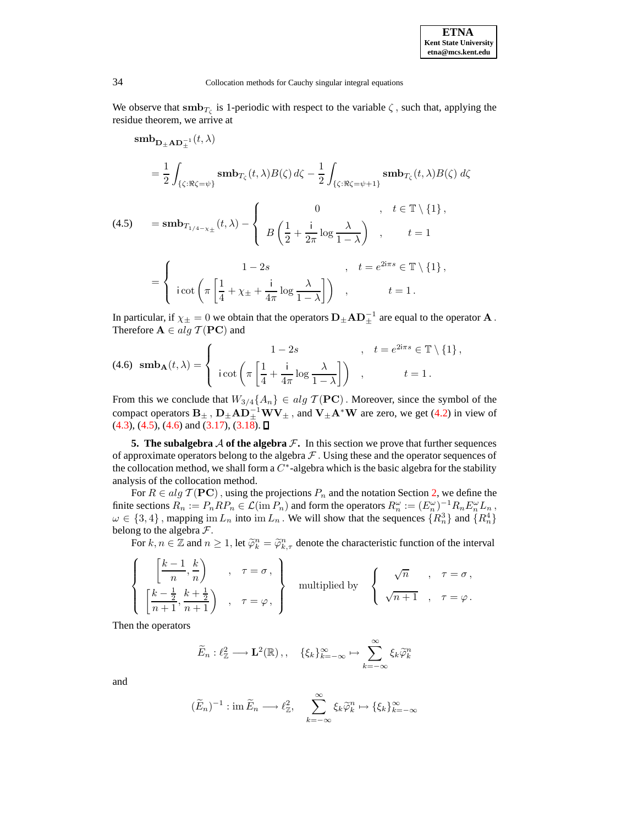We observe that  $\text{smb}_{T_{\zeta}}$  is 1-periodic with respect to the variable  $\zeta$ , such that, applying the residue theorem, we arrive at

<span id="page-23-0"></span> $\textbf{smb}_{\textbf{D}_{\pm}\textbf{AD}_{\pm}^{-1}}(t,\lambda)$  $=\frac{1}{2}$ 2  $\int_{\{\zeta: \Re \zeta = \psi\}} \mathbf{sub}_{T_{\zeta}}(t, \lambda) B(\zeta) d\zeta - \frac{1}{2}$ 2 Z  $\{\zeta:\Re \zeta = \psi + 1\}$  smb $_{T_\zeta}(t, \lambda)B(\zeta) d\zeta$  $= {\bf smb}_{T_{1/4-\chi_{\pm}}}(t,\lambda)$  –  $\sqrt{ }$  $\mathbf{J}$  $\mathbf{I}$ 0 ,  $t \in \mathbb{T} \setminus \{1\}$ , B  $(1)$  $\frac{1}{2}$  + i  $rac{1}{2\pi}$  log  $rac{\lambda}{1-\lambda}$  $1 - \lambda$  $\setminus$  $t = 1$ (4.5) =  $\sqrt{ }$  $\frac{1}{2}$  $\mathbf{I}$  $1 - 2s$ ,  $t = e^{2i\pi s} \in \mathbb{T} \setminus \{1\}$ , i cot  $\int_{\pi}$  $\lceil 1 \rceil$  $\frac{1}{4} + \chi_{\pm} +$ i  $rac{1}{4\pi}$  log  $rac{\lambda}{1-\lambda}$  $1 - \lambda$  $\bigg| \bigg|$ ,  $t = 1$ .

In particular, if  $\chi_\pm=0$  we obtain that the operators  ${\bf D}_\pm{\bf A}{\bf D}_\pm^{-1}$  are equal to the operator  ${\bf A}$  . Therefore  $\mathbf{A} \in alg \mathcal{T}(\mathbf{PC})$  and

<span id="page-23-1"></span>
$$
(4.6) \ \mathbf{smb}_{\mathbf{A}}(t,\lambda) = \begin{cases} 1-2s, & t = e^{2i\pi s} \in \mathbb{T} \setminus \{1\}, \\ i \cot\left(\pi \left[\frac{1}{4} + \frac{i}{4\pi} \log \frac{\lambda}{1-\lambda}\right]\right), & t = 1. \end{cases}
$$

From this we conclude that  $W_{3/4}{A_n} \in alg \mathcal{T}(PC)$ . Moreover, since the symbol of the compact operators  $B_{\pm}$  ,  $D_{\pm}AD_{\pm}^{-1}WV_{\pm}$  , and  $V_{\pm}A^*W$  are zero, we get [\(4.2\)](#page-21-0) in view of  $(4.3)$ ,  $(4.5)$ ,  $(4.6)$  and  $(3.17)$ ,  $(3.18)$ .

**5.** The subalgebra  $\mathcal A$  of the algebra  $\mathcal F$ . In this section we prove that further sequences of approximate operators belong to the algebra  $\mathcal F$ . Using these and the operator sequences of the collocation method, we shall form a  $C^*$ -algebra which is the basic algebra for the stability analysis of the collocation method.

For  $R \in alg \mathcal{T}(\mathbf{PC})$ , using the projections  $P_n$  and the notation Section [2,](#page-2-0) we define the finite sections  $R_n := P_n R P_n \in \mathcal{L}(\text{im } P_n)$  and form the operators  $R_n^{\omega} := (E_n^{\omega})^{-1} R_n E_n^{\omega} L_n$  $\omega \in \{3, 4\}$ , mapping  $\text{im } L_n$  into  $\text{im } L_n$ . We will show that the sequences  $\{R_n^3\}$  and  $\{R_n^4\}$ belong to the algebra  $\mathcal{F}$ .

For  $k, n \in \mathbb{Z}$  and  $n \ge 1$ , let  $\widetilde{\varphi}_k^n = \widetilde{\varphi}_{k,\tau}^n$  denote the characteristic function of the interval

$$
\left\{\begin{array}{ccc}\left[\frac{k-1}{n},\frac{k}{n}\right)&,\;\;\tau=\sigma\,,\\ \left[\frac{k-\frac{1}{2}}{n+1},\frac{k+\frac{1}{2}}{n+1}\right)&,\;\;\tau=\varphi\,,\end{array}\right\}\quad\text{multiplied by}\quad\left\{\begin{array}{ccc}\sqrt{n} &,\;\;\tau=\sigma\,,\\ \sqrt{n+1} &,\;\;\tau=\varphi\,. \end{array}\right.
$$

Then the operators

$$
\widetilde{E}_n : \ell_{\mathbb{Z}}^2 \longrightarrow \mathbf{L}^2(\mathbb{R}), \quad \{\xi_k\}_{k=-\infty}^{\infty} \mapsto \sum_{k=-\infty}^{\infty} \xi_k \widetilde{\varphi}_k^n
$$

and

$$
(\widetilde{E}_n)^{-1} : \text{im } \widetilde{E}_n \longrightarrow \ell_{\mathbb{Z}}^2, \quad \sum_{k=-\infty}^{\infty} \xi_k \widetilde{\varphi}_k^n \mapsto {\{\xi_k\}}_{k=-\infty}^{\infty}
$$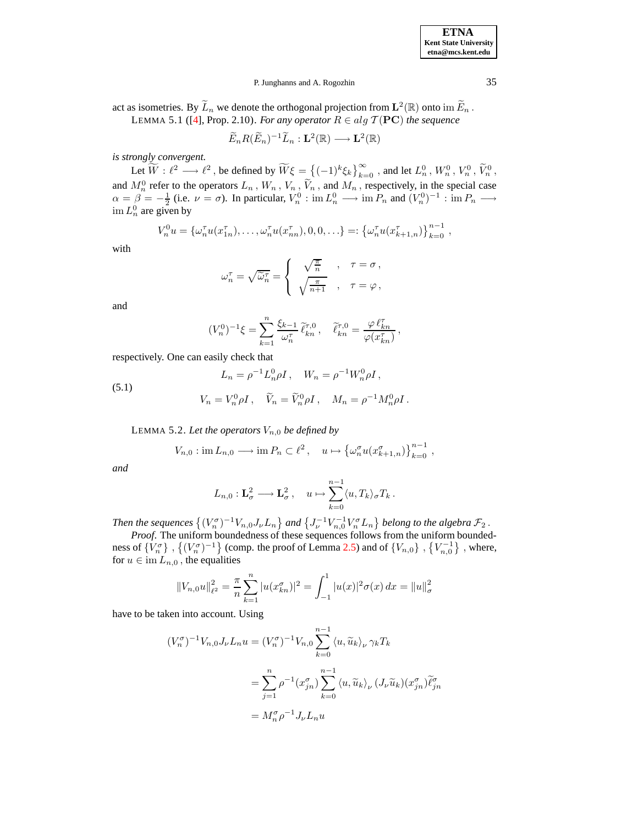act as isometries. By  $\widetilde{L}_n$  we denote the orthogonal projection from  $\mathbf{L}^2(\mathbb{R})$  onto  $\text{im }\widetilde{E}_n$ . LEMMA 5.1 ([\[4\]](#page-64-9), Prop. 2.10). *For any operator*  $R \in alg \mathcal{T}(\mathbf{PC})$  *the sequence* 

$$
\widetilde{E}_n R(\widetilde{E}_n)^{-1} \widetilde{L}_n : \mathbf{L}^2(\mathbb{R}) \longrightarrow \mathbf{L}^2(\mathbb{R})
$$

*is strongly convergent.*

Let  $\widetilde{W} : \ell^2 \longrightarrow \ell^2$ , be defined by  $\widetilde{W}\xi = \left\{(-1)^k \xi_k\right\}_{k=0}^{\infty}$ , and let  $L_n^0$ ,  $W_n^0$ ,  $V_n^0$ ,  $\widetilde{V}_n^0$ , and  $M_n^0$  refer to the operators  $L_n$ ,  $W_n$ ,  $V_n$ ,  $\tilde{V}_n$ , and  $M_n$ , respectively, in the special case  $\alpha = \beta = -\frac{1}{2}$  (i.e.  $\nu = \sigma$ ). In particular,  $V_n^0 : \text{im } L_n^0 \longrightarrow \text{im } P_n$  and  $(V_n^0)^{-1} : \text{im } P_n \longrightarrow$  $\lim L_n^0$  are given by

$$
V_n^0 u = {\omega_n^{\tau}} u(x_{1n}^{\tau}), \ldots, \omega_n^{\tau} u(x_{nn}^{\tau}), 0, 0, \ldots =: {\omega_n^{\tau}} u(x_{k+1,n}^{\tau})\}_{k=0}^{n-1},
$$

with

$$
\omega_n^{\tau} = \sqrt{\widetilde{\omega}_n^{\tau}} = \begin{cases} \sqrt{\frac{\pi}{n}} & , \quad \tau = \sigma \,, \\ \sqrt{\frac{\pi}{n+1}} & , \quad \tau = \varphi \,, \end{cases}
$$

and

$$
(V_n^0)^{-1}\xi = \sum_{k=1}^n \frac{\xi_{k-1}}{\omega_n^{\tau}} \tilde{\ell}_{kn}^{\tau,0}, \quad \tilde{\ell}_{kn}^{\tau,0} = \frac{\varphi \,\ell_{kn}^{\tau}}{\varphi(x_{kn}^{\tau})},
$$

respectively. One can easily check that

<span id="page-24-2"></span><span id="page-24-1"></span>(5.1) 
$$
L_n = \rho^{-1} L_n^0 \rho I, \quad W_n = \rho^{-1} W_n^0 \rho I,
$$

$$
V_n = V_n^0 \rho I, \quad \tilde{V}_n = \tilde{V}_n^0 \rho I, \quad M_n = \rho^{-1} M_n^0 \rho I.
$$

LEMMA 5.2. Let the operators  $V_{n,0}$  be defined by

$$
V_{n,0}: \operatorname{im} L_{n,0} \longrightarrow \operatorname{im} P_n \subset \ell^2 \,, \quad u \mapsto \left\{ \omega_n^{\sigma} u(x_{k+1,n}^{\sigma}) \right\}_{k=0}^{n-1} \,,
$$

*and*

$$
L_{n,0}: \mathbf{L}_{\sigma}^2 \longrightarrow \mathbf{L}_{\sigma}^2, \quad u \mapsto \sum_{k=0}^{n-1} \langle u, T_k \rangle_{\sigma} T_k.
$$

Then the sequences  $\{(V_n^{\sigma})^{-1}V_{n,0}J_{\nu}L_n\}$  and  $\{J_{\nu}^{-1}V_{n,0}^{-1}V_n^{\sigma}L_n\}$  belong to the algebra  $\mathcal{F}_2$ .

*Proof*. The uniform boundedness of these sequences follows from the uniform boundedness of  $\{V_n^{\sigma}\}\,$ ,  $\{(V_n^{\sigma})^{-1}\}$  (comp. the proof of Lemma [2.5\)](#page-6-0) and of  $\{V_{n,0}\}\,$ ,  $\{V_{n,0}^{-1}\}\,$ , where, for  $u \in \text{im } L_{n,0}$ , the equalities

$$
||V_{n,0}u||_{\ell^2}^2 = \frac{\pi}{n} \sum_{k=1}^n |u(x_{kn}^{\sigma})|^2 = \int_{-1}^1 |u(x)|^2 \sigma(x) dx = ||u||_{\sigma}^2
$$

have to be taken into account. Using

$$
(V_n^{\sigma})^{-1} V_{n,0} J_{\nu} L_n u = (V_n^{\sigma})^{-1} V_{n,0} \sum_{k=0}^{n-1} \langle u, \widetilde{u}_k \rangle_{\nu} \gamma_k T_k
$$
  

$$
= \sum_{j=1}^n \rho^{-1} (x_{jn}^{\sigma}) \sum_{k=0}^{n-1} \langle u, \widetilde{u}_k \rangle_{\nu} (J_{\nu} \widetilde{u}_k) (x_{jn}^{\sigma}) \widetilde{\ell}_{jn}^{\sigma}
$$
  

$$
= M_n^{\sigma} \rho^{-1} J_{\nu} L_n u
$$

<span id="page-24-0"></span>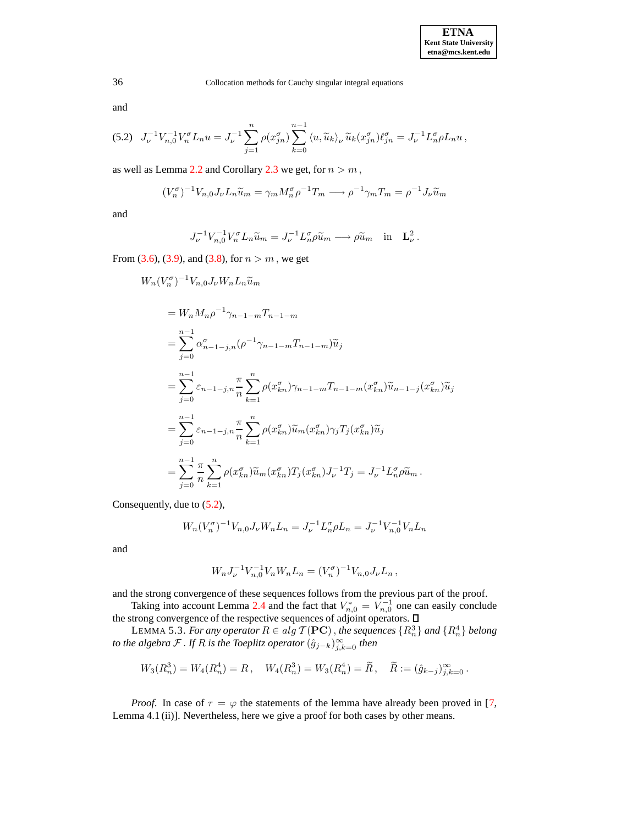and

<span id="page-25-0"></span>
$$
(5.2) \quad J_{\nu}^{-1}V_{n,0}^{-1}V_n^{\sigma}L_n u = J_{\nu}^{-1}\sum_{j=1}^n \rho(x_{jn}^{\sigma})\sum_{k=0}^{n-1} \langle u, \widetilde{u}_k \rangle_{\nu} \widetilde{u}_k(x_{jn}^{\sigma})\ell_{jn}^{\sigma} = J_{\nu}^{-1}L_n^{\sigma}\rho L_n u,
$$

as well as Lemma [2.2](#page-3-0) and Corollary [2.3](#page-3-2) we get, for  $n > m$ ,

$$
(V_n^{\sigma})^{-1}V_{n,0}J_{\nu}L_n\widetilde{u}_m = \gamma_m M_n^{\sigma}\rho^{-1}T_m \longrightarrow \rho^{-1}\gamma_m T_m = \rho^{-1}J_{\nu}\widetilde{u}_m
$$

and

$$
J_{\nu}^{-1}V_{n,0}^{-1}V_n^{\sigma}L_n\widetilde{u}_m = J_{\nu}^{-1}L_n^{\sigma}\rho\widetilde{u}_m \longrightarrow \rho\widetilde{u}_m \quad \text{in} \quad \mathbf{L}_{\nu}^2.
$$

From [\(3.6\)](#page-11-0), [\(3.9\)](#page-12-2), and [\(3.8\)](#page-11-1), for  $n > m$ , we get

$$
W_{n}(V_{n}^{\sigma})^{-1}V_{n,0}J_{\nu}W_{n}L_{n}\tilde{u}_{m}
$$
  
\n
$$
=W_{n}M_{n}\rho^{-1}\gamma_{n-1-m}T_{n-1-m}
$$
  
\n
$$
=\sum_{j=0}^{n-1}\alpha_{n-1-j,n}^{\sigma}(\rho^{-1}\gamma_{n-1-m}T_{n-1-m})\tilde{u}_{j}
$$
  
\n
$$
=\sum_{j=0}^{n-1}\varepsilon_{n-1-j,n}\frac{\pi}{n}\sum_{k=1}^{n}\rho(x_{kn}^{\sigma})\gamma_{n-1-m}T_{n-1-m}(x_{kn}^{\sigma})\tilde{u}_{n-1-j}(x_{kn}^{\sigma})\tilde{u}_{j}
$$
  
\n
$$
=\sum_{j=0}^{n-1}\varepsilon_{n-1-j,n}\frac{\pi}{n}\sum_{k=1}^{n}\rho(x_{kn}^{\sigma})\tilde{u}_{m}(x_{kn}^{\sigma})\gamma_{j}T_{j}(x_{kn}^{\sigma})\tilde{u}_{j}
$$
  
\n
$$
=\sum_{j=0}^{n-1}\frac{\pi}{n}\sum_{k=1}^{n}\rho(x_{kn}^{\sigma})\tilde{u}_{m}(x_{kn}^{\sigma})T_{j}(x_{kn}^{\sigma})J_{\nu}^{-1}T_{j}=J_{\nu}^{-1}L_{n}^{\sigma}\rho\tilde{u}_{m}.
$$

Consequently, due to [\(5.2\)](#page-25-0),

$$
W_n(V_n^{\sigma})^{-1}V_{n,0}J_{\nu}W_nL_n = J_{\nu}^{-1}L_n^{\sigma}\rho L_n = J_{\nu}^{-1}V_{n,0}^{-1}V_nL_n
$$

and

$$
W_n J_\nu^{-1} V_{n,0}^{-1} V_n W_n L_n = (V_n^{\sigma})^{-1} V_{n,0} J_\nu L_n,
$$

and the strong convergence of these sequences follows from the previous part of the proof.

Taking into account Lemma [2.4](#page-5-1) and the fact that  $V_{n,0}^* = V_{n,0}^{-1}$  one can easily conclude the strong convergence of the respective sequences of adjoint operators.

LEMMA 5.3. *For any operator*  $R \in alg \mathcal{T}(\mathbf{PC})$ , *the sequences*  $\{R_n^3\}$  *and*  $\{R_n^4\}$  *belong to the algebra*  ${\cal F}$  *. If*  $R$  *is the Toeplitz operator*  $(\hat{g}_{j-k})_{j,k=0}^\infty$  *then* 

$$
W_3(R_n^3) = W_4(R_n^4) = R, \quad W_4(R_n^3) = W_3(R_n^4) = \widetilde{R}, \quad \widetilde{R} := (\hat{g}_{k-j})_{j,k=0}^{\infty}.
$$

*Proof.* In case of  $\tau = \varphi$  the statements of the lemma have already been proved in [\[7,](#page-64-0) Lemma 4.1 (ii)]. Nevertheless, here we give a proof for both cases by other means.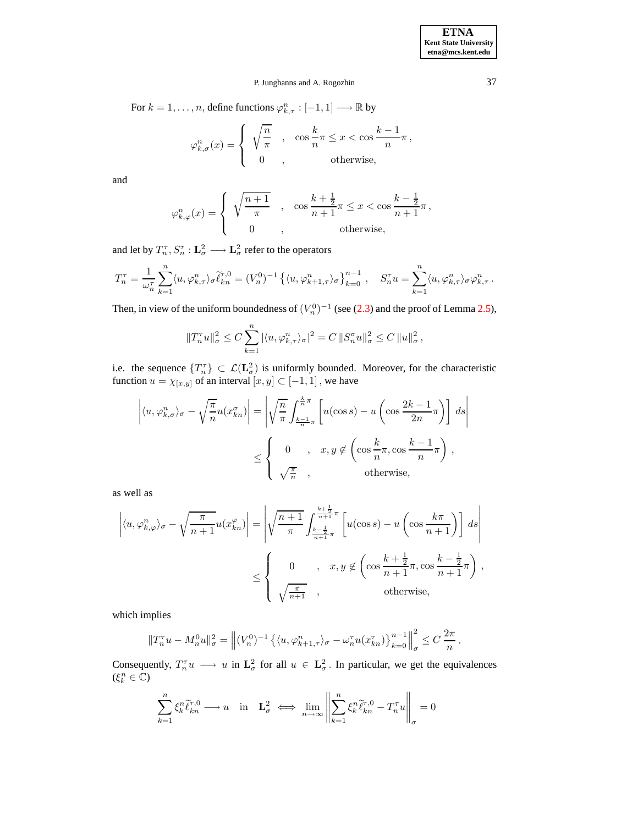**ETNA Kent State University etna@mcs.kent.edu**

.

# P. Junghanns and A. Rogozhin 37

For  $k = 1, \ldots, n$ , define functions  $\varphi_{k,\tau}^n : [-1,1] \longrightarrow \mathbb{R}$  by

$$
\varphi_{k,\sigma}^n(x) = \begin{cases} \sqrt{\frac{n}{\pi}} , & \cos\frac{k}{n}\pi \le x < \cos\frac{k-1}{n}\pi \text{,} \\ 0 , & \text{otherwise,} \end{cases}
$$

and

$$
\varphi_{k,\varphi}^n(x) = \begin{cases} \sqrt{\frac{n+1}{\pi}} & , \quad \cos\frac{k+\frac{1}{2}}{n+1}\pi \leq x < \cos\frac{k-\frac{1}{2}}{n+1}\pi, \\ 0 & , \qquad \text{otherwise,} \end{cases}
$$

and let by  $T_n^{\tau}$ ,  $S_n^{\tau}$  :  $\mathbf{L}_{\sigma}^2 \longrightarrow \mathbf{L}_{\sigma}^2$  refer to the operators

$$
T_n^\tau = \frac{1}{\omega_n^\tau} \sum_{k=1}^n \langle u, \varphi_{k, \tau}^n \rangle_\sigma \widetilde{\ell}_{kn}^{\tau, 0} = (V_n^0)^{-1} \left\{ \langle u, \varphi_{k+1, \tau}^n \rangle_\sigma \right\}_{k=0}^{n-1}, \quad S_n^\tau u = \sum_{k=1}^n \langle u, \varphi_{k, \tau}^n \rangle_\sigma \varphi_{k, \tau}^n.
$$

Then, in view of the uniform boundedness of  $(V_n^0)^{-1}$  (see [\(2.3\)](#page-5-4) and the proof of Lemma [2.5\)](#page-6-0),

$$
||T_n^{\tau}u||_{\sigma}^2 \leq C \sum_{k=1}^n |\langle u, \varphi_{k,\tau}^n \rangle_{\sigma}|^2 = C ||S_n^{\sigma}u||_{\sigma}^2 \leq C ||u||_{\sigma}^2,
$$

i.e. the sequence  $\{T_n^{\tau}\}\subset \mathcal{L}(\mathbf{L}_{\sigma}^2)$  is uniformly bounded. Moreover, for the characteristic function  $u = \chi_{[x,y]}$  of an interval  $[x,y] \subset [-1,1]$ , we have

$$
\left| \langle u, \varphi_{k,\sigma}^n \rangle_{\sigma} - \sqrt{\frac{\pi}{n}} u(x_{kn}^{\sigma}) \right| = \left| \sqrt{\frac{n}{\pi}} \int_{\frac{k-1}{n}\pi}^{\frac{k}{n}\pi} \left[ u(\cos s) - u\left( \cos \frac{2k-1}{2n}\pi \right) \right] ds \right|
$$
  

$$
\leq \begin{cases} 0, & x, y \notin \left( \cos \frac{k}{n}\pi, \cos \frac{k-1}{n}\pi \right), \\ \sqrt{\frac{\pi}{n}}, & \text{otherwise,} \end{cases}
$$

as well as

$$
\left| \langle u, \varphi_{k,\varphi}^n \rangle_{\sigma} - \sqrt{\frac{\pi}{n+1}} u(x_{kn}^{\varphi}) \right| = \left| \sqrt{\frac{n+1}{\pi}} \int_{\frac{k-\frac{1}{2}}{n+1}\pi}^{\frac{k+\frac{1}{2}}{n+1}\pi} \left[ u(\cos s) - u \left( \cos \frac{k\pi}{n+1} \right) \right] ds \right|
$$
  

$$
\leq \begin{cases} 0 & , x, y \notin \left( \cos \frac{k+\frac{1}{2}}{n+1}\pi, \cos \frac{k-\frac{1}{2}}{n+1}\pi \right), \\ \sqrt{\frac{\pi}{n+1}} & , \end{cases}
$$
 otherwise,

which implies

$$
||T_n^{\tau}u - M_n^0 u||_{\sigma}^2 = \left\| (V_n^0)^{-1} \left\{ \langle u, \varphi_{k+1,\tau}^n \rangle_{\sigma} - \omega_n^{\tau} u(x_{kn}^{\tau}) \right\}_{k=0}^{n-1} \right\|_{\sigma}^2 \leq C \frac{2\pi}{n}
$$

Consequently,  $T_n^{\tau}u \longrightarrow u$  in  $\mathbf{L}^2_{\sigma}$  for all  $u \in \mathbf{L}^2_{\sigma}$ . In particular, we get the equivalences  $(\xi_k^n \in \mathbb{C})$ 

$$
\sum_{k=1}^{n} \xi_k^n \widetilde{\ell}_{kn}^{\tau,0} \longrightarrow u \quad \text{in} \quad \mathbf{L}_{\sigma}^2 \iff \lim_{n \to \infty} \left\| \sum_{k=1}^{n} \xi_k^n \widetilde{\ell}_{kn}^{\tau,0} - T_n^{\tau} u \right\|_{\sigma} = 0
$$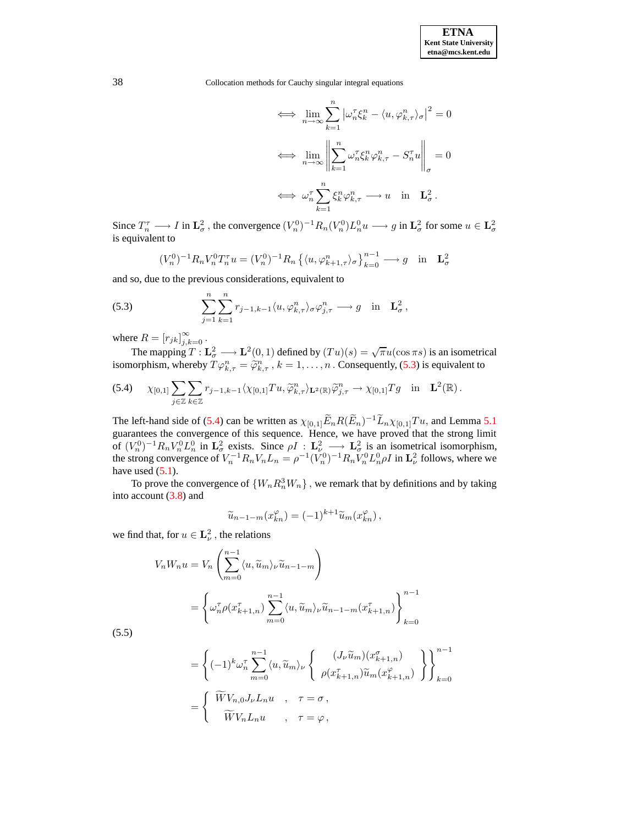$$
\iff \lim_{n \to \infty} \sum_{k=1}^{n} \left| \omega_n^{\tau} \xi_k^n - \langle u, \varphi_{k,\tau}^n \rangle_{\sigma} \right|^2 = 0
$$

$$
\iff \lim_{n \to \infty} \left\| \sum_{k=1}^{n} \omega_n^{\tau} \xi_k^n \varphi_{k,\tau}^n - S_n^{\tau} u \right\|_{\sigma} = 0
$$

$$
\iff \omega_n^{\tau} \sum_{k=1}^{n} \xi_k^n \varphi_{k,\tau}^n \longrightarrow u \quad \text{in} \quad \mathbf{L}_{\sigma}^2.
$$

Since  $T_n^{\tau} \longrightarrow I$  in  $\mathbf{L}_{\sigma}^2$ , the convergence  $(V_n^0)^{-1} R_n(V_n^0) L_n^0 u \longrightarrow g$  in  $\mathbf{L}_{\sigma}^2$  for some  $u \in \mathbf{L}_{\sigma}^2$ is equivalent to

$$
(V_n^0)^{-1} R_n V_n^0 T_n^{\tau} u = (V_n^0)^{-1} R_n \left\{ \langle u, \varphi_{k+1,\tau}^n \rangle_{\sigma} \right\}_{k=0}^{n-1} \longrightarrow g \text{ in } \mathbf{L}_{\sigma}^2
$$

and so, due to the previous considerations, equivalent to

<span id="page-27-0"></span>(5.3) 
$$
\sum_{j=1}^n \sum_{k=1}^n r_{j-1,k-1} \langle u, \varphi_{k,\tau}^n \rangle_{\sigma} \varphi_{j,\tau}^n \longrightarrow g \text{ in } \mathbf{L}_{\sigma}^2,
$$

where  $R = [r_{jk}]_{j,k=0}^{\infty}$ .

The mapping  $T: \mathbf{L}^2_\sigma \longrightarrow \mathbf{L}^2(0,1)$  defined by  $(Tu)(s) = \sqrt{\pi}u(\cos \pi s)$  is an isometrical isomorphism, whereby  $T\varphi_{k,\tau}^n = \widetilde{\varphi}_{k,\tau}^n$ ,  $k = 1, \ldots, n$  . Consequently, [\(5.3\)](#page-27-0) is equivalent to

<span id="page-27-1"></span>(5.4) 
$$
\chi_{[0,1]} \sum_{j \in \mathbb{Z}} \sum_{k \in \mathbb{Z}} r_{j-1,k-1} \langle \chi_{[0,1]} T u, \widetilde{\varphi}_{k,\tau}^n \rangle_{\mathbf{L}^2(\mathbb{R})} \widetilde{\varphi}_{j,\tau}^n \to \chi_{[0,1]} T g \text{ in } \mathbf{L}^2(\mathbb{R}).
$$

The left-hand side of [\(5.4\)](#page-27-1) can be written as  $\chi_{[0,1]} \tilde{E}_n R(\tilde{E}_n)^{-1} \tilde{L}_n \chi_{[0,1]} T u$ , and Lemma [5.1](#page-24-0) guarantees the convergence of this sequence. Hence, we have proved that the strong limit of  $(V_n^0)^{-1}R_nV_n^0L_n^0$  in  $\mathbf{L}^2_{\sigma}$  exists. Since  $\rho I : \mathbf{L}^2_{\sigma} \longrightarrow \mathbf{L}^2_{\sigma}$  is an isometrical isomorphism, the strong convergence of  $V_n^{-1}R_nV_nL_n = \rho^{-1}(V_n^0)^{-1}R_nV_n^0L_n^0\rho I$  in  $\mathbf{L}^2_{\nu}$  follows, where we have used  $(5.1)$ .

To prove the convergence of  $\{W_n R_n^3 W_n\}$ , we remark that by definitions and by taking into account [\(3.8\)](#page-11-1) and

$$
\widetilde{u}_{n-1-m}(x_{kn}^{\varphi}) = (-1)^{k+1} \widetilde{u}_m(x_{kn}^{\varphi}),
$$

<span id="page-27-2"></span>we find that, for  $u \in \mathbf{L}^2_{\nu}$ , the relations

$$
V_n W_n u = V_n \left( \sum_{m=0}^{n-1} \langle u, \widetilde{u}_m \rangle_{\nu} \widetilde{u}_{n-1-m} \right)
$$
  
= 
$$
\left\{ \omega_n^{\tau} \rho(x_{k+1,n}^{\tau}) \sum_{m=0}^{n-1} \langle u, \widetilde{u}_m \rangle_{\nu} \widetilde{u}_{n-1-m}(x_{k+1,n}^{\tau}) \right\}_{k=0}^{n-1}
$$

(5.5)

$$
= \left\{ (-1)^{k} \omega_n^{\tau} \sum_{m=0}^{n-1} \langle u, \widetilde{u}_m \rangle_{\nu} \left\{ \begin{array}{c} (J_{\nu} \widetilde{u}_m)(x_{k+1,n}^{\sigma}) \\ \rho(x_{k+1,n}^{\tau}) \widetilde{u}_m(x_{k+1,n}^{\varphi}) \end{array} \right\} \right\}_{k=0}^{n-1}
$$

$$
= \left\{ \begin{array}{c} \widetilde{W}V_{n,0}J_{\nu}L_n u , \quad \tau = \sigma , \\ \widetilde{W}V_n L_n u , \quad \tau = \varphi , \end{array}
$$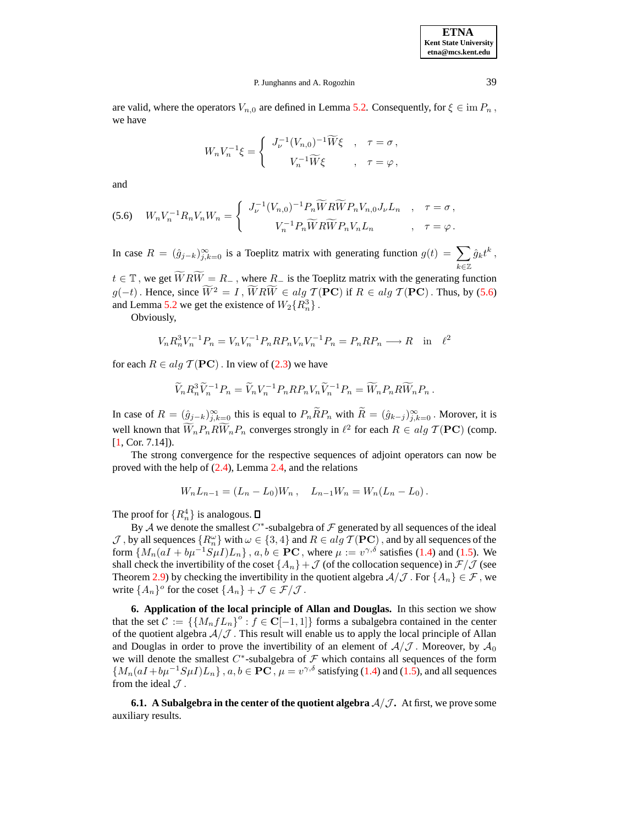**ETNA Kent State University etna@mcs.kent.edu**

### P. Junghanns and A. Rogozhin 39

are valid, where the operators  $V_{n,0}$  are defined in Lemma [5.2.](#page-24-2) Consequently, for  $\xi \in \text{im } P_n$ , we have

$$
W_n V_n^{-1} \xi = \begin{cases} J_{\nu}^{-1} (V_{n,0})^{-1} \widetilde{W} \xi , & \tau = \sigma , \\ V_n^{-1} \widetilde{W} \xi , & \tau = \varphi , \end{cases}
$$

and

<span id="page-28-0"></span>(5.6) 
$$
W_n V_n^{-1} R_n V_n W_n = \begin{cases} J_{\nu}^{-1} (V_{n,0})^{-1} P_n \widetilde{W} R \widetilde{W} P_n V_{n,0} J_{\nu} L_n , & \tau = \sigma , \\ V_n^{-1} P_n \widetilde{W} R \widetilde{W} P_n V_n L_n , & \tau = \varphi . \end{cases}
$$

In case  $R = (\hat{g}_{j-k})_{j,k=0}^{\infty}$  is a Toeplitz matrix with generating function  $g(t) = \sum_{j=0}^{\infty}$ k∈Z  $\hat{g}_k t^k$  ,

 $t \in \mathbb{T}$ , we get  $\widetilde{W}R\widetilde{W} = R_{-}$ , where  $R_{-}$  is the Toeplitz matrix with the generating function  $g(-t)$ . Hence, since  $\widetilde{W}^2 = I$ ,  $\widetilde{W}R\widetilde{W} \in alg \mathcal{T} (PC)$  if  $R \in alg \mathcal{T} (PC)$ . Thus, by [\(5.6\)](#page-28-0) and Lemma [5.2](#page-24-2) we get the existence of  $W_2\{R_n^3\}$ .

Obviously,

$$
V_n R_n^3 V_n^{-1} P_n = V_n V_n^{-1} P_n R P_n V_n V_n^{-1} P_n = P_n R P_n \longrightarrow R \text{ in } \ell^2
$$

for each  $R \in alg \mathcal{T}(\mathbf{PC})$ . In view of [\(2.3\)](#page-5-4) we have

$$
\widetilde{V}_n R_n^3 \widetilde{V}_n^{-1} P_n = \widetilde{V}_n V_n^{-1} P_n R P_n V_n \widetilde{V}_n^{-1} P_n = \widetilde{W}_n P_n R \widetilde{W}_n P_n .
$$

In case of  $R = (\hat{g}_{j-k})_{j,k=0}^{\infty}$  this is equal to  $P_n \overline{R} P_n$  with  $\overline{R} = (\hat{g}_{k-j})_{j,k=0}^{\infty}$ . Morover, it is well known that  $\widetilde{W}_n P_n R \widetilde{W}_n P_n$  converges strongly in  $\ell^2$  for each  $R \in alg \mathcal{T}(\mathbf{PC})$  (comp. [\[1,](#page-64-6) Cor. 7.14]).

The strong convergence for the respective sequences of adjoint operators can now be proved with the help of  $(2.4)$ , Lemma [2.4,](#page-5-1) and the relations

$$
W_n L_{n-1} = (L_n - L_0) W_n , \quad L_{n-1} W_n = W_n (L_n - L_0) .
$$

The proof for  $\{R_n^4\}$  is analogous.

By A we denote the smallest  $C^*$ -subalgebra of  $\mathcal F$  generated by all sequences of the ideal  $J$ , by all sequences  $\{R_n^{\omega}\}\$  with  $\omega \in \{3, 4\}$  and  $R \in alg \mathcal{T}(\mathbf{PC})$ , and by all sequences of the form  $\{M_n(aI + b\mu^{-1}S\mu I)L_n\}$ ,  $a, b \in \mathbf{PC}$ , where  $\mu := v^{\gamma,\delta}$  satisfies [\(1.4\)](#page-1-2) and [\(1.5\)](#page-1-3). We shall check the invertibility of the coset  $\{A_n\} + \mathcal{J}$  (of the collocation sequence) in  $\mathcal{F}/\mathcal{J}$  (see Theorem [2.9\)](#page-7-1) by checking the invertibility in the quotient algebra  $A/\mathcal{J}$ . For  $\{A_n\} \in \mathcal{F}$ , we write  $\{A_n\}^o$  for the coset  $\{A_n\} + \mathcal{J} \in \mathcal{F}/\mathcal{J}$ .

**6. Application of the local principle of Allan and Douglas.** In this section we show that the set  $C := \{ \{M_n f L_n \}^o : f \in \mathbb{C}[-1,1] \}$  forms a subalgebra contained in the center of the quotient algebra  $A/J$ . This result will enable us to apply the local principle of Allan and Douglas in order to prove the invertibility of an element of  $A/J$ . Moreover, by  $A_0$ we will denote the smallest  $C^*$ -subalgebra of  $\mathcal F$  which contains all sequences of the form  ${M_n(aI + b\mu^{-1}S\mu I)L_n}$ ,  $a, b \in \mathbf{PC}$ ,  $\mu = v^{\gamma, \delta}$  satisfying [\(1.4\)](#page-1-2) and [\(1.5\)](#page-1-3), and all sequences from the ideal  $\mathcal{J}$ .

**6.1. A** Subalgebra in the center of the quotient algebra  $A/\mathcal{J}$ . At first, we prove some auxiliary results.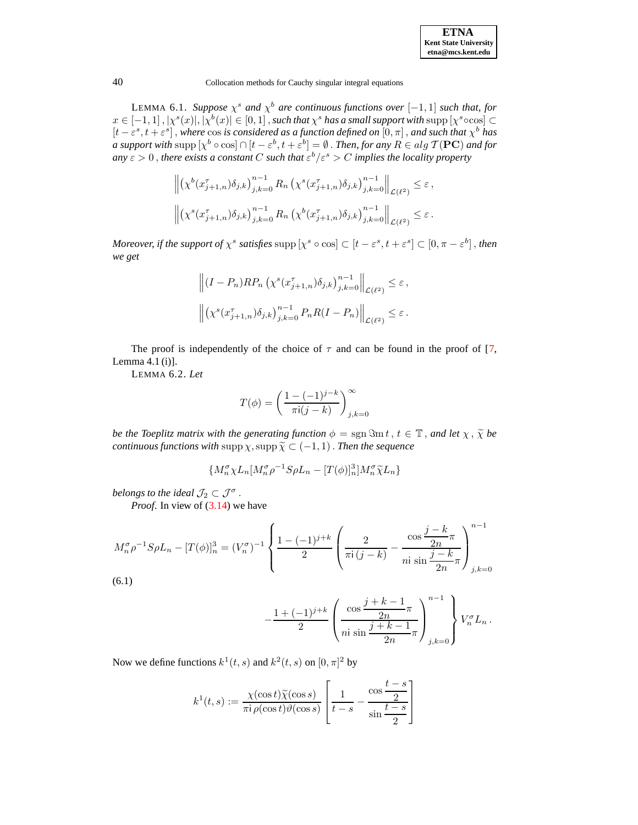| <b>ETNA</b>                  |
|------------------------------|
| <b>Kent State University</b> |
| etna@mcs.kent.edu            |

LEMMA 6.1. *Suppose*  $\chi^s$  *and*  $\chi^b$  *are continuous functions over*  $[-1, 1]$  *such that, for*  $x \in [-1,1]$  ,  $|\chi^s(x)|, |\chi^b(x)| \in [0,1]$  , such that  $\chi^s$  has a small support with  $\sup p[\chi^s \circ \cos] \subset$  $[t - \varepsilon^s, t + \varepsilon^s]$ , where cos *is considered as a function defined on*  $[0, \pi]$ , *and such that*  $\chi^b$  *has a* support with  $\sup p[x^b \circ \cos] \cap [t - \varepsilon^b, t + \varepsilon^b] = \emptyset$  . *Then, for any*  $R \in alg \, \mathcal{T}(\mathbf{PC})$  and for  $a$ *ny*  $\varepsilon > 0$  , there exists a constant  $C$  such that  $\varepsilon^b/\varepsilon^s > C$  implies the locality property

$$
\left\| (\chi^b(x_{j+1,n}^{\tau}) \delta_{j,k})_{j,k=0}^{n-1} R_n \left( \chi^s(x_{j+1,n}^{\tau}) \delta_{j,k} \right)_{j,k=0}^{n-1} \right\|_{\mathcal{L}(\ell^2)} \leq \varepsilon,
$$
  

$$
\left\| (\chi^s(x_{j+1,n}^{\tau}) \delta_{j,k})_{j,k=0}^{n-1} R_n \left( \chi^b(x_{j+1,n}^{\tau}) \delta_{j,k} \right)_{j,k=0}^{n-1} \right\|_{\mathcal{L}(\ell^2)} \leq \varepsilon.
$$

*Moreover, if the support of*  $\chi^s$  *satisfies*  $\supp [\chi^s \circ \cos] \subset [t - \varepsilon^s, t + \varepsilon^s] \subset [0, \pi - \varepsilon^b]$ , *then we get*

$$
\left\| (I - P_n)RP_n \left( \chi^s(x_{j+1,n}^{\tau}) \delta_{j,k} \right)_{j,k=0}^{n-1} \right\|_{\mathcal{L}(\ell^2)} \leq \varepsilon,
$$
  

$$
\left\| \left( \chi^s(x_{j+1,n}^{\tau}) \delta_{j,k} \right)_{j,k=0}^{n-1} P_n R(I - P_n) \right\|_{\mathcal{L}(\ell^2)} \leq \varepsilon.
$$

The proof is independently of the choice of  $\tau$  and can be found in the proof of [\[7,](#page-64-0) Lemma 4.1 (i)].

LEMMA 6.2. *Let*

$$
T(\phi) = \left(\frac{1 - (-1)^{j-k}}{\pi i (j-k)}\right)_{j,k=0}^{\infty}
$$

*be the Toeplitz matrix with the generating function*  $\phi = \text{sgn}\mathfrak{Sm}t$ ,  $t \in \mathbb{T}$ , *and let*  $\chi$ ,  $\tilde{\chi}$  *be continuous functions with*  $\sup p \chi$ ,  $\sup p \widetilde{\chi} \subset (-1, 1)$ . *Then the sequence* 

$$
\{M_n^{\sigma} \chi L_n [M_n^{\sigma} \rho^{-1} S \rho L_n - [T(\phi)]_n^3] M_n^{\sigma} \tilde{\chi} L_n\}
$$

*belongs to the ideal*  $\mathcal{J}_2 \subset \mathcal{J}^{\sigma}$  .

*Proof.* In view of  $(3.14)$  we have

<span id="page-29-0"></span>
$$
M_n^{\sigma} \rho^{-1} S \rho L_n - [T(\phi)]_n^3 = (V_n^{\sigma})^{-1} \left\{ \frac{1 - (-1)^{j+k}}{2} \left( \frac{2}{\pi i (j-k)} - \frac{\cos \frac{j-k}{2n} \pi}{n i \sin \frac{j-k}{2n} \pi} \right) \right\}_{j,k=0}^{n-1}
$$
\n
$$
(6.1)
$$

(6.1)

$$
-\frac{1+(-1)^{j+k}}{2}\left(\frac{\cos\frac{j+k-1}{2n}\pi}{n!\sin\frac{j+k-1}{2n}\pi}\right)_{j,k=0}^{n-1}V_n^{\sigma}L_n.
$$

Now we define functions  $k^1(t, s)$  and  $k^2(t, s)$  on  $[0, \pi]^2$  by

$$
k^{1}(t,s) := \frac{\chi(\cos t)\widetilde{\chi}(\cos s)}{\pi i \rho(\cos t)\vartheta(\cos s)} \left[\frac{1}{t-s} - \frac{\cos\frac{t-s}{2}}{\sin\frac{t-s}{2}}\right]
$$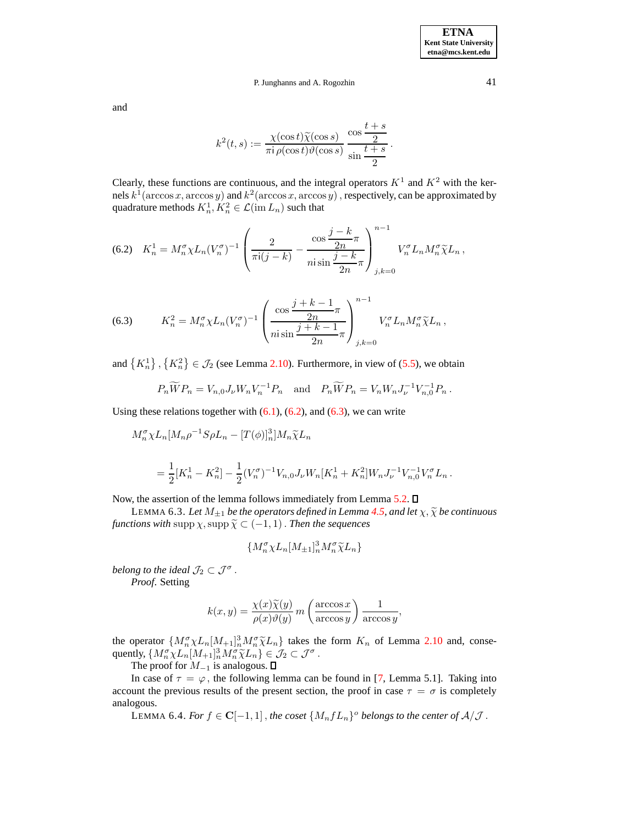and

$$
k^{2}(t,s):=\frac{\chi(\cos t)\widetilde{\chi}(\cos s)}{\pi \mathrm{i} \,\rho(\cos t)\vartheta(\cos s)}\,\frac{\cos\frac{t+s}{2}}{\sin\frac{t+s}{2}}\,.
$$

Clearly, these functions are continuous, and the integral operators  $K^1$  and  $K^2$  with the kernels  $k^1$ ( $\arccos x$ ,  $\arccos y$ ) and  $k^2$ ( $\arccos x$ ,  $\arccos y$ ), respectively, can be approximated by quadrature methods  $K_n^1, K_n^2 \in \mathcal{L}(\text{im } L_n)$  such that

<span id="page-30-0"></span>(6.2) 
$$
K_n^1 = M_n^{\sigma} \chi L_n(V_n^{\sigma})^{-1} \left( \frac{2}{\pi i (j-k)} - \frac{\cos \frac{j-k}{2n} \pi}{n i \sin \frac{j-k}{2n} \pi} \right)_{j,k=0}^{n-1} V_n^{\sigma} L_n M_n^{\sigma} \widetilde{\chi} L_n,
$$

<span id="page-30-1"></span>(6.3) 
$$
K_n^2 = M_n^{\sigma} \chi L_n (V_n^{\sigma})^{-1} \left( \frac{\cos \frac{j+k-1}{2n} \pi}{n \sin \frac{j+k-1}{2n} \pi} \right)_{j,k=0}^{n-1} V_n^{\sigma} L_n M_n^{\sigma} \widetilde{\chi} L_n,
$$

and  $\{K_n^1\}, \{K_n^2\} \in \mathcal{J}_2$  (see Lemma [2.10\)](#page-8-0). Furthermore, in view of [\(5.5\)](#page-27-2), we obtain

$$
P_n\widetilde{W}P_n = V_{n,0}J_{\nu}W_nV_n^{-1}P_n
$$
 and  $P_n\widetilde{W}P_n = V_nW_nJ_{\nu}^{-1}V_{n,0}^{-1}P_n$ .

Using these relations together with  $(6.1)$ ,  $(6.2)$ , and  $(6.3)$ , we can write

$$
M_n^{\sigma} \chi L_n [M_n \rho^{-1} S \rho L_n - [T(\phi)]_n^3] M_n \tilde{\chi} L_n
$$
  
=  $\frac{1}{2} [K_n^1 - K_n^2] - \frac{1}{2} (V_n^{\sigma})^{-1} V_{n,0} J_\nu W_n [K_n^1 + K_n^2] W_n J_\nu^{-1} V_{n,0}^{-1} V_n^{\sigma} L_n.$ 

Now, the assertion of the lemma follows immediately from Lemma [5.2.](#page-24-2)  $\square$ 

LEMMA 6.3. *Let*  $M_{\pm 1}$  *be the operators defined in Lemma [4.5,](#page-19-0) and let*  $\chi$ *,*  $\widetilde{\chi}$  *be continuous functions* with supp  $\chi$ , supp  $\widetilde{\chi} \subset (-1, 1)$ . *Then the sequences* 

$$
\{M_n^{\sigma} \chi L_n [M_{\pm 1}]_n^3 M_n^{\sigma} \widetilde{\chi} L_n\}
$$

*belong to the ideal*  $\mathcal{J}_2 \subset \mathcal{J}^{\sigma}$ . *Proof*. Setting

$$
k(x, y) = \frac{\chi(x)\widetilde{\chi}(y)}{\rho(x)\vartheta(y)} m\left(\frac{\arccos x}{\arccos y}\right) \frac{1}{\arccos y},
$$

the operator  $\{M_{n}^{\sigma}\chi L_{n}[M_{+1}]_{n}^{3}M_{n}^{\sigma}\tilde{\chi}L_{n}\}$  takes the form  $K_{n}$  of Lemma [2.10](#page-8-0) and, consequently,  $\{M_{n}^{\sigma}\chi L_{n}[M_{+1}]_{n}^{3}M_{n}^{\sigma}\tilde{\chi}L_{n}\}\in\mathcal{J}_{2}\subset\mathcal{J}^{\sigma}$ .<br>The graph family is analyzed on  $\Pi$ 

The proof for  $M_{-1}$  is analogous.  $\square$ 

In case of  $\tau = \varphi$ , the following lemma can be found in [\[7,](#page-64-0) Lemma 5.1]. Taking into account the previous results of the present section, the proof in case  $\tau = \sigma$  is completely analogous.

 $\textrm{LEMMA }$  6.4. *For*  $f \in \mathbf{C}[-1,1]$  , *the coset*  $\{M_nfL_n\}^o$  *belongs to the center of*  $\mathcal{A}/\mathcal{J}$  .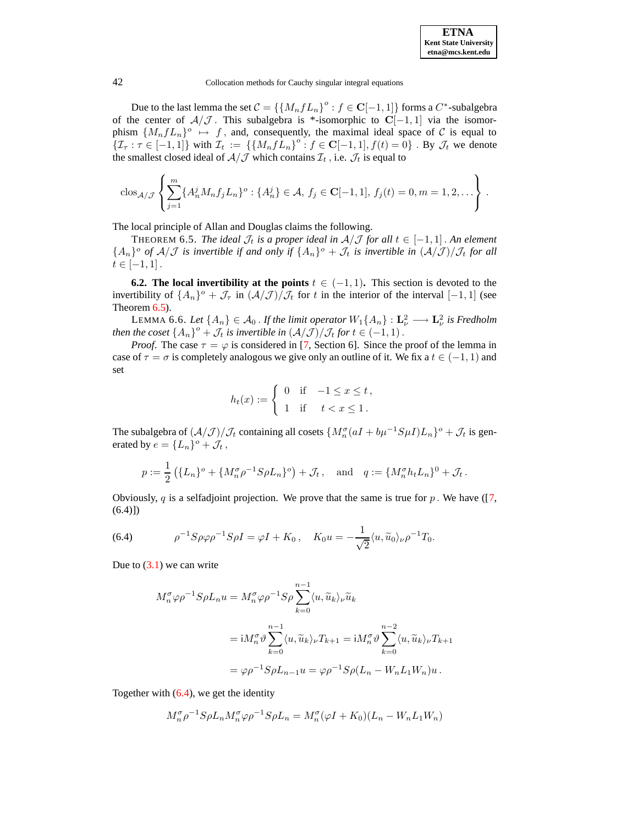

Due to the last lemma the set  $C = \left\{ \left\{ M_n f L_n \right\}^o : f \in \mathbf{C}[-1,1] \right\}$  forms a  $C^*$ -subalgebra of the center of  $\mathcal{A}/\mathcal{J}$ . This subalgebra is \*-isomorphic to  $\mathbf{C}[-1,1]$  via the isomorphism  $\{M_nfL_n\}$ <sup>o</sup>  $\mapsto f$ , and, consequently, the maximal ideal space of C is equal to  $\{I_{\tau} : \tau \in [-1,1]\}$  with  $I_t := \{\{M_nfL_n\}^\circ : f \in \mathbf{C}[-1,1], f(t) = 0\}$ . By  $\mathcal{J}_t$  we denote the smallest closed ideal of  $A/J$  which contains  $\mathcal{I}_t$ , i.e.  $\mathcal{I}_t$  is equal to

<span id="page-31-0"></span>
$$
\text{clos}_{\mathcal{A}/\mathcal{J}}\left\{\sum_{j=1}^m \{A_n^j M_n f_j L_n\}^o : \{A_n^j\} \in \mathcal{A}, f_j \in \mathbf{C}[-1,1], f_j(t) = 0, m = 1, 2, \ldots\right\}.
$$

The local principle of Allan and Douglas claims the following.

THEOREM 6.5. *The ideal*  $\mathcal{J}_t$  *is a proper ideal in*  $A/\mathcal{J}$  *for all*  $t \in [-1,1]$ . An element  ${A_n}$ <sup>o</sup> of  $A/J$  is invertible if and only if  ${A_n}$ <sup>o</sup> +  $\mathcal{J}_t$  is invertible in  $(A/J)/\mathcal{J}_t$  for all  $t \in [-1, 1].$ 

<span id="page-31-2"></span>**6.2. The local invertibility at the points**  $t \in (-1, 1)$ . This section is devoted to the invertibility of  $\{A_n\}$ <sup>o</sup> +  $\mathcal{J}_{\tau}$  in  $(\mathcal{A}/\mathcal{J})/\mathcal{J}_t$  for t in the interior of the interval  $[-1,1]$  (see Theorem [6.5\)](#page-31-0).

LEMMA 6.6. Let  $\{A_n\} \in \mathcal{A}_0$ . If the limit operator  $W_1\{A_n\} : L^2_{\nu} \longrightarrow L^2_{\nu}$  is Fredholm *then the coset*  $\{A_n\}^o + \mathcal{J}_t$  *is invertible in*  $(\mathcal{A}/\mathcal{J})/\mathcal{J}_t$  *for*  $t \in (-1,1)$ .

*Proof.* The case  $\tau = \varphi$  is considered in [\[7,](#page-64-0) Section 6]. Since the proof of the lemma in case of  $\tau = \sigma$  is completely analogous we give only an outline of it. We fix a  $t \in (-1, 1)$  and set

$$
h_t(x) := \begin{cases} 0 & \text{if } -1 \le x \le t, \\ 1 & \text{if } t < x \le 1. \end{cases}
$$

The subalgebra of  $(\frac{\mathcal{A}}{\mathcal{J}})/\mathcal{J}_t$  containing all cosets  $\{M_n^{\sigma}(aI + b\mu^{-1}S\mu I)L_n\}^o + \mathcal{J}_t$  is generated by  $e = \{L_n\}^o + \mathcal{J}_t$ ,

$$
p := \frac{1}{2} \left( \{ L_n \}^o + \{ M_n^{\sigma} \rho^{-1} S \rho L_n \}^o \right) + \mathcal{J}_t \,, \text{ and } q := \{ M_n^{\sigma} h_t L_n \}^0 + \mathcal{J}_t \,.
$$

Obviously, q is a selfadjoint projection. We prove that the same is true for  $p$ . We have ([\[7,](#page-64-0)  $(6.4)$ ]

<span id="page-31-1"></span>(6.4) 
$$
\rho^{-1} S \rho \varphi \rho^{-1} S \rho I = \varphi I + K_0, \quad K_0 u = -\frac{1}{\sqrt{2}} \langle u, \widetilde{u}_0 \rangle_{\nu} \rho^{-1} T_0.
$$

Due to  $(3.1)$  we can write

$$
M_n^{\sigma} \varphi \rho^{-1} S \rho L_n u = M_n^{\sigma} \varphi \rho^{-1} S \rho \sum_{k=0}^{n-1} \langle u, \widetilde{u}_k \rangle_{\nu} \widetilde{u}_k
$$
  

$$
= i M_n^{\sigma} \vartheta \sum_{k=0}^{n-1} \langle u, \widetilde{u}_k \rangle_{\nu} T_{k+1} = i M_n^{\sigma} \vartheta \sum_{k=0}^{n-2} \langle u, \widetilde{u}_k \rangle_{\nu} T_{k+1}
$$
  

$$
= \varphi \rho^{-1} S \rho L_{n-1} u = \varphi \rho^{-1} S \rho (L_n - W_n L_1 W_n) u.
$$

Together with  $(6.4)$ , we get the identity

$$
M_n^{\sigma} \rho^{-1} S \rho L_n M_n^{\sigma} \varphi \rho^{-1} S \rho L_n = M_n^{\sigma} (\varphi I + K_0)(L_n - W_n L_1 W_n)
$$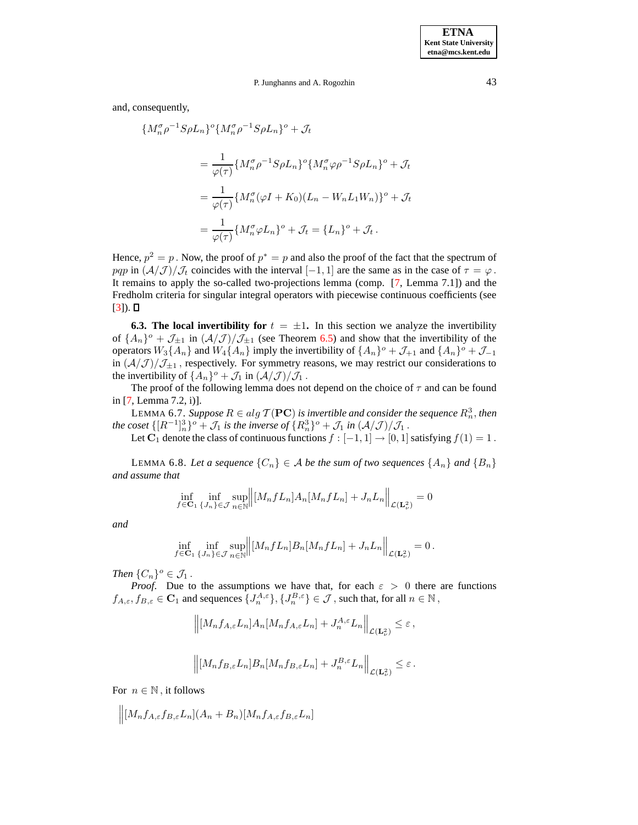and, consequently,

$$
\{M_n^{\sigma}\rho^{-1}S\rho L_n\}^o \{M_n^{\sigma}\rho^{-1}S\rho L_n\}^o + \mathcal{J}_t
$$
  

$$
= \frac{1}{\varphi(\tau)} \{M_n^{\sigma}\rho^{-1}S\rho L_n\}^o \{M_n^{\sigma}\varphi\rho^{-1}S\rho L_n\}^o + \mathcal{J}_t
$$
  

$$
= \frac{1}{\varphi(\tau)} \{M_n^{\sigma}(\varphi I + K_0)(L_n - W_n L_1 W_n)\}^o + \mathcal{J}_t
$$
  

$$
= \frac{1}{\varphi(\tau)} \{M_n^{\sigma}\varphi L_n\}^o + \mathcal{J}_t = \{L_n\}^o + \mathcal{J}_t.
$$

Hence,  $p^2 = p$ . Now, the proof of  $p^* = p$  and also the proof of the fact that the spectrum of pqp in  $(\mathcal{A}/\mathcal{J})/\mathcal{J}_t$  coincides with the interval [−1, 1] are the same as in the case of  $\tau = \varphi$ . It remains to apply the so-called two-projections lemma (comp. [\[7,](#page-64-0) Lemma 7.1]) and the Fredholm criteria for singular integral operators with piecewise continuous coefficients (see  $[3]$ .  $\Box$ 

**6.3. The local invertibility for**  $t = \pm 1$ . In this section we analyze the invertibility of  $\{A_n\}$ <sup>o</sup> +  $\mathcal{J}_{\pm 1}$  in  $(\mathcal{A}/\mathcal{J})/\mathcal{J}_{\pm 1}$  (see Theorem [6.5\)](#page-31-0) and show that the invertibility of the operators  $W_3\{A_n\}$  and  $W_4\{A_n\}$  imply the invertibility of  $\{A_n\}^o + \mathcal{J}_{+1}$  and  $\{A_n\}^o + \mathcal{J}_{-1}$ in  $\left(\frac{\mathcal{A}}{\mathcal{J}}\right)/\mathcal{J}_{\pm 1}$ , respectively. For symmetry reasons, we may restrict our considerations to the invertibility of  $\{A_n\}$ <sup>o</sup> +  $\mathcal{J}_1$  in  $(\mathcal{A}/\mathcal{J})/\mathcal{J}_1$ .

<span id="page-32-1"></span>The proof of the following lemma does not depend on the choice of  $\tau$  and can be found in [\[7,](#page-64-0) Lemma 7.2, i)].

LEMMA 6.7. *Suppose*  $R \in alg \mathcal{T}(\mathbf{PC})$  *is invertible and consider the sequence*  $R_n^3$ , *then the* coset  $\{[R^{-1}]_n^3\}$ <sup>o</sup> +  $\mathcal{J}_1$  *is the inverse of*  $\{R_n^3\}$ <sup>o</sup> +  $\mathcal{J}_1$  *in*  $(\mathcal{A}/\mathcal{J})/\mathcal{J}_1$ .

Let C<sub>1</sub> denote the class of continuous functions  $f : [-1, 1] \rightarrow [0, 1]$  satisfying  $f(1) = 1$ .

<span id="page-32-0"></span>LEMMA 6.8. Let a sequence  $\{C_n\} \in A$  be the sum of two sequences  $\{A_n\}$  and  $\{B_n\}$ *and assume that*

$$
\inf_{f \in \mathbf{C}_1} \inf_{\{J_n\} \in \mathcal{J}} \sup_{n \in \mathbb{N}} \left\| [M_n f L_n] A_n [M_n f L_n] + J_n L_n \right\|_{\mathcal{L}(\mathbf{L}^2_\nu)} = 0
$$

*and*

$$
\inf_{f \in \mathbf{C}_1} \inf_{\{J_n\} \in \mathcal{J}} \sup_{n \in \mathbb{N}} \left\| [M_n f L_n] B_n [M_n f L_n] + J_n L_n \right\|_{\mathcal{L}(\mathbf{L}^2_\nu)} = 0.
$$

*Then*  $\{C_n\}^o \in \mathcal{J}_1$ .

*Proof.* Due to the assumptions we have that, for each  $\varepsilon > 0$  there are functions  $f_{A,\varepsilon}, f_{B,\varepsilon} \in \mathbf{C}_1$  and sequences  $\{J_n^{A,\varepsilon}\}, \{J_n^{B,\varepsilon}\}\in \mathcal{J}$  , such that, for all  $n \in \mathbb{N}$ ,

$$
\left\| [M_n f_{A,\varepsilon} L_n] A_n [M_n f_{A,\varepsilon} L_n] + J_n^{A,\varepsilon} L_n \right\|_{\mathcal{L}(\mathbf{L}^2_\nu)} \leq \varepsilon,
$$
  

$$
\left\| [M_n f_{B,\varepsilon} L_n] B_n [M_n f_{B,\varepsilon} L_n] + J_n^{B,\varepsilon} L_n \right\|_{\mathcal{L}(\mathbf{L}^2_\nu)} \leq \varepsilon.
$$

For  $n \in \mathbb{N}$ , it follows

$$
\Big\|[M_nf_{A,\varepsilon}f_{B,\varepsilon}L_n](A_n+B_n)[M_nf_{A,\varepsilon}f_{B,\varepsilon}L_n]
$$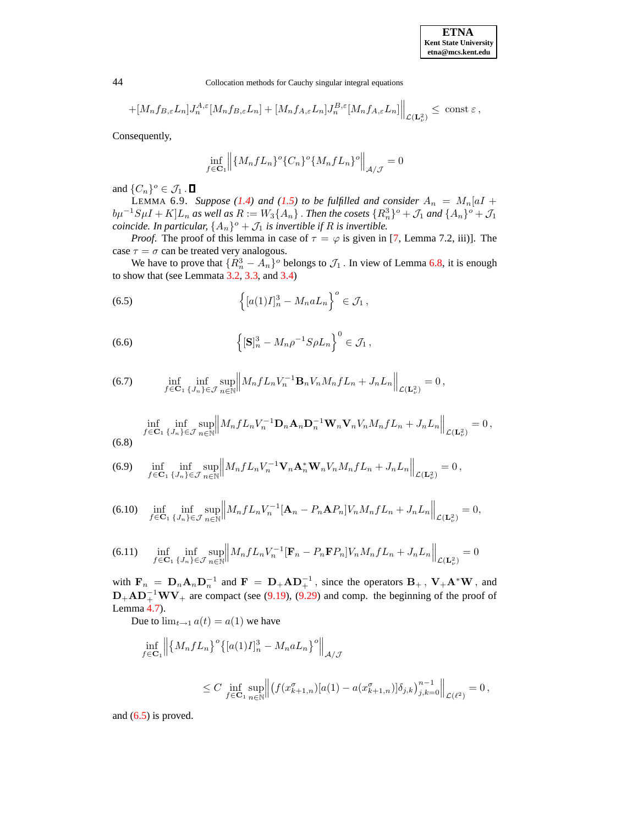| <b>ETNA</b>                  |
|------------------------------|
| <b>Kent State University</b> |
| etna@mcs.kent.edu            |

$$
+[M_nf_{B,\varepsilon}L_n]J_n^{A,\varepsilon}[M_nf_{B,\varepsilon}L_n]+[M_nf_{A,\varepsilon}L_n]J_n^{B,\varepsilon}[M_nf_{A,\varepsilon}L_n]\bigg\|_{\mathcal{L}(\mathbf{L}^2_\nu)}\le\;\text{const}\; \varepsilon\,,
$$

Consequently,

$$
\inf_{f \in \mathbf{C}_1} \left\| \{ M_n f L_n \}^o \{ C_n \}^o \{ M_n f L_n \}^o \right\|_{\mathcal{A}/\mathcal{J}} = 0
$$

<span id="page-33-7"></span>and  $\{C_n\}^o \in \mathcal{J}_1$ .

**LEMMA 6.9.** *Suppose* [\(1.4\)](#page-1-2) *and* [\(1.5\)](#page-1-3) *to be fulfilled and consider*  $A_n = M_n[aI +]$  $b\mu^{-1}S\mu I + K[L_n \text{ as well as } R := W_3\{A_n\}$ . *Then the cosets*  $\{R_n^3\}^\circ + J_1$  and  $\{A_n\}^\circ + J_1$ *coincide. In particular,*  $\{A_n\}$ <sup> $o$ </sup> +  $\mathcal{J}_1$  *is invertible if*  $R$  *is invertible.* 

*Proof.* The proof of this lemma in case of  $\tau = \varphi$  is given in [\[7,](#page-64-0) Lemma 7.2, iii)]. The case  $\tau = \sigma$  can be treated very analogous.

We have to prove that  $\{R_n^3 - A_n\}$ <sup>o</sup> belongs to  $\mathcal{J}_1$ . In view of Lemma [6.8,](#page-32-0) it is enough to show that (see Lemmata  $3.2$ ,  $3.3$ , and  $3.4$ )

<span id="page-33-0"></span>(6.5) 
$$
\left\{ [a(1)I]_n^3 - M_n a L_n \right\}^o \in \mathcal{J}_1,
$$

<span id="page-33-1"></span>(6.6) 
$$
\left\{ [\mathbf{S}]_n^3 - M_n \rho^{-1} S \rho L_n \right\}^0 \in \mathcal{J}_1,
$$

<span id="page-33-6"></span>(6.7) 
$$
\inf_{f \in \mathbf{C}_1} \inf_{\{J_n\} \in \mathcal{J}} \sup_{n \in \mathbb{N}} \left\| M_n f L_n V_n^{-1} \mathbf{B}_n V_n M_n f L_n + J_n L_n \right\|_{\mathcal{L}(\mathbf{L}^2_\nu)} = 0,
$$

<span id="page-33-5"></span>
$$
\inf_{f \in \mathbf{C}_1} \inf_{\{J_n\} \in \mathcal{J}} \sup_{n \in \mathbb{N}} \left\| M_n f L_n V_n^{-1} \mathbf{D}_n \mathbf{A}_n \mathbf{D}_n^{-1} \mathbf{W}_n \mathbf{V}_n V_n M_n f L_n + J_n L_n \right\|_{\mathcal{L}(\mathbf{L}^2_\nu)} = 0,
$$
\n(6.8)

<span id="page-33-4"></span>(6.9) 
$$
\inf_{f \in \mathbf{C}_1} \inf_{\{J_n\} \in \mathcal{J}} \sup_{n \in \mathbb{N}} \left\| M_n f L_n V_n^{-1} \mathbf{V}_n \mathbf{A}_n^* \mathbf{W}_n V_n M_n f L_n + J_n L_n \right\|_{\mathcal{L}(\mathbf{L}^2_\nu)} = 0,
$$

<span id="page-33-3"></span>
$$
(6.10) \quad \inf_{f \in \mathbf{C}_1} \inf_{\{J_n\} \in \mathcal{J}} \sup_{n \in \mathbb{N}} \left\| M_n f L_n V_n^{-1} [\mathbf{A}_n - P_n \mathbf{A} P_n] V_n M_n f L_n + J_n L_n \right\|_{\mathcal{L}(\mathbf{L}^2_\nu)} = 0,
$$

<span id="page-33-2"></span>(6.11) 
$$
\inf_{f \in \mathbf{C}_1} \inf_{\{J_n\} \in \mathcal{J}} \sup_{n \in \mathbb{N}} \left\| M_n f L_n V_n^{-1} [\mathbf{F}_n - P_n \mathbf{F} P_n] V_n M_n f L_n + J_n L_n \right\|_{\mathcal{L}(\mathbf{L}^2_\nu)} = 0
$$

with  $\mathbf{F}_n = \mathbf{D}_n \mathbf{A}_n \mathbf{D}_n^{-1}$  and  $\mathbf{F} = \mathbf{D}_+ \mathbf{A} \mathbf{D}_+^{-1}$ , since the operators  $\mathbf{B}_+$ ,  $\mathbf{V}_+ \mathbf{A}^* \mathbf{W}$ , and  $D_+AD_+^{-1}WV_+$  are compact (see [\(9.19\)](#page-51-0), [\(9.29\)](#page-54-0) and comp. the beginning of the proof of Lemma [4.7\)](#page-21-0).

Due to  $\lim_{t\to 1} a(t) = a(1)$  we have

$$
\inf_{f \in \mathbf{C}_1} \left\| \left\{ M_n f L_n \right\}^o \left\{ [a(1)I]_n^3 - M_n a L_n \right\}^o \right\|_{\mathcal{A}/\mathcal{J}} \n\leq C \inf_{f \in \mathbf{C}_1} \sup_{n \in \mathbb{N}} \left\| \left( f(x_{k+1,n}^\sigma) [a(1) - a(x_{k+1,n}^\sigma)] \delta_{j,k} \right)_{j,k=0}^{n-1} \right\|_{\mathcal{L}(\ell^2)} = 0,
$$

and [\(6.5\)](#page-33-0) is proved.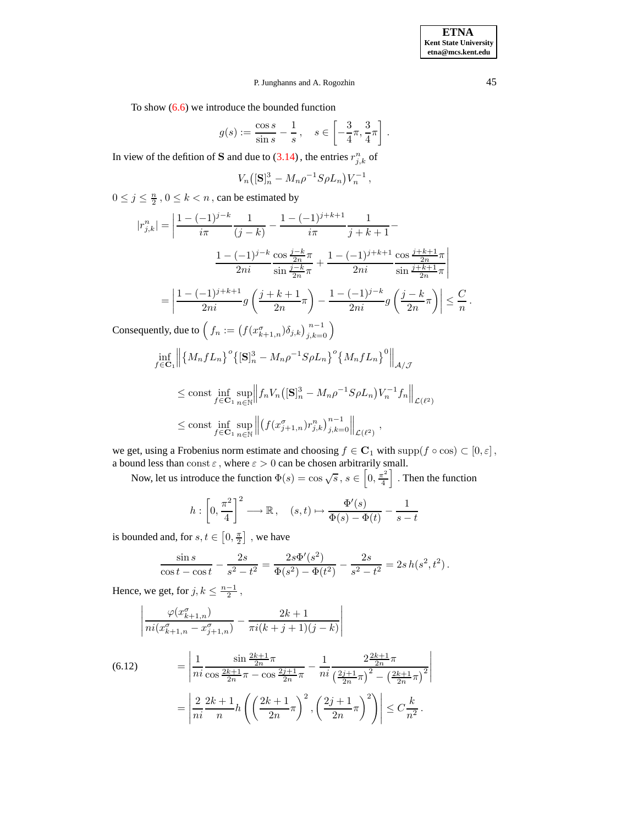To show [\(6.6\)](#page-33-1) we introduce the bounded function

$$
g(s) := \frac{\cos s}{\sin s} - \frac{1}{s}, \quad s \in \left[ -\frac{3}{4}\pi, \frac{3}{4}\pi \right].
$$

In view of the defition of **S** and due to [\(3.14\)](#page-15-1), the entries  $r_{j,k}^n$  of

$$
V_n\bigl( [\mathbf{S}]_n^3 - M_n \rho^{-1} S \rho L_n \bigr) V_n^{-1} \,,
$$

 $0 \leq j \leq \frac{n}{2}$ ,  $0 \leq k < n$ , can be estimated by

$$
|r_{j,k}^{n}| = \left| \frac{1 - (-1)^{j-k}}{i\pi} \frac{1}{(j-k)} - \frac{1 - (-1)^{j+k+1}}{i\pi} \frac{1}{j+k+1} - \frac{1 - (-1)^{j-k}}{2ni} \frac{\cos \frac{j-k}{2n}\pi}{\sin \frac{j-k}{2n}\pi} + \frac{1 - (-1)^{j+k+1}}{2ni} \frac{\cos \frac{j+k+1}{2n}\pi}{\sin \frac{j+k+1}{2n}\pi} \right|
$$
  
\n
$$
= \left| \frac{1 - (-1)^{j+k+1}}{2ni} g\left(\frac{j+k+1}{2n}\pi\right) - \frac{1 - (-1)^{j-k}}{2ni} g\left(\frac{j-k}{2n}\pi\right) \right| \leq \frac{C}{n}.
$$
  
\nConsequently, due to  $\left(f_n := \left(f(x_{k+1,n}^{\sigma})\delta_{j,k}\right)_{j,k=0}^{n-1}\right)$   
\n
$$
\inf_{f \in \mathbf{C}_1} \left\| \left\{ M_n f L_n \right\}^o \left\{ [\mathbf{S}]_n^3 - M_n \rho^{-1} S \rho L_n \right\}^o \left\{ M_n f L_n \right\}^0 \right\|_{\mathcal{A}/\mathcal{J}}
$$
  
\n
$$
\leq \text{const} \inf_{f \in \mathbf{C}_1} \sup_{n \in \mathbb{N}} \left\| f_n V_n \left( [\mathbf{S}]_n^3 - M_n \rho^{-1} S \rho L_n \right) V_n^{-1} f_n \right\|_{\mathcal{L}(\ell^2)}
$$
  
\n
$$
\leq \text{const} \inf_{f \in \mathbf{C}_1} \sup_{n \in \mathbb{N}} \left\| \left( f(x_{j+1,n}^{\sigma}) r_{j,k}^n \right)_{j,k=0}^{n-1} \right\|_{\mathcal{L}(\ell^2)},
$$

we get, using a Frobenius norm estimate and choosing  $f \in \mathbf{C}_1$  with  $\text{supp}(f \circ \cos) \subset [0, \varepsilon]$ , a bound less than const  $\varepsilon$ , where  $\varepsilon > 0$  can be chosen arbitrarily small.

Now, let us introduce the function  $\Phi(s) = \cos \sqrt{s}$ ,  $s \in \left[0, \frac{\pi^2}{4}\right]$ 4 I. Then the function

$$
h: \left[0, \frac{\pi^2}{4}\right]^2 \longrightarrow \mathbb{R}, \quad (s, t) \mapsto \frac{\Phi'(s)}{\Phi(s) - \Phi(t)} - \frac{1}{s - t}
$$

is bounded and, for  $s, t \in [0, \frac{\pi}{2}]$ , we have

$$
\frac{\sin s}{\cos t - \cos t} - \frac{2s}{s^2 - t^2} = \frac{2s\Phi'(s^2)}{\Phi(s^2) - \Phi(t^2)} - \frac{2s}{s^2 - t^2} = 2s h(s^2, t^2).
$$

Hence, we get, for  $j, k \leq \frac{n-1}{2}$ ,

$$
\left| \frac{\varphi(x_{k+1,n}^{\sigma})}{ni(x_{k+1,n}^{\sigma}-x_{j+1,n}^{\sigma})} - \frac{2k+1}{\pi i(k+j+1)(j-k)} \right|
$$

<span id="page-34-0"></span>(6.12) 
$$
= \left| \frac{1}{ni} \frac{\sin \frac{2k+1}{2n}\pi}{\cos \frac{2k+1}{2n}\pi - \cos \frac{2j+1}{2n}\pi} - \frac{1}{ni} \frac{2\frac{2k+1}{2n}\pi}{\left(\frac{2j+1}{2n}\pi\right)^2 - \left(\frac{2k+1}{2n}\pi\right)^2} \right|
$$

$$
= \left| \frac{2}{ni} \frac{2k+1}{n} h\left( \left(\frac{2k+1}{2n}\pi\right)^2, \left(\frac{2j+1}{2n}\pi\right)^2 \right) \right| \leq C \frac{k}{n^2}.
$$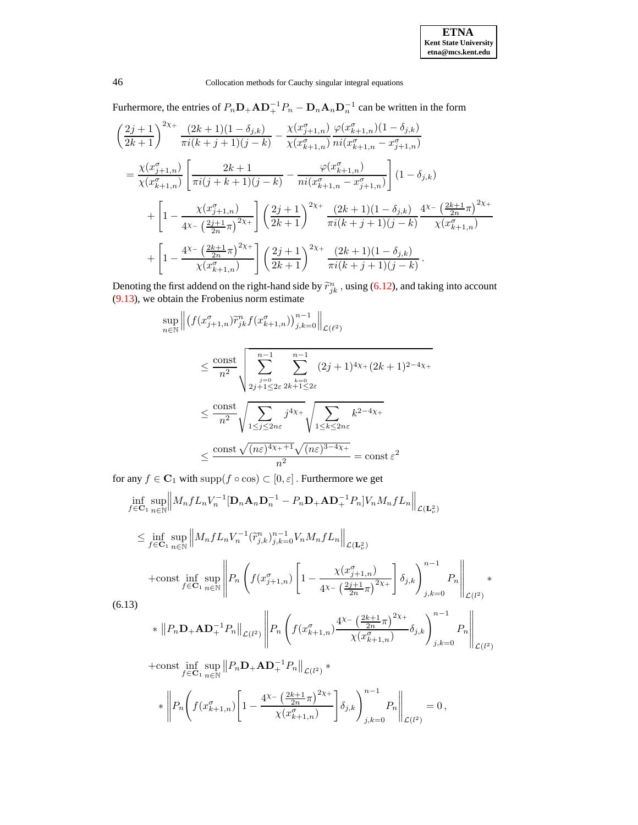Furhermore, the entries of  $P_n \mathbf{D}_+ \mathbf{A} \mathbf{D}_+^{-1} P_n - \mathbf{D}_n \mathbf{A}_n \mathbf{D}_n^{-1}$  can be written in the form

$$
\left(\frac{2j+1}{2k+1}\right)^{2\chi_{+}} \frac{(2k+1)(1-\delta_{j,k})}{\pi i(k+j+1)(j-k)} - \frac{\chi(x_{j+1,n}^{\sigma})}{\chi(x_{k+1,n}^{\sigma})} \frac{\varphi(x_{k+1,n}^{\sigma})(1-\delta_{j,k})}{\pi i(x_{k+1,n}^{\sigma}-x_{j+1,n}^{\sigma})}
$$
\n
$$
= \frac{\chi(x_{j+1,n}^{\sigma})}{\chi(x_{k+1,n}^{\sigma})} \left[\frac{2k+1}{\pi i(j+k+1)(j-k)} - \frac{\varphi(x_{k+1,n}^{\sigma})}{\pi i(x_{k+1,n}^{\sigma}-x_{j+1,n}^{\sigma})}\right] (1-\delta_{j,k})
$$
\n
$$
+ \left[1 - \frac{\chi(x_{j+1,n}^{\sigma})}{4\chi_{-}\left(\frac{2j+1}{2n}\pi\right)^{2\chi_{+}}}\right] \left(\frac{2j+1}{2k+1}\right)^{2\chi_{+}} \frac{(2k+1)(1-\delta_{j,k})}{\pi i(k+j+1)(j-k)} \frac{4^{\chi_{-}}\left(\frac{2k+1}{2n}\pi\right)^{2\chi_{+}}}{\chi(x_{k+1,n}^{\sigma})}
$$
\n
$$
+ \left[1 - \frac{4^{\chi_{-}}\left(\frac{2k+1}{2n}\pi\right)^{2\chi_{+}}}{\chi(x_{k+1,n}^{\sigma})}\right] \left(\frac{2j+1}{2k+1}\right)^{2\chi_{+}} \frac{(2k+1)(1-\delta_{j,k})}{\pi i(k+j+1)(j-k)}.
$$

Denoting the first addend on the right-hand side by  $\tilde{r}_{jk}^n$ , using [\(6.12\)](#page-34-0), and taking into account [\(9.13\)](#page-49-0), we obtain the Frobenius norm estimate

$$
\sup_{n \in \mathbb{N}} \left\| \left( f(x_{j+1,n}^{\sigma}) \tilde{r}_{jk}^{n} f(x_{k+1,n}^{\sigma}) \right)_{j,k=0}^{n-1} \right\|_{\mathcal{L}(\ell^2)}
$$
\n
$$
\leq \frac{\text{const}}{n^2} \sqrt{\sum_{\substack{j=0 \ j \neq 1 \leq 2\varepsilon}}^{n-1} \sum_{\substack{k=0 \ k \neq 1 \leq 2\varepsilon}}^{n-1} (2j+1)^{4\chi_+} (2k+1)^{2-4\chi_+}}
$$
\n
$$
\leq \frac{\text{const}}{n^2} \sqrt{\sum_{1 \leq j \leq 2n\varepsilon} j^{4\chi_+}} \sqrt{\sum_{1 \leq k \leq 2n\varepsilon} k^{2-4\chi_+}}
$$
\n
$$
\leq \frac{\text{const} \sqrt{(n\varepsilon)^{4\chi_++1}} \sqrt{(n\varepsilon)^{3-4\chi_+}}}{n^2} = \text{const } \varepsilon^2
$$

for any  $f\in {\bf C}_1$  with  ${\rm supp}(f\circ {\rm cos})\subset [0,\varepsilon]$  . Furthermore we get

$$
\inf_{f \in \mathbf{C}_{1}} \sup_{n \in \mathbb{N}} \left\| M_{n} f L_{n} V_{n}^{-1} [\mathbf{D}_{n} \mathbf{A}_{n} \mathbf{D}_{n}^{-1} - P_{n} \mathbf{D}_{+} \mathbf{A} \mathbf{D}_{+}^{-1} P_{n}] V_{n} M_{n} f L_{n} \right\|_{\mathcal{L}(\mathbf{L}_{\nu}^{2})}
$$
\n
$$
\leq \inf_{f \in \mathbf{C}_{1}} \sup_{n \in \mathbb{N}} \left\| M_{n} f L_{n} V_{n}^{-1} (\tilde{r}_{j,k}^{n})_{j,k=0}^{n-1} V_{n} M_{n} f L_{n} \right\|_{\mathcal{L}(\mathbf{L}_{\nu}^{2})}
$$
\n
$$
+ \text{const} \inf_{f \in \mathbf{C}_{1}} \sup_{n \in \mathbb{N}} \left\| P_{n} \left( f(x_{j+1,n}^{\sigma}) \left[ 1 - \frac{\chi(x_{j+1,n}^{\sigma})}{4\chi - \left(\frac{2j+1}{2n}\pi\right)^{2\chi +}} \right] \delta_{j,k} \right) \right\|_{j,k=0}^{n-1} P_{n} \right\|_{\mathcal{L}(l^{2})}
$$
\n(6.13)\n
$$
* \left\| P_{n} \mathbf{D}_{+} \mathbf{A} \mathbf{D}_{+}^{-1} P_{n} \right\|_{\mathcal{L}(l^{2})} \left\| P_{n} \left( f(x_{k+1,n}^{\sigma}) \frac{4\chi - \left(\frac{2k+1}{2n}\pi\right)^{2\chi +}}{\chi(x_{k+1,n}^{\sigma})} \delta_{j,k} \right) \right\|_{j,k=0}^{n-1} P_{n} \right\|_{\mathcal{L}(l^{2})}
$$

+const inf sup<br> $f \in \mathbf{C}_1$   $\underset{n \in \mathbb{N}}{\text{sup}}$  $||P_n \mathbf{D}_+ \mathbf{A} \mathbf{D}_+^{-1} P_n||_{\mathcal{L}(l^2)} *$ 

$$
*\left\| P_n \Biggl( f(x_{k+1,n}^\sigma) \Biggl[ 1 - \frac{4^{\chi_-} \left( \frac{2k+1}{2n} \pi \right)^{2\chi_+} }{\chi(x_{k+1,n}^\sigma) } \Biggr] \delta_{j,k} \Biggr)_{j,k=0}^{n-1} P_n \right\|_{\mathcal{L}(l^2)} = 0 \,,
$$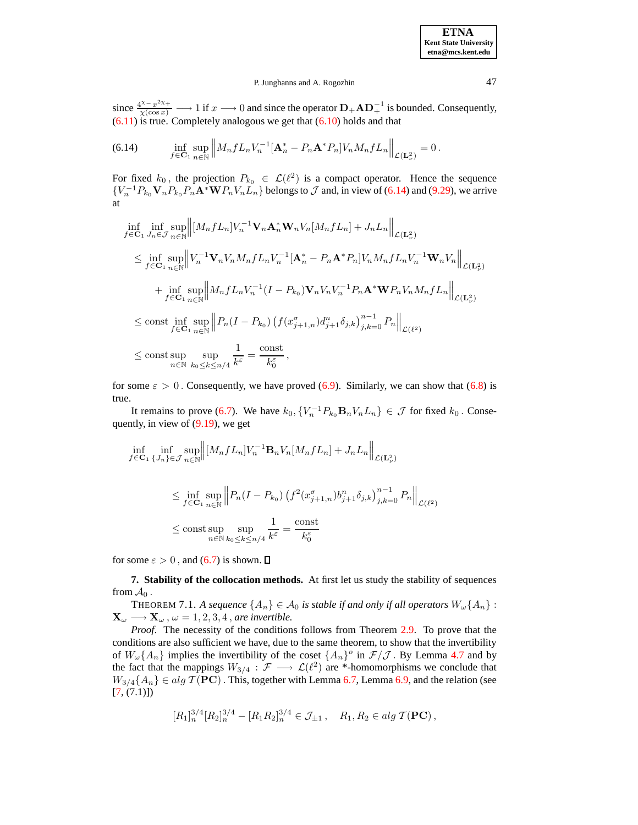since  $\frac{4^{x}-x^{2x+}}{\chi(\cos x)} \longrightarrow 1$  if  $x \longrightarrow 0$  and since the operator  $\mathbf{D}_{+} \mathbf{A} \mathbf{D}_{+}^{-1}$  is bounded. Consequently,  $(6.11)$  is true. Completely analogous we get that  $(6.10)$  holds and that

<span id="page-36-0"></span>(6.14) 
$$
\inf_{f \in \mathbf{C}_{1}} \sup_{n \in \mathbb{N}} \left\| M_{n} f L_{n} V_{n}^{-1} [\mathbf{A}_{n}^{*} - P_{n} \mathbf{A}^{*} P_{n}] V_{n} M_{n} f L_{n} \right\|_{\mathcal{L}(\mathbf{L}_{\nu}^{2})} = 0.
$$

For fixed  $k_0$ , the projection  $P_{k_0} \in \mathcal{L}(\ell^2)$  is a compact operator. Hence the sequence  ${V_n^{-1}P_{k_0}\mathbf{V}_nP_{k_0}P_n\mathbf{A}^*\mathbf{W}P_nV_nL_n}$  belongs to  $\mathcal J$  and, in view of [\(6.14\)](#page-36-0) and [\(9.29\)](#page-54-0), we arrive at

$$
\inf_{f \in \mathbf{C}_{1}} \inf_{J_{n} \in \mathcal{J}} \sup_{n \in \mathbb{N}} \left\| [M_{n} f L_{n}] V_{n}^{-1} \mathbf{V}_{n} \mathbf{A}_{n}^{*} \mathbf{W}_{n} V_{n} [M_{n} f L_{n}] + J_{n} L_{n} \right\|_{\mathcal{L}(\mathbf{L}_{\nu}^{2})} \n\leq \inf_{f \in \mathbf{C}_{1}} \sup_{n \in \mathbb{N}} \left\| V_{n}^{-1} \mathbf{V}_{n} V_{n} M_{n} f L_{n} V_{n}^{-1} [\mathbf{A}_{n}^{*} - P_{n} \mathbf{A}^{*} P_{n}] V_{n} M_{n} f L_{n} V_{n}^{-1} \mathbf{W}_{n} V_{n} \right\|_{\mathcal{L}(\mathbf{L}_{\nu}^{2})} \n+ \inf_{f \in \mathbf{C}_{1}} \sup_{n \in \mathbb{N}} \left\| M_{n} f L_{n} V_{n}^{-1} (I - P_{k_{0}}) \mathbf{V}_{n} V_{n} V_{n}^{-1} P_{n} \mathbf{A}^{*} \mathbf{W} P_{n} V_{n} M_{n} f L_{n} \right\|_{\mathcal{L}(\mathbf{L}_{\nu}^{2})} \n\leq \text{const} \inf_{f \in \mathbf{C}_{1}} \sup_{n \in \mathbb{N}} \left\| P_{n} (I - P_{k_{0}}) \left( f (x_{j+1,n}^{\sigma}) d_{j+1}^{n} \delta_{j,k} \right)_{j,k=0}^{n-1} P_{n} \right\|_{\mathcal{L}(\ell^{2})} \n\leq \text{const} \sup_{n \in \mathbb{N}} \sup_{k_{0} \leq k \leq n/4} \frac{1}{k^{\varepsilon}} = \frac{\text{const}}{k_{0}^{\varepsilon}},
$$

for some  $\varepsilon > 0$ . Consequently, we have proved [\(6.9\)](#page-33-4). Similarly, we can show that [\(6.8\)](#page-33-5) is true.

It remains to prove [\(6.7\)](#page-33-6). We have  $k_0$ ,  $\{V_n^{-1}P_{k_0}\mathbf{B}_nV_nL_n\} \in \mathcal{J}$  for fixed  $k_0$ . Consequently, in view of [\(9.19\)](#page-51-0), we get

$$
\inf_{f \in \mathbf{C}_1} \inf_{\{J_n\} \in \mathcal{J}} \sup_{n \in \mathbb{N}} \left\| [M_n f L_n] V_n^{-1} \mathbf{B}_n V_n [M_n f L_n] + J_n L_n \right\|_{\mathcal{L}(\mathbf{L}^2_\nu)}
$$
\n
$$
\leq \inf_{f \in \mathbf{C}_1} \sup_{n \in \mathbb{N}} \left\| P_n (I - P_{k_0}) \left( f^2 (x_{j+1,n}^\sigma) b_{j+1}^n \delta_{j,k} \right)_{j,k=0}^{n-1} P_n \right\|_{\mathcal{L}(\ell^2)}
$$
\n
$$
\leq \text{const} \sup_{n \in \mathbb{N}} \sup_{k_0 \leq k \leq n/4} \frac{1}{k^\varepsilon} = \frac{\text{const}}{k_0^\varepsilon}
$$

for some  $\varepsilon > 0$ , and [\(6.7\)](#page-33-6) is shown.  $\square$ 

<span id="page-36-1"></span>**7. Stability of the collocation methods.** At first let us study the stability of sequences from  $A_0$ .

THEOREM 7.1. *A sequence*  $\{A_n\} \in \mathcal{A}_0$  *is stable if and only if all operators*  $W_\omega\{A_n\}$ :  $\mathbf{X}_{\omega} \longrightarrow \mathbf{X}_{\omega}, \omega = 1, 2, 3, 4$ , *are invertible.* 

*Proof*. The necessity of the conditions follows from Theorem [2.9.](#page-7-1) To prove that the conditions are also sufficient we have, due to the same theorem, to show that the invertibility of  $W_\omega\{A_n\}$  implies the invertibility of the coset  $\{A_n\}$ <sup>o</sup> in  $\mathcal{F}/\mathcal{J}$ . By Lemma [4.7](#page-21-0) and by the fact that the mappings  $W_{3/4} : \mathcal{F} \longrightarrow \mathcal{L}(\ell^2)$  are \*-homomorphisms we conclude that  $W_{3/4}{A_n} \in alg \mathcal{T}(PC)$ . This, together with Lemma [6.7,](#page-32-1) Lemma [6.9,](#page-33-7) and the relation (see  $[7, (7.1)]$  $[7, (7.1)]$ 

$$
[R_1]_n^{3/4} [R_2]_n^{3/4} - [R_1 R_2]_n^{3/4} \in \mathcal{J}_{\pm 1}, \quad R_1, R_2 \in alg \, \mathcal{T}(\mathbf{PC}),
$$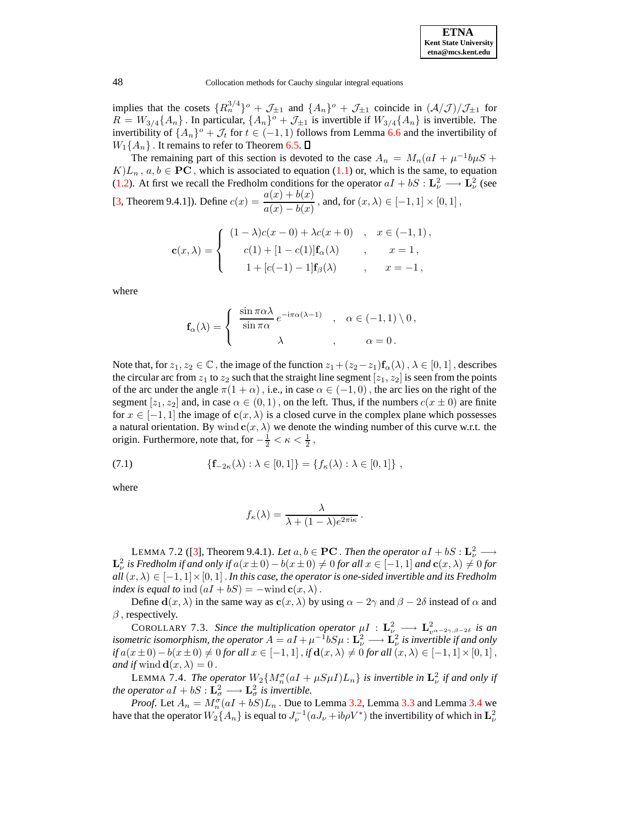

implies that the cosets  $\{R_n^{3/4}\}$ <sup>o</sup> +  $\mathcal{J}_{\pm 1}$  and  $\{A_n\}$ <sup>o</sup> +  $\mathcal{J}_{\pm 1}$  coincide in  $(\mathcal{A}/\mathcal{J})/\mathcal{J}_{\pm 1}$  for  $R = W_{3/4}{A_n}$ . In particular,  ${A_n}^{\circ} + \mathcal{J}_{\pm 1}$  is invertible if  $W_{3/4}{A_n}$  is invertible. The invertibility of  $\{A_n\}$ <sup>o</sup> +  $\mathcal{J}_t$  for  $t \in (-1, 1)$  follows from Lemma [6.6](#page-31-2) and the invertibility of  $W_1\{A_n\}$ . It remains to refer to Theorem [6.5.](#page-31-0)  $\square$ 

The remaining part of this section is devoted to the case  $A_n = M_n(aI + \mu^{-1}b\mu S +$  $K/L_n$ ,  $a, b \in \mathbf{PC}$ , which is associated to equation [\(1.1\)](#page-0-0) or, which is the same, to equation [\(1.2\)](#page-1-0). At first we recall the Fredholm conditions for the operator  $aI + bS : \mathbf{L}_{\nu}^2 \longrightarrow \mathbf{L}_{\nu}^2$  (see [\[3,](#page-64-1) Theorem 9.4.1]). Define  $c(x) = \frac{a(x) + b(x)}{b(x)}$  $\frac{a(x)+b(x)}{a(x)-b(x)}$ , and, for  $(x,\lambda) \in [-1,1] \times [0,1]$ ,

$$
\mathbf{c}(x,\lambda) = \begin{cases} (1-\lambda)c(x-0) + \lambda c(x+0) & , x \in (-1,1), \\ c(1) + [1 - c(1)]\mathbf{f}_{\alpha}(\lambda) & , x = 1, \\ 1 + [c(-1) - 1]\mathbf{f}_{\beta}(\lambda) & , x = -1, \end{cases}
$$

where

$$
\mathbf{f}_{\alpha}(\lambda) = \begin{cases} \frac{\sin \pi \alpha \lambda}{\sin \pi \alpha} e^{-i\pi \alpha (\lambda - 1)} & , \alpha \in (-1, 1) \setminus 0, \\ \lambda & , \alpha = 0. \end{cases}
$$

Note that, for  $z_1, z_2 \in \mathbb{C}$ , the image of the function  $z_1+(z_2-z_1)\mathbf{f}_{\alpha}(\lambda)$ ,  $\lambda \in [0,1]$ , describes the circular arc from  $z_1$  to  $z_2$  such that the straight line segment  $[z_1, z_2]$  is seen from the points of the arc under the angle  $\pi(1 + \alpha)$ , i.e., in case  $\alpha \in (-1, 0)$ , the arc lies on the right of the segment  $[z_1, z_2]$  and, in case  $\alpha \in (0, 1)$ , on the left. Thus, if the numbers  $c(x \pm 0)$  are finite for  $x \in [-1, 1]$  the image of  $c(x, \lambda)$  is a closed curve in the complex plane which possesses a natural orientation. By wind  $c(x, \lambda)$  we denote the winding number of this curve w.r.t. the origin. Furthermore, note that, for  $-\frac{1}{2} < \kappa < \frac{1}{2}$ ,

(7.1) 
$$
\{f_{-2\kappa}(\lambda) : \lambda \in [0,1]\} = \{f_{\kappa}(\lambda) : \lambda \in [0,1]\},
$$

where

$$
f_{\kappa}(\lambda) = \frac{\lambda}{\lambda + (1 - \lambda)e^{2\pi i \kappa}}.
$$

<span id="page-37-0"></span>LEMMA 7.2 ([\[3\]](#page-64-1), Theorem 9.4.1). *Let*  $a, b \in \mathbf{PC}$  . *Then the operator*  $aI + bS : \mathbf{L}_{\nu}^2 \longrightarrow$ *is Fredholm if and only if* $a(x ± 0) − b(x ± 0) ≠ 0$ *for all* $x ∈ [-1, 1]$ *and* $**c**(x, λ) ≠ 0$ *for*  $all(x, \lambda) \in [-1, 1] \times [0, 1]$ . *In this case, the operator is one-sided invertible and its Fredholm index is equal to* ind  $(aI + bS) = -\text{wind }c(x, \lambda)$ .

<span id="page-37-2"></span>Define  $d(x, \lambda)$  in the same way as  $c(x, \lambda)$  by using  $\alpha - 2\gamma$  and  $\beta - 2\delta$  instead of  $\alpha$  and  $\beta$ , respectively.

COROLLARY 7.3. Since the multiplication operator  $\mu I : L^2_{\nu} \longrightarrow L^2_{\nu^{\alpha-2\gamma,\beta-2\delta}}$  is an *isometric isomorphism, the operator*  $A = aI + \mu^{-1}bS\mu$  :  $\mathbf{L}^2_{\nu} \longrightarrow \mathbf{L}^2_{\nu}$  *is invertible if and only if*  $a(x±0)-b(x±0)$  ≠ 0 *for all*  $x \in [-1,1]$ , *if*  $d(x, \lambda)$  ≠ 0 *for all*  $(x, \lambda) \in [-1,1] \times [0,1]$ , *and if* wind  $\mathbf{d}(x, \lambda) = 0$ .

<span id="page-37-1"></span>LEMMA 7.4. *The operator*  $W_2\{M_n^{\sigma}(aI + \mu S\mu I)L_n\}$  *is invertible in*  $\mathbf{L}_{\nu}^2$  *if and only if the operator*  $aI + bS : \mathbf{L}_{\sigma}^{2} \longrightarrow \mathbf{L}_{\sigma}^{2}$  *is invertible.* 

*Proof.* Let  $A_n = M_n^{\sigma}(aI + bS)L_n$ . Due to Lemma [3.2,](#page-10-0) Lemma [3.3](#page-12-1) and Lemma [3.4](#page-16-0) we have that the operator  $W_2\{A_n\}$  is equal to  $J_{\nu}^{-1}(aJ_{\nu}+ib\rho V^*)$  the invertibility of which in  $\mathbf{L}^2_{\nu}$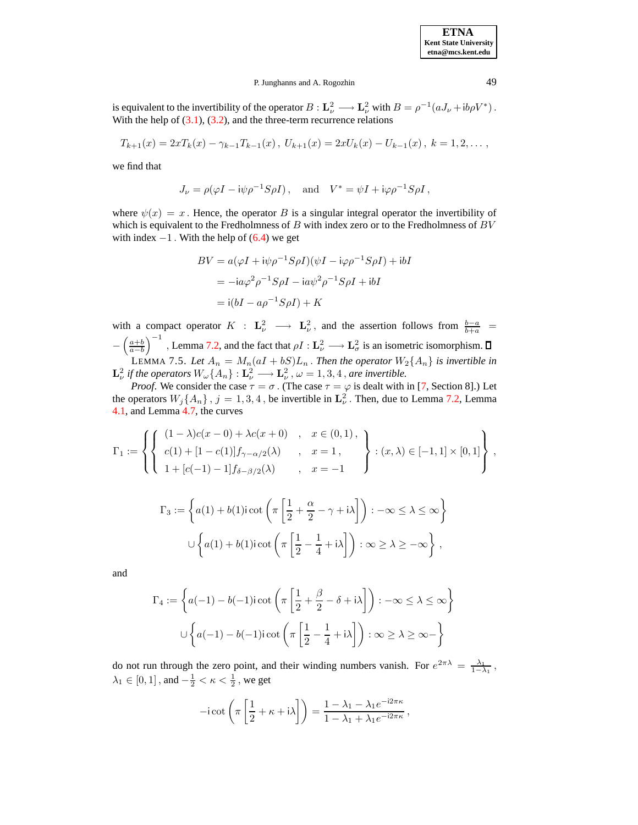is equivalent to the invertibility of the operator  $B: \mathbf{L}^2_{\nu} \longrightarrow \mathbf{L}^2_{\nu}$  with  $B = \rho^{-1}(aJ_{\nu} + ib\rho V^*)$ . With the help of  $(3.1)$ ,  $(3.2)$ , and the three-term recurrence relations

$$
T_{k+1}(x) = 2xT_k(x) - \gamma_{k-1}T_{k-1}(x), \ U_{k+1}(x) = 2xU_k(x) - U_{k-1}(x), \ k = 1, 2, \ldots
$$

we find that

$$
J_{\nu} = \rho(\varphi I - i\psi \rho^{-1} S \rho I), \text{ and } V^* = \psi I + i\varphi \rho^{-1} S \rho I,
$$

where  $\psi(x) = x$ . Hence, the operator B is a singular integral operator the invertibility of which is equivalent to the Fredholmness of  $B$  with index zero or to the Fredholmness of  $BV$ with index  $-1$ . With the help of [\(6.4\)](#page-31-1) we get

$$
BV = a(\varphi I + i\psi \rho^{-1} S \rho I)(\psi I - i\varphi \rho^{-1} S \rho I) + ibI
$$
  
= 
$$
-ia\varphi^2 \rho^{-1} S \rho I - ia\psi^2 \rho^{-1} S \rho I + ibI
$$
  
= 
$$
i(bI - a\rho^{-1} S \rho I) + K
$$

with a compact operator  $K : L^2_{\nu} \longrightarrow L^2_{\nu}$ , and the assertion follows from  $\frac{b-a}{b+a}$  = −  $\left(\frac{a+b}{a-b}\right)$  $\int^{−1}$ , Lemma [7.2,](#page-37-0) and the fact that  $\rho I : \mathbf{L}^2_\nu \longrightarrow \mathbf{L}^2_\sigma$  is an isometric isomorphism. LEMMA 7.5. Let  $A_n = M_n(aI + bS)L_n$ . Then the operator  $W_2\{A_n\}$  is invertible in  $\mathbf{L}_{\nu}^2$  if the operators  $W_{\omega}\{A_n\} : \mathbf{L}_{\nu}^2 \longrightarrow \mathbf{L}_{\nu}^2$ ,  $\omega = 1, 3, 4$ , are invertible.

*Proof.* We consider the case  $\tau = \sigma$ . (The case  $\tau = \varphi$  is dealt with in [\[7,](#page-64-0) Section 8].) Let the operators  $W_j\{A_n\}$ ,  $j = 1, 3, 4$ , be invertible in  $\mathbf{L}^2_{\nu}$ . Then, due to Lemma [7.2,](#page-37-0) Lemma [4.1,](#page-18-2) and Lemma [4.7,](#page-20-0) the curves

$$
\Gamma_1 := \left\{ \left\{ \begin{array}{ll} (1 - \lambda)c(x - 0) + \lambda c(x + 0) & , & x \in (0, 1), \\ c(1) + [1 - c(1)]f_{\gamma - \alpha/2}(\lambda) & , & x = 1, \\ 1 + [c(-1) - 1]f_{\delta - \beta/2}(\lambda) & , & x = -1 \end{array} \right\} : (x, \lambda) \in [-1, 1] \times [0, 1] \right\},
$$

$$
\Gamma_3 := \left\{ a(1) + b(1) \operatorname{icot} \left( \pi \left[ \frac{1}{2} + \frac{\alpha}{2} - \gamma + i \lambda \right] \right) : -\infty \le \lambda \le \infty \right\}
$$

$$
\cup \left\{ a(1) + b(1) \operatorname{icot} \left( \pi \left[ \frac{1}{2} - \frac{1}{4} + i \lambda \right] \right) : \infty \ge \lambda \ge -\infty \right\},\
$$

and

$$
\Gamma_4 := \left\{ a(-1) - b(-1) \operatorname{icot} \left( \pi \left[ \frac{1}{2} + \frac{\beta}{2} - \delta + i \lambda \right] \right) : -\infty \le \lambda \le \infty \right\}
$$

$$
\cup \left\{ a(-1) - b(-1) \operatorname{icot} \left( \pi \left[ \frac{1}{2} - \frac{1}{4} + i \lambda \right] \right) : \infty \ge \lambda \ge \infty \right\}
$$

do not run through the zero point, and their winding numbers vanish. For  $e^{2\pi\lambda} = \frac{\lambda_1}{1-\lambda_1}$ ,  $\lambda_1 \in [0, 1]$ , and  $-\frac{1}{2} < \kappa < \frac{1}{2}$ , we get

$$
-i \cot \left(\pi \left[\frac{1}{2} + \kappa + i\lambda\right]\right) = \frac{1 - \lambda_1 - \lambda_1 e^{-i2\pi\kappa}}{1 - \lambda_1 + \lambda_1 e^{-i2\pi\kappa}},
$$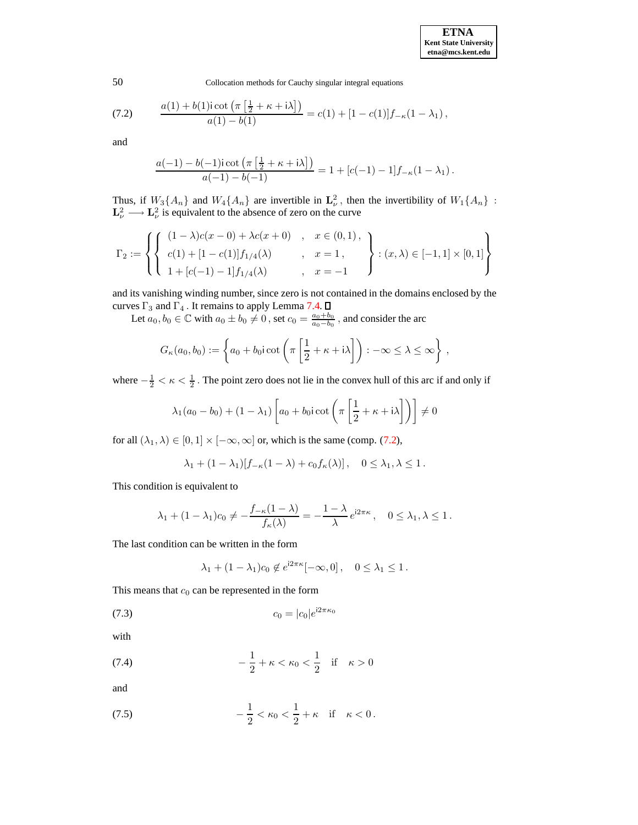| <b>ETNA</b>                  |
|------------------------------|
| <b>Kent State University</b> |
| etna@mcs.kent.edu            |

<span id="page-39-0"></span>(7.2) 
$$
\frac{a(1) + b(1)\mathrm{i} \cot\left(\pi\left[\frac{1}{2} + \kappa + \mathrm{i}\lambda\right]\right)}{a(1) - b(1)} = c(1) + [1 - c(1)]f_{-\kappa}(1 - \lambda_1),
$$

and

$$
\frac{a(-1)-b(-1)i \cot \left(\pi \left[\frac{1}{2}+\kappa+i\lambda\right]\right)}{a(-1)-b(-1)} = 1 + [c(-1)-1]f_{-\kappa}(1-\lambda_1).
$$

Thus, if  $W_3\{A_n\}$  and  $W_4\{A_n\}$  are invertible in  $\mathbf{L}^2_{\nu}$ , then the invertibility of  $W_1\{A_n\}$ :<br> $\mathbf{L}^2_{\nu} \longrightarrow \mathbf{L}^2_{\nu}$  is equivalent to the absence of zero on the curve

$$
\Gamma_2 := \left\{ \left\{ \begin{array}{ll} (1-\lambda)c(x-0) + \lambda c(x+0) & , & x \in (0,1), \\[0.2cm] c(1) + [1 - c(1)]f_{1/4}(\lambda) & , & x = 1, \\[0.2cm] 1 + [c(-1) - 1]f_{1/4}(\lambda) & , & x = -1 \end{array} \right\} : (x,\lambda) \in [-1,1] \times [0,1] \right\}
$$

and its vanishing winding number, since zero is not contained in the domains enclosed by the curves  $\Gamma_3$  and  $\Gamma_4$ . It remains to apply Lemma [7.4.](#page-37-1)

Let  $a_0, b_0 \in \mathbb{C}$  with  $a_0 \pm b_0 \neq 0$ , set  $c_0 = \frac{a_0 + b_0}{a_0 - b_0}$ , and consider the arc

$$
G_{\kappa}(a_0, b_0) := \left\{ a_0 + b_0 i \cot \left( \pi \left[ \frac{1}{2} + \kappa + i \lambda \right] \right) : -\infty \leq \lambda \leq \infty \right\},\,
$$

where  $-\frac{1}{2} < \kappa < \frac{1}{2}$ . The point zero does not lie in the convex hull of this arc if and only if

$$
\lambda_1(a_0 - b_0) + (1 - \lambda_1) \left[ a_0 + b_0 \operatorname{icot} \left( \pi \left[ \frac{1}{2} + \kappa + i \lambda \right] \right) \right] \neq 0
$$

for all  $(\lambda_1, \lambda) \in [0, 1] \times [-\infty, \infty]$  or, which is the same (comp. [\(7.2\)](#page-39-0),

$$
\lambda_1 + (1 - \lambda_1)[f_{-\kappa}(1 - \lambda) + c_0 f_{\kappa}(\lambda)], \quad 0 \le \lambda_1, \lambda \le 1.
$$

This condition is equivalent to

$$
\lambda_1 + (1 - \lambda_1)c_0 \neq -\frac{f_{-\kappa}(1 - \lambda)}{f_{\kappa}(\lambda)} = -\frac{1 - \lambda}{\lambda}e^{i2\pi\kappa}, \quad 0 \leq \lambda_1, \lambda \leq 1.
$$

The last condition can be written in the form

<span id="page-39-1"></span>
$$
\lambda_1 + (1 - \lambda_1)c_0 \notin e^{i2\pi\kappa}[-\infty, 0], \quad 0 \le \lambda_1 \le 1.
$$

This means that  $c_0$  can be represented in the form

(7.3) 
$$
c_0 = |c_0|e^{i2\pi\kappa_0}
$$

<span id="page-39-2"></span>with

(7.4) 
$$
-\frac{1}{2} + \kappa < \kappa_0 < \frac{1}{2}
$$
 if  $\kappa > 0$ 

and

<span id="page-39-3"></span>(7.5) 
$$
-\frac{1}{2} < \kappa_0 < \frac{1}{2} + \kappa \quad \text{if} \quad \kappa < 0 \, .
$$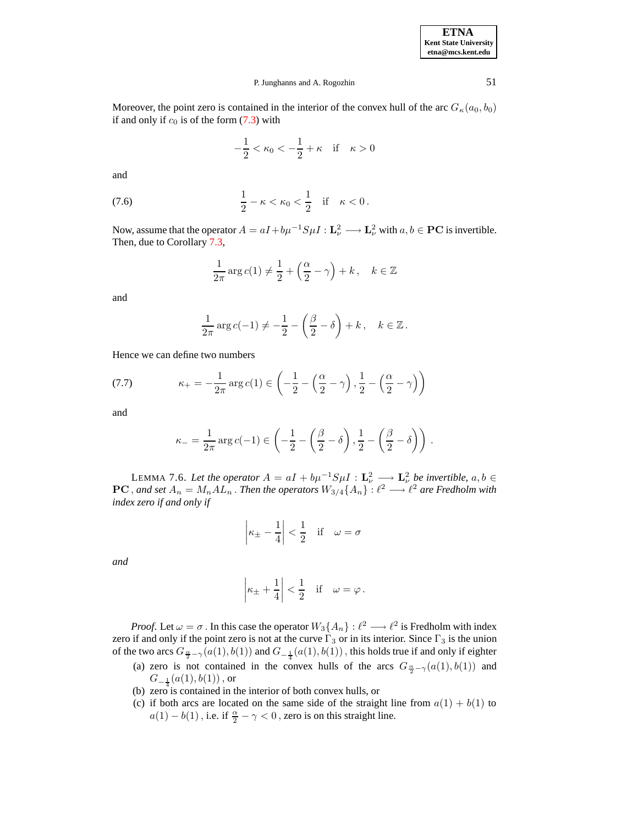Moreover, the point zero is contained in the interior of the convex hull of the arc  $G_{\kappa}(a_0, b_0)$ if and only if  $c_0$  is of the form  $(7.3)$  with

$$
-\frac{1}{2} < \kappa_0 < -\frac{1}{2} + \kappa \quad \text{if} \quad \kappa > 0
$$

<span id="page-40-1"></span>and

(7.6) 
$$
\frac{1}{2} - \kappa < \kappa_0 < \frac{1}{2} \quad \text{if} \quad \kappa < 0 \, .
$$

Now, assume that the operator  $A = aI + b\mu^{-1}S\mu I : \mathbf{L}^2_{\nu} \longrightarrow \mathbf{L}^2_{\nu}$  with  $a, b \in \mathbf{PC}$  is invertible. Then, due to Corollary [7.3,](#page-37-2)

$$
\frac{1}{2\pi}\arg c(1) \neq \frac{1}{2} + \left(\frac{\alpha}{2} - \gamma\right) + k, \quad k \in \mathbb{Z}
$$

and

$$
\frac{1}{2\pi}\arg c(-1) \neq -\frac{1}{2} - \left(\frac{\beta}{2} - \delta\right) + k, \quad k \in \mathbb{Z}.
$$

Hence we can define two numbers

<span id="page-40-0"></span>(7.7) 
$$
\kappa_{+} = -\frac{1}{2\pi} \arg c(1) \in \left( -\frac{1}{2} - \left( \frac{\alpha}{2} - \gamma \right), \frac{1}{2} - \left( \frac{\alpha}{2} - \gamma \right) \right)
$$

and

$$
\kappa_{-} = \frac{1}{2\pi} \arg c(-1) \in \left( -\frac{1}{2} - \left( \frac{\beta}{2} - \delta \right), \frac{1}{2} - \left( \frac{\beta}{2} - \delta \right) \right).
$$

LEMMA 7.6. Let the operator  $A = aI + b\mu^{-1}S\mu I : \mathbf{L}_{\nu}^{2} \longrightarrow \mathbf{L}_{\nu}^{2}$  be invertible,  $a, b \in$  $PC$ , and set  $A_n = M_n A L_n$ . Then the operators  $W_{3/4} \{A_n\} : \ell^2 \longrightarrow \ell^2$  are Fredholm with *index zero if and only if*

$$
\left|\kappa_{\pm} - \frac{1}{4}\right| < \frac{1}{2} \quad \text{if} \quad \omega = \sigma
$$

*and*

$$
\left|\kappa_{\pm} + \frac{1}{4}\right| < \frac{1}{2}
$$
 if  $\omega = \varphi$ .

*Proof.* Let  $\omega = \sigma$ . In this case the operator  $W_3\{A_n\} : \ell^2 \longrightarrow \ell^2$  is Fredholm with index zero if and only if the point zero is not at the curve  $\Gamma_3$  or in its interior. Since  $\Gamma_3$  is the union of the two arcs  $G_{\frac{\alpha}{2}-\gamma}(a(1),b(1))$  and  $G_{-\frac{1}{4}}(a(1),b(1))$  , this holds true if and only if eighter

- (a) zero is not contained in the convex hulls of the arcs  $G_{\frac{\alpha}{2}-\gamma}(a(1), b(1))$  and  $G_{-\frac{1}{4}}(a(1),b(1))$  , or
- (b) zero is contained in the interior of both convex hulls, or
- (c) if both arcs are located on the same side of the straight line from  $a(1) + b(1)$  to  $a(1) - b(1)$  , i.e. if  $\frac{\alpha}{2} - \gamma < 0$  , zero is on this straight line.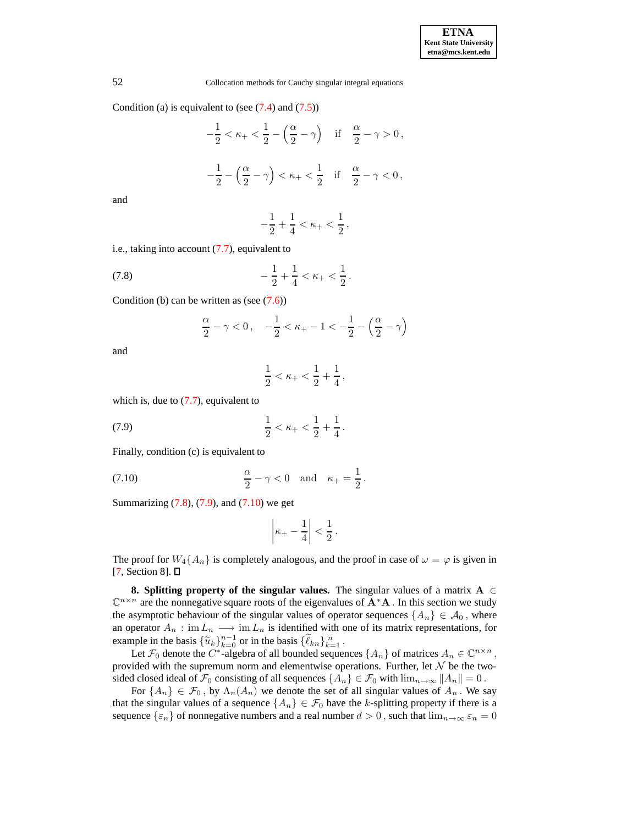Condition (a) is equivalent to (see  $(7.4)$  and  $(7.5)$ )

$$
-\frac{1}{2} < \kappa_+ < \frac{1}{2} - \left(\frac{\alpha}{2} - \gamma\right) \quad \text{if} \quad \frac{\alpha}{2} - \gamma > 0 \,,
$$
\n
$$
-\frac{1}{2} - \left(\frac{\alpha}{2} - \gamma\right) < \kappa_+ < \frac{1}{2} \quad \text{if} \quad \frac{\alpha}{2} - \gamma < 0 \,,
$$

and

$$
-\frac{1}{2}+\frac{1}{4} < \kappa_+ < \frac{1}{2}\,,
$$

i.e., taking into account [\(7.7\)](#page-40-0), equivalent to

(7.8) 
$$
-\frac{1}{2} + \frac{1}{4} < \kappa_+ < \frac{1}{2} \, .
$$

Condition (b) can be written as (see  $(7.6)$ )

<span id="page-41-0"></span>
$$
\frac{\alpha}{2} - \gamma < 0 \,, \quad -\frac{1}{2} < \kappa_+ - 1 < -\frac{1}{2} - \left(\frac{\alpha}{2} - \gamma\right)
$$

and

$$
\frac{1}{2} < \kappa_+ < \frac{1}{2} + \frac{1}{4} \,,
$$

which is, due to  $(7.7)$ , equivalent to

<span id="page-41-1"></span>(7.9) 
$$
\frac{1}{2} < \kappa_+ < \frac{1}{2} + \frac{1}{4} \, .
$$

Finally, condition (c) is equivalent to

<span id="page-41-2"></span>
$$
\frac{\alpha}{2} - \gamma < 0 \quad \text{and} \quad \kappa_+ = \frac{1}{2} \, .
$$

Summarizing  $(7.8)$ ,  $(7.9)$ , and  $(7.10)$  we get

$$
\left|\kappa_+-\frac{1}{4}\right|<\frac{1}{2}\,.
$$

The proof for  $W_4\{A_n\}$  is completely analogous, and the proof in case of  $\omega = \varphi$  is given in  $[7, Section 8]$  $[7, Section 8]$ .  $\square$ 

**8. Splitting property** of the singular values. The singular values of a matrix  $A \in$  $\mathbb{C}^{n \times n}$  are the nonnegative square roots of the eigenvalues of  $\mathbf{A}^* \mathbf{A}$ . In this section we study the asymptotic behaviour of the singular values of operator sequences  ${A_n} \in A_0$ , where an operator  $A_n$ : im  $L_n \longrightarrow \text{im } L_n$  is identified with one of its matrix representations, for example in the basis  $\{\widetilde{u}_k\}_{k=0}^{n-1}$  or in the basis  $\{\widetilde{\ell}_{kn}\}_{k=1}^n$ .

Let  $\mathcal{F}_0$  denote the  $C^*$ -algebra of all bounded sequences  $\{A_n\}$  of matrices  $A_n \in \mathbb{C}^{n \times n}$ , provided with the supremum norm and elementwise operations. Further, let  $N$  be the twosided closed ideal of  $\mathcal{F}_0$  consisting of all sequences  $\{A_n\} \in \mathcal{F}_0$  with  $\lim_{n\to\infty} ||A_n|| = 0$ .

For  $\{A_n\} \in \mathcal{F}_0$ , by  $\Lambda_n(A_n)$  we denote the set of all singular values of  $A_n$ . We say that the singular values of a sequence  $\{A_n\} \in \mathcal{F}_0$  have the k-splitting property if there is a sequence  $\{\varepsilon_n\}$  of nonnegative numbers and a real number  $d > 0$ , such that  $\lim_{n \to \infty} \varepsilon_n = 0$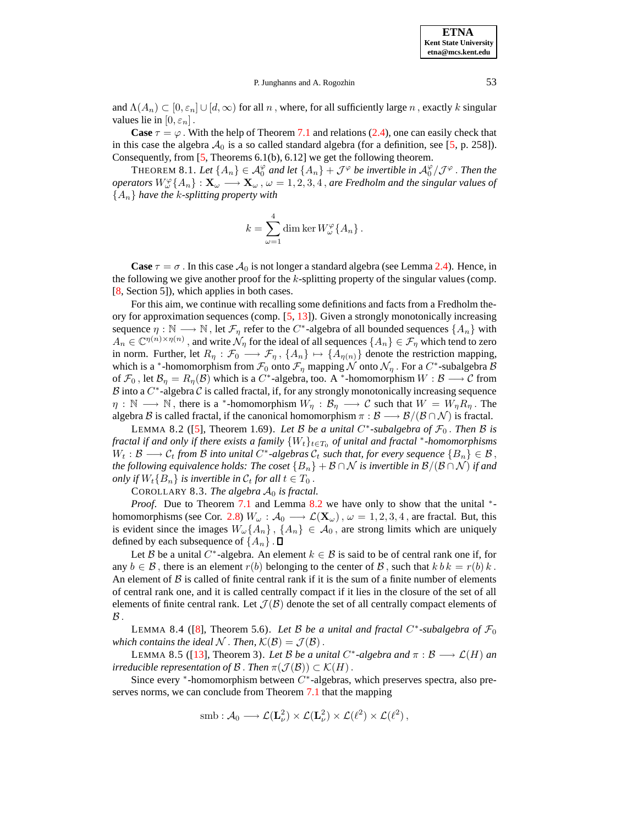and  $\Lambda(A_n) \subset [0, \varepsilon_n] \cup [d, \infty)$  for all n, where, for all sufficiently large n, exactly k singular values lie in  $[0, \varepsilon_n]$ .

**Case**  $\tau = \varphi$ . With the help of Theorem [7.1](#page-36-1) and relations [\(2.4\)](#page-5-0), one can easily check that in this case the algebra  $A_0$  is a so called standard algebra (for a definition, see [\[5,](#page-64-10) p. 258]). Consequently, from [\[5,](#page-64-10) Theorems 6.1(b), 6.12] we get the following theorem.

THEOREM 8.1. Let  $\{A_n\} \in \mathcal{A}_0^{\varphi}$  and let  $\{A_n\} + \mathcal{J}^{\varphi}$  be invertible in  $\mathcal{A}_0^{\varphi}/\mathcal{J}^{\varphi}$ . Then the *operators*  $W_\omega^{\varphi}\{A_n\} : \mathbf{X}_\omega \longrightarrow \mathbf{X}_\omega$ ,  $\omega = 1, 2, 3, 4$ , *are Fredholm and the singular values of*  ${A_n}$  *have the k-splitting property with* 

<span id="page-42-0"></span>
$$
k = \sum_{\omega=1}^{4} \dim \ker W_{\omega}^{\varphi} \{A_{n}\}.
$$

**Case**  $\tau = \sigma$ . In this case  $\mathcal{A}_0$  is not longer a standard algebra (see Lemma [2.4\)](#page-5-1). Hence, in the following we give another proof for the  $k$ -splitting property of the singular values (comp. [\[8,](#page-64-11) Section 5]), which applies in both cases.

For this aim, we continue with recalling some definitions and facts from a Fredholm theory for approximation sequences (comp. [\[5,](#page-64-10) [13\]](#page-64-12)). Given a strongly monotonically increasing sequence  $\eta : \mathbb{N} \longrightarrow \mathbb{N}$ , let  $\mathcal{F}_{\eta}$  refer to the  $C^*$ -algebra of all bounded sequences  $\{A_n\}$  with  $A_n \in \mathbb{C}^{\eta(n)\times \eta(n)}$  , and write  $\mathcal{N}_\eta$  for the ideal of all sequences  $\{A_n\} \in \mathcal{F}_\eta$  which tend to zero in norm. Further, let  $R_\eta : \mathcal{F}_0 \longrightarrow \mathcal{F}_\eta$ ,  $\{A_n\} \mapsto \{A_{\eta(n)}\}$  denote the restriction mapping, which is a \*-homomorphism from  $\mathcal{F}_0$  onto  $\mathcal{F}_\eta$  mapping N onto  $\mathcal{N}_\eta$ . For a  $C^*$ -subalgebra  $\mathcal B$ of  $\mathcal{F}_0$ , let  $\mathcal{B}_\eta = R_\eta(\mathcal{B})$  which is a  $C^*$ -algebra, too. A \*-homomorphism  $W : \mathcal{B} \longrightarrow \mathcal{C}$  from  $\mathcal B$  into a  $C^*$ -algebra  $\mathcal C$  is called fractal, if, for any strongly monotonically increasing sequence  $\eta : \mathbb{N} \longrightarrow \mathbb{N}$ , there is a \*-homomorphism  $W_\eta : \mathcal{B}_\eta \longrightarrow \mathcal{C}$  such that  $W = W_\eta R_\eta$ . The algebra B is called fractal, if the canonical homomorphism  $\pi : \mathcal{B} \longrightarrow \mathcal{B}/(\mathcal{B} \cap \mathcal{N})$  is fractal.

LEMMA 8.2 ([\[5\]](#page-64-10), Theorem 1.69). *Let*  $B$  *be a unital*  $C^*$ -subalgebra of  $\mathcal{F}_0$ . Then  $B$  *is fractal if and only if there exists <sup>a</sup> family* {Wt}t∈T<sup>0</sup> *of unital and fractal* <sup>∗</sup> *-homomorphisms*  $W_t: \mathcal{B} \longrightarrow \mathcal{C}_t$  *from*  $\mathcal{B}$  *into unital*  $C^*$ -algebras  $\mathcal{C}_t$  *such that, for every sequence*  $\{B_n\} \in \mathcal{B}$ , *the following equivalence holds: The coset*  ${B_n} + B \cap N$  *is invertible in*  $B/(B \cap N)$  *if and only if*  $W_t{B_n}$  *is invertible in*  $C_t$  *for all*  $t \in T_0$ .

COROLLARY 8.3. *The algebra*  $A_0$  *is fractal.* 

<span id="page-42-3"></span>*Proof.* Due to Theorem [7.1](#page-36-1) and Lemma [8.2](#page-42-0) we have only to show that the unital <sup>\*</sup>-homomorphisms (see Cor. [2.8\)](#page-7-2)  $W_{\omega}$  :  $\mathcal{A}_0 \longrightarrow \mathcal{L}(\mathbf{X}_{\omega})$ ,  $\omega = 1, 2, 3, 4$ , are fractal. But, this is evident since the images  $W_{\omega}\{A_n\}$ ,  $\{A_n\} \in \mathcal{A}_0$ , are strong limits which are uniquely defined by each subsequence of  $\{A_n\}$ .  $\Box$ 

Let B be a unital C<sup>\*</sup>-algebra. An element  $k \in \mathcal{B}$  is said to be of central rank one if, for any  $b \in \mathcal{B}$ , there is an element  $r(b)$  belonging to the center of  $\mathcal{B}$ , such that  $k b k = r(b) k$ . An element of  $\beta$  is called of finite central rank if it is the sum of a finite number of elements of central rank one, and it is called centrally compact if it lies in the closure of the set of all elements of finite central rank. Let  $\mathcal{J}(\mathcal{B})$  denote the set of all centrally compact elements of  $\mathcal B$  .

<span id="page-42-2"></span>LEMMA 8.4 ([\[8\]](#page-64-11), Theorem 5.6). Let B be a unital and fractal  $C^*$ -subalgebra of  $\mathcal{F}_0$ *which contains the ideal* N. *Then,*  $K(\mathcal{B}) = \mathcal{J}(\mathcal{B})$ .

<span id="page-42-1"></span>LEMMA 8.5 ([\[13\]](#page-64-12), Theorem 3). *Let* B *be a unital*  $C^*$ -algebra and  $\pi : \mathcal{B} \longrightarrow \mathcal{L}(H)$  an *irreducible representation of*  $\mathcal{B}$ . *Then*  $\pi(\mathcal{J}(\mathcal{B})) \subset \mathcal{K}(H)$ .

Since every  $*$ -homomorphism between  $C^*$ -algebras, which preserves spectra, also preserves norms, we can conclude from Theorem [7.1](#page-36-1) that the mapping

$$
\mathrm{smb}:\mathcal{A}_0\longrightarrow \mathcal{L}(\mathbf{L}_{\nu}^2)\times \mathcal{L}(\mathbf{L}_{\nu}^2)\times \mathcal{L}(\ell^2)\times \mathcal{L}(\ell^2)\,,
$$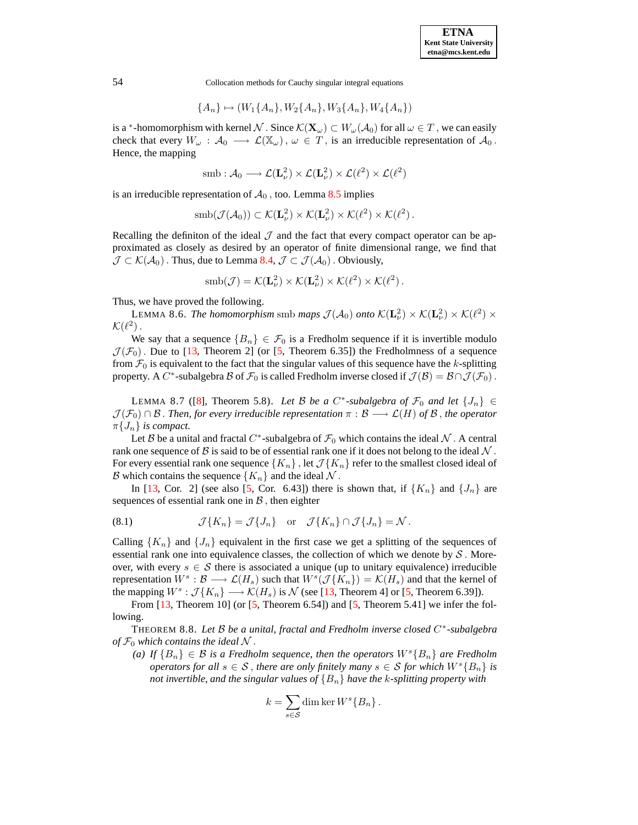$$
\{A_n\} \mapsto (W_1\{A_n\}, W_2\{A_n\}, W_3\{A_n\}, W_4\{A_n\})
$$

is a \*-homomorphism with kernel  $\mathcal{N}$ . Since  $\mathcal{K}(\mathbf{X}_{\omega}) \subset W_{\omega}(\mathcal{A}_0)$  for all  $\omega \in T$ , we can easily check that every  $W_{\omega} : A_0 \longrightarrow \mathcal{L}(\mathbb{X}_{\omega}), \omega \in T$ , is an irreducible representation of  $A_0$ . Hence, the mapping

$$
\mathrm{smb}:\mathcal{A}_0\longrightarrow \mathcal{L}(\mathbf{L}_{\nu}^2)\times \mathcal{L}(\mathbf{L}_{\nu}^2)\times \mathcal{L}(\ell^2)\times \mathcal{L}(\ell^2)
$$

is an irreducible representation of  $A_0$ , too. Lemma [8.5](#page-42-1) implies

$$
\mathrm{smb}(\mathcal{J}(\mathcal{A}_0)) \subset \mathcal{K}(\mathbf{L}_{\nu}^2) \times \mathcal{K}(\mathbf{L}_{\nu}^2) \times \mathcal{K}(\ell^2) \times \mathcal{K}(\ell^2).
$$

Recalling the definiton of the ideal  $\mathcal J$  and the fact that every compact operator can be approximated as closely as desired by an operator of finite dimensional range, we find that  $\mathcal{J} \subset \mathcal{K}(\mathcal{A}_0)$ . Thus, due to Lemma [8.4,](#page-42-2)  $\mathcal{J} \subset \mathcal{J}(\mathcal{A}_0)$ . Obviously,

<span id="page-43-2"></span>
$$
\mathrm{smb}(\mathcal{J}) = \mathcal{K}(\mathbf{L}_{\nu}^2) \times \mathcal{K}(\mathbf{L}_{\nu}^2) \times \mathcal{K}(\ell^2) \times \mathcal{K}(\ell^2).
$$

Thus, we have proved the following.

**LEMMA 8.6.** The homomorphism smb maps  $\mathcal{J}(\mathcal{A}_0)$  onto  $\mathcal{K}(\mathbf{L}_{\nu}^2) \times \mathcal{K}(\mathbf{L}_{\nu}^2) \times \mathcal{K}(\ell^2) \times$  $\mathcal{K}(\ell^2)$ .

We say that a sequence  ${B_n} \in \mathcal{F}_0$  is a Fredholm sequence if it is invertible modulo  $\mathcal{J}(\mathcal{F}_0)$ . Due to [\[13,](#page-64-12) Theorem 2] (or [\[5,](#page-64-10) Theorem 6.35]) the Fredholmness of a sequence from  $\mathcal{F}_0$  is equivalent to the fact that the singular values of this sequence have the k-splitting property. A  $C^*$ -subalgebra  $B$  of  $\mathcal{F}_0$  is called Fredholm inverse closed if  $\mathcal{J}(\mathcal{B}) = \mathcal{B} \cap \mathcal{J}(\mathcal{F}_0)$ .

<span id="page-43-1"></span>LEMMA 8.7 ([\[8\]](#page-64-11), Theorem 5.8). *Let* B *be a* C<sup>\*</sup>-subalgebra of  $\mathcal{F}_0$  and let  $\{J_n\} \in$  $\mathcal{J}(\mathcal{F}_0) \cap \mathcal{B}$ . Then, for every irreducible representation  $\pi : \mathcal{B} \longrightarrow \mathcal{L}(H)$  of  $\mathcal{B}$ , the operator  $\pi\{J_n\}$  *is compact.* 

Let B be a unital and fractal C<sup>\*</sup>-subalgebra of  $\mathcal{F}_0$  which contains the ideal N. A central rank one sequence of B is said to be of essential rank one if it does not belong to the ideal  $N$ . For every essential rank one sequence  ${K_n}$ , let  $\mathcal{J}{K_n}$  refer to the smallest closed ideal of B which contains the sequence  $\{K_n\}$  and the ideal  $\mathcal N$ .

In [\[13,](#page-64-12) Cor. 2] (see also [\[5,](#page-64-10) Cor. 6.43]) there is shown that, if  ${K_n}$  and  ${J_n}$  are sequences of essential rank one in  $\beta$ , then eighter

<span id="page-43-3"></span>(8.1) 
$$
\mathcal{J}\lbrace K_n \rbrace = \mathcal{J}\lbrace J_n \rbrace \text{ or } \mathcal{J}\lbrace K_n \rbrace \cap \mathcal{J}\lbrace J_n \rbrace = \mathcal{N}.
$$

Calling  $\{K_n\}$  and  $\{J_n\}$  equivalent in the first case we get a splitting of the sequences of essential rank one into equivalence classes, the collection of which we denote by  $S$ . Moreover, with every  $s \in S$  there is associated a unique (up to unitary equivalence) irreducible representation  $W^s : \mathcal{B} \longrightarrow \mathcal{L}(H_s)$  such that  $W^s(\mathcal{J}\{K_n\}) = \mathcal{K}(H_s)$  and that the kernel of the mapping  $W^s : \mathcal{J}\lbrace K_n \rbrace \longrightarrow \mathcal{K}(H_s)$  is  $\mathcal{N}$  (see [\[13,](#page-64-12) Theorem 4] or [\[5,](#page-64-10) Theorem 6.39]).

<span id="page-43-0"></span>From  $[13$ , Theorem 10] (or  $[5$ , Theorem 6.54]) and  $[5$ , Theorem 5.41] we infer the following.

THEOREM 8.8. *Let* B *be a unital, fractal and Fredholm inverse closed* C ∗ *-subalgebra of*  $\mathcal{F}_0$  *which contains the ideal*  $\mathcal N$ .

*(a) If*  ${B_n}$  ∈ *B is a Fredholm sequence, then the operators*  $W<sup>s</sup>{B_n}$  *are Fredholm operators for* all  $s \in S$ , *there* are *only finitely many*  $s \in S$  *for which*  $W^{s} \{B_n\}$  *is not* invertible, and the singular values of  ${B_n}$  have the k-splitting property with

$$
k = \sum_{s \in \mathcal{S}} \dim \ker W^s \{B_n\}.
$$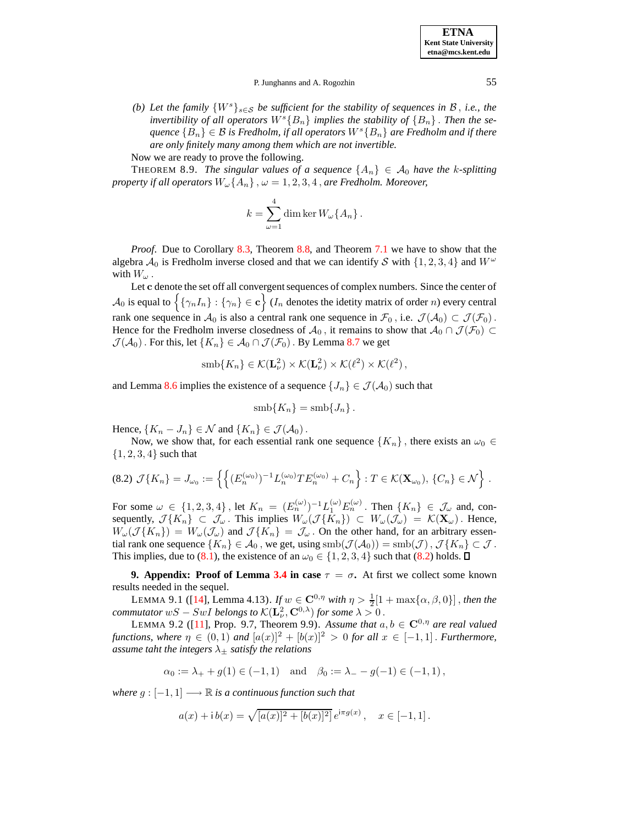**ETNA Kent State University etna@mcs.kent.edu**

### P. Junghanns and A. Rogozhin 55

*(b) Let* the family  $\{W^s\}_{s \in \mathcal{S}}$  *be sufficient for the stability of sequences in*  $\mathcal{B}$ *, i.e., the invertibility of all operators*  $W^{s}{B_{n}}$  *implies the stability of*  ${B_{n}}$ . *Then the sequence*  ${B_n} ∈ B$  *is Fredholm, if all operators*  $W<sup>s</sup>{B_n}$  *are Fredholm and if there are only finitely many among them which are not invertible.*

Now we are ready to prove the following.

**THEOREM 8.9.** The singular values of a sequence  $\{A_n\} \in \mathcal{A}_0$  have the k-splitting *property if* all *operators*  $W_{\omega}\lbrace A_n \rbrace$ ,  $\omega = 1, 2, 3, 4$ , *are Fredholm. Moreover,* 

$$
k = \sum_{\omega=1}^{4} \dim \ker W_{\omega} \{ A_n \} .
$$

*Proof.* Due to Corollary [8.3,](#page-42-3) Theorem [8.8,](#page-43-0) and Theorem [7.1](#page-36-1) we have to show that the algebra  $\mathcal{A}_0$  is Fredholm inverse closed and that we can identify S with  $\{1, 2, 3, 4\}$  and  $W^{\omega}$ with  $W_{\omega}$ .

Let c denote the set off all convergent sequences of complex numbers. Since the center of  $\mathcal{A}_0$  is equal to  $\Big\{\{\gamma_nI_n\} : \{\gamma_n\} \in \mathbf{c}\Big\}$  ( $I_n$  denotes the idetity matrix of order n) every central rank one sequence in  $A_0$  is also a central rank one sequence in  $\mathcal{F}_0$ , i.e.  $\mathcal{J}(A_0) \subset \mathcal{J}(\mathcal{F}_0)$ . Hence for the Fredholm inverse closedness of  $A_0$ , it remains to show that  $A_0 \cap \mathcal{J}(\mathcal{F}_0) \subset$  $\mathcal{J}(\mathcal{A}_0)$ . For this, let  $\{K_n\} \in \mathcal{A}_0 \cap \mathcal{J}(\mathcal{F}_0)$ . By Lemma [8.7](#page-43-1) we get

$$
\mathrm{smb}\{K_n\} \in \mathcal{K}(\mathbf{L}_{\nu}^2) \times \mathcal{K}(\mathbf{L}_{\nu}^2) \times \mathcal{K}(\ell^2) \times \mathcal{K}(\ell^2),
$$

and Lemma [8.6](#page-43-2) implies the existence of a sequence  $\{J_n\} \in \mathcal{J}(\mathcal{A}_0)$  such that

$$
smb\{K_n\} = smb\{J_n\}.
$$

Hence,  $\{K_n - J_n\} \in \mathcal{N}$  and  $\{K_n\} \in \mathcal{J}(\mathcal{A}_0)$ .

Now, we show that, for each essential rank one sequence  $\{K_n\}$ , there exists an  $\omega_0 \in$  ${1, 2, 3, 4}$  such that

<span id="page-44-0"></span>
$$
(8.2) \ \mathcal{J}\{K_n\} = J_{\omega_0} := \left\{ \left\{ (E_n^{(\omega_0)})^{-1} L_n^{(\omega_0)} T E_n^{(\omega_0)} + C_n \right\} : T \in \mathcal{K}(\mathbf{X}_{\omega_0}), \{C_n\} \in \mathcal{N} \right\} \ .
$$

For some  $\omega \in \{1, 2, 3, 4\}$ , let  $K_n = (E_n^{(\omega)})^{-1} L_1^{(\omega)} E_n^{(\omega)}$ . Then  $\{K_n\} \in \mathcal{J}_{\omega}$  and, consequently,  $\mathcal{J}\lbrace K_n \rbrace \subset \mathcal{J}_{\omega}$ . This implies  $W_{\omega}(\mathcal{J}\lbrace \hat{K}_n \rbrace) \subset W_{\omega}(\mathcal{J}_{\omega}) = \mathcal{K}(\mathbf{X}_{\omega})$ . Hence,  $W_\omega(\mathcal{J}\{K_n\}) = W_\omega(\mathcal{J}_\omega)$  and  $\mathcal{J}\{K_n\} = \mathcal{J}_\omega$ . On the other hand, for an arbitrary essential rank one sequence  $\{K_n\} \in \mathcal{A}_0$ , we get, using  $\text{smb}(\mathcal{J}(\mathcal{A}_0)) = \text{smb}(\mathcal{J})$ ,  $\mathcal{J}\{K_n\} \subset \mathcal{J}$ . This implies, due to [\(8.1\)](#page-43-3), the existence of an  $\omega_0 \in \{1, 2, 3, 4\}$  such that [\(8.2\)](#page-44-0) holds.  $\Box$ 

<span id="page-44-2"></span>**9. Appendix:** Proof of Lemma [3.4](#page-16-0) in case  $\tau = \sigma$ . At first we collect some known results needed in the sequel.

LEMMA 9.1 ([\[14\]](#page-64-13), Lemma 4.13). *If*  $w \in \mathbb{C}^{0,\eta}$  *with*  $\eta > \frac{1}{2}[1 + \max\{\alpha,\beta,0\}]$ , *then the commutator*  $wS - SwI$  *belongs to*  $\mathcal{K}(\mathbf{L}_{\nu}^2, \mathbf{C}^{0,\lambda})$  *for some*  $\lambda > 0$ .

<span id="page-44-1"></span>LEMMA 9.2 ([\[11\]](#page-64-2), Prop. 9.7, Theorem 9.9). Assume that  $a, b \in \mathbb{C}^{0, \eta}$  are real valued *functions, where*  $\eta \in (0,1)$  *and*  $[a(x)]^2 + [b(x)]^2 > 0$  *for all*  $x \in [-1,1]$ . *Furthermore, assume taht the integers*  $\lambda_{\pm}$  *satisfy the relations* 

$$
\alpha_0 := \lambda_+ + g(1) \in (-1, 1)
$$
 and  $\beta_0 := \lambda_- - g(-1) \in (-1, 1)$ ,

*where*  $g: [-1, 1] \longrightarrow \mathbb{R}$  *is a continuous function such that* 

$$
a(x) + \mathrm{i} b(x) = \sqrt{[a(x)]^2 + [b(x)]^2} e^{\mathrm{i}\pi g(x)}, \quad x \in [-1, 1].
$$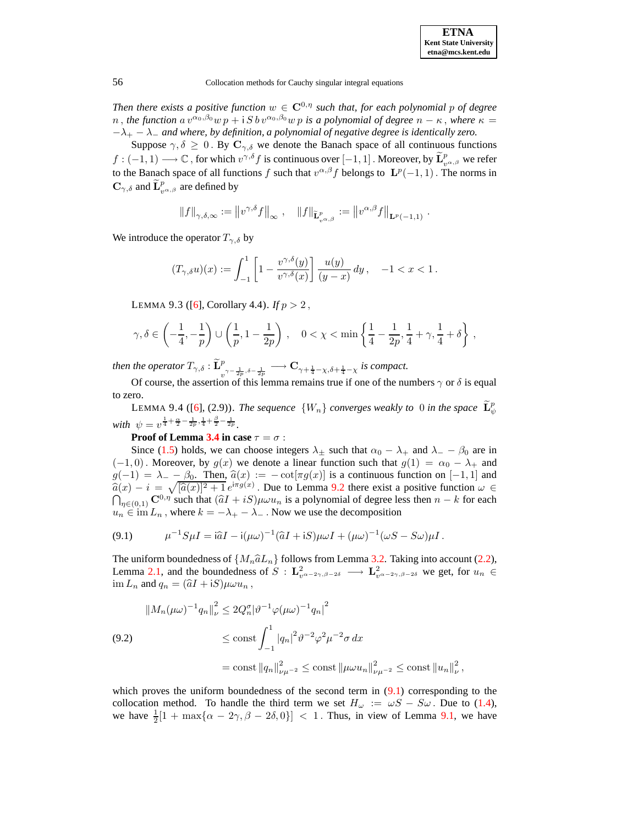*Then there exists a positive function*  $w \in \mathbb{C}^{0,\eta}$  *such that, for each polynomial p of degree* n, the function  $a v^{\alpha_0, \beta_0} w p + i S b v^{\alpha_0, \beta_0} w p$  is a polynomial of degree  $n - \kappa$ , where  $\kappa =$  $-\lambda_+ - \lambda_-$  *and where, by definition, a polynomial of negative degree is identically zero.* 

Suppose  $\gamma, \delta \geq 0$ . By  $\mathbf{C}_{\gamma,\delta}$  we denote the Banach space of all continuous functions  $f: (-1,1) \longrightarrow \mathbb{C}$ , for which  $v^{\gamma,\delta} f$  is continuous over  $[-1,1]$ . Moreover, by  $\widetilde{\mathbf{L}}_{v^{\alpha,\beta}}^p$  we refer to the Banach space of all functions f such that  $v^{\alpha,\beta}$  belongs to  $\mathbf{L}^p(-1,1)$ . The norms in  $\mathbf{C}_{\gamma,\delta}$  and  $\widetilde{\mathbf{L}}^p_{v^{\alpha,\beta}}$  are defined by

$$
\left\|f\right\|_{\gamma,\delta,\infty}:=\left\|v^{\gamma,\delta}f\right\|_{\infty},\quad\left\|f\right\|_{\widetilde{\mathbf{L}}^p_{v^{\alpha,\beta}}}:=\left\|v^{\alpha,\beta}f\right\|_{\mathbf{L}^p(-1,1)}.
$$

<span id="page-45-1"></span>We introduce the operator  $T_{\gamma,\delta}$  by

$$
(T_{\gamma,\delta}u)(x) := \int_{-1}^1 \left[1 - \frac{v^{\gamma,\delta}(y)}{v^{\gamma,\delta}(x)}\right] \frac{u(y)}{(y-x)} dy, \quad -1 < x < 1.
$$

LEMMA 9.3 ([\[6\]](#page-64-14), Corollary 4.4). *If*  $p > 2$ ,

$$
\gamma, \delta \in \left( -\frac{1}{4}, -\frac{1}{p} \right) \cup \left( \frac{1}{p}, 1 - \frac{1}{2p} \right), \quad 0 < \chi < \min \left\{ \frac{1}{4} - \frac{1}{2p}, \frac{1}{4} + \gamma, \frac{1}{4} + \delta \right\},\
$$

*then the operator*  $T_{\gamma,\delta}$  :  $\tilde{\mathbf{L}}_{v^{\gamma-\frac{1}{2p},\delta-\frac{1}{2p}}}^{p} \longrightarrow \mathbf{C}_{\gamma+\frac{1}{4}-\chi,\delta+\frac{1}{4}-\chi}$  *is compact.* 

<span id="page-45-2"></span>Of course, the assertion of this lemma remains true if one of the numbers  $\gamma$  or  $\delta$  is equal to zero.

LEMMA 9.4 ([\[6\]](#page-64-14), (2.9)). *The sequence*  $\{W_n\}$  *converges weakly to* 0 *in the space*  $\widetilde{\mathbf{L}}_{\psi}^p$ *with*  $\psi = v^{\frac{1}{4} + \frac{\alpha}{2} - \frac{1}{2p}, \frac{1}{4} + \frac{\beta}{2} - \frac{1}{2p}}$ .

**Proof** of **Lemma** [3.4](#page-16-0) **in** case  $\tau = \sigma$  :

Since [\(1.5\)](#page-1-3) holds, we can choose integers  $\lambda_{\pm}$  such that  $\alpha_0 - \lambda_{+}$  and  $\lambda_{-} - \beta_0$  are in  $(-1, 0)$ . Moreover, by  $g(x)$  we denote a linear function such that  $g(1) = \alpha_0 - \lambda_+$  and  $g(-1) = \lambda_- - \beta_0$ . Then,  $\hat{a}(x) := -\cot[\pi g(x)]$  is a continuous function on [−1, 1] and  $\hat{a}(x) - i = \sqrt{[\hat{a}(x)]^2 + 1} e^{i\pi g(x)}$ . Due to Lemma [9.2](#page-44-1) there exist a positive function  $\omega \in \Omega$ .  $\bigcap_{\eta \in (0,1)} \mathbb{C}^{0,\eta}$  such that  $(\hat{a}I + iS)\mu \omega u_n$  is a polynomial of degree less then  $n - k$  for each  $u_n \in \text{im } L_n$ , where  $k = -\lambda_+ - \lambda_-$ . Now we use the decomposition

<span id="page-45-0"></span>
$$
(9.1) \qquad \mu^{-1}S\mu I = \mathrm{i}\hat{a}I - \mathrm{i}(\mu\omega)^{-1}(\hat{a}I + \mathrm{i}S)\mu\omega I + (\mu\omega)^{-1}(\omega S - S\omega)\mu I.
$$

The uniform boundedness of  $\{M_n\hat{a}L_n\}$  follows from Lemma [3.2.](#page-10-0) Taking into account [\(2.2\)](#page-4-0), Lemma [2.1,](#page-3-1) and the boundedness of  $S: L^2_{v^{\alpha-2\gamma,\beta-2\delta}} \longrightarrow L^2_{v^{\alpha-2\gamma,\beta-2\delta}}$  we get, for  $u_n \in$  $\lim L_n$  and  $q_n = (\hat{a}I + iS)\mu\omega u_n$ ,

$$
\|M_n(\mu\omega)^{-1}q_n\|_{\nu}^2 \le 2Q_n^{\sigma} |\vartheta^{-1}\varphi(\mu\omega)^{-1}q_n|^2
$$
  
(9.2)  

$$
\le \text{const} \int_{-1}^1 |q_n|^2 \vartheta^{-2}\varphi^2 \mu^{-2} \sigma \, dx
$$

$$
= \text{const} \|q_n\|_{\nu\mu^{-2}}^2 \le \text{const} \left\|\mu\omega u_n\right\|_{\nu\mu^{-2}}^2 \le \text{const} \left\|u_n\right\|_{\nu}^2,
$$

which proves the uniform boundedness of the second term in  $(9.1)$  corresponding to the collocation method. To handle the third term we set  $H_{\omega} := \omega S - S \omega$ . Due to [\(1.4\)](#page-1-2), we have  $\frac{1}{2}[1 + \max\{\alpha - 2\gamma, \beta - 2\delta, 0\}] < 1$ . Thus, in view of Lemma [9.1,](#page-44-2) we have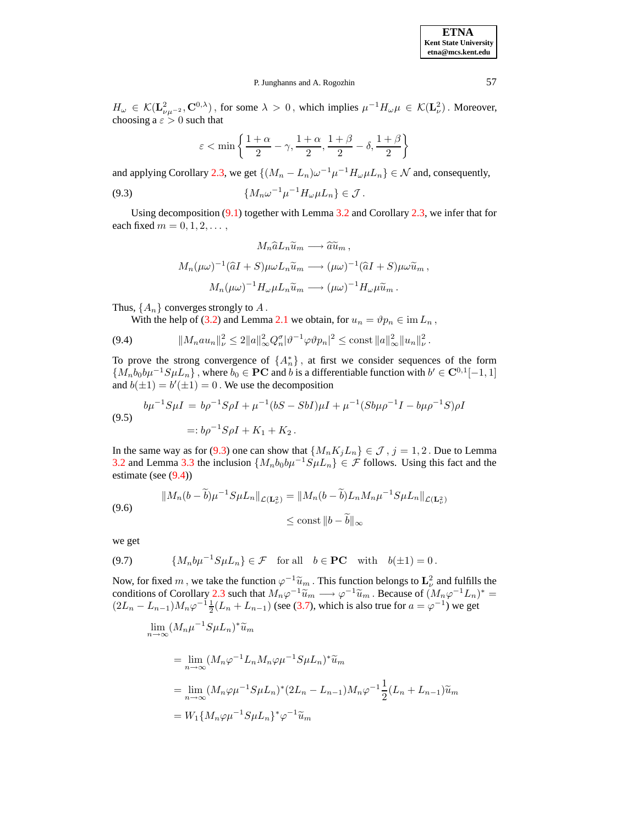**ETNA Kent State University etna@mcs.kent.edu**

#### P. Junghanns and A. Rogozhin 57

 $H_{\omega} \in \mathcal{K}(\mathbf{L}_{\nu\mu^{-2}}^2, \mathbf{C}^{0,\lambda})$ , for some  $\lambda > 0$ , which implies  $\mu^{-1}H_{\omega}\mu \in \mathcal{K}(\mathbf{L}_{\nu}^2)$ . Moreover, choosing a  $\varepsilon > 0$  such that

<span id="page-46-0"></span>
$$
\varepsilon < \min\left\{\frac{1+\alpha}{2}-\gamma, \frac{1+\alpha}{2}, \frac{1+\beta}{2}-\delta, \frac{1+\beta}{2}\right\}
$$

and applying Corollary [2.3,](#page-3-2) we get  $\{(M_n - L_n)\omega^{-1}\mu^{-1}H_\omega\mu L_n\} \in \mathcal{N}$  and, consequently,

$$
(9.3) \t\t\t \{M_n\omega^{-1}\mu^{-1}H_\omega\mu L_n\}\in\mathcal{J}.
$$

Using decomposition [\(9.1\)](#page-45-0) together with Lemma [3.2](#page-10-0) and Corollary [2.3,](#page-3-2) we infer that for each fixed  $m = 0, 1, 2, \ldots$ 

$$
M_n \hat{a} L_n \tilde{u}_m \longrightarrow \hat{a} \tilde{u}_m ,
$$
  

$$
M_n(\mu \omega)^{-1} (\hat{a} I + S) \mu \omega L_n \tilde{u}_m \longrightarrow (\mu \omega)^{-1} (\hat{a} I + S) \mu \omega \tilde{u}_m ,
$$
  

$$
M_n(\mu \omega)^{-1} H_{\omega} \mu L_n \tilde{u}_m \longrightarrow (\mu \omega)^{-1} H_{\omega} \mu \tilde{u}_m .
$$

Thus,  $\{A_n\}$  converges strongly to  $A$ .

With the help of [\(3.2\)](#page-9-1) and Lemma [2.1](#page-3-1) we obtain, for  $u_n = \vartheta p_n \in \text{im } L_n$ ,

<span id="page-46-1"></span>
$$
(9.4) \t\t ||M_n a u_n||_{\nu}^2 \le 2||a||_{\infty}^2 Q_n^{\sigma} |\vartheta^{-1} \varphi \vartheta p_n|^2 \le \text{const } ||a||_{\infty}^2 ||u_n||_{\nu}^2.
$$

To prove the strong convergence of  $\{A_n^*\}$ , at first we consider sequences of the form  $\{M_nb_0b\mu^{-1}S\mu L_n\}$ , where  $b_0 \in \mathbf{PC}$  and b is a differentiable function with  $b' \in \mathbf{C}^{0,1}[-1,1]$ and  $b(\pm 1) = b'(\pm 1) = 0$ . We use the decomposition

$$
b\mu^{-1}S\mu I = b\rho^{-1}S\rho I + \mu^{-1}(bS - SbI)\mu I + \mu^{-1}(Sb\mu\rho^{-1}I - b\mu\rho^{-1}S)\rho I
$$
  
(9.5)  

$$
= b\rho^{-1}S\rho I + K_1 + K_2.
$$

In the same way as for [\(9.3\)](#page-46-0) one can show that  $\{M_nK_jL_n\} \in \mathcal{J}$ ,  $j = 1, 2$ . Due to Lemma [3.2](#page-10-0) and Lemma [3.3](#page-12-1) the inclusion  $\{M_nb_0b\mu^{-1}S\mu L_n\} \in \mathcal{F}$  follows. Using this fact and the estimate (see [\(9.4\)](#page-46-1))

$$
||M_n(b - \widetilde{b})\mu^{-1} S \mu L_n||_{\mathcal{L}(\mathbf{L}^2_\nu)} = ||M_n(b - \widetilde{b})L_n M_n \mu^{-1} S \mu L_n||_{\mathcal{L}(\mathbf{L}^2_\nu)}
$$
  
(9.6)  

$$
\leq \text{const } ||b - \widetilde{b}||_{\infty}
$$

<span id="page-46-2"></span>we get

$$
(9.7) \qquad \{M_n b \mu^{-1} S \mu L_n\} \in \mathcal{F} \quad \text{for all} \quad b \in \mathbf{PC} \quad \text{with} \quad b(\pm 1) = 0 \,.
$$

Now, for fixed m, we take the function  $\varphi^{-1}\widetilde{u}_m$ . This function belongs to  $\mathbf{L}^2_{\nu}$  and fulfills the conditions of Corollary [2.3](#page-3-2) such that  $M_n\varphi^{-1}\tilde{u}_m \longrightarrow \varphi^{-1}\tilde{u}_m$ . Because of  $(M_n\varphi^{-1}L_n)^* =$  $(2L_n - L_{n-1})M_n \varphi^{-1} \frac{1}{2}(L_n + L_{n-1})$  (see [\(3.7\)](#page-11-2), which is also true for  $a = \varphi^{-1}$ ) we get

$$
\lim_{n \to \infty} (M_n \mu^{-1} S \mu L_n)^* \widetilde{u}_m
$$
\n
$$
= \lim_{n \to \infty} (M_n \varphi^{-1} L_n M_n \varphi \mu^{-1} S \mu L_n)^* \widetilde{u}_m
$$
\n
$$
= \lim_{n \to \infty} (M_n \varphi \mu^{-1} S \mu L_n)^* (2L_n - L_{n-1}) M_n \varphi^{-1} \frac{1}{2} (L_n + L_{n-1}) \widetilde{u}_m
$$
\n
$$
= W_1 \{ M_n \varphi \mu^{-1} S \mu L_n \}^* \varphi^{-1} \widetilde{u}_m
$$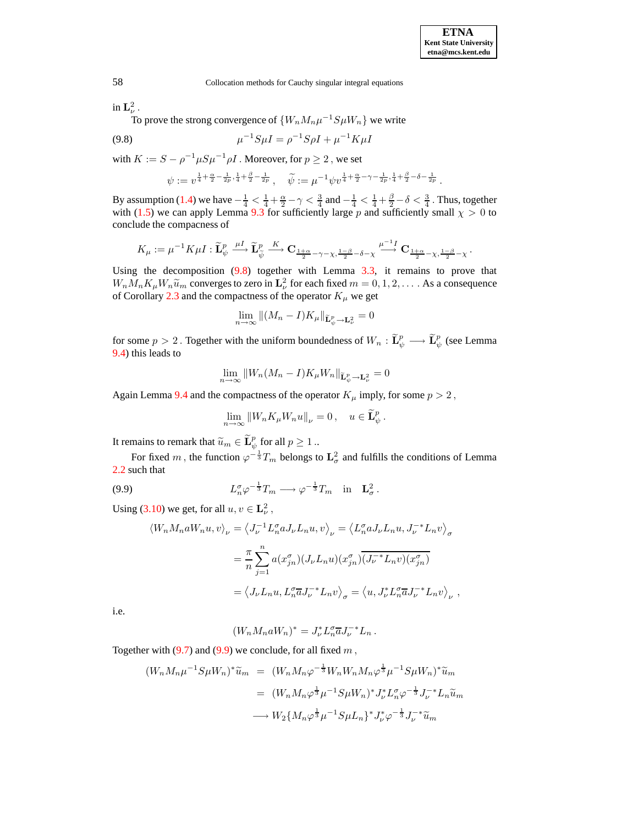$$
f_{\rm{max}}
$$

in  $\mathbf{L}_{\nu}^2$  . To prove the strong convergence of  $\{W_nM_n\mu^{-1}S\mu W_n\}$  we write

(9.8) 
$$
\mu^{-1} S \mu I = \rho^{-1} S \rho I + \mu^{-1} K \mu I
$$

with  $K := S - \rho^{-1} \mu S \mu^{-1} \rho I$  . Moreover, for  $p \ge 2$ , we set

<span id="page-47-0"></span>
$$
\psi:=v^{\frac{1}{4}+\frac{\alpha}{2}-\frac{1}{2p},\frac{1}{4}+\frac{\beta}{2}-\frac{1}{2p}}\,,\quad \widetilde{\psi}:=\mu^{-1}\psi v^{\frac{1}{4}+\frac{\alpha}{2}-\gamma-\frac{1}{2p},\frac{1}{4}+\frac{\beta}{2}-\delta-\frac{1}{2p}}\,.
$$

By assumption [\(1.4\)](#page-1-2) we have  $-\frac{1}{4} < \frac{1}{4} + \frac{\alpha}{2} - \gamma < \frac{3}{4}$  and  $-\frac{1}{4} < \frac{1}{4} + \frac{\beta}{2} - \delta < \frac{3}{4}$ . Thus, together with [\(1.5\)](#page-1-3) we can apply Lemma [9.3](#page-45-1) for sufficiently large p and sufficiently small  $\chi > 0$  to conclude the compacness of

$$
K_{\mu} := \mu^{-1} K \mu I : \widetilde{\mathbf{L}}_{\psi}^{p} \xrightarrow{\mu I} \widetilde{\mathbf{L}}_{\widetilde{\psi}}^{p} \xrightarrow{K} \mathbf{C}_{\frac{1+\alpha}{2} - \gamma - \chi, \frac{1-\beta}{2} - \delta - \chi} \xrightarrow{\mu^{-1} I} \mathbf{C}_{\frac{1+\alpha}{2} - \chi, \frac{1-\beta}{2} - \chi}.
$$

Using the decomposition  $(9.8)$  together with Lemma  $3.3$ , it remains to prove that  $W_n M_n K_\mu W_n \tilde{u}_m$  converges to zero in  $\mathbf{L}^2_\nu$  for each fixed  $m = 0, 1, 2, \dots$ . As a consequence of Corollary [2.3](#page-3-2) and the compactness of the operator  $K_{\mu}$  we get

$$
\lim_{n \to \infty} \|(M_n - I)K_{\mu}\|_{\widetilde{\mathbf{L}}_{\psi}^p \to \mathbf{L}_{\nu}^2} = 0
$$

for some  $p > 2$  . Together with the uniform boundedness of  $W_n : \widetilde{\mathbf{L}}^p_\psi \longrightarrow \widetilde{\mathbf{L}}^p_\psi$  (see Lemma [9.4\)](#page-45-2) this leads to

$$
\lim_{n \to \infty} ||W_n(M_n - I)K_{\mu}W_n||_{\widetilde{\mathbf{L}}^p_{\psi} \to \mathbf{L}^2_{\nu}} = 0
$$

Again Lemma [9.4](#page-45-2) and the compactness of the operator  $K_{\mu}$  imply, for some  $p > 2$ ,

$$
\lim_{n \to \infty} \left\| W_n K_\mu W_n u \right\|_{\nu} = 0, \quad u \in \widetilde{\mathbf{L}}_{\psi}^p.
$$

It remains to remark that  $\widetilde{u}_m \in \widetilde{\mathbf{L}}^p_\psi$  for all  $p \geq 1$  ..

For fixed m, the function  $\varphi^{-\frac{1}{3}}T_m$  belongs to  $\mathbf{L}^2_{\sigma}$  and fulfills the conditions of Lemma [2.2](#page-3-0) such that

<span id="page-47-1"></span>(9.9) 
$$
L_n^{\sigma} \varphi^{-\frac{1}{3}} T_m \longrightarrow \varphi^{-\frac{1}{3}} T_m \text{ in } \mathbf{L}_{\sigma}^2.
$$

Using [\(3.10\)](#page-12-0) we get, for all  $u, v \in L^2_{\nu}$ ,

$$
\langle W_n M_n a W_n u, v \rangle_{\nu} = \langle J_{\nu}^{-1} L_n^{\sigma} a J_{\nu} L_n u, v \rangle_{\nu} = \langle L_n^{\sigma} a J_{\nu} L_n u, J_{\nu}^{-*} L_n v \rangle_{\sigma}
$$
  

$$
= \frac{\pi}{n} \sum_{j=1}^n a(x_{jn}^{\sigma})(J_{\nu} L_n u)(x_{jn}^{\sigma})(J_{\nu}^{-*} L_n v)(x_{jn}^{\sigma})
$$
  

$$
= \langle J_{\nu} L_n u, L_n^{\sigma} \overline{a} J_{\nu}^{-*} L_n v \rangle_{\sigma} = \langle u, J_{\nu}^{*} L_n^{\sigma} \overline{a} J_{\nu}^{-*} L_n v \rangle_{\nu},
$$

i.e.

 $(W_n M_n a W_n)^* = J_{\nu}^* L_n^{\sigma} \overline{a} J_{\nu}^{-*} L_n$ .

Together with  $(9.7)$  and  $(9.9)$  we conclude, for all fixed m,

$$
(W_n M_n \mu^{-1} S \mu W_n)^* \widetilde{u}_m = (W_n M_n \varphi^{-\frac{1}{3}} W_n W_n M_n \varphi^{\frac{1}{3}} \mu^{-1} S \mu W_n)^* \widetilde{u}_m
$$
  

$$
= (W_n M_n \varphi^{\frac{1}{3}} \mu^{-1} S \mu W_n)^* J_\nu^* L_n^{\sigma} \varphi^{-\frac{1}{3}} J_\nu^{-*} L_n \widetilde{u}_m
$$
  

$$
\longrightarrow W_2 \{M_n \varphi^{\frac{1}{3}} \mu^{-1} S \mu L_n\}^* J_\nu^* \varphi^{-\frac{1}{3}} J_\nu^{-*} \widetilde{u}_m
$$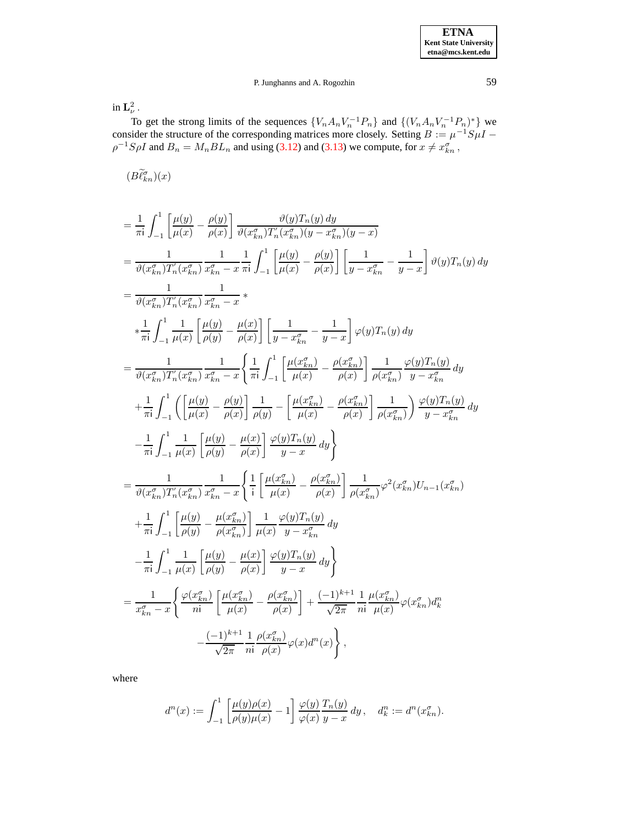in  $\mathbf{L}_{\nu}^2$  .

To get the strong limits of the sequences  $\{V_n A_n V_n^{-1} P_n\}$  and  $\{(V_n A_n V_n^{-1} P_n)^*\}$  we consider the structure of the corresponding matrices more closely. Setting  $B := \mu^{-1} S \mu I$  $\rho^{-1}S\rho I$  and  $B_n = M_n BL_n$  and using [\(3.12\)](#page-15-2) and [\(3.13\)](#page-15-0) we compute, for  $x \neq x_{kn}^{\sigma}$ ,

 $(B\widetilde{\ell}_{kn}^{\sigma})(x)$ 

$$
\begin{split}\n&= \frac{1}{\pi \mathrm{i}} \int_{-1}^{1} \left[ \frac{\mu(y)}{\mu(x)} - \frac{\rho(y)}{\rho(x)} \right] \frac{\vartheta(y) T_n(y) \, dy}{\vartheta(x_n^r) T_n^{''}(x_{kn}^{\sigma})(y - x_{kn}^{\sigma})(y - x)} \\
&= \frac{1}{\vartheta(x_{kn}^{\sigma}) T_n^{''}(x_{kn}^{\sigma})} \frac{1}{x_{kn}^{\sigma} - x} \frac{1}{\pi \mathrm{i}} \int_{-1}^{1} \left[ \frac{\mu(y)}{\mu(x)} - \frac{\rho(y)}{\rho(x)} \right] \left[ \frac{1}{y - x_{kn}^{\sigma}} - \frac{1}{y - x} \right] \vartheta(y) T_n(y) \, dy \\
&= \frac{1}{\vartheta(x_{kn}^{\sigma}) T_n^{''}(x_{kn}^{\sigma})} \frac{1}{x_{kn}^{\sigma} - x} \, x \\
&* \frac{1}{\pi \mathrm{i}} \int_{-1}^{1} \frac{1}{\mu(x)} \left[ \frac{\mu(y)}{\rho(y)} - \frac{\mu(x)}{\rho(x)} \right] \left[ \frac{1}{y - x_{kn}^{\sigma}} - \frac{1}{y - x} \right] \varphi(y) T_n(y) \, dy \\
&= \frac{1}{\vartheta(x_{kn}^{\sigma}) T_n^{''}(x_{kn}^{\sigma})} \frac{1}{x_{kn}^{\sigma} - x} \left\{ \frac{1}{\pi \mathrm{i}} \int_{-1}^{1} \left[ \frac{\mu(x_{kn}^{\sigma})}{\mu(x)} - \frac{\rho(x_{kn}^{\sigma})}{\rho(x)} \right] \frac{1}{\rho(x_{kn}^{\sigma})} \frac{\varphi(y) T_n(y)}{y - x_{kn}^{\sigma}} \, dy \right. \\
&+ \frac{1}{\pi \mathrm{i}} \int_{-1}^{1} \left( \left[ \frac{\mu(y)}{\mu(x)} - \frac{\rho(y)}{\rho(x)} \right] \frac{1}{\rho(y)} - \left[ \frac{\mu(x_{kn}^{\sigma})}{\mu(x)} - \frac{\rho(x_{kn}^{\sigma})}{\rho(x)} \right] \frac{1}{\rho(x_{kn}^{\sigma})} \right) \frac{\varphi(y) T_n(y)}{y - x_{kn}^{\sigma}} \, dy \right. \\
&- \frac{1}{\vartheta(x_{kn}^{\sigma}) T_n^{''}(x_{kn}^{\sigma})} \frac{1}{x_{kn}^{\sigma} - x
$$

where

$$
d^n(x) := \int_{-1}^1 \left[ \frac{\mu(y)\rho(x)}{\rho(y)\mu(x)} - 1 \right] \frac{\varphi(y)}{\varphi(x)} \frac{T_n(y)}{y - x} dy, \quad d_k^n := d^n(x_{kn}^\sigma).
$$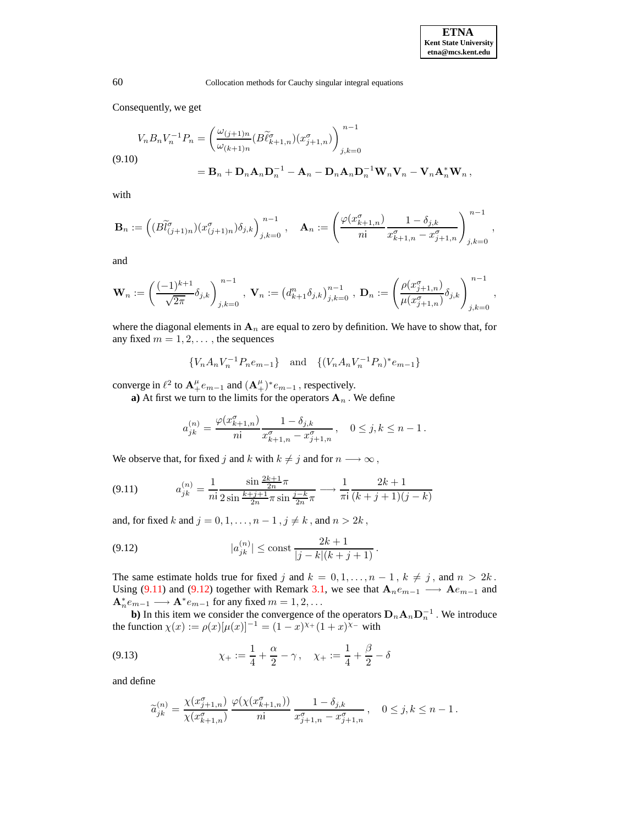Consequently, we get

$$
V_n B_n V_n^{-1} P_n = \left(\frac{\omega_{(j+1)n}}{\omega_{(k+1)n}} (B \widetilde{\ell}_{k+1,n}^{\sigma}) (x_{j+1,n}^{\sigma})\right)_{j,k=0}^{n-1}
$$
  
(9.10)  

$$
= \mathbf{B}_n + \mathbf{D}_n \mathbf{A}_n \mathbf{D}_n^{-1} - \mathbf{A}_n - \mathbf{D}_n \mathbf{A}_n \mathbf{D}_n^{-1} \mathbf{W}_n \mathbf{V}_n - \mathbf{V}_n \mathbf{A}_n^* \mathbf{W}_n,
$$

with

$$
\mathbf{B}_n:=\left((B\widetilde{l}^{\sigma}_{(j+1)n})(x^{\sigma}_{(j+1)n})\delta_{j,k}\right)^{n-1}_{j,k=0}\,,\quad \mathbf{A}_n:=\left(\frac{\varphi(x^{\sigma}_{k+1,n})}{n i}\frac{1-\delta_{j,k}}{x^{\sigma}_{k+1,n}-x^{\sigma}_{j+1,n}}\right)^{n-1}_{j,k=0}\,,
$$

and

$$
\mathbf{W}_n := \left(\frac{(-1)^{k+1}}{\sqrt{2\pi}}\delta_{j,k}\right)_{j,k=0}^{n-1}, \ \mathbf{V}_n := \left(d_{k+1}^n\delta_{j,k}\right)_{j,k=0}^{n-1}, \ \mathbf{D}_n := \left(\frac{\rho(x_{j+1,n}^{\sigma})}{\mu(x_{j+1,n}^{\sigma})}\delta_{j,k}\right)_{j,k=0}^{n-1},
$$

where the diagonal elements in  $A_n$  are equal to zero by definition. We have to show that, for any fixed  $m = 1, 2, \dots$ , the sequences

 $\{V_n A_n V_n^{-1} P_n e_{m-1}\}\$ and  $\{(V_n A_n V_n^{-1} P_n)^* e_{m-1}\}\$ 

converge in  $\ell^2$  to  $\mathbf{A}^{\mu}_+e_{m-1}$  and  $(\mathbf{A}^{\mu}_+)^*e_{m-1}$ , respectively.

**a**) At first we turn to the limits for the operators  $A_n$ . We define

$$
a_{jk}^{(n)} = \frac{\varphi(x_{k+1,n}^{\sigma})}{n!} \frac{1 - \delta_{j,k}}{x_{k+1,n}^{\sigma} - x_{j+1,n}^{\sigma}}, \quad 0 \le j,k \le n-1.
$$

We observe that, for fixed j and k with  $k \neq j$  and for  $n \longrightarrow \infty$ ,

<span id="page-49-1"></span>
$$
(9.11) \t a_{jk}^{(n)} = \frac{1}{n!} \frac{\sin \frac{2k+1}{2n}\pi}{2\sin \frac{k+j+1}{2n}\pi \sin \frac{j-k}{2n}\pi} \longrightarrow \frac{1}{\pi i} \frac{2k+1}{(k+j+1)(j-k)}
$$

and, for fixed k and  $j = 0, 1, \ldots, n - 1, j \neq k$ , and  $n > 2k$ ,

<span id="page-49-2"></span>(9.12) 
$$
|a_{jk}^{(n)}| \le \text{const} \frac{2k+1}{|j-k|(k+j+1)}.
$$

The same estimate holds true for fixed j and  $k = 0, 1, \ldots, n - 1, k \neq j$ , and  $n > 2k$ . Using [\(9.11\)](#page-49-1) and [\(9.12\)](#page-49-2) together with Remark [3.1,](#page-10-2) we see that  $A_n e_{m-1} \longrightarrow A e_{m-1}$  and  $\mathbf{A}_n^* e_{m-1} \longrightarrow \mathbf{A}^* e_{m-1}$  for any fixed  $m = 1, 2, \dots$ 

**b**) In this item we consider the convergence of the operators  $D_n A_n D_n^{-1}$ . We introduce the function  $\chi(x) := \rho(x)[\mu(x)]^{-1} = (1-x)^{\chi_+}(1+x)^{\chi_-}$  with

<span id="page-49-0"></span>(9.13) 
$$
\chi_{+} := \frac{1}{4} + \frac{\alpha}{2} - \gamma, \quad \chi_{+} := \frac{1}{4} + \frac{\beta}{2} - \delta
$$

and define

$$
\widetilde{a}_{jk}^{(n)} = \frac{\chi(x_{j+1,n}^{\sigma})}{\chi(x_{k+1,n}^{\sigma})} \frac{\varphi(\chi(x_{k+1,n}^{\sigma}))}{n!} \frac{1 - \delta_{j,k}}{x_{j+1,n}^{\sigma} - x_{j+1,n}^{\sigma}}, \quad 0 \le j, k \le n-1.
$$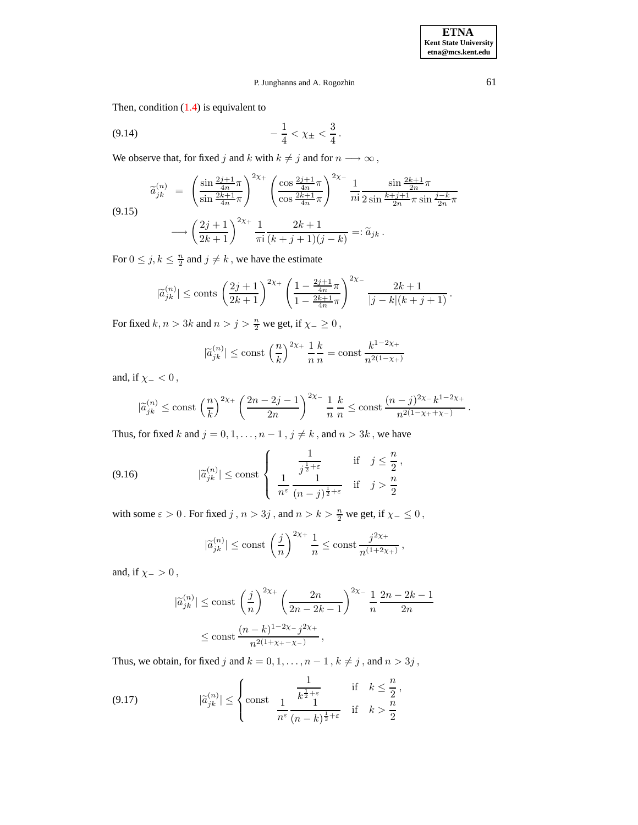**ETNA Kent State University etna@mcs.kent.edu**

## <span id="page-50-3"></span>P. Junghanns and A. Rogozhin 61

Then, condition  $(1.4)$  is equivalent to

$$
(9.14) \t -\frac{1}{4} < \chi_{\pm} < \frac{3}{4}.
$$

We observe that, for fixed  $j$  and  $k$  with  $k\neq j$  and for  $n\longrightarrow\infty$  ,

<span id="page-50-0"></span>
$$
\widetilde{a}_{jk}^{(n)} = \left(\frac{\sin\frac{2j+1}{4n}\pi}{\sin\frac{2k+1}{4n}\pi}\right)^{2\chi_{+}} \left(\frac{\cos\frac{2j+1}{4n}\pi}{\cos\frac{2k+1}{4n}\pi}\right)^{2\chi_{-}} \frac{1}{n!} \frac{\sin\frac{2k+1}{2n}\pi}{2\sin\frac{k+j+1}{2n}\pi\sin\frac{j-k}{2n}\pi}
$$
\n
$$
\longrightarrow \left(\frac{2j+1}{2k+1}\right)^{2\chi_{+}} \frac{1}{\pi i} \frac{2k+1}{(k+j+1)(j-k)} =: \widetilde{a}_{jk}.
$$

For  $0 \le j, k \le \frac{n}{2}$  and  $j \ne k$ , we have the estimate

$$
|\widetilde{a}_{jk}^{(n)}| \le \text{const} \left(\frac{2j+1}{2k+1}\right)^{2\chi_+} \left(\frac{1 - \frac{2j+1}{4n}\pi}{1 - \frac{2k+1}{4n}\pi}\right)^{2\chi_-} \frac{2k+1}{|j-k|(k+j+1)}.
$$

For fixed  $k, n > 3k$  and  $n > j > \frac{n}{2}$  we get, if  $\chi_{-} \ge 0$ ,

$$
|\widetilde{a}_{jk}^{(n)}|\le \mathrm{const}\,\left(\frac nk\right)^{2\chi_+}\frac 1n \frac k{n}=\mathrm{const}\,\frac{k^{1-2\chi_+}}{n^{2(1-\chi_+)}}
$$

and, if  $\chi_-\lt 0$ ,

$$
|\widetilde{a}_{jk}^{(n)}| \le \text{const } \left(\frac{n}{k}\right)^{2\chi_+} \left(\frac{2n-2j-1}{2n}\right)^{2\chi_-} \frac{1}{n} \frac{k}{n} \le \text{const } \frac{(n-j)^{2\chi_-}k^{1-2\chi_+}}{n^{2(1-\chi_++\chi_-)}} \, .
$$

Thus, for fixed k and  $j = 0, 1, \ldots, n - 1, j \neq k$ , and  $n > 3k$ , we have

<span id="page-50-1"></span>
$$
(9.16) \t\t |\tilde{a}_{jk}^{(n)}| \le \text{const} \left\{ \begin{array}{c} \frac{1}{j^{\frac{1}{2}+\varepsilon}} & \text{if } j \le \frac{n}{2},\\ \frac{1}{n^{\varepsilon}} \frac{1}{(n-j)^{\frac{1}{2}+\varepsilon}} & \text{if } j > \frac{n}{2} \end{array} \right.
$$

with some  $\varepsilon > 0$ . For fixed  $j$  ,  $n > 3j$  , and  $n > k > \frac{n}{2}$  we get, if  $\chi_-\leq 0$ ,

$$
|\widetilde{a}_{jk}^{(n)}| \le \text{const } \left(\frac{j}{n}\right)^{2\chi_+} \frac{1}{n} \le \text{const } \frac{j^{2\chi_+}}{n^{(1+2\chi_+)}}\,,
$$

and, if  $\chi_->0$ ,

$$
\begin{aligned} |\widetilde{a}_{jk}^{(n)}| &\leq \mathrm{const} \, \left(\frac{j}{n}\right)^{2\chi_+} \left(\frac{2n}{2n-2k-1}\right)^{2\chi_-} \frac{1}{n} \, \frac{2n-2k-1}{2n} \\ &\leq \mathrm{const} \, \frac{(n-k)^{1-2\chi_-} \, j^{2\chi_+}}{n^{2(1+\chi_+-\chi_-)}}, \end{aligned}
$$

Thus, we obtain, for fixed  $j$  and  $k = 0, 1, \ldots, n - 1$  ,  $k \neq j$  , and  $n > 3j$  ,

<span id="page-50-2"></span>(9.17) 
$$
|\widetilde{a}_{jk}^{(n)}| \leq \begin{cases} \frac{1}{k^{\frac{1}{2}+\varepsilon}} & \text{if } k \leq \frac{n}{2},\\ \cosh \frac{1}{n^{\varepsilon}} \frac{1}{(n-k)^{\frac{1}{2}+\varepsilon}} & \text{if } k > \frac{n}{2} \end{cases}
$$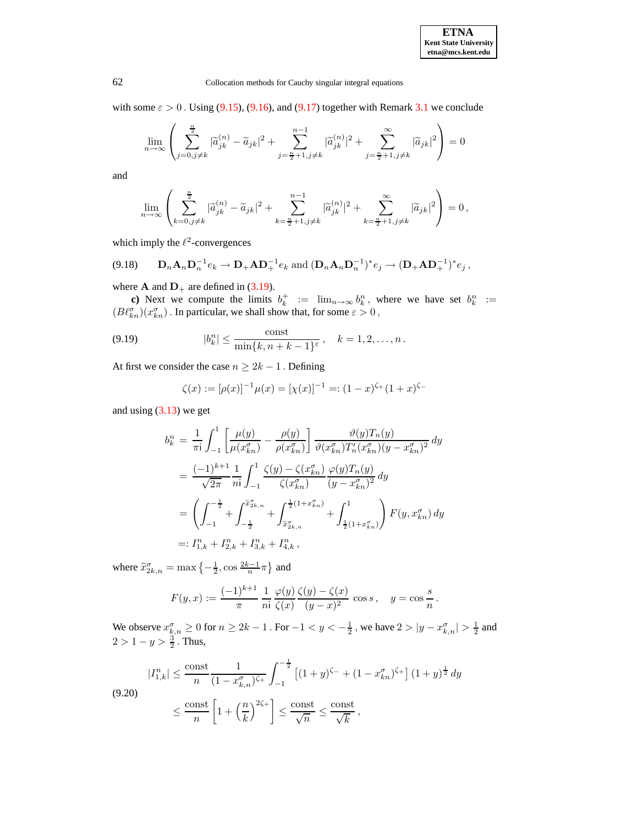.

62 Collocation methods for Cauchy singular integral equations

with some  $\varepsilon > 0$ . Using [\(9.15\)](#page-50-0), [\(9.16\)](#page-50-1), and [\(9.17\)](#page-50-2) together with Remark [3.1](#page-10-2) we conclude

$$
\lim_{n \to \infty} \left( \sum_{j=0, j \neq k}^{\frac{n}{2}} |\tilde{a}_{jk}^{(n)} - \tilde{a}_{jk}|^2 + \sum_{j=\frac{n}{2}+1, j \neq k}^{\frac{n-1}{2}} |\tilde{a}_{jk}^{(n)}|^2 + \sum_{j=\frac{n}{2}+1, j \neq k}^{\infty} |\tilde{a}_{jk}|^2 \right) = 0
$$

and

$$
\lim_{n \to \infty} \left( \sum_{k=0, j \neq k}^{\frac{n}{2}} |\tilde{a}_{jk}^{(n)} - \tilde{a}_{jk}|^2 + \sum_{k=\frac{n}{2}+1, j \neq k}^{\frac{n-1}{2}} |\tilde{a}_{jk}^{(n)}|^2 + \sum_{k=\frac{n}{2}+1, j \neq k}^{\infty} |\tilde{a}_{jk}|^2 \right) = 0,
$$

which imply the  $\ell^2$ -convergences

$$
(9.18) \t\t\tDnAnDn-1ek \to D+AD+-1ek and (DnAnDn-1)*ej \to (D+AD+-1)*ej,
$$

where **A** and  $D_+$  are defined in [\(3.19\)](#page-16-3).

**c)** Next we compute the limits  $b_k^+ := \lim_{n \to \infty} b_k^n$ , where we have set  $b_k^n :=$  $(B\ell_{kn}^\sigma)(x_{kn}^\sigma)$  . In particular, we shall show that, for some  $\varepsilon>0$  ,

<span id="page-51-0"></span>(9.19) 
$$
|b_k^n| \le \frac{\text{const}}{\min\{k, n + k - 1\}^{\varepsilon}}, \quad k = 1, 2, ..., n.
$$

At first we consider the case  $n \geq 2k - 1$ . Defining

$$
\zeta(x) := [\rho(x)]^{-1} \mu(x) = [\chi(x)]^{-1} =: (1-x)^{\zeta_+} (1+x)^{\zeta_-}
$$

and using  $(3.13)$  we get

$$
b_k^n = \frac{1}{\pi i} \int_{-1}^1 \left[ \frac{\mu(y)}{\mu(x_{kn}^{\sigma})} - \frac{\rho(y)}{\rho(x_{kn}^{\sigma})} \right] \frac{\vartheta(y) T_n(y)}{\vartheta(x_{kn}^{\sigma}) T_n'(x_{kn}^{\sigma}) (y - x_{kn}^{\sigma})^2} dy
$$
  
\n
$$
= \frac{(-1)^{k+1}}{\sqrt{2\pi}} \frac{1}{n i} \int_{-1}^1 \frac{\zeta(y) - \zeta(x_{kn}^{\sigma})}{\zeta(x_{kn}^{\sigma})} \frac{\varphi(y) T_n(y)}{(y - x_{kn}^{\sigma})^2} dy
$$
  
\n
$$
= \left( \int_{-1}^{-\frac{1}{2}} + \int_{-\frac{1}{2}}^{\frac{\pi}{2}} \frac{1}{\zeta(x_{kn}^{\sigma})} + \int_{\frac{1}{2}(1 + x_{kn}^{\sigma})}^1 \right) F(y, x_{kn}^{\sigma}) dy
$$
  
\n
$$
=: I_{1,k}^n + I_{2,k}^n + I_{3,k}^n + I_{4,k}^n,
$$

where  $\widetilde{x}_{2k,n}^{\sigma} = \max\left\{-\frac{1}{2}, \cos \frac{2k-1}{n}\pi\right\}$  and

$$
F(y, x) := \frac{(-1)^{k+1}}{\pi} \frac{1}{n!} \frac{\varphi(y)}{\zeta(x)} \frac{\zeta(y) - \zeta(x)}{(y - x)^2} \cos s, \quad y = \cos \frac{s}{n}
$$

We observe  $x_{k,n}^{\sigma} \ge 0$  for  $n \ge 2k-1$  . For  $-1 < y < -\frac{1}{2}$  , we have  $2 > |y - x_{k,n}^{\sigma}| > \frac{1}{2}$  and  $2 > 1 - y > \frac{3}{2}$ . Thus,

$$
|I_{1,k}^n| \le \frac{\text{const}}{n} \frac{1}{(1 - x_{k,n}^{\sigma})^{\zeta_+}} \int_{-1}^{-\frac{1}{2}} \left[ (1+y)^{\zeta_-} + (1 - x_{kn}^{\sigma})^{\zeta_+} \right] (1+y)^{\frac{1}{2}} dy
$$

<span id="page-51-1"></span>
$$
(9.20)
$$

$$
\leq \frac{\mathrm{const}}{n}\left[1+\left(\frac{n}{k}\right)^{2\zeta_+}\right] \leq \frac{\mathrm{const}}{\sqrt{n}} \leq \frac{\mathrm{const}}{\sqrt{k}},
$$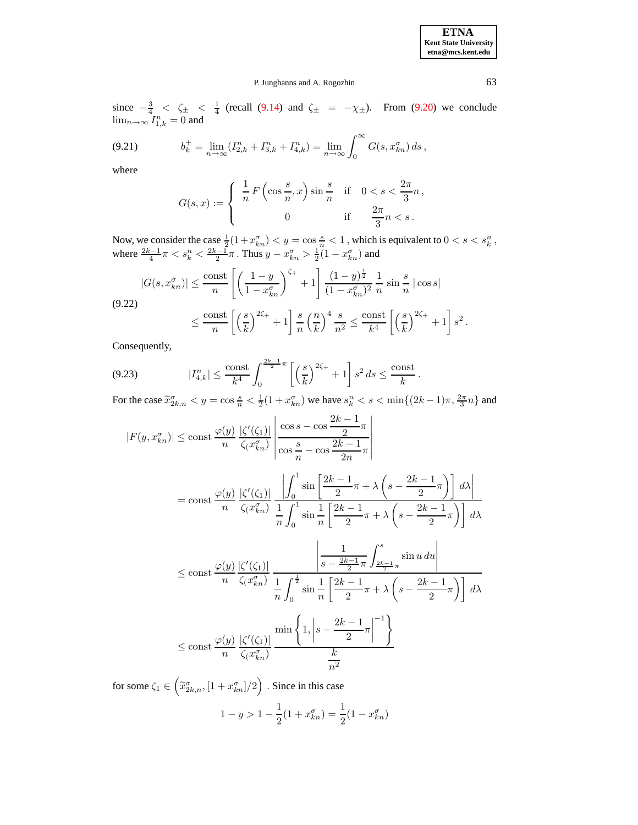.

## P. Junghanns and A. Rogozhin 63

since  $-\frac{3}{4} < \zeta_{\pm} < \frac{1}{4}$  (recall [\(9.14\)](#page-50-3) and  $\zeta_{\pm} = -\chi_{\pm}$ ). From [\(9.20\)](#page-51-1) we conclude  $\lim_{n\to\infty} I_{1,k}^n = 0$  and

<span id="page-52-1"></span>
$$
(9.21) \t\t b_k^+ = \lim_{n \to \infty} (I_{2,k}^n + I_{3,k}^n + I_{4,k}^n) = \lim_{n \to \infty} \int_0^\infty G(s, x_{kn}^\sigma) \, ds \,,
$$

where

$$
G(s,x) := \begin{cases} \frac{1}{n} F\left(\cos\frac{s}{n}, x\right) \sin\frac{s}{n} & \text{if } 0 < s < \frac{2\pi}{3}n, \\ 0 & \text{if } \frac{2\pi}{3}n < s. \end{cases}
$$

Now, we consider the case  $\frac{1}{2}(1+x_{kn}^{\sigma}) < y = \cos{\frac{s}{n}} < 1$ , which is equivalent to  $0 < s < s_k^n$ , where  $\frac{2k-1}{4}\pi < s_k^n < \frac{2k-1}{2}\pi$ . Thus  $y - x_{kn}^{\sigma} > \frac{1}{2}(1 - x_{kn}^{\sigma})$  and

<span id="page-52-0"></span>
$$
|G(s, x_{kn}^{\sigma})| \le \frac{\text{const}}{n} \left[ \left( \frac{1 - y}{1 - x_{kn}^{\sigma}} \right)^{\zeta_{+}} + 1 \right] \frac{(1 - y)^{\frac{1}{2}}}{(1 - x_{kn}^{\sigma})^{2}} \frac{1}{n} \sin \frac{s}{n} |\cos s|
$$
  
(9.22)  

$$
\le \frac{\text{const}}{n} \left[ \left( \frac{s}{k} \right)^{2\zeta_{+}} + 1 \right] \frac{s}{n} \left( \frac{n}{k} \right)^{4} \frac{s}{n^{2}} \le \frac{\text{const}}{k^{4}} \left[ \left( \frac{s}{k} \right)^{2\zeta_{+}} + 1 \right] s^{2}
$$

Consequently,

<span id="page-52-2"></span>
$$
(9.23) \t|I_{4,k}^n| \le \frac{\text{const}}{k^4} \int_0^{\frac{2k-1}{2}\pi} \left[ \left(\frac{s}{k}\right)^{2\zeta_+} + 1 \right] s^2 \, ds \le \frac{\text{const}}{k}.
$$

For the case  $\tilde{x}_{2k,n}^{\sigma} < y = \cos{\frac{s}{n}} < \frac{1}{2}(1 + x_{kn}^{\sigma})$  we have  $s_k^n < s < \min\{(2k-1)\pi, \frac{2\pi}{3}n\}$  and

$$
|F(y, x_{kn}^{\sigma})| \le \text{const} \frac{\varphi(y)}{n} \frac{|\zeta'(\zeta_1)|}{\zeta(x_{kn}^{\sigma})} \frac{\left|\cos s - \cos \frac{2k - 1}{2}\pi\right|}{\cos \frac{s}{n} - \cos \frac{2k - 1}{2n}\pi}
$$
  

$$
= \text{const} \frac{\varphi(y)}{n} \frac{|\zeta'(\zeta_1)|}{\zeta(x_{kn}^{\sigma})} \frac{\left|\int_0^1 \sin \left[\frac{2k - 1}{2}\pi + \lambda \left(s - \frac{2k - 1}{2}\pi\right)\right] d\lambda\right|}{\frac{1}{n} \int_0^1 \sin \frac{1}{n} \left[\frac{2k - 1}{2}\pi + \lambda \left(s - \frac{2k - 1}{2}\pi\right)\right] d\lambda}
$$
  

$$
\le \text{const} \frac{\varphi(y)}{n} \frac{|\zeta'(\zeta_1)|}{\zeta(x_{kn}^{\sigma})} \frac{\left|\frac{1}{s - \frac{2k - 1}{2}\pi} \int_{\frac{2k - 1}{2}\pi}^s \sin u \, du\right|}{\frac{1}{n} \int_0^{\frac{1}{2}} \sin \frac{1}{n} \left[\frac{2k - 1}{2}\pi + \lambda \left(s - \frac{2k - 1}{2}\pi\right)\right] d\lambda}
$$
  

$$
\le \text{const} \frac{\varphi(y)}{n} \frac{|\zeta'(\zeta_1)|}{\zeta(x_{kn}^{\sigma})} \frac{\min \left\{1, \left|s - \frac{2k - 1}{2}\pi\right|^{-1}\right\}}{\frac{k}{n^2}}
$$

for some  $\zeta_1 \in \left(\widetilde{x}_{2k,n}^{\sigma}, [1+x_{kn}^{\sigma}]/2\right)$  . Since in this case  $1 - y > 1 - \frac{1}{2}$  $\frac{1}{2}(1+x_{kn}^{\sigma})=\frac{1}{2}$  $\frac{1}{2}(1-x_{kn}^{\sigma})$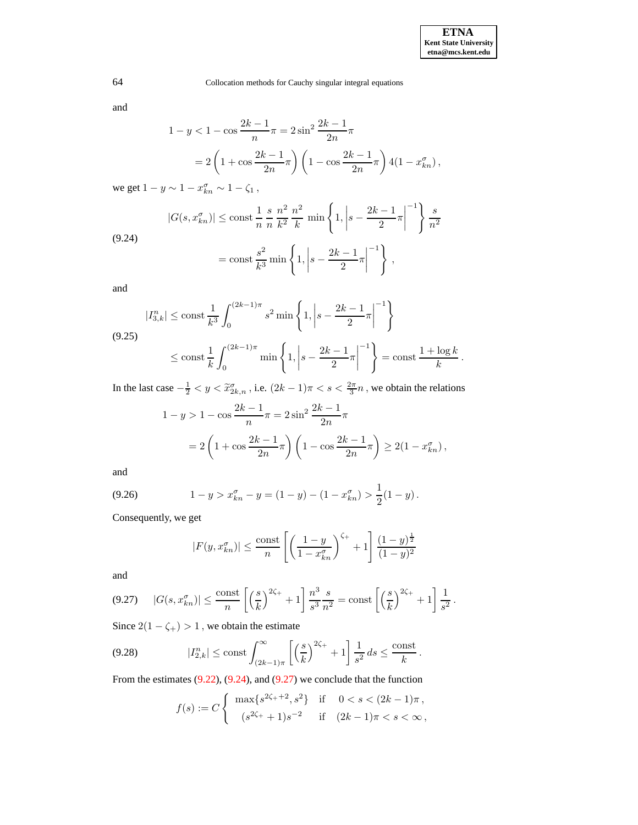and

$$
1 - y < 1 - \cos \frac{2k - 1}{n}\pi = 2\sin^2 \frac{2k - 1}{2n}\pi
$$
\n
$$
= 2\left(1 + \cos \frac{2k - 1}{2n}\pi\right)\left(1 - \cos \frac{2k - 1}{2n}\pi\right)4(1 - x_{kn}^{\sigma}),
$$
\nand

we get  $1 - y \sim 1 - x_{kn}^{\sigma} \sim 1 - \zeta_1$ ,

<span id="page-53-0"></span>
$$
|G(s, x_{kn}^{\sigma})| \le \text{const} \frac{1}{n} \frac{s}{n} \frac{n^2}{k^2} \frac{n^2}{k} \min\left\{1, \left|s - \frac{2k - 1}{2}\pi\right|^{-1}\right\} \frac{s}{n^2}
$$
  
(9.24)  

$$
= \text{const} \frac{s^2}{k^3} \min\left\{1, \left|s - \frac{2k - 1}{2}\pi\right|^{-1}\right\},
$$

and

<span id="page-53-2"></span>
$$
|I_{3,k}^{n}| \le \text{const} \frac{1}{k^3} \int_0^{(2k-1)\pi} s^2 \min\left\{1, \left|s - \frac{2k-1}{2}\pi\right|^{-1}\right\}
$$
  
(9.25)  

$$
\le \text{const} \frac{1}{k} \int_0^{(2k-1)\pi} \min\left\{1, \left|s - \frac{2k-1}{2}\pi\right|^{-1}\right\} = \text{const} \frac{1 + \log k}{k}.
$$

In the last case  $-\frac{1}{2} < y < \tilde{x}_{2k,n}^{\sigma}$ , i.e.  $(2k-1)\pi < s < \frac{2\pi}{3}n$ , we obtain the relations

$$
1 - y > 1 - \cos \frac{2k - 1}{n} \pi = 2 \sin^2 \frac{2k - 1}{2n} \pi
$$
  
=  $2 \left( 1 + \cos \frac{2k - 1}{2n} \pi \right) \left( 1 - \cos \frac{2k - 1}{2n} \pi \right) \ge 2(1 - x_{kn}^{\sigma}),$ 

and

<span id="page-53-4"></span>(9.26) 
$$
1 - y > x_{kn}^{\sigma} - y = (1 - y) - (1 - x_{kn}^{\sigma}) > \frac{1}{2}(1 - y).
$$

Consequently, we get

$$
|F(y, x_{kn}^{\sigma})| \le \frac{\text{const}}{n} \left[ \left( \frac{1-y}{1-x_{kn}^{\sigma}} \right)^{\zeta_{+}} + 1 \right] \frac{(1-y)^{\frac{1}{2}}}{(1-y)^{2}}
$$

and

<span id="page-53-1"></span>
$$
(9.27) \quad |G(s, x_{kn}^{\sigma})| \le \frac{\text{const}}{n} \left[ \left( \frac{s}{k} \right)^{2\zeta_{+}} + 1 \right] \frac{n^3}{s^3} \frac{s}{n^2} = \text{const} \left[ \left( \frac{s}{k} \right)^{2\zeta_{+}} + 1 \right] \frac{1}{s^2} \, .
$$

Since  $2(1-\zeta_+)>1$  , we obtain the estimate

<span id="page-53-3"></span>
$$
(9.28) \t|I_{2,k}^n| \le \text{const} \int_{(2k-1)\pi}^{\infty} \left[ \left(\frac{s}{k}\right)^{2\zeta_+} + 1 \right] \frac{1}{s^2} ds \le \frac{\text{const}}{k}.
$$

From the estimates  $(9.22)$ ,  $(9.24)$ , and  $(9.27)$  we conclude that the function

$$
f(s) := C \begin{cases} \max\{s^{2\zeta_+ + 2}, s^2\} & \text{if } 0 < s < (2k - 1)\pi \,, \\ (s^{2\zeta_+} + 1)s^{-2} & \text{if } (2k - 1)\pi < s < \infty \,, \end{cases}
$$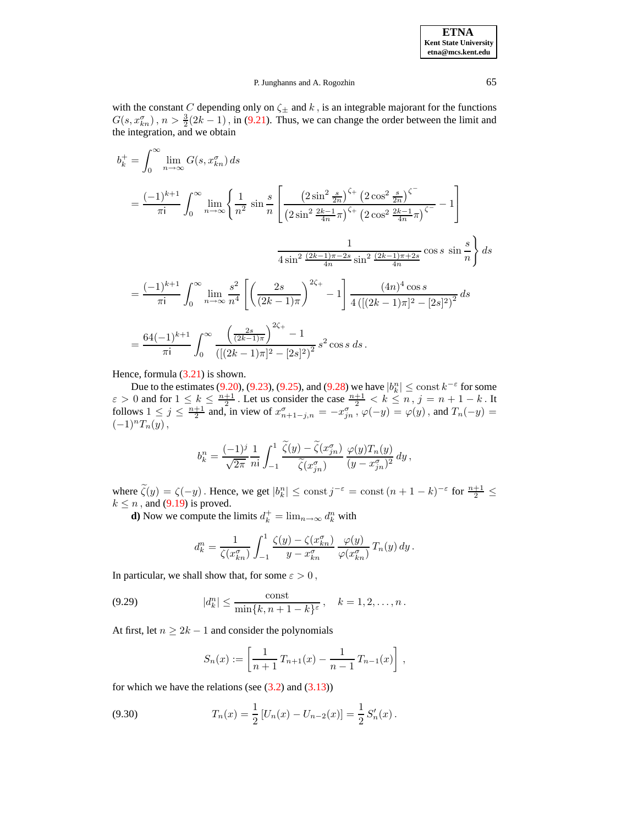with the constant C depending only on  $\zeta_{\pm}$  and  $k$ , is an integrable majorant for the functions  $G(s, x_{kn}^{\sigma})$ ,  $n > \frac{3}{2}(2k-1)$ , in [\(9.21\)](#page-52-1). Thus, we can change the order between the limit and the integration, and we obtain

$$
b_k^+ = \int_0^\infty \lim_{n \to \infty} G(s, x_{kn}^\sigma) ds
$$
  
\n
$$
= \frac{(-1)^{k+1}}{\pi i} \int_0^\infty \lim_{n \to \infty} \left\{ \frac{1}{n^2} \sin \frac{s}{n} \left[ \frac{(2 \sin^2 \frac{s}{2n})^{\zeta_+} (2 \cos^2 \frac{s}{2n})^{\zeta_-}}{(2 \sin^2 \frac{2k-1}{4n}\pi)^{\zeta_+} (2 \cos^2 \frac{2k-1}{4n}\pi)^{\zeta_-}} - 1 \right] \right\}
$$
  
\n
$$
\frac{1}{4 \sin^2 \frac{(2k-1)\pi - 2s}{4n} \sin^2 \frac{(2k-1)\pi + 2s}{4n} \cos s \sin \frac{s}{n}} \right\} ds
$$
  
\n
$$
= \frac{(-1)^{k+1}}{\pi i} \int_0^\infty \lim_{n \to \infty} \frac{s^2}{n^4} \left[ \left( \frac{2s}{(2k-1)\pi} \right)^{2\zeta_+} - 1 \right] \frac{(4n)^4 \cos s}{4\left( [(2k-1)\pi]^2 - [2s]^2 \right)^2} ds
$$
  
\n
$$
= \frac{64(-1)^{k+1}}{\pi i} \int_0^\infty \frac{\left( \frac{2s}{(2k-1)\pi} \right)^{2\zeta_+} - 1}{\left( [(2k-1)\pi]^2 - [2s]^2 \right)^2} s^2 \cos s \, ds.
$$

Hence, formula  $(3.21)$  is shown.

Due to the estimates [\(9.20\)](#page-51-1), [\(9.23\)](#page-52-2), [\(9.25\)](#page-53-2), and [\(9.28\)](#page-53-3) we have  $|b_k^n| \le \text{const } k^{-\epsilon}$  for some  $\varepsilon > 0$  and for  $1 \leq k \leq \frac{n+1}{2}$ . Let us consider the case  $\frac{n+1}{2} < k \leq n$ ,  $j = n+1-k$ . It follows  $1 \leq j \leq \frac{n+1}{2}$  and, in view of  $x_{n+1-j,n}^{\sigma} = -x_{jn}^{\sigma}$ ,  $\varphi(-y) = \varphi(y)$ , and  $T_n(-y) =$  $(-1)^nT_n(y),$ 

$$
b_k^n = \frac{(-1)^j}{\sqrt{2\pi}} \frac{1}{n!} \int_{-1}^1 \frac{\widetilde{\zeta}(y) - \widetilde{\zeta}(x_{jn}^\sigma)}{\widetilde{\zeta}(x_{jn}^\sigma)} \frac{\varphi(y) T_n(y)}{(y - x_{jn}^\sigma)^2} dy,
$$

where  $\tilde{\zeta}(y) = \zeta(-y)$ . Hence, we get  $|b_k^n| \le \text{const } j^{-\varepsilon} = \text{const } (n+1-k)^{-\varepsilon}$  for  $\frac{n+1}{2} \le$  $k \leq n$ , and [\(9.19\)](#page-51-0) is proved.

**d**) Now we compute the limits  $d_k^+ = \lim_{n \to \infty} d_k^n$  with

$$
d_k^n = \frac{1}{\zeta(x_{kn}^{\sigma})} \int_{-1}^1 \frac{\zeta(y) - \zeta(x_{kn}^{\sigma})}{y - x_{kn}^{\sigma}} \frac{\varphi(y)}{\varphi(x_{kn}^{\sigma})} T_n(y) dy.
$$

In particular, we shall show that, for some  $\varepsilon > 0$ ,

<span id="page-54-0"></span>(9.29) 
$$
|d_k^n| \le \frac{\text{const}}{\min\{k, n+1-k\}^{\varepsilon}}, \quad k = 1, 2, ..., n.
$$

At first, let  $n \geq 2k - 1$  and consider the polynomials

$$
S_n(x) := \left[\frac{1}{n+1}T_{n+1}(x) - \frac{1}{n-1}T_{n-1}(x)\right],
$$

for which we have the relations (see  $(3.2)$  and  $(3.13)$ )

<span id="page-54-1"></span>(9.30) 
$$
T_n(x) = \frac{1}{2} \left[ U_n(x) - U_{n-2}(x) \right] = \frac{1}{2} S'_n(x).
$$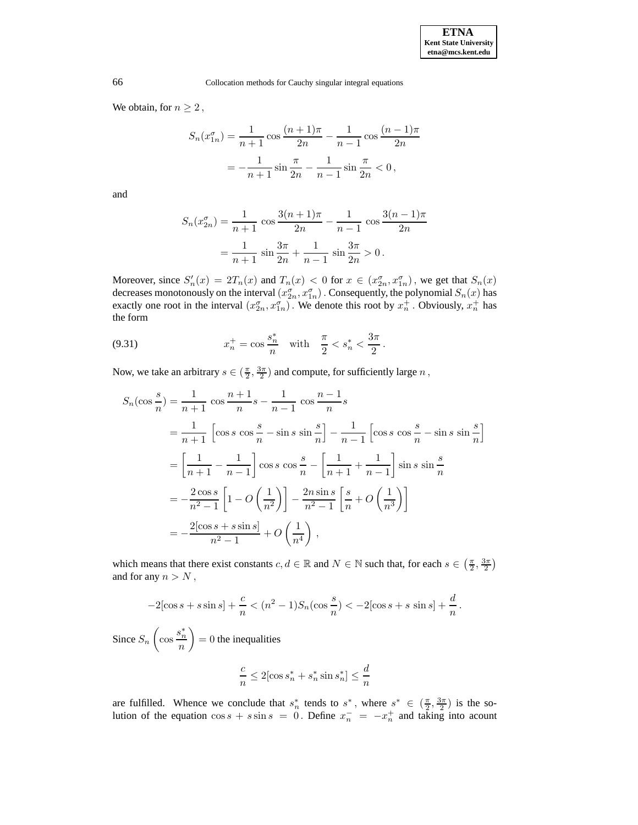We obtain, for  $n \geq 2$ ,

$$
S_n(x_{1n}^{\sigma}) = \frac{1}{n+1} \cos \frac{(n+1)\pi}{2n} - \frac{1}{n-1} \cos \frac{(n-1)\pi}{2n}
$$

$$
= -\frac{1}{n+1} \sin \frac{\pi}{2n} - \frac{1}{n-1} \sin \frac{\pi}{2n} < 0,
$$

and

$$
S_n(x_{2n}^{\sigma}) = \frac{1}{n+1} \cos \frac{3(n+1)\pi}{2n} - \frac{1}{n-1} \cos \frac{3(n-1)\pi}{2n}
$$

$$
= \frac{1}{n+1} \sin \frac{3\pi}{2n} + \frac{1}{n-1} \sin \frac{3\pi}{2n} > 0.
$$

Moreover, since  $S'_n(x) = 2T_n(x)$  and  $T_n(x) < 0$  for  $x \in (x_{2n}^{\sigma}, x_{1n}^{\sigma})$ , we get that  $S_n(x)$ decreases monotonously on the interval  $(x_{2n}^{\sigma},x_{1n}^{\sigma})$  . Consequently, the polynomial  $S_n(x)$  has exactly one root in the interval  $(x_{2n}^{\sigma}, x_{1n}^{\sigma})$ . We denote this root by  $x_n^+$ . Obviously,  $x_n^+$  has the form

<span id="page-55-0"></span>(9.31) 
$$
x_n^+ = \cos \frac{s_n^*}{n} \quad \text{with} \quad \frac{\pi}{2} < s_n^* < \frac{3\pi}{2}.
$$

Now, we take an arbitrary  $s \in (\frac{\pi}{2}, \frac{3\pi}{2})$  and compute, for sufficiently large  $n$ ,

$$
S_n(\cos \frac{s}{n}) = \frac{1}{n+1} \cos \frac{n+1}{n} s - \frac{1}{n-1} \cos \frac{n-1}{n} s
$$
  
=  $\frac{1}{n+1} \left[ \cos s \cos \frac{s}{n} - \sin s \sin \frac{s}{n} \right] - \frac{1}{n-1} \left[ \cos s \cos \frac{s}{n} - \sin s \sin \frac{s}{n} \right]$   
=  $\left[ \frac{1}{n+1} - \frac{1}{n-1} \right] \cos s \cos \frac{s}{n} - \left[ \frac{1}{n+1} + \frac{1}{n-1} \right] \sin s \sin \frac{s}{n}$   
=  $-\frac{2 \cos s}{n^2 - 1} \left[ 1 - O\left(\frac{1}{n^2}\right) \right] - \frac{2n \sin s}{n^2 - 1} \left[ \frac{s}{n} + O\left(\frac{1}{n^3}\right) \right]$   
=  $-\frac{2[\cos s + s \sin s]}{n^2 - 1} + O\left(\frac{1}{n^4}\right)$ ,

which means that there exist constants  $c, d \in \mathbb{R}$  and  $N \in \mathbb{N}$  such that, for each  $s \in (\frac{\pi}{2}, \frac{3\pi}{2})$ and for any  $n > N$ ,

$$
-2[\cos s + s \sin s] + \frac{c}{n} < (n^2 - 1)S_n(\cos \frac{s}{n}) < -2[\cos s + s \sin s] + \frac{d}{n}.
$$

Since  $S_n$  $\sqrt{ }$  $\cos \frac{s_n^*}{s_n}$ n  $\overline{ }$  $= 0$  the inequalities

$$
\frac{c}{n} \le 2[\cos s_n^* + s_n^* \sin s_n^*] \le \frac{d}{n}
$$

are fulfilled. Whence we conclude that  $s_n^*$  tends to  $s^*$ , where  $s^* \in (\frac{\pi}{2}, \frac{3\pi}{2})$  is the solution of the equation  $\cos s + s \sin s = 0$ . Define  $x_n^- = -x_n^+$  and taking into acount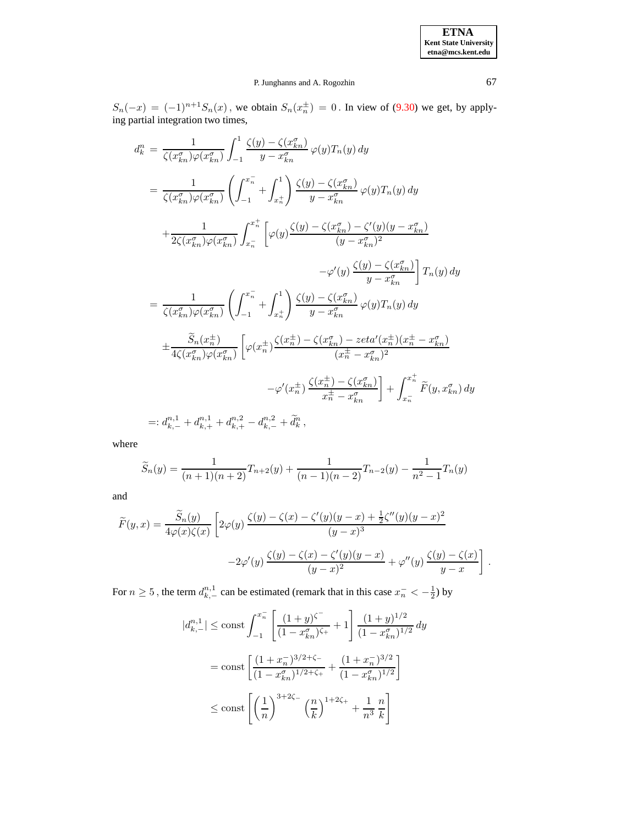$S_n(-x) = (-1)^{n+1} S_n(x)$ , we obtain  $S_n(x_n^{\pm}) = 0$ . In view of [\(9.30\)](#page-54-1) we get, by applying partial integration two times,

$$
d_k^n = \frac{1}{\zeta(x_{kn}^{\sigma})\varphi(x_{kn}^{\sigma})} \int_{-1}^{1} \frac{\zeta(y) - \zeta(x_{kn}^{\sigma})}{y - x_{kn}^{\sigma}} \varphi(y) T_n(y) dy
$$
  
\n
$$
= \frac{1}{\zeta(x_{kn}^{\sigma})\varphi(x_{kn}^{\sigma})} \left( \int_{-1}^{x_n^{-}} + \int_{x_n^{+}}^{1} \right) \frac{\zeta(y) - \zeta(x_{kn}^{\sigma})}{y - x_{kn}^{\sigma}} \varphi(y) T_n(y) dy
$$
  
\n
$$
+ \frac{1}{2\zeta(x_{kn}^{\sigma})\varphi(x_{kn}^{\sigma})} \int_{x_n^{-}}^{x_n^{+}} \left[ \varphi(y) \frac{\zeta(y) - \zeta(x_{kn}^{\sigma}) - \zeta'(y)(y - x_{kn}^{\sigma})}{(y - x_{kn}^{\sigma})^2} - \varphi'(y) \frac{\zeta(y) - \zeta(x_{kn}^{\sigma})}{y - x_{kn}^{\sigma}} \right] T_n(y) dy
$$
  
\n
$$
= \frac{1}{\zeta(x_{kn}^{\sigma})\varphi(x_{kn}^{\sigma})} \left( \int_{-1}^{x_n^{-}} + \int_{x_n^{+}}^{1} \right) \frac{\zeta(y) - \zeta(x_{kn}^{\sigma})}{y - x_{kn}^{\sigma}} \varphi(y) T_n(y) dy
$$
  
\n
$$
+ \frac{\widetilde{S}_n(x_n^{+})}{4\zeta(x_{kn}^{\sigma})\varphi(x_{kn}^{\sigma})} \left[ \varphi(x_n^{+}) \frac{\zeta(x_n^{+}) - \zeta(x_{kn}^{\sigma}) - zeta'(x_n^{+})}{(x_n^{+} - x_{kn}^{\sigma})^2} + \int_{x_n^{-}}^{x_n^{+}} \widetilde{F}(y, x_{kn}^{\sigma}) dy \right]
$$
  
\n
$$
=: d_{k,-}^{n,1} + d_{k,+}^{n,1} + d_{k,+}^{n,2} - d_{k,-}^{n,2} + \widetilde{d}_k^{n},
$$

where

$$
\widetilde{S}_n(y) = \frac{1}{(n+1)(n+2)} T_{n+2}(y) + \frac{1}{(n-1)(n-2)} T_{n-2}(y) - \frac{1}{n^2 - 1} T_n(y)
$$

and

$$
\widetilde{F}(y,x) = \frac{\widetilde{S}_n(y)}{4\varphi(x)\zeta(x)} \left[ 2\varphi(y)\frac{\zeta(y) - \zeta(x) - \zeta'(y)(y-x) + \frac{1}{2}\zeta''(y)(y-x)^2}{(y-x)^3} -2\varphi'(y)\frac{\zeta(y) - \zeta(x) - \zeta'(y)(y-x)}{(y-x)^2} + \varphi''(y)\frac{\zeta(y) - \zeta(x)}{y-x} \right]
$$

For  $n \ge 5$ , the term  $d_{k,-}^{n,1}$  can be estimated (remark that in this case  $x_n^- < -\frac{1}{2}$ ) by

$$
|d_{k,-}^{n,1}| \le \text{const} \int_{-1}^{x_n^-} \left[ \frac{(1+y)^{\zeta^-}}{(1-x_{kn}^{\sigma})^{\zeta_+}} + 1 \right] \frac{(1+y)^{1/2}}{(1-x_{kn}^{\sigma})^{1/2}} dy
$$
  
= const  $\left[ \frac{(1+x_n^-)^{3/2+\zeta_-}}{(1-x_{kn}^{\sigma})^{1/2+\zeta_+}} + \frac{(1+x_n^-)^{3/2}}{(1-x_{kn}^{\sigma})^{1/2}} \right]$   
 $\le \text{const} \left[ \left(\frac{1}{n}\right)^{3+2\zeta_-} \left(\frac{n}{k}\right)^{1+2\zeta_+} + \frac{1}{n^3} \frac{n}{k} \right]$ 

.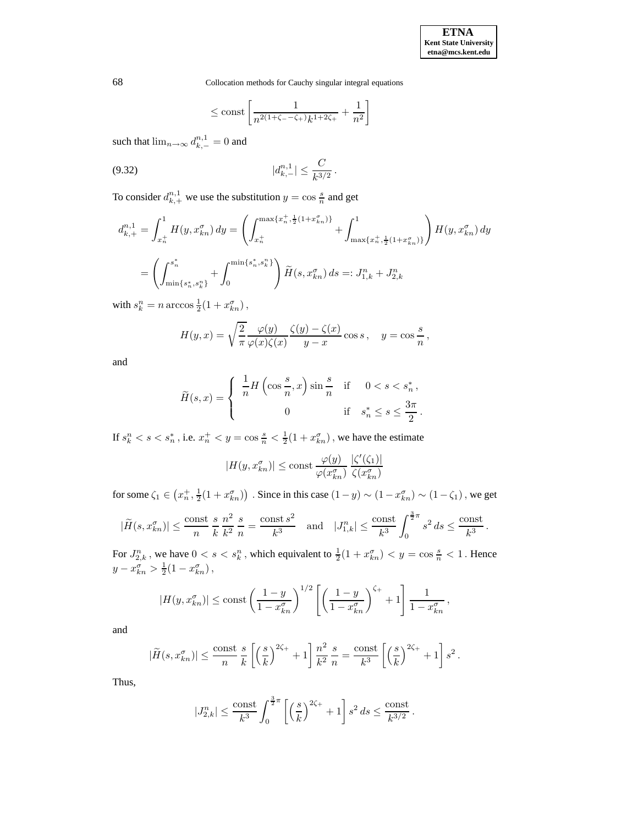<span id="page-57-0"></span>
$$
\le \mathrm{const} \left[ \frac{1}{n^{2(1+\zeta_--\zeta_+) } k^{1+2\zeta_+}} + \frac{1}{n^2} \right]
$$

such that  $\lim_{n\to\infty} d_{k,-}^{n,1} = 0$  and

$$
(9.32) \t\t |d_{k,-}^{n,1}| \leq \frac{C}{k^{3/2}}.
$$

To consider  $d_{k,+}^{n,1}$  we use the substitution  $y = \cos \frac{s}{n}$  and get

$$
d_{k,+}^{n,1} = \int_{x_n^+}^1 H(y, x_{kn}^\sigma) \, dy = \left( \int_{x_n^+}^{\max\{x_n^+, \frac{1}{2}(1+x_{kn}^\sigma)\}} + \int_{\max\{x_n^+, \frac{1}{2}(1+x_{kn}^\sigma)\}}^1 \right) H(y, x_{kn}^\sigma) \, dy
$$

$$
= \left( \int_{\min\{s_n^*, s_k^n\}}^{s_n^*} + \int_0^{\min\{s_n^*, s_k^n\}} \right) \widetilde{H}(s, x_{kn}^\sigma) \, ds =: J_{1,k}^n + J_{2,k}^n
$$

with  $s_k^n = n \arccos \frac{1}{2}(1 + x_{kn}^\sigma)$ ,

$$
H(y,x) = \sqrt{\frac{2}{\pi}} \frac{\varphi(y)}{\varphi(x)\zeta(x)} \frac{\zeta(y) - \zeta(x)}{y - x} \cos s, \quad y = \cos\frac{s}{n},
$$

and

$$
\widetilde{H}(s,x) = \begin{cases}\n\frac{1}{n}H\left(\cos\frac{s}{n},x\right)\sin\frac{s}{n} & \text{if } 0 < s < s_n^*, \\
0 & \text{if } s_n^* \le s \le \frac{3\pi}{2}.\n\end{cases}
$$

If  $s_k^n < s < s_n^*$ , i.e.  $x_n^+ < y = \cos \frac{s}{n} < \frac{1}{2}(1 + x_{kn}^\sigma)$ , we have the estimate

$$
|H(y, x_{kn}^{\sigma})| \le \text{const} \frac{\varphi(y)}{\varphi(x_{kn}^{\sigma})} \frac{|\zeta'(\zeta_1)|}{\zeta(x_{kn}^{\sigma})}
$$

for some  $\zeta_1 \in (x_n^+, \frac{1}{2}(1+x_{kn}^{\sigma}))$ . Since in this case  $(1-y) \sim (1-x_{kn}^{\sigma}) \sim (1-\zeta_1)$ , we get

$$
|\widetilde{H}(s, x_{kn}^{\sigma})| \le \frac{\text{const}}{n} \frac{s}{k} \frac{n^2}{k^2} \frac{s}{n} = \frac{\text{const } s^2}{k^3} \text{ and } |J_{1,k}^n| \le \frac{\text{const}}{k^3} \int_0^{\frac{3}{2}\pi} s^2 ds \le \frac{\text{const}}{k^3}.
$$

For  $J_{2,k}^n$  , we have  $0 < s < s_k^n$  , which equivalent to  $\frac{1}{2}(1 + x_{kn}^\sigma) < y = \cos\frac{s}{n} < 1$  . Hence  $y - x_{kn}^{\sigma} > \frac{1}{2}(1 - x_{kn}^{\sigma}),$ 

$$
|H(y, x_{kn}^{\sigma})| \le \text{const} \left(\frac{1-y}{1-x_{kn}^{\sigma}}\right)^{1/2} \left[\left(\frac{1-y}{1-x_{kn}^{\sigma}}\right)^{\zeta_{+}} + 1\right] \frac{1}{1-x_{kn}^{\sigma}},
$$

and

$$
|\widetilde{H}(s,x_{kn}^{\sigma})|\leq \frac{\text{const}}{n}\frac{s}{k}\left[\left(\frac{s}{k}\right)^{2\zeta_{+}}+1\right]\frac{n^{2}}{k^{2}}\frac{s}{n}=\frac{\text{const}}{k^{3}}\left[\left(\frac{s}{k}\right)^{2\zeta_{+}}+1\right]s^{2}.
$$

Thus,

$$
|J_{2,k}^n| \le \frac{\text{const}}{k^3} \int_0^{\frac{3}{2}\pi} \left[ \left( \frac{s}{k} \right)^{2\zeta_+} + 1 \right] s^2 \, ds \le \frac{\text{const}}{k^{3/2}}.
$$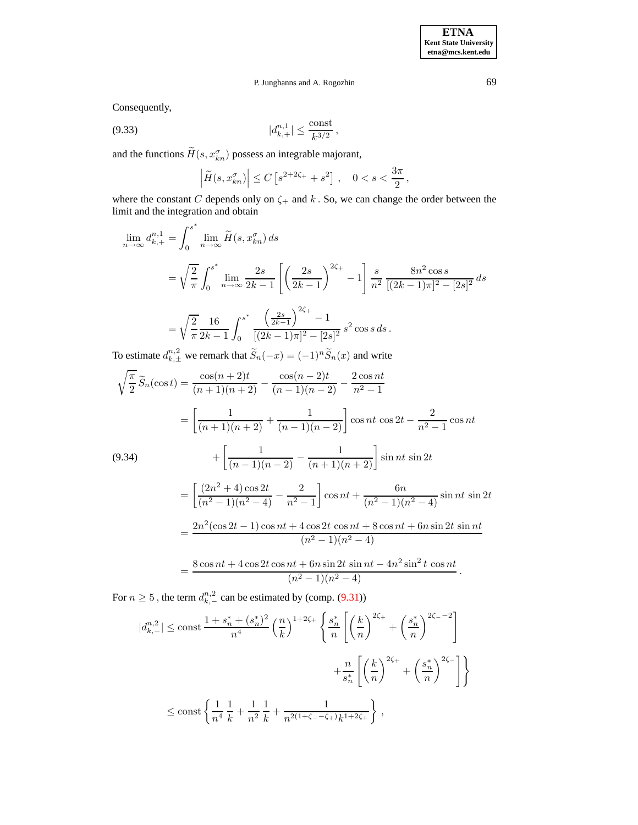**ETNA Kent State University etna@mcs.kent.edu**

# P. Junghanns and A. Rogozhin 69

Consequently,

$$
|d_{k,+}^{n,1}| \leq \frac{\text{const}}{k^{3/2}},
$$

and the functions  $\tilde{H}(s, x_{kn}^{\sigma})$  possess an integrable majorant,

<span id="page-58-1"></span>
$$
\left|\widetilde{H}(s,x_{kn}^{\sigma})\right| \leq C\left[s^{2+2\zeta_{+}} + s^{2}\right], \quad 0 < s < \frac{3\pi}{2},
$$

where the constant C depends only on  $\zeta$  and k. So, we can change the order between the limit and the integration and obtain

$$
\lim_{n \to \infty} d_{k,+}^{n,1} = \int_0^{s^*} \lim_{n \to \infty} \widetilde{H}(s, x_{kn}^{\sigma}) ds
$$
  
=  $\sqrt{\frac{2}{\pi}} \int_0^{s^*} \lim_{n \to \infty} \frac{2s}{2k-1} \left[ \left( \frac{2s}{2k-1} \right)^{2\zeta_+} - 1 \right] \frac{s}{n^2} \frac{8n^2 \cos s}{[(2k-1)\pi]^2 - [2s]^2} ds$   
 $\sqrt{2} \quad 16 \quad \int_0^{s^*} \left( \frac{2s}{2k-1} \right)^{2\zeta_+} - 1$ 

$$
= \sqrt{\frac{2}{\pi}} \frac{16}{2k-1} \int_0^{s^*} \frac{\left(\frac{2s}{2k-1}\right)}{\left[(2k-1)\pi]^2 - [2s]^2} s^2 \cos s \, ds.
$$

To estimate  $d_{k,\pm}^{n,2}$  we remark that  $\widetilde{S}_n(-x) = (-1)^n \widetilde{S}_n(x)$  and write

<span id="page-58-0"></span>
$$
\sqrt{\frac{\pi}{2}}\widetilde{S}_n(\cos t) = \frac{\cos(n+2)t}{(n+1)(n+2)} - \frac{\cos(n-2)t}{(n-1)(n-2)} - \frac{2\cos nt}{n^2 - 1}
$$
  
\n
$$
= \left[\frac{1}{(n+1)(n+2)} + \frac{1}{(n-1)(n-2)}\right] \cos nt \cos 2t - \frac{2}{n^2 - 1} \cos nt
$$
  
\n(9.34)  
\n
$$
+ \left[\frac{1}{(n-1)(n-2)} - \frac{1}{(n+1)(n+2)}\right] \sin nt \sin 2t
$$
  
\n
$$
= \left[\frac{(2n^2+4)\cos 2t}{(n^2-1)(n^2-4)} - \frac{2}{n^2-1}\right] \cos nt + \frac{6n}{(n^2-1)(n^2-4)} \sin nt \sin 2t
$$
  
\n
$$
= \frac{2n^2(\cos 2t - 1)\cos nt + 4\cos 2t \cos nt + 8\cos nt + 6n \sin 2t \sin nt}{(n^2-1)(n^2-4)}
$$
  
\n
$$
= \frac{8\cos nt + 4\cos 2t \cos nt + 6n \sin 2t \sin nt - 4n^2 \sin^2 t \cos nt}{(n^2-1)(n^2-4)}.
$$

For  $n \geq 5$ , the term  $d_{k,-}^{n,2}$  can be estimated by (comp. [\(9.31\)](#page-55-0))

$$
|d_{k,-}^{n,2}| \le \text{const} \frac{1 + s_n^* + (s_n^*)^2}{n^4} \left(\frac{n}{k}\right)^{1+2\zeta_+} \left\{ \frac{s_n^*}{n} \left[ \left(\frac{k}{n}\right)^{2\zeta_+} + \left(\frac{s_n^*}{n}\right)^{2\zeta_--2} \right] + \frac{n}{s_n^*} \left[ \left(\frac{k}{n}\right)^{2\zeta_+} + \left(\frac{s_n^*}{n}\right)^{2\zeta_-} \right] \right\}
$$
  

$$
\le \text{const} \left\{ \frac{1}{n^4} \frac{1}{k} + \frac{1}{n^2} \frac{1}{k} + \frac{1}{n^{2(1+\zeta_--\zeta_+)k^{1+2\zeta_+}}} \right\},
$$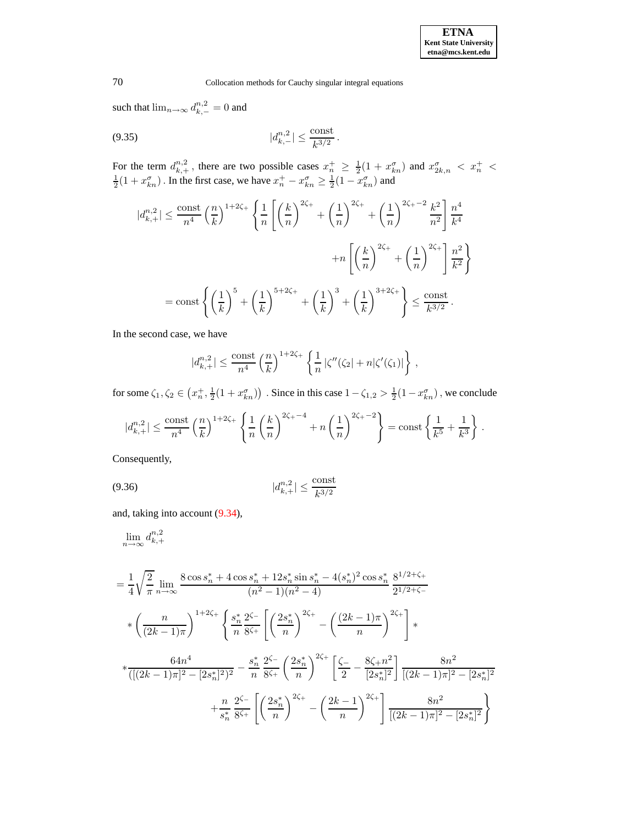such that  $\lim_{n\to\infty} d_{k,-}^{n,2} = 0$  and

<span id="page-59-0"></span>
$$
|d_{k,-}^{n,2}| \leq \frac{\text{const}}{k^{3/2}}.
$$

For the term  $d_{k,+}^{n,2}$ , there are two possible cases  $x_n^+ \geq \frac{1}{2}(1 + x_{kn}^{\sigma})$  and  $x_{2k,n}^{\sigma} < x_n^+ < \frac{1}{2}(1 + x_{kn}^{\sigma})$ . In the first case, we have  $x_n^+ - x_{kn}^{\sigma} \geq \frac{1}{2}(1 - x_{kn}^{\sigma})$  and

$$
|d_{k,+}^{n,2}| \leq \frac{\text{const}}{n^4} \left(\frac{n}{k}\right)^{1+2\zeta_{+}} \left\{ \frac{1}{n} \left[ \left(\frac{k}{n}\right)^{2\zeta_{+}} + \left(\frac{1}{n}\right)^{2\zeta_{+}} + \left(\frac{1}{n}\right)^{2\zeta_{+}-2} \frac{k^{2}}{n^{2}} \right] \frac{n^{4}}{k^{4}} + n \left[ \left(\frac{k}{n}\right)^{2\zeta_{+}} + \left(\frac{1}{n}\right)^{2\zeta_{+}} \right] \frac{n^{2}}{k^{2}} \right\}
$$

$$
= \text{const} \left\{ \left(\frac{1}{k}\right)^{5} + \left(\frac{1}{k}\right)^{5+2\zeta_{+}} + \left(\frac{1}{k}\right)^{3} + \left(\frac{1}{k}\right)^{3+2\zeta_{+}} \right\} \leq \frac{\text{const}}{k^{3/2}}.
$$

In the second case, we have

$$
|d_{k,+}^{n,2}| \leq \frac{\text{const}}{n^4} \left(\frac{n}{k}\right)^{1+2\zeta_+} \left\{ \frac{1}{n} \left| \zeta''(\zeta_2) + n|\zeta'(\zeta_1)| \right. \right\} \,,
$$

for some  $\zeta_1, \zeta_2 \in (x_n^+, \frac{1}{2}(1+x_{kn}^\sigma))$  . Since in this case  $1-\zeta_{1,2} > \frac{1}{2}(1-x_{kn}^\sigma)$ , we conclude

$$
|d_{k,+}^{n,2}|\leq \frac{\text{const}}{n^4}\left(\frac{n}{k}\right)^{1+2\zeta_+}\left\{\frac{1}{n}\left(\frac{k}{n}\right)^{2\zeta_+ - 4}+n\left(\frac{1}{n}\right)^{2\zeta_+ - 2}\right\}=\text{const}\left\{\frac{1}{k^5}+\frac{1}{k^3}\right\}\,.
$$

Consequently,

<span id="page-59-1"></span>
$$
(9.36) \t |d_{k,+}^{n,2}| \le \frac{\text{const}}{k^{3/2}}
$$

and, taking into account [\(9.34\)](#page-58-0),

$$
\lim_{n \to \infty} d_{k,+}^{n,2}
$$
\n
$$
\frac{1}{2} \qquad \text{8} \cos s
$$

$$
= \frac{1}{4} \sqrt{\frac{2}{\pi}} \lim_{n \to \infty} \frac{8 \cos s_n^* + 4 \cos s_n^* + 12 s_n^* \sin s_n^* - 4(s_n^*)^2 \cos s_n^*}{(n^2 - 1)(n^2 - 4)} \frac{8^{1/2 + \zeta_+}}{2^{1/2 + \zeta_-}}
$$
  

$$
* \left(\frac{n}{(2k - 1)\pi}\right)^{1 + 2\zeta_+} \left\{ \frac{s_n^*}{n} \frac{2^{\zeta_-}}{8^{\zeta_+}} \left[ \left(\frac{2s_n^*}{n}\right)^{2\zeta_+} - \left(\frac{(2k - 1)\pi}{n}\right)^{2\zeta_+} \right] * \right.
$$
  

$$
* \frac{64n^4}{([(2k - 1)\pi]^2 - [2s_n^*]^2]^2} - \frac{s_n^*}{n} \frac{2^{\zeta_-}}{8^{\zeta_+}} \left( \frac{2s_n^*}{n} \right)^{2\zeta_+} \left[ \frac{\zeta_-}{2} - \frac{8\zeta_+ n^2}{[2s_n^*]^2} \right] \frac{8n^2}{[(2k - 1)\pi]^2 - [2s_n^*]^2}
$$
  

$$
+ \frac{n}{s_n^*} \frac{2^{\zeta_-}}{8^{\zeta_+}} \left[ \left(\frac{2s_n^*}{n}\right)^{2\zeta_+} - \left(\frac{2k - 1}{n}\right)^{2\zeta_+} \right] \frac{8n^2}{[(2k - 1)\pi]^2 - [2s_n^*]^2}
$$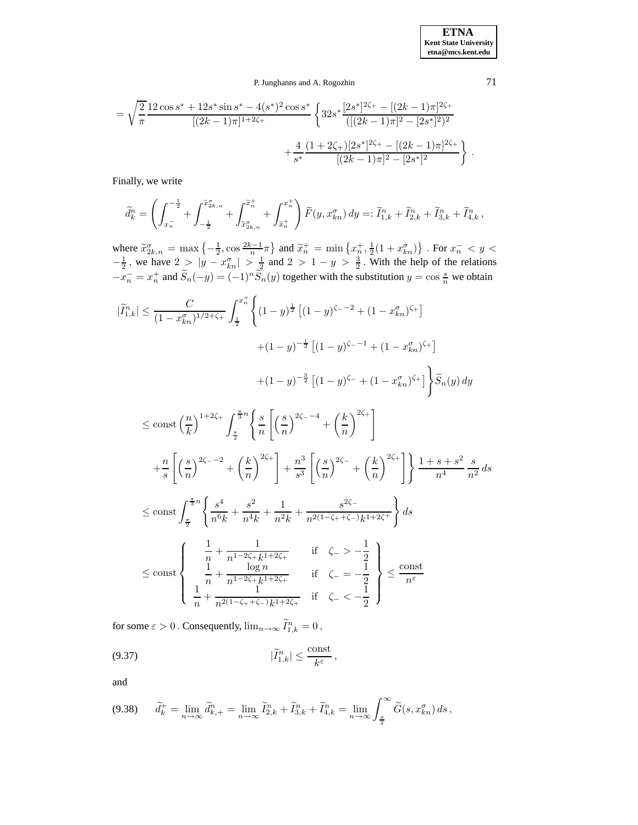**ETNA Kent State University etna@mcs.kent.edu**

# P. Junghanns and A. Rogozhin 71

$$
= \sqrt{\frac{2}{\pi}} \frac{12 \cos s^* + 12 s^* \sin s^* - 4(s^*)^2 \cos s^*}{[(2k-1)\pi]^{1+2\zeta_+}} \left\{ 32 s^* \frac{[2s^*]^{2\zeta_+} - [(2k-1)\pi]^{2\zeta_+}}{([(2k-1)\pi]^2 - [2s^*]^2)^2} + \frac{4}{s^*} \frac{(1+2\zeta_+)[2s^*]^{2\zeta_+} - [(2k-1)\pi]^{2\zeta_+}}{[(2k-1)\pi]^2 - [2s^*]^2} \right\}
$$

Finally, we write

$$
\widetilde{d}_{k}^{n} = \left(\int_{x_{n}^{-}}^{x_{n}^{-}} + \int_{-\frac{1}{2}}^{\widetilde{x}_{2k,n}^{g}} + \int_{\widetilde{x}_{2k,n}^{g}}^{x_{n}^{+}} + \int_{\widetilde{x}_{n}^{+}}^{x_{n}^{+}}\right) \widetilde{F}(y, x_{kn}^{\sigma}) dy =: \widetilde{I}_{1,k}^{n} + \widetilde{I}_{2,k}^{n} + \widetilde{I}_{3,k}^{n} + \widetilde{I}_{4,k}^{n},
$$

where  $\widetilde{x}_{2k,n}^{\sigma} = \max\left\{-\frac{1}{2}, \cos\frac{2k-1}{n}\pi\right\}$  and  $\widetilde{x}_n^+ = \min\left\{x_n^+, \frac{1}{2}(1+x_{kn}^{\sigma})\right\}$ . For  $x_n^- < y <$  $-\frac{1}{2}$ , we have  $2 > |y - x_{kn}^{\sigma}| > \frac{1}{2}$  and  $2 > 1 - y > \frac{3}{2}$ . With the help of the relations  $-x_n^- = x_n^+$  and  $\widetilde{S}_n(-y) = (-1)^n \widetilde{S}_n(y)$  together with the substitution  $y = \cos \frac{s}{n}$  we obtain

$$
|\widetilde{I}_{1,k}^{n}| \leq \frac{C}{(1-x_{kn}^{\sigma})^{1/2+\zeta_{+}}} \int_{\frac{1}{2}}^{x_{n}^{+}} \left\{ (1-y)^{\frac{1}{2}} \left[ (1-y)^{\zeta_{-}-2} + (1-x_{kn}^{\sigma})^{\zeta_{+}} \right] \right. \\ \left. + (1-y)^{-\frac{1}{2}} \left[ (1-y)^{\zeta_{-}-1} + (1-x_{kn}^{\sigma})^{\zeta_{+}} \right] \right\} \widetilde{S}_{n}(y) \, dy \\ \leq \text{const} \left( \frac{n}{k} \right)^{1+2\zeta_{+}} \int_{\frac{\pi}{2}}^{\frac{\pi}{3}n} \left\{ \frac{s}{n} \left[ \left( \frac{s}{n} \right)^{2\zeta_{-}-4} + \left( \frac{k}{n} \right)^{2\zeta_{+}} \right] \right. \\ \left. + \frac{n}{s} \left[ \left( \frac{s}{n} \right)^{2\zeta_{-}-2} + \left( \frac{k}{n} \right)^{2\zeta_{+}} \right] + \frac{n^{3}}{s^{3}} \left[ \left( \frac{s}{n} \right)^{2\zeta_{-}} + \left( \frac{k}{n} \right)^{2\zeta_{+}} \right] \right\} \frac{1+s+s^{2}}{n^{4}} \frac{s}{n^{2}} \, ds \\ \leq \text{const} \int_{\frac{\pi}{2}}^{\frac{\pi}{3}n} \left\{ \frac{s^{4}}{n^{6}k} + \frac{s^{2}}{n^{4}k} + \frac{1}{n^{2}k} + \frac{s^{2\zeta_{-}}}{n^{2(1-\zeta_{+}+\zeta_{-})}k^{1+2\zeta_{+}}} \right\} ds \\ \leq \text{const} \left\{ \begin{array}{ll} \frac{1}{n} + \frac{1}{n^{1-2\zeta_{+}}k^{1+2\zeta_{+}}} & \text{if } \zeta_{-} > -\frac{1}{2} \\ \frac{1}{n} + \frac{1}{n^{2(1-\zeta_{+}+\zeta_{+})}k^{1+2\zeta_{+}}} & \text{if } \zeta_{-} < -\frac{1}{2} \end{array} \right\} \leq \frac{\text{const}}{n^{\varepsilon}} \end{array}
$$

for some  $\varepsilon > 0$ . Consequently,  $\lim_{n\to\infty} \tilde{I}_{1,k}^n = 0$ ,

<span id="page-60-1"></span>
$$
(9.37) \t\t\t |\widetilde{I}_{1,k}^n| \leq \frac{\text{const}}{k^{\varepsilon}},
$$

and

<span id="page-60-0"></span>
$$
(9.38) \qquad \widetilde{d}_k^+ = \lim_{n \to \infty} \widetilde{d}_{k,+}^n = \lim_{n \to \infty} \widetilde{I}_{2,k}^n + \widetilde{I}_{3,k}^n + \widetilde{I}_{4,k}^n = \lim_{n \to \infty} \int_{\frac{\pi}{2}}^{\infty} \widetilde{G}(s, x_{kn}^{\sigma}) ds,
$$

.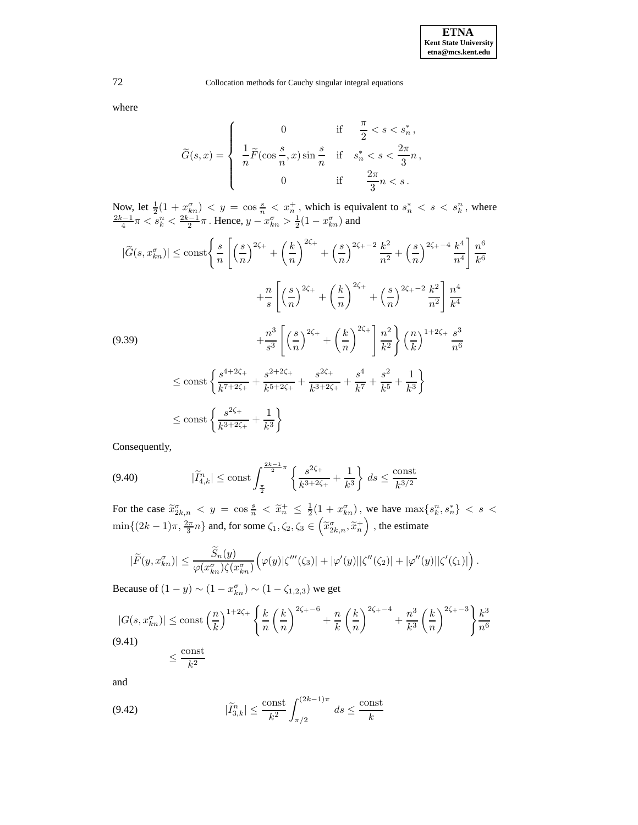where

$$
\label{eq:G} \widetilde{G}(s,x) = \left\{ \begin{array}{ccl} 0 & \mbox{if} & \frac{\pi}{2} < s < s_n^* \, , \\ \displaystyle \frac{1}{n} \widetilde{F}(\cos \frac{s}{n},x) \sin \frac{s}{n} & \mbox{if} & s_n^* < s < \frac{2\pi}{3}n \, , \\ 0 & \mbox{if} & \frac{2\pi}{3}n < s \, . \end{array} \right.
$$

Now, let  $\frac{1}{2}(1+x_{kn}^{\sigma}) < y = \cos \frac{s}{n} < x_n^+$ , which is equivalent to  $s_n^* < s < s_k^n$ , where  $\frac{2k-1}{4}\pi < s_k^n < \frac{2k-1}{2}\pi$  . Hence,  $y - x_{kn}^{\sigma} > \frac{1}{2}(1 - x_{kn}^{\sigma})$  and

<span id="page-61-0"></span>
$$
|\tilde{G}(s, x_{kn}^{\sigma})| \le \text{const} \Bigg\{ \frac{s}{n} \left[ \left( \frac{s}{n} \right)^{2\zeta_{+}} + \left( \frac{k}{n} \right)^{2\zeta_{+}} + \left( \frac{s}{n} \right)^{2\zeta_{+} - 2} \frac{k^{2}}{n^{2}} + \left( \frac{s}{n} \right)^{2\zeta_{+} - 4} \frac{k^{4}}{n^{4}} \right] \frac{n^{6}}{k^{6}}
$$
  
+ 
$$
\frac{n}{s} \left[ \left( \frac{s}{n} \right)^{2\zeta_{+}} + \left( \frac{k}{n} \right)^{2\zeta_{+}} + \left( \frac{s}{n} \right)^{2\zeta_{+} - 2} \frac{k^{2}}{n^{2}} \right] \frac{n^{4}}{k^{4}}
$$
  
(9.39)  
+ 
$$
\frac{n^{3}}{s^{3}} \left[ \left( \frac{s}{n} \right)^{2\zeta_{+}} + \left( \frac{k}{n} \right)^{2\zeta_{+}} \right] \frac{n^{2}}{k^{2}} \Bigg\} \left( \frac{n}{k} \right)^{1 + 2\zeta_{+}} \frac{s^{3}}{n^{6}}
$$
  

$$
\le \text{const} \left\{ \frac{s^{4 + 2\zeta_{+}}}{k^{7 + 2\zeta_{+}}} + \frac{s^{2 + 2\zeta_{+}}}{k^{5 + 2\zeta_{+}}} + \frac{s^{2\zeta_{+}}}{k^{3 + 2\zeta_{+}}} + \frac{s^{4}}{k^{7}} + \frac{s^{2}}{k^{5}} + \frac{1}{k^{3}} \right\}
$$
  

$$
\le \text{const} \left\{ \frac{s^{2\zeta_{+}}}{k^{3 + 2\zeta_{+}}} + \frac{1}{k^{3}} \right\}
$$

Consequently,

<span id="page-61-2"></span>
$$
(9.40) \qquad |\widetilde{I}_{4,k}^n| \le \text{const} \int_{\frac{\pi}{2}}^{\frac{2k-1}{2}\pi} \left\{ \frac{s^{2\zeta_+}}{k^{3+2\zeta_+}} + \frac{1}{k^3} \right\} \, ds \le \frac{\text{const}}{k^{3/2}}
$$

For the case  $\tilde{x}_{2k,n}^{\sigma} < y = \cos{\frac{s}{n}} < \tilde{x}_n^+ \leq \frac{1}{2}(1 + x_{kn}^{\sigma})$ , we have  $\max\{s_k^n, s_n^*\} < s <$  $\min\{(2k-1)\pi,\frac{2\pi}{3}n\}$  and, for some  $\zeta_1,\zeta_2,\zeta_3\in\left(\widetilde{x}^\sigma_{2k,n},\widetilde{x}^\pm_n\right)$  , the estimate

$$
|\widetilde{F}(y,x_{kn}^{\sigma})| \leq \frac{\widetilde{S}_n(y)}{\varphi(x_{kn}^{\sigma})\zeta(x_{kn}^{\sigma})}\Big(\varphi(y)|\zeta'''(\zeta_3)| + |\varphi'(y)||\zeta''(\zeta_2)| + |\varphi''(y)||\zeta'(\zeta_1)|\Big).
$$

Because of  $(1 - y) \sim (1 - x_{kn}^{\sigma}) \sim (1 - \zeta_{1,2,3})$  we get

<span id="page-61-1"></span>
$$
|G(s, x_{kn}^{\sigma})| \le \text{const} \left(\frac{n}{k}\right)^{1+2\zeta_{+}} \left\{\frac{k}{n}\left(\frac{k}{n}\right)^{2\zeta_{+}-6} + \frac{n}{k}\left(\frac{k}{n}\right)^{2\zeta_{+}-4} + \frac{n^{3}}{k^{3}}\left(\frac{k}{n}\right)^{2\zeta_{+}-3}\right\}\frac{k^{3}}{n^{6}}
$$
\n
$$
\le \frac{\text{const}}{k^{2}}
$$

and

<span id="page-61-3"></span>(9.42) 
$$
|\widetilde{I}_{3,k}^n| \le \frac{\text{const}}{k^2} \int_{\pi/2}^{(2k-1)\pi} ds \le \frac{\text{const}}{k}
$$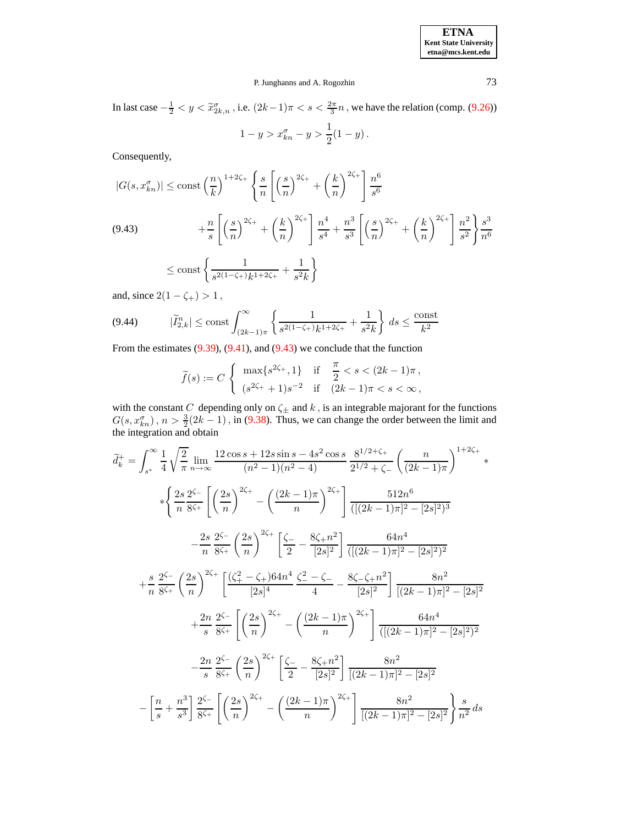In last case  $-\frac{1}{2} < y < \tilde{x}_{2k,n}^{\sigma}$ , i.e.  $(2k-1)\pi < s < \frac{2\pi}{3}n$ , we have the relation (comp. [\(9.26\)](#page-53-4)) 1

$$
1 - y > x_{kn}^{\sigma} - y > \frac{1}{2}(1 - y).
$$

Consequently,

<span id="page-62-0"></span>
$$
|G(s, x_{kn}^{\sigma})| \le \text{const} \left(\frac{n}{k}\right)^{1+2\zeta_{+}} \left\{ \frac{s}{n} \left[ \left(\frac{s}{n}\right)^{2\zeta_{+}} + \left(\frac{k}{n}\right)^{2\zeta_{+}} \right] \frac{n^{6}}{s^{6}} \right\}
$$
  
(9.43)  

$$
+ \frac{n}{s} \left[ \left(\frac{s}{n}\right)^{2\zeta_{+}} + \left(\frac{k}{n}\right)^{2\zeta_{+}} \right] \frac{n^{4}}{s^{4}} + \frac{n^{3}}{s^{3}} \left[ \left(\frac{s}{n}\right)^{2\zeta_{+}} + \left(\frac{k}{n}\right)^{2\zeta_{+}} \right] \frac{n^{2}}{s^{2}} \right\} \frac{s^{3}}{n^{6}}
$$
  

$$
\le \text{const} \left\{ \frac{1}{s^{2(1-\zeta_{+})}k^{1+2\zeta_{+}}} + \frac{1}{s^{2}k} \right\}
$$

and, since  $2(1 - \zeta_{+}) > 1$ ,

<span id="page-62-1"></span>
$$
(9.44) \qquad |\widetilde{I}_{2,k}^n| \le \text{const} \int_{(2k-1)\pi}^{\infty} \left\{ \frac{1}{s^{2(1-\zeta_+)}k^{1+2\zeta_+}} + \frac{1}{s^2k} \right\} \, ds \le \frac{\text{const}}{k^2}
$$

From the estimates  $(9.39)$ ,  $(9.41)$ , and  $(9.43)$  we conclude that the function

$$
\widetilde{f}(s) := C \begin{cases} \max\{s^{2\zeta_+}, 1\} & \text{if } \frac{\pi}{2} < s < (2k - 1)\pi \,, \\ (s^{2\zeta_+} + 1)s^{-2} & \text{if } (2k - 1)\pi < s < \infty \,, \end{cases}
$$

with the constant C depending only on  $\zeta_{\pm}$  and k, is an integrable majorant for the functions  $G(s, x_{kn}^{\sigma})$ ,  $n > \frac{3}{2}(2k-1)$ , in [\(9.38\)](#page-60-0). Thus, we can change the order between the limit and the integration and obtain

$$
\widetilde{d}_{k}^{+} = \int_{s^{*}}^{\infty} \frac{1}{4} \sqrt{\frac{2}{\pi}} \lim_{n \to \infty} \frac{12 \cos s + 12 s \sin s - 4 s^{2} \cos s}{(n^{2} - 1)(n^{2} - 4)} \frac{8^{1/2 + \zeta_{+}}}{2^{1/2} + \zeta_{-}} \left(\frac{n}{(2k - 1)\pi}\right)^{1 + 2\zeta_{+}} * \frac{\left\{\frac{2s}{n^{2\zeta_{-}}}{8\zeta_{+}} \left[ \left(\frac{2s}{n}\right)^{2\zeta_{+}} - \left(\frac{(2k - 1)\pi}{n}\right)^{2\zeta_{+}} \right] \frac{512n^{6}}{([(2k - 1)\pi]^{2} - [2s]^{2})^{3}} - \frac{2s}{n^{2\zeta_{-}} \left(\frac{2s}{n}\right)^{2\zeta_{+}} \left[ \frac{\zeta_{-}}{2} - \frac{8\zeta_{+}n^{2}}{[2s]^{2}} \right] \frac{64n^{4}}{([(2k - 1)\pi]^{2} - [2s]^{2})^{2}} + \frac{s}{n^{2\zeta_{-}} \left(\frac{2s}{n}\right)^{2\zeta_{+}} \left[ \frac{(\zeta_{+}^{2} - \zeta_{+})64n^{4}}{[2s]^{4}} \frac{\zeta_{-}^{2} - \zeta_{-}}{4} - \frac{8\zeta_{-} \zeta_{+}n^{2}}{[2s]^{2}} \right] \frac{8n^{2}}{[(2k - 1)\pi]^{2} - [2s]^{2}} + \frac{2n}{s^{2\zeta_{-}} \left[ \left(\frac{2s}{n}\right)^{2\zeta_{+}} - \left(\frac{(2k - 1)\pi}{n}\right)^{2\zeta_{+}} \right] \frac{64n^{4}}{([(2k - 1)\pi]^{2} - [2s]^{2})^{2}} - \frac{2n}{s^{2\zeta_{-}} \left(\frac{2s}{n}\right)^{2\zeta_{+}} \left[ \frac{\zeta_{-}}{2} - \frac{8\zeta_{+}n^{2}}{[2s]^{2}} \right] \frac{8n^{2}}{[(2k - 1)\pi]^{2} - [2s]^{2}} - \frac{n^{2}}{s^{2\zeta_{-}} \left(\frac{2s}{
$$

**ETNA Kent State University etna@mcs.kent.edu**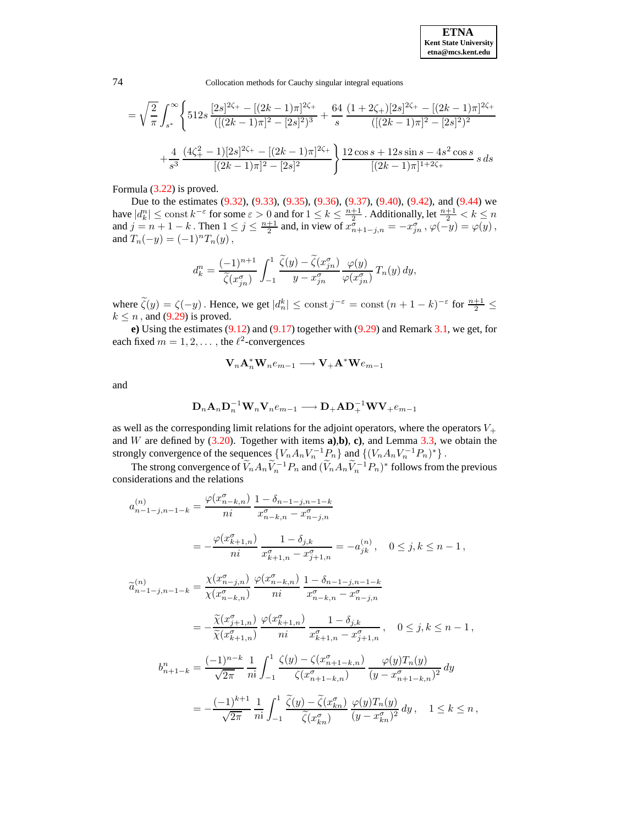**ETNA Kent State University etna@mcs.kent.edu**

74 Collocation methods for Cauchy singular integral equations

$$
= \sqrt{\frac{2}{\pi}} \int_{s^*}^{\infty} \left\{ 512s \frac{[2s]^{2\zeta_+} - [(2k-1)\pi]^{2\zeta_+}}{([(2k-1)\pi]^2 - [2s]^2)^3} + \frac{64}{s} \frac{(1+2\zeta_+)[2s]^{2\zeta_+} - [(2k-1)\pi]^{2\zeta_+}}{([(2k-1)\pi]^2 - [2s]^2)^2} + \frac{4}{s^3} \frac{(4\zeta_+^2 - 1)[2s]^{2\zeta_+} - [(2k-1)\pi]^{2\zeta_+}}{[(2k-1)\pi]^2 - [2s]^2} \right\} \frac{12\cos s + 12s\sin s - 4s^2\cos s}{[(2k-1)\pi]^{1+2\zeta_+}} s \, ds
$$

Formula [\(3.22\)](#page-17-1) is proved.

Due to the estimates [\(9.32\)](#page-57-0), [\(9.33\)](#page-58-1), [\(9.35\)](#page-59-0), [\(9.36\)](#page-59-1), [\(9.37\)](#page-60-1), [\(9.40\)](#page-61-2), [\(9.42\)](#page-61-3), and [\(9.44\)](#page-62-1) we have  $|d_k^n| \leq \text{const } k^{-\varepsilon}$  for some  $\varepsilon > 0$  and for  $1 \leq k \leq \frac{n+1}{2}$ . Additionally, let  $\frac{n+1}{2} < k \leq n$ and  $j = n + 1 - k$ . Then  $1 \le j \le \frac{n+1}{2}$  and, in view of  $x_{n+1-j,n}^{\sigma} = -x_{jn}^{\sigma}$ ,  $\varphi(-y) = \varphi(y)$ , and  $T_n(-y) = (-1)^n T_n(y)$ ,

$$
d_k^n = \frac{(-1)^{n+1}}{\widetilde{\zeta}(x_{jn}^\sigma)} \int_{-1}^1 \frac{\widetilde{\zeta}(y) - \widetilde{\zeta}(x_{jn}^\sigma)}{y - x_{jn}^\sigma} \frac{\varphi(y)}{\varphi(x_{jn}^\sigma)} T_n(y) \, dy,
$$

where  $\tilde{\zeta}(y) = \zeta(-y)$ . Hence, we get  $|d_n^k| \le \text{const } j^{-\epsilon} = \text{const } (n+1-k)^{-\epsilon}$  for  $\frac{n+1}{2} \le$  $k \leq n$ , and [\(9.29\)](#page-54-0) is proved.

**e)** Using the estimates [\(9.12\)](#page-49-2) and [\(9.17\)](#page-50-2) together with [\(9.29\)](#page-54-0) and Remark [3.1,](#page-10-2) we get, for each fixed  $m = 1, 2, \dots$ , the  $\ell^2$ -convergences

$$
\mathbf{V}_{n}\mathbf{A}_{n}^*\mathbf{W}_{n}e_{m-1}\longrightarrow \mathbf{V}_{+}\mathbf{A}^*\mathbf{W}e_{m-1}
$$

and

$$
\mathbf{D}_n \mathbf{A}_n \mathbf{D}_n^{-1} \mathbf{W}_n \mathbf{V}_n e_{m-1} \longrightarrow \mathbf{D}_+ \mathbf{A} \mathbf{D}_+^{-1} \mathbf{W} \mathbf{V}_+ e_{m-1}
$$

as well as the corresponding limit relations for the adjoint operators, where the operators  $V_+$ and W are defined by [\(3.20\)](#page-17-2). Together with items **a)**,**b)**, **c)**, and Lemma [3.3,](#page-12-1) we obtain the strongly convergence of the sequences  ${V_n A_n V_n^{-1} P_n}$  and  ${((V_n A_n V_n^{-1} P_n)^*}$ .

The strong convergence of  $\tilde{V}_n A_n \tilde{V}_n^{-1} P_n$  and  $(\tilde{V}_n A_n \tilde{V}_n^{-1} P_n)^*$  follows from the previous considerations and the relations

$$
\begin{split} a_{n-1-j,n-1-k}^{(n)} &= \frac{\varphi(x_{n-k,n}^{\sigma})}{ni} \frac{1 - \delta_{n-1-j,n-1-k}}{x_{n-k,n}^{\sigma} - x_{n-j,n}^{\sigma}} \\ &= -\frac{\varphi(x_{k+1,n}^{\sigma})}{ni} \frac{1 - \delta_{j,k}}{x_{k+1,n}^{\sigma} - x_{j+1,n}^{\sigma}} = -a_{jk}^{(n)}, \quad 0 \le j, k \le n-1 \,, \\ \widetilde{a}_{n-1-j,n-1-k}^{(n)} &= \frac{\chi(x_{n-j,n}^{\sigma})}{\chi(x_{n-k,n}^{\sigma})} \frac{\varphi(x_{n-k,n}^{\sigma})}{ni} \frac{1 - \delta_{n-1-j,n-1-k}}{x_{n-k,n}^{\sigma} - x_{n-j,n}^{\sigma}} \\ &= -\frac{\widetilde{\chi}(x_{j+1,n}^{\sigma})}{\widetilde{\chi}(x_{k+1,n}^{\sigma})} \frac{\varphi(x_{k+1,n}^{\sigma})}{ni} \frac{1 - \delta_{j,k}}{x_{k+1,n}^{\sigma} - x_{j+1,n}^{\sigma}}, \quad 0 \le j, k \le n-1 \,, \\ b_{n+1-k}^{n} &= \frac{(-1)^{n-k}}{\sqrt{2\pi}} \frac{1}{n} \int_{-1}^{1} \frac{\zeta(y) - \zeta(x_{n+1-k,n}^{\sigma})}{\zeta(x_{n+1-k,n}^{\sigma})} \frac{\varphi(y)T_{n}(y)}{(y - x_{n+1-k,n}^{\sigma})^2} \, dy \\ &= -\frac{(-1)^{k+1}}{\sqrt{2\pi}} \frac{1}{n} \int_{-1}^{1} \frac{\widetilde{\zeta}(y) - \widetilde{\zeta}(x_{kn}^{\sigma})}{\widetilde{\zeta}(x_{kn}^{\sigma})} \frac{\varphi(y)T_{n}(y)}{(y - x_{kn}^{\sigma})^2} \, dy, \quad 1 \le k \le n \,, \end{split}
$$